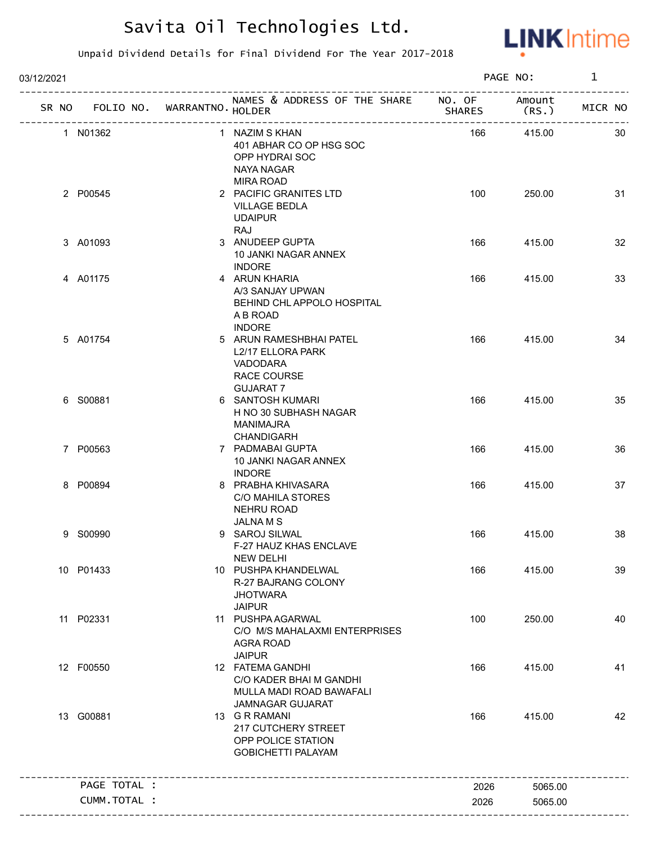

| 03/12/2021                        |                                                                                              |               | PAGE NO:        | $\mathbf{1}$ |
|-----------------------------------|----------------------------------------------------------------------------------------------|---------------|-----------------|--------------|
| SR NO FOLIO NO. WARRANTNO. HOLDER | NAMES & ADDRESS OF THE SHARE NO. OF                                                          | <b>SHARES</b> | Amount<br>(RS.) | MICR NO      |
| 1 N01362                          | 1 NAZIM S KHAN<br>401 ABHAR CO OP HSG SOC<br>OPP HYDRAI SOC<br>NAYA NAGAR                    | 166           | 415.00          | 30           |
| 2 P00545                          | <b>MIRA ROAD</b><br>2 PACIFIC GRANITES LTD<br><b>VILLAGE BEDLA</b><br><b>UDAIPUR</b><br>RAJ  | 100           | 250.00          | 31           |
| 3 A01093                          | 3 ANUDEEP GUPTA<br>10 JANKI NAGAR ANNEX<br><b>INDORE</b>                                     | 166           | 415.00          | 32           |
| 4 A01175                          | 4 ARUN KHARIA<br>A/3 SANJAY UPWAN<br>BEHIND CHL APPOLO HOSPITAL<br>A B ROAD<br><b>INDORE</b> | 166           | 415.00          | 33           |
| 5 A01754                          | 5 ARUN RAMESHBHAI PATEL<br>L2/17 ELLORA PARK<br>VADODARA<br>RACE COURSE<br><b>GUJARAT 7</b>  | 166           | 415.00          | 34           |
| 6 S00881                          | 6 SANTOSH KUMARI<br>H NO 30 SUBHASH NAGAR<br>MANIMAJRA<br><b>CHANDIGARH</b>                  | 166           | 415.00          | 35           |
| 7 P00563                          | 7 PADMABAI GUPTA<br>10 JANKI NAGAR ANNEX<br><b>INDORE</b>                                    | 166           | 415.00          | 36           |
| 8 P00894                          | 8 PRABHA KHIVASARA<br><b>C/O MAHILA STORES</b><br><b>NEHRU ROAD</b><br><b>JALNAMS</b>        | 166           | 415.00          | 37           |
| 9 S00990                          | 9 SAROJ SILWAL<br>F-27 HAUZ KHAS ENCLAVE<br><b>NEW DELHI</b>                                 | 166           | 415.00          | 38           |
| 10 P01433                         | 10 PUSHPA KHANDELWAL<br>R-27 BAJRANG COLONY<br><b>JHOTWARA</b><br><b>JAIPUR</b>              | 166           | 415.00          | 39           |
| 11 P02331                         | 11 PUSHPA AGARWAL<br>C/O M/S MAHALAXMI ENTERPRISES<br><b>AGRA ROAD</b><br><b>JAIPUR</b>      | 100           | 250.00          | 40           |
| 12 F00550                         | 12 FATEMA GANDHI<br>C/O KADER BHAI M GANDHI<br>MULLA MADI ROAD BAWAFALI<br>JAMNAGAR GUJARAT  | 166           | 415.00          | 41           |
| 13 G00881                         | 13 G R RAMANI<br>217 CUTCHERY STREET<br>OPP POLICE STATION<br><b>GOBICHETTI PALAYAM</b>      | 166           | 415.00          | 42           |
| PAGE TOTAL :                      |                                                                                              | 2026          | 5065.00         |              |
| CUMM.TOTAL :                      |                                                                                              | 2026          | 5065.00         |              |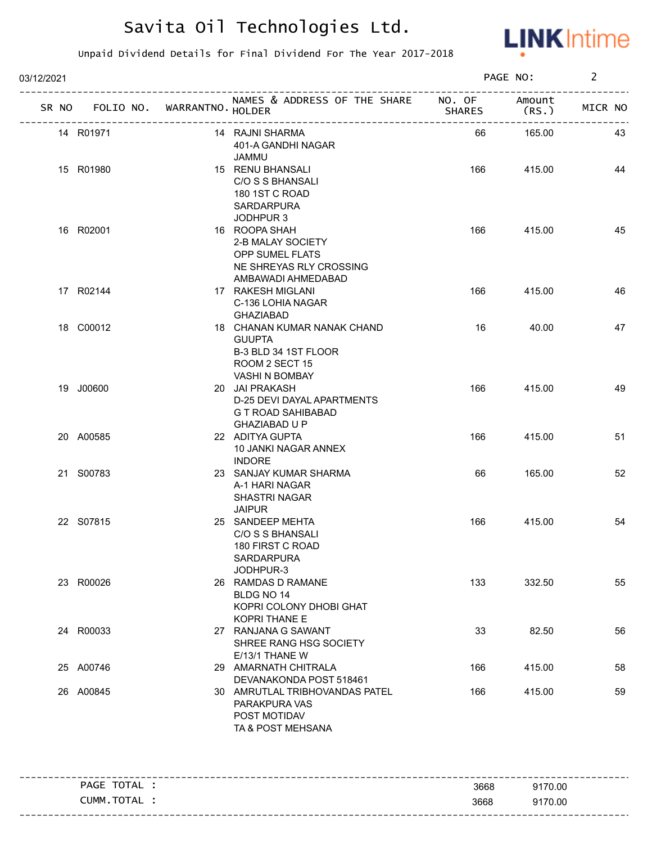

| 03/12/2021                   |                  |                                                                                                          |               | PAGE NO:       | $\overline{2}$ |
|------------------------------|------------------|----------------------------------------------------------------------------------------------------------|---------------|----------------|----------------|
| SR NO FOLIO NO.              | WARRANTNO HOLDER | NAMES & ADDRESS OF THE SHARE NO. OF                                                                      | <b>SHARES</b> | Amount<br>(RS. | MICR NO        |
| 14 R01971                    |                  | 14 RAJNI SHARMA<br>401-A GANDHI NAGAR<br><b>JAMMU</b>                                                    | 66            | 165.00         | 43             |
| 15 R01980                    |                  | 15 RENU BHANSALI<br>C/O S S BHANSALI<br>180 1ST C ROAD<br>SARDARPURA<br>JODHPUR 3                        | 166           | 415.00         | 44             |
| 16 R02001                    |                  | 16 ROOPA SHAH<br>2-B MALAY SOCIETY<br>OPP SUMEL FLATS<br>NE SHREYAS RLY CROSSING<br>AMBAWADI AHMEDABAD   | 166           | 415.00         | 45             |
| 17 R02144                    |                  | 17 RAKESH MIGLANI<br>C-136 LOHIA NAGAR<br><b>GHAZIABAD</b>                                               | 166           | 415.00         | 46             |
| 18 C00012                    |                  | 18 CHANAN KUMAR NANAK CHAND<br><b>GUUPTA</b><br>B-3 BLD 34 1ST FLOOR<br>ROOM 2 SECT 15<br>VASHI N BOMBAY | 16            | 40.00          | 47             |
| 19 J00600                    |                  | 20 JAI PRAKASH<br>D-25 DEVI DAYAL APARTMENTS<br>G T ROAD SAHIBABAD<br>GHAZIABAD U P                      | 166           | 415.00         | 49             |
| 20 A00585                    |                  | 22 ADITYA GUPTA<br>10 JANKI NAGAR ANNEX<br><b>INDORE</b>                                                 | 166           | 415.00         | 51             |
| 21 S00783                    |                  | 23 SANJAY KUMAR SHARMA<br>A-1 HARI NAGAR<br><b>SHASTRI NAGAR</b><br><b>JAIPUR</b>                        | 66            | 165.00         | 52             |
| 22 S07815                    |                  | 25 SANDEEP MEHTA<br>C/O S S BHANSALI<br>180 FIRST C ROAD<br>SARDARPURA<br>JODHPUR-3                      | 166           | 415.00         | 54             |
| 23 R00026                    |                  | 26 RAMDAS D RAMANE<br>BLDG NO 14<br>KOPRI COLONY DHOBI GHAT<br>KOPRI THANE E                             | 133           | 332.50         | 55             |
| 24 R00033                    |                  | 27 RANJANA G SAWANT<br>SHREE RANG HSG SOCIETY<br>E/13/1 THANE W                                          | 33            | 82.50          | 56             |
| 25 A00746                    |                  | 29 AMARNATH CHITRALA<br>DEVANAKONDA POST 518461                                                          | 166           | 415.00         | 58             |
| 26 A00845                    |                  | 30 AMRUTLAL TRIBHOVANDAS PATEL<br>PARAKPURA VAS<br>POST MOTIDAV<br>TA & POST MEHSANA                     | 166           | 415.00         | 59             |
|                              |                  |                                                                                                          |               |                |                |
| PAGE TOTAL :<br>CUMM.TOTAL : |                  |                                                                                                          | 3668          | 9170.00        |                |
|                              |                  |                                                                                                          | 3668          | 9170.00        |                |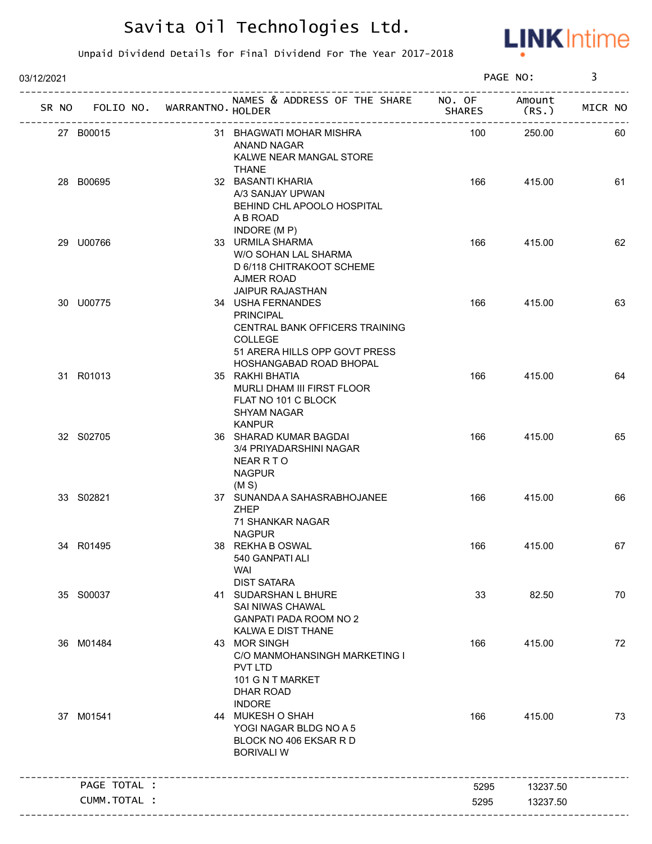

| 03/12/2021 |              |                                                    |                                                                                                                                                       |               | PAGE NO:        | 3       |
|------------|--------------|----------------------------------------------------|-------------------------------------------------------------------------------------------------------------------------------------------------------|---------------|-----------------|---------|
| SR NO      |              | FOLIO NO. WARRANTNO HOLDER<br>-------------------- | NAMES & ADDRESS OF THE SHARE NO. OF                                                                                                                   | <b>SHARES</b> | Amount<br>(RS.) | MICR NO |
|            | 27 B00015    |                                                    | 31 BHAGWATI MOHAR MISHRA<br>ANAND NAGAR<br>KALWE NEAR MANGAL STORE<br><b>THANE</b>                                                                    | 100           | 250.00          | 60      |
|            | 28 B00695    |                                                    | 32 BASANTI KHARIA<br>A/3 SANJAY UPWAN<br>BEHIND CHL APOOLO HOSPITAL<br>A B ROAD                                                                       | 166           | 415.00          | 61      |
|            | 29 U00766    |                                                    | INDORE (MP)<br>33 URMILA SHARMA<br>W/O SOHAN LAL SHARMA<br>D 6/118 CHITRAKOOT SCHEME<br>AJMER ROAD                                                    | 166           | 415.00          | 62      |
|            | 30 U00775    |                                                    | <b>JAIPUR RAJASTHAN</b><br>34 USHA FERNANDES<br><b>PRINCIPAL</b><br>CENTRAL BANK OFFICERS TRAINING<br><b>COLLEGE</b><br>51 ARERA HILLS OPP GOVT PRESS | 166           | 415.00          | 63      |
|            | 31 R01013    |                                                    | HOSHANGABAD ROAD BHOPAL<br>35 RAKHI BHATIA<br>MURLI DHAM III FIRST FLOOR<br>FLAT NO 101 C BLOCK<br>SHYAM NAGAR                                        | 166           | 415.00          | 64      |
|            | 32 S02705    |                                                    | <b>KANPUR</b><br>36 SHARAD KUMAR BAGDAI<br>3/4 PRIYADARSHINI NAGAR<br><b>NEAR R T O</b><br><b>NAGPUR</b><br>(M S)                                     | 166           | 415.00          | 65      |
|            | 33 S02821    |                                                    | 37 SUNANDA A SAHASRABHOJANEE<br><b>ZHEP</b><br><b>71 SHANKAR NAGAR</b>                                                                                | 166           | 415.00          | 66      |
|            | 34 R01495    |                                                    | <b>NAGPUR</b><br>38 REKHA B OSWAL<br>540 GANPATI ALI<br><b>WAI</b><br><b>DIST SATARA</b>                                                              | 166           | 415.00          | 67      |
|            | 35 S00037    |                                                    | 41 SUDARSHAN L BHURE<br>SAI NIWAS CHAWAL<br>GANPATI PADA ROOM NO 2<br>KALWA E DIST THANE                                                              | 33            | 82.50           | 70      |
|            | 36 M01484    |                                                    | 43 MOR SINGH<br>C/O MANMOHANSINGH MARKETING I<br>PVT LTD<br>101 G N T MARKET<br><b>DHAR ROAD</b>                                                      | 166           | 415.00          | 72      |
|            | 37 M01541    |                                                    | <b>INDORE</b><br>44 MUKESH O SHAH<br>YOGI NAGAR BLDG NO A 5<br>BLOCK NO 406 EKSAR R D<br><b>BORIVALI W</b>                                            | 166           | 415.00          | 73      |
|            | PAGE TOTAL : |                                                    |                                                                                                                                                       | 5295          | 13237.50        |         |
|            | CUMM.TOTAL : |                                                    |                                                                                                                                                       | 5295          | 13237.50        |         |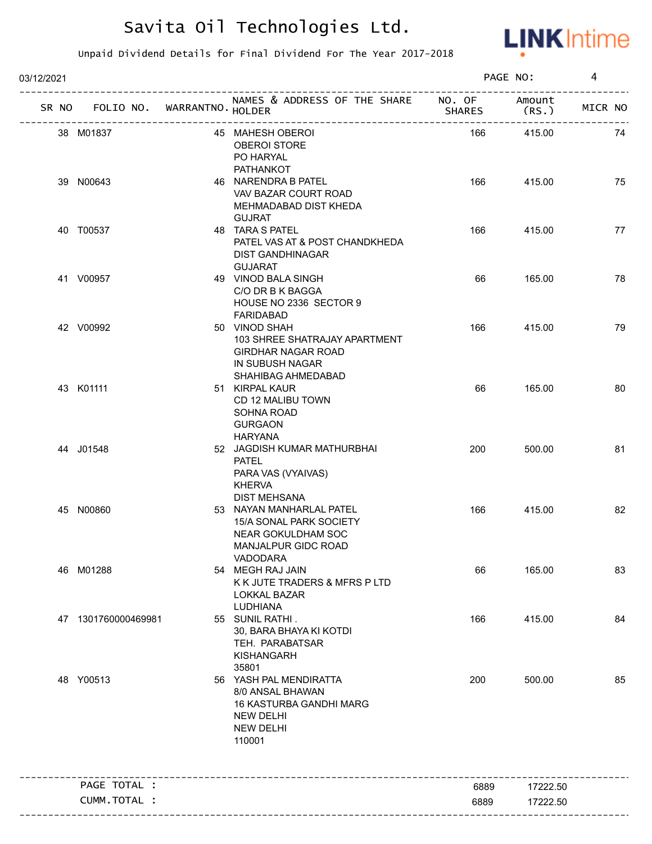

| 03/12/2021 |                                   |                                                                                                                         |               | PAGE NO:       | 4       |
|------------|-----------------------------------|-------------------------------------------------------------------------------------------------------------------------|---------------|----------------|---------|
|            | SR NO FOLIO NO. WARRANTNO. HOLDER | NAMES & ADDRESS OF THE SHARE NO. OF<br>----------------------------------                                               | <b>SHARES</b> | Amount<br>(RS. | MICR NO |
|            | 38 M01837                         | 45 MAHESH OBEROI<br><b>OBEROI STORE</b><br>PO HARYAL<br>PATHANKOT                                                       | 166           | 415.00         | 74      |
|            | 39 N00643                         | 46 NARENDRA B PATEL<br>VAV BAZAR COURT ROAD<br>MEHMADABAD DIST KHEDA<br><b>GUJRAT</b>                                   | 166           | 415.00         | 75      |
|            | 40 T00537                         | 48 TARA S PATEL<br>PATEL VAS AT & POST CHANDKHEDA<br><b>DIST GANDHINAGAR</b><br><b>GUJARAT</b>                          | 166           | 415.00         | 77      |
|            | 41 V00957                         | 49 VINOD BALA SINGH<br>C/O DR B K BAGGA<br>HOUSE NO 2336 SECTOR 9<br>FARIDABAD                                          | 66            | 165.00         | 78      |
|            | 42 V00992                         | 50 VINOD SHAH<br>103 SHREE SHATRAJAY APARTMENT<br><b>GIRDHAR NAGAR ROAD</b><br>IN SUBUSH NAGAR                          | 166           | 415.00         | 79      |
|            | 43 K01111                         | SHAHIBAG AHMEDABAD<br>51 KIRPAL KAUR<br>CD 12 MALIBU TOWN<br>SOHNA ROAD<br><b>GURGAON</b><br><b>HARYANA</b>             | 66            | 165.00         | 80      |
|            | 44 J01548                         | 52 JAGDISH KUMAR MATHURBHAI<br><b>PATEL</b><br>PARA VAS (VYAIVAS)<br><b>KHERVA</b><br><b>DIST MEHSANA</b>               | 200           | 500.00         | 81      |
|            | 45 N00860                         | 53 NAYAN MANHARLAL PATEL<br>15/A SONAL PARK SOCIETY<br>NEAR GOKULDHAM SOC<br>MANJALPUR GIDC ROAD<br>VADODARA            | 166           | 415.00         | 82      |
|            | 46 M01288                         | 54 MEGH RAJ JAIN<br>K K JUTE TRADERS & MFRS P LTD<br>LOKKAL BAZAR<br>LUDHIANA                                           | 66            | 165.00         | 83      |
|            | 47 1301760000469981               | 55 SUNIL RATHI.<br>30, BARA BHAYA KI KOTDI<br>TEH. PARABATSAR<br><b>KISHANGARH</b><br>35801                             | 166           | 415.00         | 84      |
|            | 48 Y00513                         | 56 YASH PAL MENDIRATTA<br>8/0 ANSAL BHAWAN<br>16 KASTURBA GANDHI MARG<br><b>NEW DELHI</b><br><b>NEW DELHI</b><br>110001 | 200           | 500.00         | 85      |
|            | PAGE TOTAL :                      |                                                                                                                         | 6889          | 17222.50       |         |
|            | CUMM.TOTAL :                      |                                                                                                                         | 6889          | 17222.50       |         |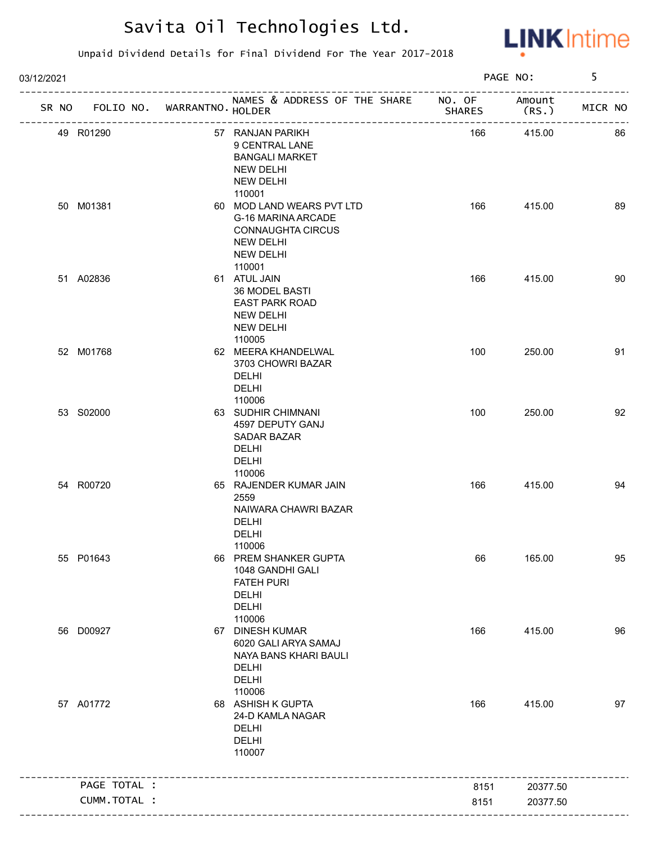

| 03/12/2021                        |                                                                                                                                         |               | PAGE NO:        | 5       |
|-----------------------------------|-----------------------------------------------------------------------------------------------------------------------------------------|---------------|-----------------|---------|
| SR NO FOLIO NO. WARRANTNO. HOLDER | NAMES & ADDRESS OF THE SHARE NO. OF                                                                                                     | <b>SHARES</b> | Amount<br>(RS.) | MICR NO |
| 49 R01290                         | 57 RANJAN PARIKH<br>9 CENTRAL LANE<br><b>BANGALI MARKET</b><br>NEW DELHI<br>NEW DELHI                                                   | 166           | 415.00          | 86      |
| 50 M01381                         | 110001<br>60 MOD LAND WEARS PVT LTD<br>G-16 MARINA ARCADE<br><b>CONNAUGHTA CIRCUS</b><br><b>NEW DELHI</b><br><b>NEW DELHI</b><br>110001 | 166           | 415.00          | 89      |
| 51 A02836                         | 61 ATUL JAIN<br>36 MODEL BASTI<br><b>EAST PARK ROAD</b><br>NEW DELHI<br>NEW DELHI<br>110005                                             | 166           | 415.00          | 90      |
| 52 M01768                         | 62 MEERA KHANDELWAL<br>3703 CHOWRI BAZAR<br><b>DELHI</b><br><b>DELHI</b><br>110006                                                      | 100           | 250.00          | 91      |
| 53 S02000                         | 63 SUDHIR CHIMNANI<br>4597 DEPUTY GANJ<br>SADAR BAZAR<br><b>DELHI</b><br><b>DELHI</b><br>110006                                         | 100           | 250.00          | 92      |
| 54 R00720                         | 65 RAJENDER KUMAR JAIN<br>2559<br>NAIWARA CHAWRI BAZAR<br><b>DELHI</b><br><b>DELHI</b><br>110006                                        | 166           | 415.00          | 94      |
| 55 P01643                         | 66 PREM SHANKER GUPTA<br>1048 GANDHI GALI<br><b>FATEH PURI</b><br>DELHI<br>DELHI<br>110006                                              | 66            | 165.00          | 95      |
| 56 D00927                         | 67 DINESH KUMAR<br>6020 GALI ARYA SAMAJ<br>NAYA BANS KHARI BAULI<br><b>DELHI</b><br><b>DELHI</b><br>110006                              | 166           | 415.00          | 96      |
| 57 A01772                         | 68 ASHISH K GUPTA<br>24-D KAMLA NAGAR<br>DELHI<br><b>DELHI</b><br>110007                                                                | 166           | 415.00          | 97      |
| PAGE TOTAL :                      |                                                                                                                                         | 8151          | 20377.50        |         |
| CUMM.TOTAL :                      |                                                                                                                                         | 8151          | 20377.50        |         |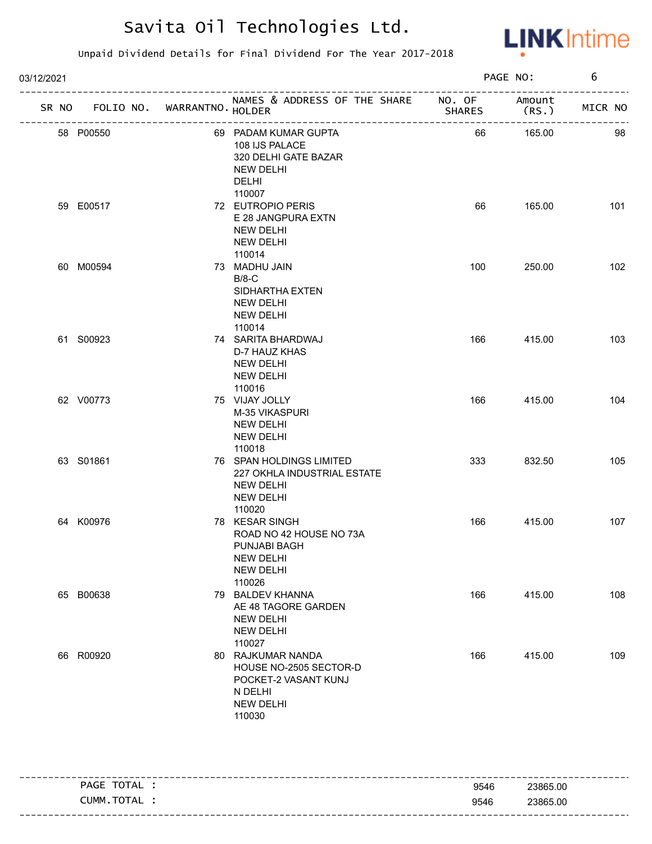

| 03/12/2021 |                                   |                | PAGE NO:                                                                                                     | 6             |                              |         |
|------------|-----------------------------------|----------------|--------------------------------------------------------------------------------------------------------------|---------------|------------------------------|---------|
|            | SR NO FOLIO NO. WARRANTNO. HOLDER |                | NAMES & ADDRESS OF THE SHARE NO. OF<br>-------------------------------                                       | <b>SHARES</b> | Amount<br>(RS.<br>---------- | MICR NO |
|            | 58 P00550                         | -------------- | 69 PADAM KUMAR GUPTA<br>108 IJS PALACE<br>320 DELHI GATE BAZAR<br><b>NEW DELHI</b><br>DELHI<br>110007        | 66            | 165.00                       | 98      |
|            | 59 E00517                         |                | 72 EUTROPIO PERIS<br>E 28 JANGPURA EXTN<br><b>NEW DELHI</b><br><b>NEW DELHI</b><br>110014                    | 66            | 165.00                       | 101     |
|            | 60 M00594                         |                | 73 MADHU JAIN<br>$B/8-C$<br>SIDHARTHA EXTEN<br><b>NEW DELHI</b><br><b>NEW DELHI</b><br>110014                | 100           | 250.00                       | 102     |
|            | 61 S00923                         |                | 74 SARITA BHARDWAJ<br>D-7 HAUZ KHAS<br><b>NEW DELHI</b><br><b>NEW DELHI</b><br>110016                        | 166           | 415.00                       | 103     |
|            | 62 V00773                         |                | 75 VIJAY JOLLY<br>M-35 VIKASPURI<br><b>NEW DELHI</b><br><b>NEW DELHI</b><br>110018                           | 166           | 415.00                       | 104     |
|            | 63 S01861                         |                | 76 SPAN HOLDINGS LIMITED<br>227 OKHLA INDUSTRIAL ESTATE<br><b>NEW DELHI</b><br><b>NEW DELHI</b><br>110020    | 333           | 832.50                       | 105     |
|            | 64 K00976                         |                | 78 KESAR SINGH<br>ROAD NO 42 HOUSE NO 73A<br>PUNJABI BAGH<br><b>NEW DELHI</b><br><b>NEW DELHI</b><br>110026  | 166           | 415.00                       | 107     |
|            | 65 B00638                         |                | 79 BALDEV KHANNA<br>AE 48 TAGORE GARDEN<br><b>NEW DELHI</b><br><b>NEW DELHI</b><br>110027                    | 166           | 415.00                       | 108     |
|            | 66 R00920                         |                | 80 RAJKUMAR NANDA<br>HOUSE NO-2505 SECTOR-D<br>POCKET-2 VASANT KUNJ<br>N DELHI<br><b>NEW DELHI</b><br>110030 | 166           | 415.00                       | 109     |

| TOTAL<br><b>PAGE</b> | 9546 | 23865.00 |
|----------------------|------|----------|
| CUMM.TOTAL           | 9546 | 23865.00 |
|                      |      |          |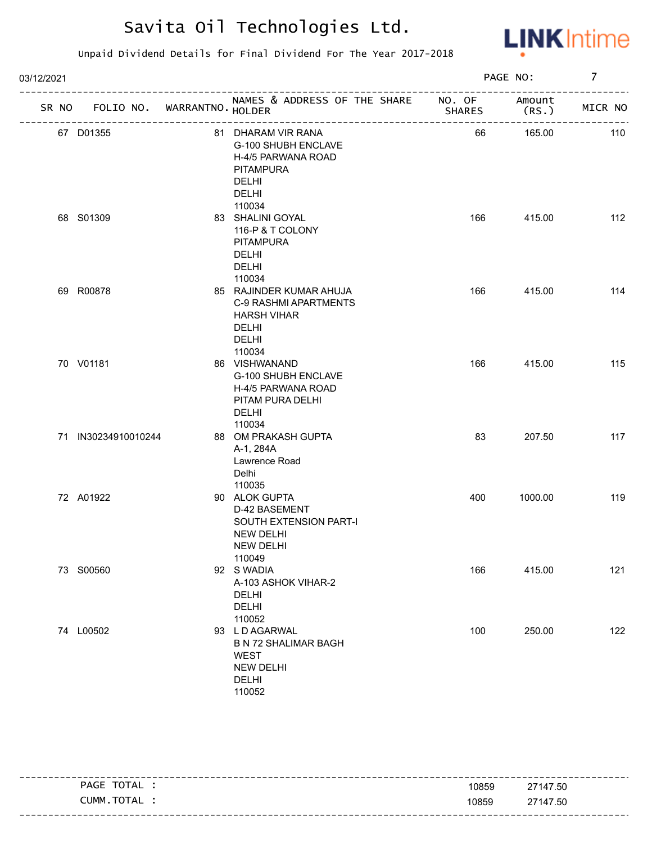

| 03/12/2021 |                     |                             |                                                                                                                 |        | PAGE NO:        | $\overline{7}$ |
|------------|---------------------|-----------------------------|-----------------------------------------------------------------------------------------------------------------|--------|-----------------|----------------|
| SR NO      |                     | FOLIO NO. WARRANTNO. HOLDER | NAMES & ADDRESS OF THE SHARE NO. OF<br>-------------------------------                                          | SHARES | Amount<br>(RS.) | MICR NO        |
|            | 67 D01355           |                             | 81 DHARAM VIR RANA<br>G-100 SHUBH ENCLAVE<br>H-4/5 PARWANA ROAD<br><b>PITAMPURA</b><br>DELHI<br>DELHI<br>110034 | 66     | 165.00          | 110            |
|            | 68 S01309           |                             | 83 SHALINI GOYAL<br>116-P & T COLONY<br><b>PITAMPURA</b><br>DELHI<br><b>DELHI</b><br>110034                     | 166    | 415.00          | 112            |
|            | 69 R00878           |                             | 85 RAJINDER KUMAR AHUJA<br>C-9 RASHMI APARTMENTS<br><b>HARSH VIHAR</b><br>DELHI<br>DELHI<br>110034              | 166    | 415.00          | 114            |
|            | 70 V01181           |                             | 86 VISHWANAND<br>G-100 SHUBH ENCLAVE<br>H-4/5 PARWANA ROAD<br>PITAM PURA DELHI<br><b>DELHI</b><br>110034        | 166    | 415.00          | 115            |
|            | 71 IN30234910010244 |                             | 88 OM PRAKASH GUPTA<br>A-1, 284A<br>Lawrence Road<br>Delhi<br>110035                                            | 83     | 207.50          | 117            |
|            | 72 A01922           |                             | 90 ALOK GUPTA<br>D-42 BASEMENT<br>SOUTH EXTENSION PART-I<br><b>NEW DELHI</b><br><b>NEW DELHI</b><br>110049      | 400    | 1000.00         | 119            |
|            | 73 S00560           |                             | 92 S WADIA<br>A-103 ASHOK VIHAR-2<br><b>DELHI</b><br><b>DELHI</b><br>110052                                     | 166    | 415.00          | 121            |
|            | 74 L00502           |                             | 93 LD AGARWAL<br><b>B N 72 SHALIMAR BAGH</b><br><b>WEST</b><br><b>NEW DELHI</b><br><b>DELHI</b><br>110052       | 100    | 250.00          | 122            |

| TOTAL<br>PAGE | 10859 | 27147.50 |
|---------------|-------|----------|
| CUMM.TOTAL    | 10859 | 27147.50 |
|               |       |          |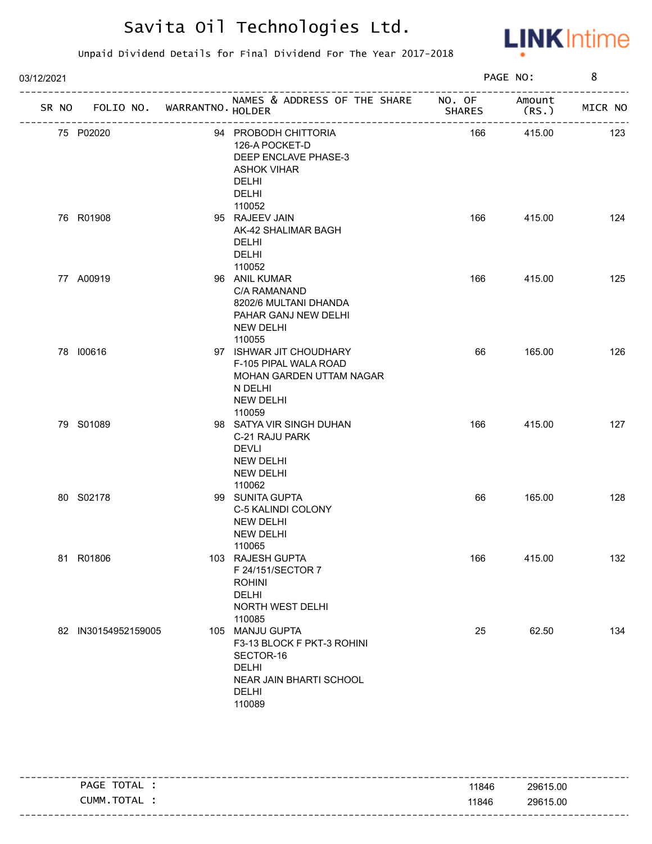

| 03/12/2021 |                                   |                                                                                                                                 |               | PAGE NO: | 8       |
|------------|-----------------------------------|---------------------------------------------------------------------------------------------------------------------------------|---------------|----------|---------|
|            | SR NO FOLIO NO. WARRANTNO. HOLDER | NAMES & ADDRESS OF THE SHARE NO. OF Amount                                                                                      | <b>SHARES</b> | (RS.     | MICR NO |
|            | 75 P02020                         | 94 PROBODH CHITTORIA<br>126-A POCKET-D<br>DEEP ENCLAVE PHASE-3<br><b>ASHOK VIHAR</b><br><b>DELHI</b><br><b>DELHI</b><br>110052  | 166           | 415.00   | 123     |
|            | 76 R01908                         | 95 RAJEEV JAIN<br>AK-42 SHALIMAR BAGH<br><b>DELHI</b><br><b>DELHI</b><br>110052                                                 | 166           | 415.00   | 124     |
|            | 77 A00919                         | 96 ANIL KUMAR<br>C/A RAMANAND<br>8202/6 MULTANI DHANDA<br>PAHAR GANJ NEW DELHI<br>NEW DELHI<br>110055                           | 166           | 415.00   | 125     |
|            | 78 100616                         | 97 ISHWAR JIT CHOUDHARY<br>F-105 PIPAL WALA ROAD<br>MOHAN GARDEN UTTAM NAGAR<br>N DELHI<br>NEW DELHI<br>110059                  | 66            | 165.00   | 126     |
|            | 79 S01089                         | 98 SATYA VIR SINGH DUHAN<br>C-21 RAJU PARK<br><b>DEVLI</b><br>NEW DELHI<br><b>NEW DELHI</b><br>110062                           | 166           | 415.00   | 127     |
|            | 80 S02178                         | 99 SUNITA GUPTA<br>C-5 KALINDI COLONY<br><b>NEW DELHI</b><br><b>NEW DELHI</b><br>110065                                         | 66            | 165.00   | 128     |
|            | 81 R01806                         | 103 RAJESH GUPTA<br>F 24/151/SECTOR 7<br><b>ROHINI</b><br>DELHI<br>NORTH WEST DELHI<br>110085                                   | 166           | 415.00   | 132     |
|            | 82 IN30154952159005               | 105 MANJU GUPTA<br>F3-13 BLOCK F PKT-3 ROHINI<br>SECTOR-16<br><b>DELHI</b><br>NEAR JAIN BHARTI SCHOOL<br><b>DELHI</b><br>110089 | 25            | 62.50    | 134     |

| PAGE TOTAL     | 11846 | ---------------------------------<br>29615.00 |
|----------------|-------|-----------------------------------------------|
| TOTAL<br>CUMM. | 11846 | 29615.00                                      |
|                |       |                                               |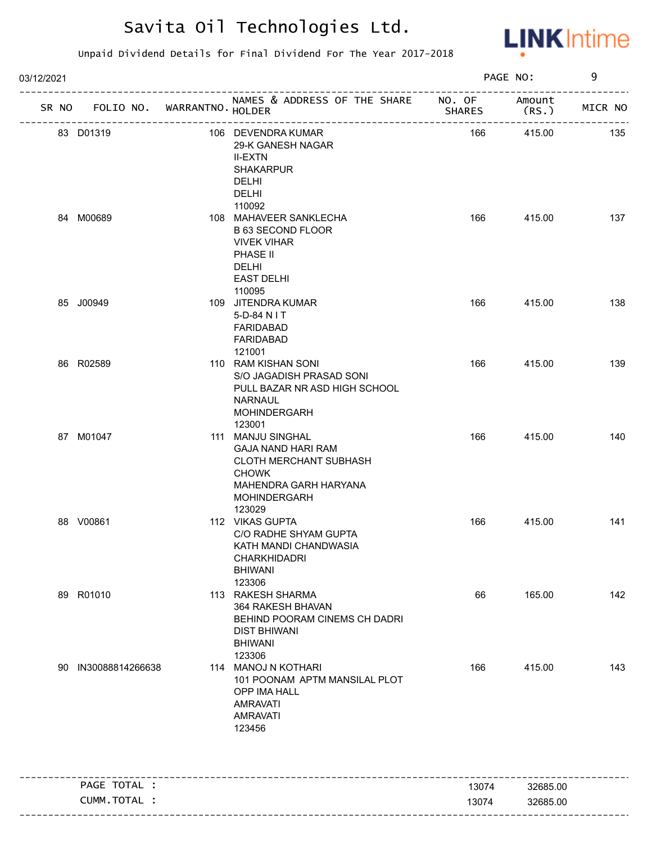

| 03/12/2021 |                                   |                                                                                                                                                    |               | PAGE NO:                                | 9       |
|------------|-----------------------------------|----------------------------------------------------------------------------------------------------------------------------------------------------|---------------|-----------------------------------------|---------|
|            | SR NO FOLIO NO. WARRANTNO. HOLDER | NAMES & ADDRESS OF THE SHARE NO. OF<br>___________________________                                                                                 | <b>SHARES</b> | Amount<br>(RS.)                         | MICR NO |
|            | 83 D01319                         | 106 DEVENDRA KUMAR<br>29-K GANESH NAGAR<br><b>II-EXTN</b><br><b>SHAKARPUR</b><br>DELHI<br>DELHI<br>110092                                          | 166           | -----------------------------<br>415.00 | 135     |
|            | 84 M00689                         | 108 MAHAVEER SANKLECHA<br><b>B 63 SECOND FLOOR</b><br><b>VIVEK VIHAR</b><br>PHASE II<br>DELHI<br><b>EAST DELHI</b><br>110095                       | 166           | 415.00                                  | 137     |
|            | 85 J00949                         | 109 JITENDRA KUMAR<br>5-D-84 N I T<br><b>FARIDABAD</b><br>FARIDABAD<br>121001                                                                      | 166           | 415.00                                  | 138     |
|            | 86 R02589                         | 110 RAM KISHAN SONI<br>S/O JAGADISH PRASAD SONI<br>PULL BAZAR NR ASD HIGH SCHOOL<br>NARNAUL<br><b>MOHINDERGARH</b><br>123001                       | 166           | 415.00                                  | 139     |
|            | 87 M01047                         | 111 MANJU SINGHAL<br><b>GAJA NAND HARI RAM</b><br>CLOTH MERCHANT SUBHASH<br><b>CHOWK</b><br>MAHENDRA GARH HARYANA<br><b>MOHINDERGARH</b><br>123029 | 166           | 415.00                                  | 140     |
|            | 88 V00861                         | 112 VIKAS GUPTA<br>C/O RADHE SHYAM GUPTA<br>KATH MANDI CHANDWASIA<br><b>CHARKHIDADRI</b><br><b>BHIWANI</b><br>123306                               | 166           | 415.00                                  | 141     |
|            | 89 R01010                         | 113 RAKESH SHARMA<br>364 RAKESH BHAVAN<br>BEHIND POORAM CINEMS CH DADRI<br><b>DIST BHIWANI</b><br><b>BHIWANI</b><br>123306                         | 66            | 165.00                                  | 142     |
|            | 90 IN30088814266638               | 114 MANOJ N KOTHARI<br>101 POONAM APTM MANSILAL PLOT<br>OPP IMA HALL<br><b>AMRAVATI</b><br><b>AMRAVATI</b><br>123456                               | 166           | 415.00                                  | 143     |
|            | PAGE TOTAL :                      |                                                                                                                                                    | 13074         | 32685.00                                |         |
|            | CUMM.TOTAL :                      |                                                                                                                                                    | 13074         | 32685.00                                |         |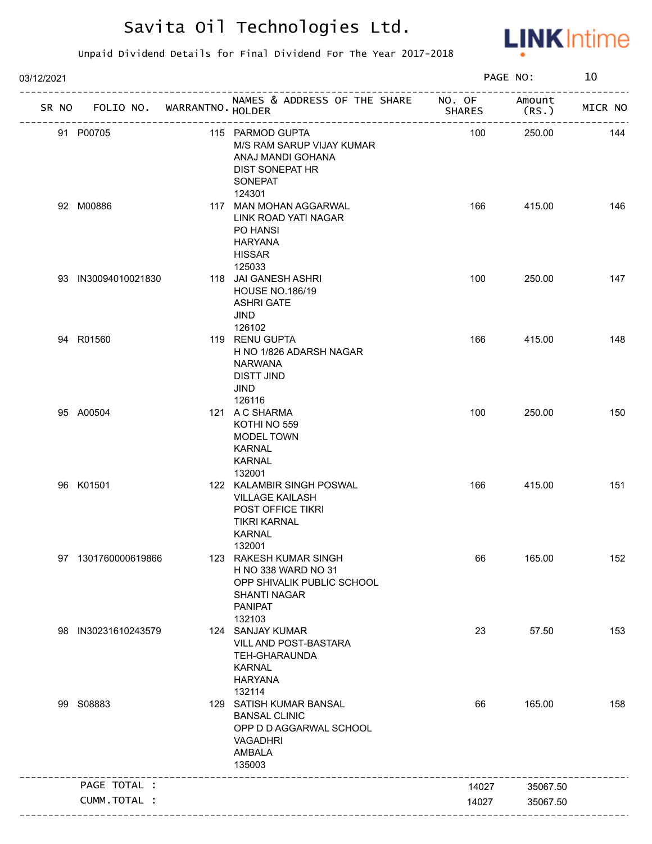

| 03/12/2021 |                                   |                                                                                                                          |               | PAGE NO:       | 10      |
|------------|-----------------------------------|--------------------------------------------------------------------------------------------------------------------------|---------------|----------------|---------|
|            | SR NO FOLIO NO. WARRANTNO. HOLDER | NAMES & ADDRESS OF THE SHARE NO. OF                                                                                      | <b>SHARES</b> | Amount<br>(RS. | MICR NO |
|            | 91 P00705                         | 115 PARMOD GUPTA<br>M/S RAM SARUP VIJAY KUMAR<br>ANAJ MANDI GOHANA<br>DIST SONEPAT HR<br><b>SONEPAT</b>                  | 100           | 250.00         | 144     |
|            | 92 M00886                         | 124301<br>117 MAN MOHAN AGGARWAL<br>LINK ROAD YATI NAGAR<br>PO HANSI<br><b>HARYANA</b><br><b>HISSAR</b><br>125033        | 166           | 415.00         | 146     |
|            | 93 IN30094010021830               | 118 JAI GANESH ASHRI<br><b>HOUSE NO.186/19</b><br><b>ASHRI GATE</b><br>JIND                                              | 100           | 250.00         | 147     |
|            | 94 R01560                         | 126102<br>119 RENU GUPTA<br>H NO 1/826 ADARSH NAGAR<br><b>NARWANA</b><br><b>DISTT JIND</b><br>JIND<br>126116             | 166           | 415.00         | 148     |
|            | 95 A00504                         | 121 A C SHARMA<br>KOTHI NO 559<br>MODEL TOWN<br><b>KARNAL</b><br><b>KARNAL</b><br>132001                                 | 100           | 250.00         | 150     |
|            | 96 K01501                         | 122 KALAMBIR SINGH POSWAL<br><b>VILLAGE KAILASH</b><br>POST OFFICE TIKRI<br><b>TIKRI KARNAL</b><br>KARNAL<br>132001      | 166           | 415.00         | 151     |
|            | 97 1301760000619866               | 123 RAKESH KUMAR SINGH<br>H NO 338 WARD NO 31<br>OPP SHIVALIK PUBLIC SCHOOL<br>SHANTI NAGAR<br><b>PANIPAT</b><br>132103  | 66            | 165.00         | 152     |
|            | 98 IN30231610243579               | 124 SANJAY KUMAR<br>VILL AND POST-BASTARA<br>TEH-GHARAUNDA<br><b>KARNAL</b><br><b>HARYANA</b><br>132114                  | 23            | 57.50          | 153     |
|            | 99 S08883                         | 129 SATISH KUMAR BANSAL<br><b>BANSAL CLINIC</b><br>OPP D D AGGARWAL SCHOOL<br><b>VAGADHRI</b><br><b>AMBALA</b><br>135003 | 66            | 165.00         | 158     |
|            | PAGE TOTAL :                      |                                                                                                                          | 14027         | 35067.50       |         |
|            | CUMM.TOTAL :                      |                                                                                                                          | 14027         | 35067.50       |         |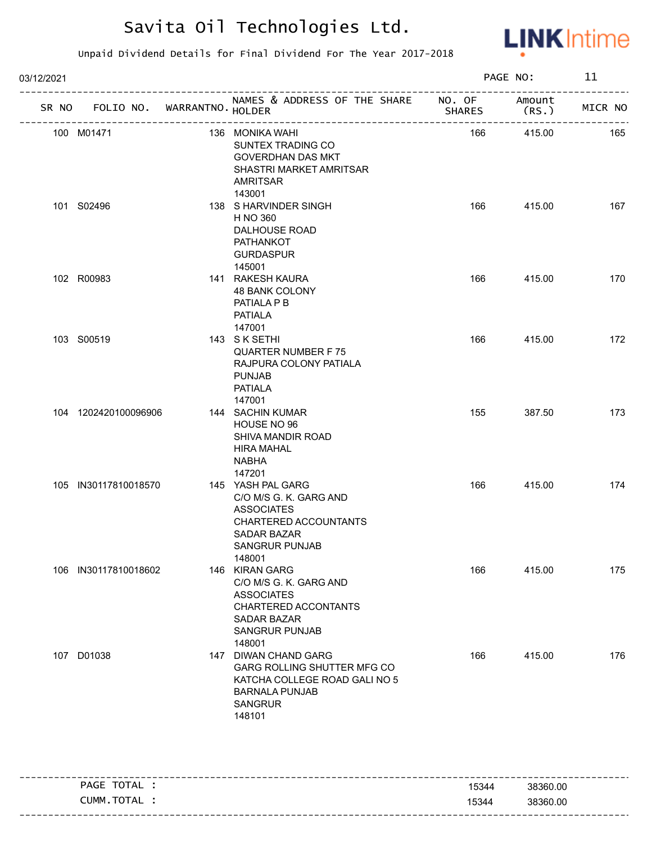

| 03/12/2021 |                      |                                   |                                                                                                                                                    |               | PAGE NO:        | 11      |
|------------|----------------------|-----------------------------------|----------------------------------------------------------------------------------------------------------------------------------------------------|---------------|-----------------|---------|
|            |                      | SR NO FOLIO NO. WARRANTNO. HOLDER | NAMES & ADDRESS OF THE SHARE NO. OF                                                                                                                | <b>SHARES</b> | Amount<br>(RS.) | MICR NO |
|            | 100 M01471           |                                   | 136 MONIKA WAHI<br>SUNTEX TRADING CO<br><b>GOVERDHAN DAS MKT</b><br>SHASTRI MARKET AMRITSAR<br>AMRITSAR<br>143001                                  | 166           | 415.00          | 165     |
|            | 101 S02496           |                                   | 138 S HARVINDER SINGH<br>H NO 360<br>DALHOUSE ROAD<br>PATHANKOT<br><b>GURDASPUR</b><br>145001                                                      | 166           | 415.00          | 167     |
|            | 102 R00983           |                                   | 141 RAKESH KAURA<br>48 BANK COLONY<br>PATIALA P B<br>PATIALA<br>147001                                                                             | 166           | 415.00          | 170     |
|            | 103 S00519           |                                   | 143 SK SETHI<br><b>QUARTER NUMBER F75</b><br>RAJPURA COLONY PATIALA<br><b>PUNJAB</b><br><b>PATIALA</b><br>147001                                   | 166           | 415.00          | 172     |
|            | 104 1202420100096906 |                                   | 144 SACHIN KUMAR<br>HOUSE NO 96<br>SHIVA MANDIR ROAD<br><b>HIRA MAHAL</b><br>NABHA<br>147201                                                       | 155           | 387.50          | 173     |
|            | 105 IN30117810018570 |                                   | 145 YASH PAL GARG<br>C/O M/S G. K. GARG AND<br><b>ASSOCIATES</b><br>CHARTERED ACCOUNTANTS<br><b>SADAR BAZAR</b><br><b>SANGRUR PUNJAB</b><br>148001 | 166           | 415.00          | 174     |
|            | 106 IN30117810018602 |                                   | 146 KIRAN GARG<br>C/O M/S G. K. GARG AND<br><b>ASSOCIATES</b><br>CHARTERED ACCONTANTS<br><b>SADAR BAZAR</b><br><b>SANGRUR PUNJAB</b><br>148001     | 166           | 415.00          | 175     |
|            | 107 D01038           |                                   | 147 DIWAN CHAND GARG<br>GARG ROLLING SHUTTER MFG CO<br>KATCHA COLLEGE ROAD GALI NO 5<br><b>BARNALA PUNJAB</b><br><b>SANGRUR</b><br>148101          | 166           | 415.00          | 176     |

| PAGE TOTAL | 15344 | -----------------<br>38360.00 |
|------------|-------|-------------------------------|
| CUMM.TOTAL | 15344 | 38360.00                      |
|            |       |                               |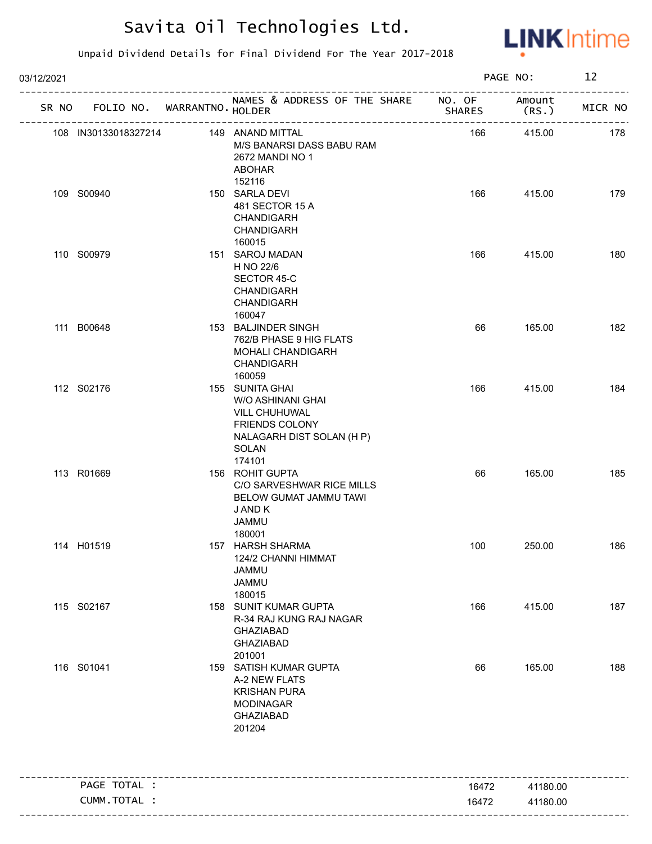

| 03/12/2021 |                             |                                                                                                                                |               | PAGE NO:       | 12      |
|------------|-----------------------------|--------------------------------------------------------------------------------------------------------------------------------|---------------|----------------|---------|
| SR NO      | FOLIO NO. WARRANTNO. HOLDER | NAMES & ADDRESS OF THE SHARE NO. OF                                                                                            | <b>SHARES</b> | Amount<br>(RS. | MICR NO |
|            | 108 IN30133018327214        | 149 ANAND MITTAL<br>M/S BANARSI DASS BABU RAM<br>2672 MANDI NO 1<br>ABOHAR                                                     | 166           | 415.00         | 178     |
|            | 109 S00940                  | 152116<br>150 SARLA DEVI<br>481 SECTOR 15 A<br><b>CHANDIGARH</b><br>CHANDIGARH<br>160015                                       | 166           | 415.00         | 179     |
|            | 110 S00979                  | 151 SAROJ MADAN<br>H NO 22/6<br>SECTOR 45-C<br><b>CHANDIGARH</b><br><b>CHANDIGARH</b><br>160047                                | 166           | 415.00         | 180     |
|            | 111 B00648                  | 153 BALJINDER SINGH<br>762/B PHASE 9 HIG FLATS<br>MOHALI CHANDIGARH<br>CHANDIGARH<br>160059                                    | 66            | 165.00         | 182     |
|            | 112 S02176                  | 155 SUNITA GHAI<br>W/O ASHINANI GHAI<br>VILL CHUHUWAL<br><b>FRIENDS COLONY</b><br>NALAGARH DIST SOLAN (H P)<br>SOLAN<br>174101 | 166           | 415.00         | 184     |
|            | 113 R01669                  | 156 ROHIT GUPTA<br>C/O SARVESHWAR RICE MILLS<br>BELOW GUMAT JAMMU TAWI<br>J AND K<br><b>JAMMU</b><br>180001                    | 66            | 165.00         | 185     |
|            | 114 H01519                  | 157 HARSH SHARMA<br>124/2 CHANNI HIMMAT<br><b>JAMMU</b><br><b>JAMMU</b><br>180015                                              | 100           | 250.00         | 186     |
|            | 115 S02167                  | 158 SUNIT KUMAR GUPTA<br>R-34 RAJ KUNG RAJ NAGAR<br><b>GHAZIABAD</b><br><b>GHAZIABAD</b><br>201001                             | 166           | 415.00         | 187     |
|            | 116 S01041                  | 159 SATISH KUMAR GUPTA<br>A-2 NEW FLATS<br><b>KRISHAN PURA</b><br><b>MODINAGAR</b><br><b>GHAZIABAD</b><br>201204               | 66            | 165.00         | 188     |
|            | PAGE TOTAL :                | -----------------------------------                                                                                            | 16472         | 41180.00       |         |
|            | CUMM.TOTAL :                |                                                                                                                                | 16472         | 41180.00       |         |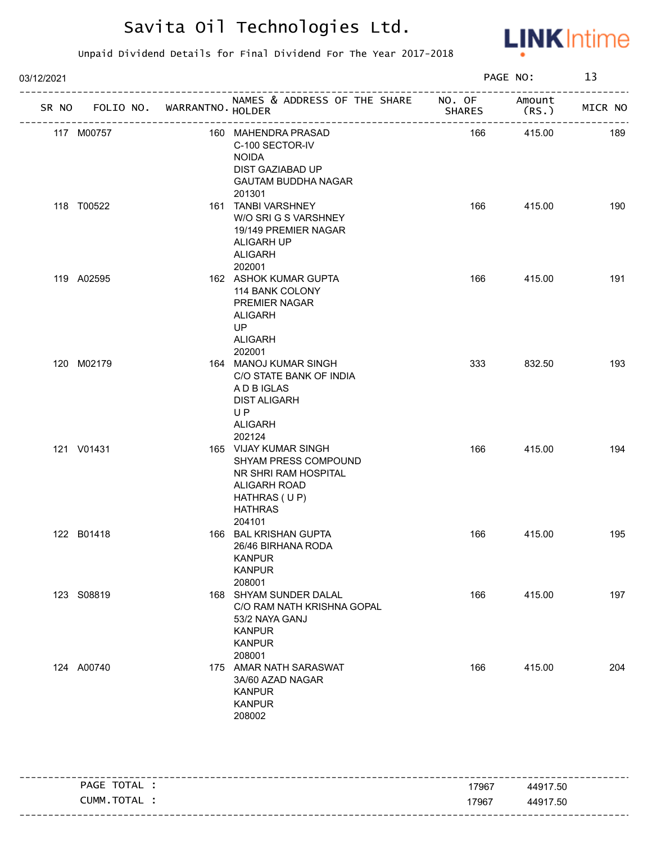

| 03/12/2021 |                                   |                                                                                                                                   |               | PAGE NO:       | 13      |
|------------|-----------------------------------|-----------------------------------------------------------------------------------------------------------------------------------|---------------|----------------|---------|
|            | SR NO FOLIO NO. WARRANTNO. HOLDER | NAMES & ADDRESS OF THE SHARE NO. OF                                                                                               | <b>SHARES</b> | Amount<br>(RS. | MICR NO |
|            | 117 M00757                        | 160 MAHENDRA PRASAD<br>C-100 SECTOR-IV<br><b>NOIDA</b><br>DIST GAZIABAD UP<br><b>GAUTAM BUDDHA NAGAR</b><br>201301                | 166           | 415.00         | 189     |
|            | 118 T00522                        | 161 TANBI VARSHNEY<br>W/O SRI G S VARSHNEY<br>19/149 PREMIER NAGAR<br>ALIGARH UP<br><b>ALIGARH</b><br>202001                      | 166           | 415.00         | 190     |
|            | 119 A02595                        | 162 ASHOK KUMAR GUPTA<br>114 BANK COLONY<br>PREMIER NAGAR<br><b>ALIGARH</b><br>UP<br><b>ALIGARH</b><br>202001                     | 166           | 415.00         | 191     |
|            | 120 M02179                        | 164 MANOJ KUMAR SINGH<br>C/O STATE BANK OF INDIA<br>A D B IGLAS<br><b>DIST ALIGARH</b><br>UP<br><b>ALIGARH</b><br>202124          | 333           | 832.50         | 193     |
|            | 121 V01431                        | 165 VIJAY KUMAR SINGH<br>SHYAM PRESS COMPOUND<br>NR SHRI RAM HOSPITAL<br>ALIGARH ROAD<br>HATHRAS (UP)<br><b>HATHRAS</b><br>204101 | 166           | 415.00         | 194     |
|            | 122 B01418                        | 166 BAL KRISHAN GUPTA<br>26/46 BIRHANA RODA<br><b>KANPUR</b><br><b>KANPUR</b><br>208001                                           | 166           | 415.00         | 195     |
|            | 123 S08819                        | 168 SHYAM SUNDER DALAL<br>C/O RAM NATH KRISHNA GOPAL<br>53/2 NAYA GANJ<br><b>KANPUR</b><br><b>KANPUR</b><br>208001                | 166           | 415.00         | 197     |
|            | 124 A00740                        | 175 AMAR NATH SARASWAT<br>3A/60 AZAD NAGAR<br><b>KANPUR</b><br><b>KANPUR</b><br>208002                                            | 166           | 415.00         | 204     |

|                 |       | ---------------------          |
|-----------------|-------|--------------------------------|
| TOTAL<br>PAGE   | 17967 | 44917.50                       |
| . TOTAL<br>CUMM | 17967 | 44917.50                       |
|                 |       | ------------------------------ |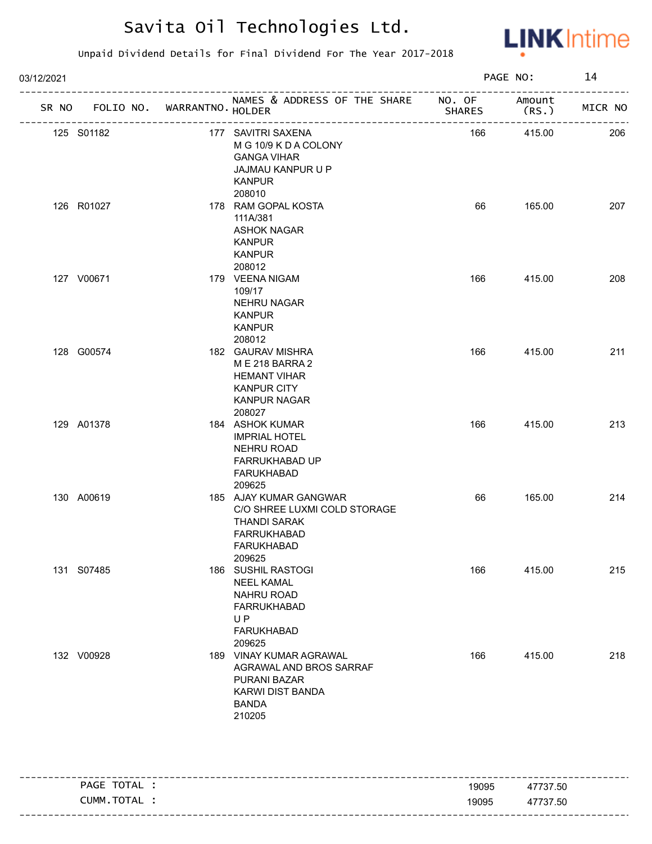

| 03/12/2021 |                                   |  |                                                                                                                                | PAGE NO: | 14             |         |
|------------|-----------------------------------|--|--------------------------------------------------------------------------------------------------------------------------------|----------|----------------|---------|
|            | SR NO FOLIO NO. WARRANTNO. HOLDER |  | NAMES & ADDRESS OF THE SHARE NO. OF                                                                                            | SHARES   | Amount<br>(RS. | MICR NO |
|            | 125 S01182                        |  | 177 SAVITRI SAXENA<br>M G 10/9 K D A COLONY<br><b>GANGA VIHAR</b><br>JAJMAU KANPUR U P<br><b>KANPUR</b><br>208010              | 166      | 415.00         | 206     |
|            | 126 R01027                        |  | 178 RAM GOPAL KOSTA<br>111A/381<br><b>ASHOK NAGAR</b><br><b>KANPUR</b><br><b>KANPUR</b><br>208012                              | 66       | 165.00         | 207     |
|            | 127 V00671                        |  | 179 VEENA NIGAM<br>109/17<br><b>NEHRU NAGAR</b><br><b>KANPUR</b><br><b>KANPUR</b><br>208012                                    | 166      | 415.00         | 208     |
|            | 128 G00574                        |  | 182 GAURAV MISHRA<br>M E 218 BARRA 2<br><b>HEMANT VIHAR</b><br><b>KANPUR CITY</b><br><b>KANPUR NAGAR</b><br>208027             | 166      | 415.00         | 211     |
|            | 129 A01378                        |  | 184 ASHOK KUMAR<br><b>IMPRIAL HOTEL</b><br><b>NEHRU ROAD</b><br>FARRUKHABAD UP<br>FARUKHABAD<br>209625                         | 166      | 415.00         | 213     |
|            | 130 A00619                        |  | 185 AJAY KUMAR GANGWAR<br>C/O SHREE LUXMI COLD STORAGE<br><b>THANDI SARAK</b><br><b>FARRUKHABAD</b><br>FARUKHABAD<br>209625    | 66       | 165.00         | 214     |
|            | 131 S07485                        |  | 186 SUSHIL RASTOGI<br><b>NEEL KAMAL</b><br><b>NAHRU ROAD</b><br><b>FARRUKHABAD</b><br><b>UP</b><br><b>FARUKHABAD</b><br>209625 | 166      | 415.00         | 215     |
|            | 132 V00928                        |  | 189 VINAY KUMAR AGRAWAL<br>AGRAWAL AND BROS SARRAF<br>PURANI BAZAR<br><b>KARWI DIST BANDA</b><br><b>BANDA</b><br>210205        | 166      | 415.00         | 218     |

| TOTAL<br>PAGE  | 19095 | 47737.50 |
|----------------|-------|----------|
| TOTAL<br>CUMM. | 19095 | 47737.50 |
|                |       |          |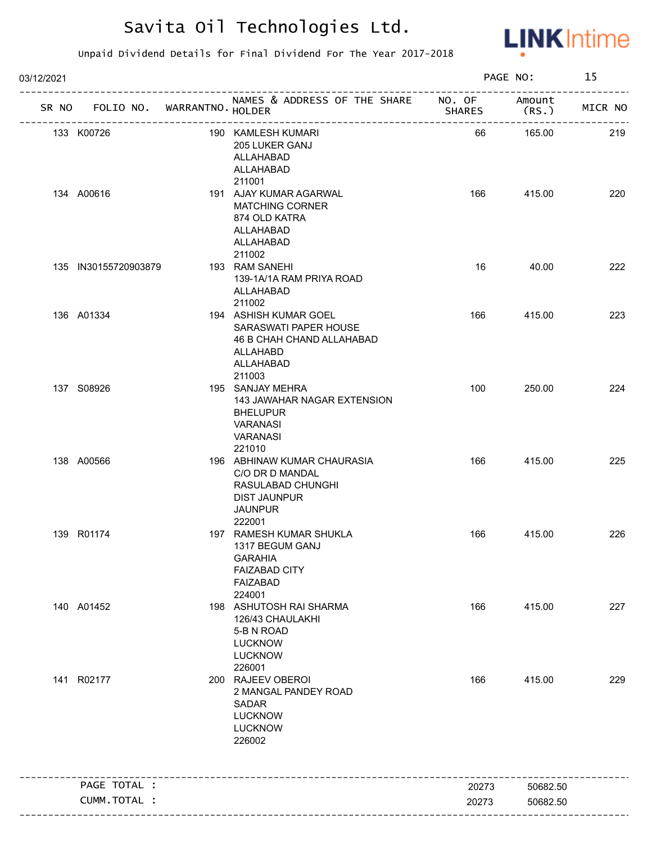

| 03/12/2021 |                                   |                                                                                                                        |               | PAGE NO:        | 15      |
|------------|-----------------------------------|------------------------------------------------------------------------------------------------------------------------|---------------|-----------------|---------|
|            | SR NO FOLIO NO. WARRANTNO. HOLDER | NAMES & ADDRESS OF THE SHARE NO. OF<br>--------------------------                                                      | <b>SHARES</b> | Amount<br>(RS.) | MICR NO |
|            | 133 K00726                        | 190 KAMLESH KUMARI<br>205 LUKER GANJ<br>ALLAHABAD<br>ALLAHABAD<br>211001                                               | 66            | 165.00          | 219     |
|            | 134 A00616                        | 191 AJAY KUMAR AGARWAL<br><b>MATCHING CORNER</b><br>874 OLD KATRA<br>ALLAHABAD<br>ALLAHABAD<br>211002                  | 166           | 415.00          | 220     |
|            | 135 IN30155720903879              | 193 RAM SANEHI<br>139-1A/1A RAM PRIYA ROAD<br>ALLAHABAD<br>211002                                                      | 16            | 40.00           | 222     |
|            | 136 A01334                        | 194 ASHISH KUMAR GOEL<br>SARASWATI PAPER HOUSE<br>46 B CHAH CHAND ALLAHABAD<br>ALLAHABD<br>ALLAHABAD<br>211003         | 166           | 415.00          | 223     |
|            | 137 S08926                        | 195 SANJAY MEHRA<br>143 JAWAHAR NAGAR EXTENSION<br><b>BHELUPUR</b><br>VARANASI<br><b>VARANASI</b><br>221010            | 100           | 250.00          | 224     |
|            | 138 A00566                        | 196 ABHINAW KUMAR CHAURASIA<br>C/O DR D MANDAL<br>RASULABAD CHUNGHI<br><b>DIST JAUNPUR</b><br><b>JAUNPUR</b><br>222001 | 166           | 415.00          | 225     |
|            | 139 R01174                        | 197 RAMESH KUMAR SHUKLA<br>1317 BEGUM GANJ<br><b>GARAHIA</b><br><b>FAIZABAD CITY</b><br>FAIZABAD<br>224001             | 166           | 415.00          | 226     |
|            | 140 A01452                        | 198 ASHUTOSH RAI SHARMA<br>126/43 CHAULAKHI<br>5-B N ROAD<br><b>LUCKNOW</b><br><b>LUCKNOW</b><br>226001                | 166           | 415.00          | 227     |
|            | 141 R02177                        | 200 RAJEEV OBEROI<br>2 MANGAL PANDEY ROAD<br>SADAR<br><b>LUCKNOW</b><br><b>LUCKNOW</b><br>226002                       | 166           | 415.00          | 229     |
|            | PAGE TOTAL :                      |                                                                                                                        | 20273         | 50682.50        |         |
|            | CUMM.TOTAL :                      |                                                                                                                        | 20273         | 50682.50        |         |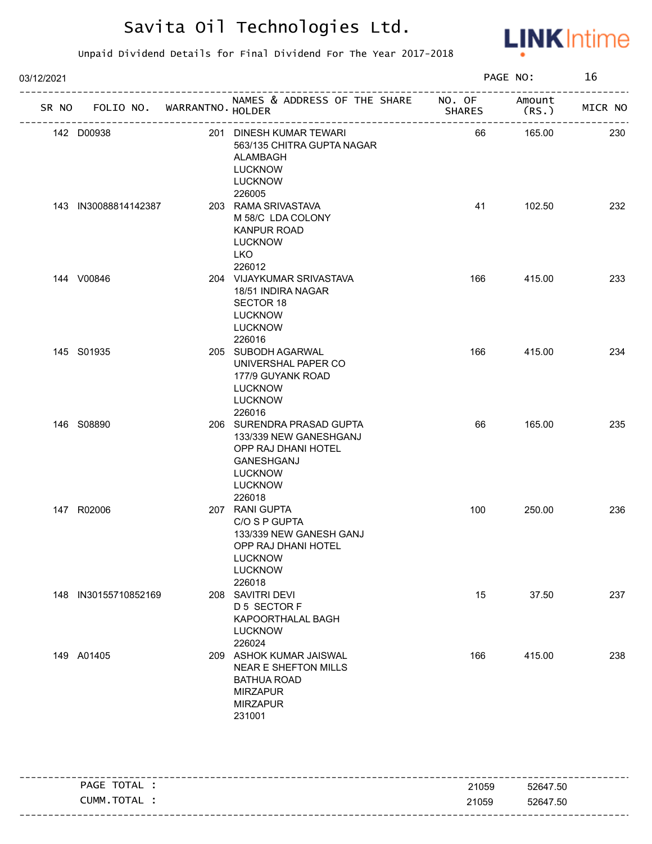

| 03/12/2021 |                      |                                   |                                                                                                                                        |               | PAGE NO:        | 16      |
|------------|----------------------|-----------------------------------|----------------------------------------------------------------------------------------------------------------------------------------|---------------|-----------------|---------|
|            |                      | SR NO FOLIO NO. WARRANTNO. HOLDER | NAMES & ADDRESS OF THE SHARE NO. OF                                                                                                    | <b>SHARES</b> | Amount<br>(RS.) | MICR NO |
|            | 142 D00938           |                                   | 201 DINESH KUMAR TEWARI<br>563/135 CHITRA GUPTA NAGAR<br>ALAMBAGH<br><b>LUCKNOW</b><br><b>LUCKNOW</b><br>226005                        | 66            | 165.00          | 230     |
|            | 143 IN30088814142387 |                                   | 203 RAMA SRIVASTAVA<br>M 58/C LDA COLONY<br><b>KANPUR ROAD</b><br><b>LUCKNOW</b><br><b>LKO</b><br>226012                               | 41            | 102.50          | 232     |
|            | 144 V00846           |                                   | 204 VIJAYKUMAR SRIVASTAVA<br>18/51 INDIRA NAGAR<br>SECTOR 18<br><b>LUCKNOW</b><br><b>LUCKNOW</b><br>226016                             | 166           | 415.00          | 233     |
|            | 145 S01935           |                                   | 205 SUBODH AGARWAL<br>UNIVERSHAL PAPER CO<br>177/9 GUYANK ROAD<br><b>LUCKNOW</b><br><b>LUCKNOW</b><br>226016                           | 166           | 415.00          | 234     |
|            | 146 S08890           |                                   | 206 SURENDRA PRASAD GUPTA<br>133/339 NEW GANESHGANJ<br>OPP RAJ DHANI HOTEL<br>GANESHGANJ<br><b>LUCKNOW</b><br><b>LUCKNOW</b><br>226018 | 66            | 165.00          | 235     |
|            | 147 R02006           |                                   | 207 RANI GUPTA<br>C/O S P GUPTA<br>133/339 NEW GANESH GANJ<br>OPP RAJ DHANI HOTEL<br><b>LUCKNOW</b><br><b>LUCKNOW</b><br>226018        | 100           | 250.00          | 236     |
|            | 148 IN30155710852169 |                                   | 208 SAVITRI DEVI<br>D 5 SECTOR F<br>KAPOORTHALAL BAGH<br><b>LUCKNOW</b><br>226024                                                      | 15            | 37.50           | 237     |
|            | 149 A01405           |                                   | 209 ASHOK KUMAR JAISWAL<br><b>NEAR E SHEFTON MILLS</b><br><b>BATHUA ROAD</b><br><b>MIRZAPUR</b><br><b>MIRZAPUR</b><br>231001           | 166           | 415.00          | 238     |

| PAGE TOTAL | 21059 | 52647.50 |
|------------|-------|----------|
| CUMM.TOTAL | 21059 | 52647.50 |
|            |       |          |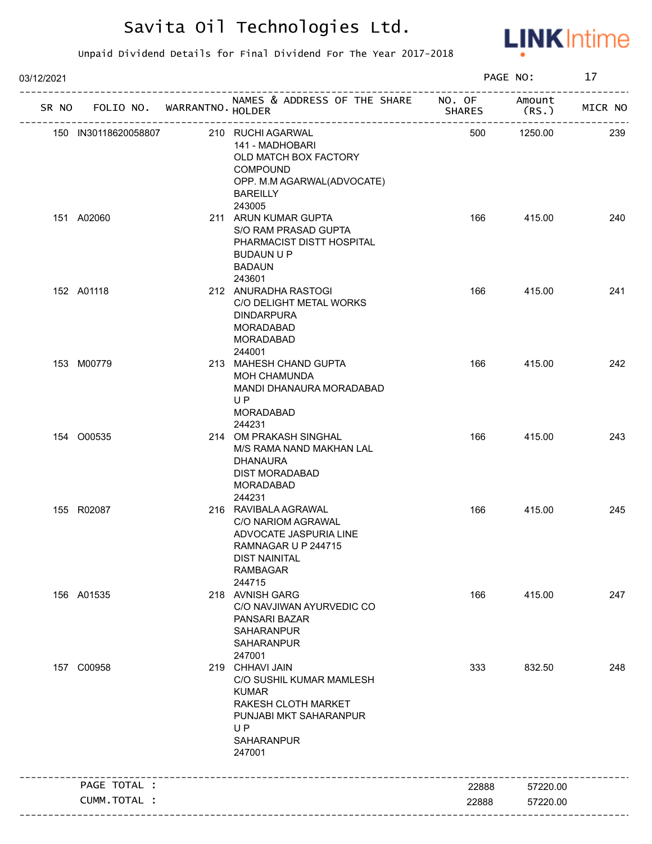

| 03/12/2021 |                             |                                                                                                                                                   |               | PAGE NO:        | 17      |
|------------|-----------------------------|---------------------------------------------------------------------------------------------------------------------------------------------------|---------------|-----------------|---------|
| SR NO      | FOLIO NO. WARRANTNO. HOLDER | NAMES & ADDRESS OF THE SHARE NO. OF                                                                                                               | <b>SHARES</b> | Amount<br>(RS.) | MICR NO |
|            | 150 IN30118620058807        | 210 RUCHI AGARWAL<br>141 - MADHOBARI<br>OLD MATCH BOX FACTORY<br>COMPOUND<br>OPP. M.M AGARWAL(ADVOCATE)<br><b>BAREILLY</b><br>243005              | 500           | 1250.00         | 239     |
|            | 151 A02060                  | 211 ARUN KUMAR GUPTA<br>S/O RAM PRASAD GUPTA<br>PHARMACIST DISTT HOSPITAL<br><b>BUDAUN U P</b><br><b>BADAUN</b><br>243601                         | 166           | 415.00          | 240     |
|            | 152 A01118                  | 212 ANURADHA RASTOGI<br>C/O DELIGHT METAL WORKS<br><b>DINDARPURA</b><br><b>MORADABAD</b><br><b>MORADABAD</b><br>244001                            | 166           | 415.00          | 241     |
|            | 153 M00779                  | 213 MAHESH CHAND GUPTA<br><b>MOH CHAMUNDA</b><br>MANDI DHANAURA MORADABAD<br>U <sub>P</sub><br><b>MORADABAD</b><br>244231                         | 166           | 415.00          | 242     |
|            | 154 O00535                  | 214 OM PRAKASH SINGHAL<br>M/S RAMA NAND MAKHAN LAL<br><b>DHANAURA</b><br><b>DIST MORADABAD</b><br><b>MORADABAD</b><br>244231                      | 166           | 415.00          | 243     |
|            | 155 R02087                  | 216 RAVIBALA AGRAWAL<br>C/O NARIOM AGRAWAL<br>ADVOCATE JASPURIA LINE<br>RAMNAGAR U P 244715<br><b>DIST NAINITAL</b><br><b>RAMBAGAR</b><br>244715  | 166           | 415.00          | 245     |
|            | 156 A01535                  | 218 AVNISH GARG<br>C/O NAVJIWAN AYURVEDIC CO<br>PANSARI BAZAR<br><b>SAHARANPUR</b><br><b>SAHARANPUR</b><br>247001                                 | 166           | 415.00          | 247     |
|            | 157 C00958                  | 219 CHHAVI JAIN<br>C/O SUSHIL KUMAR MAMLESH<br><b>KUMAR</b><br>RAKESH CLOTH MARKET<br>PUNJABI MKT SAHARANPUR<br><b>UP</b><br>SAHARANPUR<br>247001 | 333           | 832.50          | 248     |
|            | PAGE TOTAL :                |                                                                                                                                                   | 22888         | 57220.00        |         |
|            | CUMM.TOTAL :                |                                                                                                                                                   | 22888         | 57220.00        |         |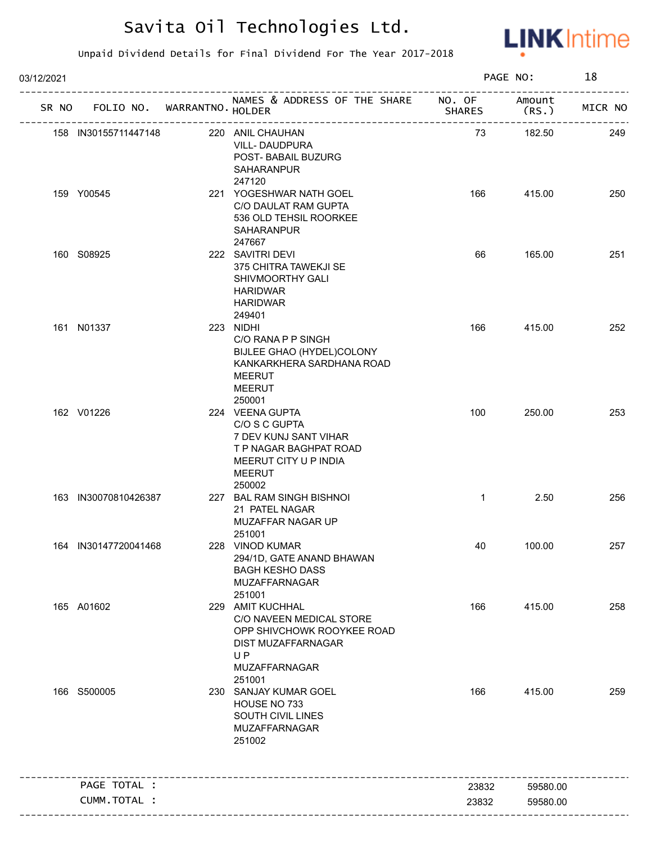

| 03/12/2021 |                                   |                                                                                                                                                 |               | PAGE NO:        | 18      |
|------------|-----------------------------------|-------------------------------------------------------------------------------------------------------------------------------------------------|---------------|-----------------|---------|
|            | SR NO FOLIO NO. WARRANTNO. HOLDER | NAMES & ADDRESS OF THE SHARE NO. OF<br>________________________                                                                                 | <b>SHARES</b> | Amount<br>(RS.) | MICR NO |
|            | 158 IN30155711447148              | 220 ANIL CHAUHAN<br>VILL-DAUDPURA<br>POST- BABAIL BUZURG<br>SAHARANPUR<br>247120                                                                | 73            | 182.50          | 249     |
|            | 159 Y00545                        | 221 YOGESHWAR NATH GOEL<br>C/O DAULAT RAM GUPTA<br>536 OLD TEHSIL ROORKEE<br>SAHARANPUR<br>247667                                               | 166           | 415.00          | 250     |
|            | 160 S08925                        | 222 SAVITRI DEVI<br>375 CHITRA TAWEKJI SE<br>SHIVMOORTHY GALI<br><b>HARIDWAR</b><br><b>HARIDWAR</b><br>249401                                   | 66            | 165.00          | 251     |
|            | 161 N01337                        | 223 NIDHI<br>C/O RANA P P SINGH<br>BIJLEE GHAO (HYDEL)COLONY<br>KANKARKHERA SARDHANA ROAD<br><b>MEERUT</b><br><b>MEERUT</b><br>250001           | 166           | 415.00          | 252     |
|            | 162 V01226                        | 224 VEENA GUPTA<br>C/O S C GUPTA<br>7 DEV KUNJ SANT VIHAR<br>T P NAGAR BAGHPAT ROAD<br>MEERUT CITY U P INDIA<br><b>MEERUT</b><br>250002         | 100           | 250.00          | 253     |
|            | 163 IN30070810426387              | 227 BAL RAM SINGH BISHNOI<br>21 PATEL NAGAR<br>MUZAFFAR NAGAR UP<br>251001                                                                      | $\mathbf{1}$  | 2.50            | 256     |
|            | 164 IN30147720041468              | 228 VINOD KUMAR<br>294/1D, GATE ANAND BHAWAN<br><b>BAGH KESHO DASS</b><br>MUZAFFARNAGAR<br>251001                                               | 40            | 100.00          | 257     |
|            | 165 A01602                        | 229 AMIT KUCHHAL<br>C/O NAVEEN MEDICAL STORE<br>OPP SHIVCHOWK ROOYKEE ROAD<br><b>DIST MUZAFFARNAGAR</b><br><b>UP</b><br>MUZAFFARNAGAR<br>251001 | 166           | 415.00          | 258     |
|            | 166 S500005                       | 230 SANJAY KUMAR GOEL<br>HOUSE NO 733<br>SOUTH CIVIL LINES<br>MUZAFFARNAGAR<br>251002                                                           | 166           | 415.00          | 259     |
|            | PAGE TOTAL :                      |                                                                                                                                                 | 23832         | 59580.00        |         |
|            | CUMM.TOTAL :                      |                                                                                                                                                 | 23832         | 59580.00        |         |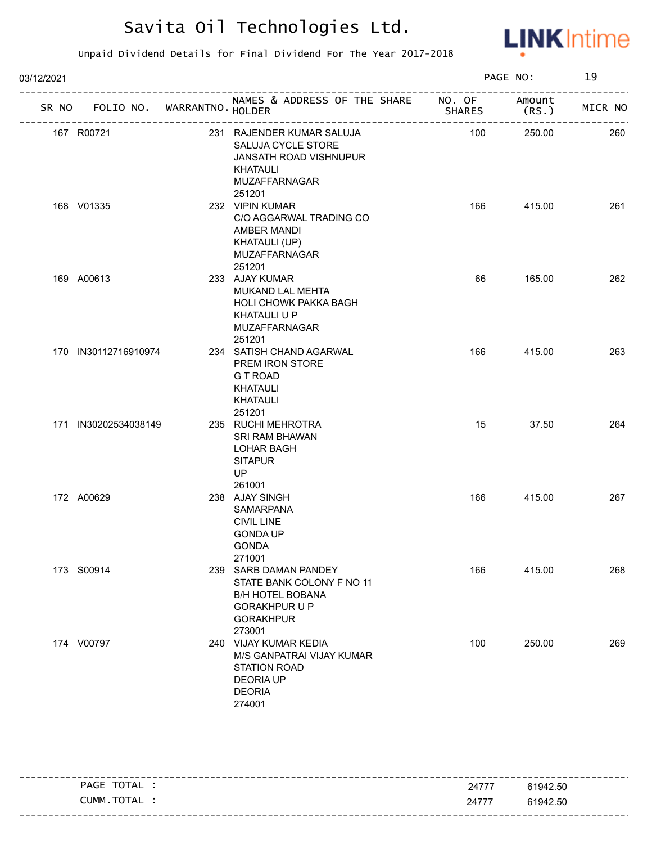

| 03/12/2021 | SR NO FOLIO NO. WARRANTNO. HOLDER<br>231 RAJENDER KUMAR SALUJA<br>167 R00721<br>SALUJA CYCLE STORE<br>JANSATH ROAD VISHNUPUR<br><b>KHATAULI</b><br><b>MUZAFFARNAGAR</b><br>251201<br>168 V01335<br>232 VIPIN KUMAR<br>C/O AGGARWAL TRADING CO<br>AMBER MANDI<br>KHATAULI (UP)<br>MUZAFFARNAGAR<br>251201<br>233 AJAY KUMAR<br>169 A00613<br>MUKAND LAL MEHTA<br><b>HOLI CHOWK PAKKA BAGH</b><br><b>KHATAULI U P</b><br>MUZAFFARNAGAR<br>251201<br>170 IN30112716910974<br>234 SATISH CHAND AGARWAL |  |                                                                                                                                     |               | PAGE NO:        | 19      |
|------------|----------------------------------------------------------------------------------------------------------------------------------------------------------------------------------------------------------------------------------------------------------------------------------------------------------------------------------------------------------------------------------------------------------------------------------------------------------------------------------------------------|--|-------------------------------------------------------------------------------------------------------------------------------------|---------------|-----------------|---------|
|            |                                                                                                                                                                                                                                                                                                                                                                                                                                                                                                    |  | NAMES & ADDRESS OF THE SHARE NO. OF                                                                                                 | <b>SHARES</b> | Amount<br>(RS.) | MICR NO |
|            |                                                                                                                                                                                                                                                                                                                                                                                                                                                                                                    |  |                                                                                                                                     | 100           | 250.00          | 260     |
|            |                                                                                                                                                                                                                                                                                                                                                                                                                                                                                                    |  |                                                                                                                                     | 166           | 415.00          | 261     |
|            |                                                                                                                                                                                                                                                                                                                                                                                                                                                                                                    |  |                                                                                                                                     | 66            | 165.00          | 262     |
|            |                                                                                                                                                                                                                                                                                                                                                                                                                                                                                                    |  | PREM IRON STORE<br><b>GT ROAD</b><br><b>KHATAULI</b><br><b>KHATAULI</b><br>251201                                                   | 166           | 415.00          | 263     |
|            | 171 IN30202534038149                                                                                                                                                                                                                                                                                                                                                                                                                                                                               |  | 235 RUCHI MEHROTRA<br>SRI RAM BHAWAN<br><b>LOHAR BAGH</b><br><b>SITAPUR</b><br><b>UP</b><br>261001                                  | 15            | 37.50           | 264     |
|            | 172 A00629                                                                                                                                                                                                                                                                                                                                                                                                                                                                                         |  | 238 AJAY SINGH<br>SAMARPANA<br><b>CIVIL LINE</b><br><b>GONDA UP</b><br><b>GONDA</b><br>271001                                       | 166           | 415.00          | 267     |
|            | 173 S00914                                                                                                                                                                                                                                                                                                                                                                                                                                                                                         |  | 239 SARB DAMAN PANDEY<br>STATE BANK COLONY F NO 11<br><b>B/H HOTEL BOBANA</b><br><b>GORAKHPUR U P</b><br><b>GORAKHPUR</b><br>273001 | 166           | 415.00          | 268     |
|            | 174 V00797                                                                                                                                                                                                                                                                                                                                                                                                                                                                                         |  | 240 VIJAY KUMAR KEDIA<br>M/S GANPATRAI VIJAY KUMAR<br><b>STATION ROAD</b><br><b>DEORIA UP</b><br><b>DEORIA</b><br>274001            | 100           | 250.00          | 269     |

|                |       | ----                                 |
|----------------|-------|--------------------------------------|
| TOTAL<br>PAGE  | 24777 | 61942.50                             |
| TOTAL<br>CUMM. | 24777 | 61942.50                             |
|                |       | - - - -<br>------------------------- |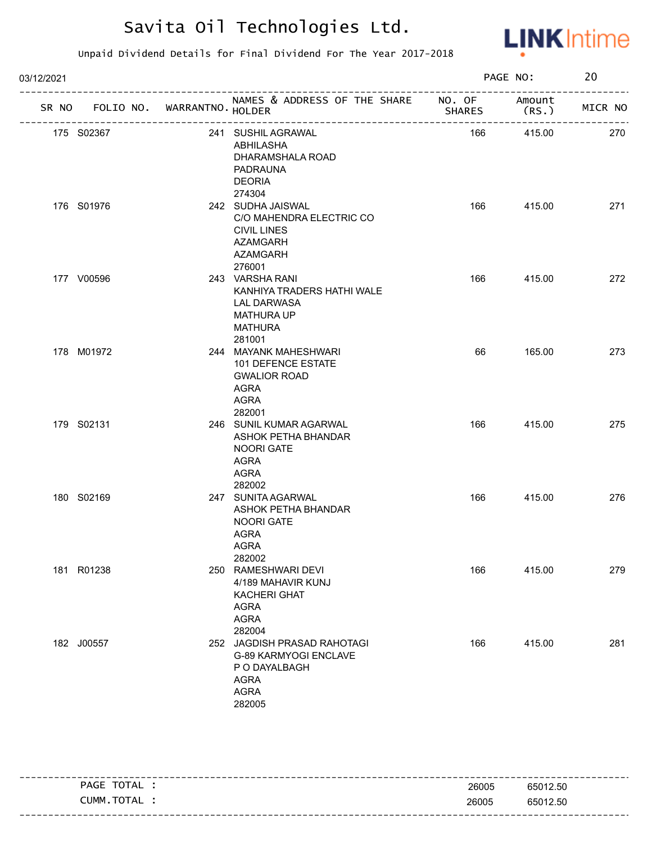

| 03/12/2021 |                                   |                                                                                                                     |               | PAGE NO: | 20      |
|------------|-----------------------------------|---------------------------------------------------------------------------------------------------------------------|---------------|----------|---------|
|            | SR NO FOLIO NO. WARRANTNO. HOLDER | NAMES & ADDRESS OF THE SHARE NO. OF Amount                                                                          | <b>SHARES</b> | (RS.     | MICR NO |
|            | 175 S02367                        | 241 SUSHIL AGRAWAL<br>ABHILASHA<br>DHARAMSHALA ROAD<br>PADRAUNA<br><b>DEORIA</b><br>274304                          | 166           | 415.00   | 270     |
|            | 176 S01976                        | 242 SUDHA JAISWAL<br>C/O MAHENDRA ELECTRIC CO<br><b>CIVIL LINES</b><br><b>AZAMGARH</b><br><b>AZAMGARH</b><br>276001 | 166           | 415.00   | 271     |
|            | 177 V00596                        | 243 VARSHA RANI<br>KANHIYA TRADERS HATHI WALE<br>LAL DARWASA<br><b>MATHURA UP</b><br><b>MATHURA</b><br>281001       | 166           | 415.00   | 272     |
|            | 178 M01972                        | 244 MAYANK MAHESHWARI<br>101 DEFENCE ESTATE<br><b>GWALIOR ROAD</b><br>AGRA<br><b>AGRA</b><br>282001                 | 66            | 165.00   | 273     |
|            | 179 S02131                        | 246 SUNIL KUMAR AGARWAL<br>ASHOK PETHA BHANDAR<br><b>NOORI GATE</b><br><b>AGRA</b><br><b>AGRA</b><br>282002         | 166           | 415.00   | 275     |
|            | 180 S02169                        | 247 SUNITA AGARWAL<br>ASHOK PETHA BHANDAR<br><b>NOORI GATE</b><br><b>AGRA</b><br>AGRA<br>282002                     | 166           | 415.00   | 276     |
|            | 181 R01238                        | 250 RAMESHWARI DEVI<br>4/189 MAHAVIR KUNJ<br><b>KACHERI GHAT</b><br><b>AGRA</b><br><b>AGRA</b><br>282004            | 166           | 415.00   | 279     |
|            | 182 J00557                        | 252 JAGDISH PRASAD RAHOTAGI<br>G-89 KARMYOGI ENCLAVE<br>P O DAYALBAGH<br><b>AGRA</b><br><b>AGRA</b><br>282005       | 166           | 415.00   | 281     |

| PAGE TOTAL | 26005 | 65012.50 |
|------------|-------|----------|
| CUMM.TOTAL | 26005 | 65012.50 |
|            |       |          |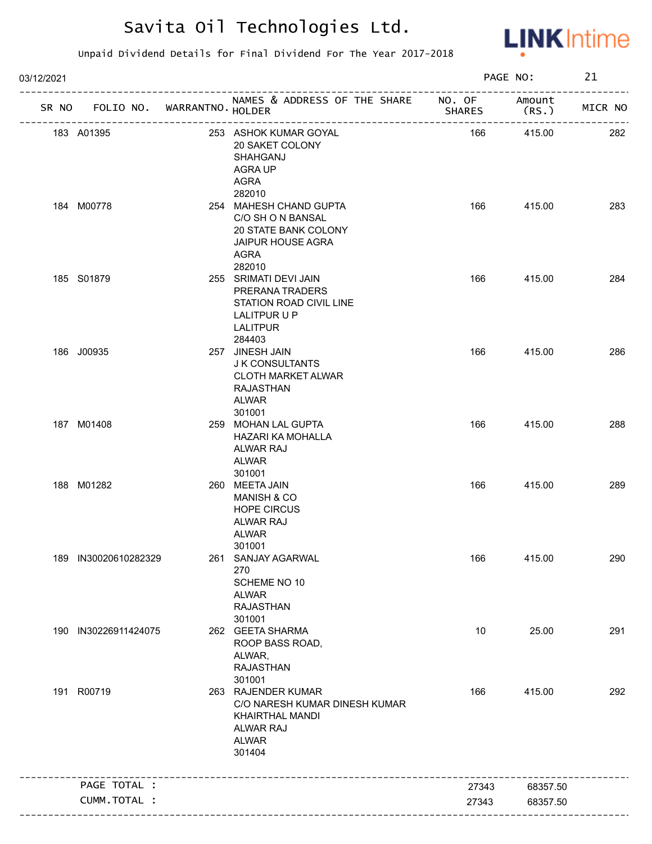

| 03/12/2021 |                                   |                                                                                                                     |               | PAGE NO:                                | 21      |
|------------|-----------------------------------|---------------------------------------------------------------------------------------------------------------------|---------------|-----------------------------------------|---------|
|            | SR NO FOLIO NO. WARRANTNO. HOLDER | NAMES & ADDRESS OF THE SHARE NO. OF Amount                                                                          | <b>SHARES</b> | (RS.)                                   | MICR NO |
|            | 183 A01395                        | 253 ASHOK KUMAR GOYAL<br>20 SAKET COLONY<br>SHAHGANJ<br><b>AGRA UP</b><br>AGRA                                      | 166           | -----------------------------<br>415.00 | 282     |
|            | 184 M00778                        | 282010<br>254 MAHESH CHAND GUPTA<br>C/O SH O N BANSAL<br>20 STATE BANK COLONY<br><b>JAIPUR HOUSE AGRA</b><br>AGRA   | 166           | 415.00                                  | 283     |
|            | 185 S01879                        | 282010<br>255 SRIMATI DEVI JAIN<br>PRERANA TRADERS<br>STATION ROAD CIVIL LINE<br>LALITPUR U P<br>LALITPUR<br>284403 | 166           | 415.00                                  | 284     |
|            | 186 J00935                        | 257 JINESH JAIN<br>J K CONSULTANTS<br><b>CLOTH MARKET ALWAR</b><br>RAJASTHAN<br>ALWAR<br>301001                     | 166           | 415.00                                  | 286     |
|            | 187 M01408                        | 259 MOHAN LAL GUPTA<br>HAZARI KA MOHALLA<br>ALWAR RAJ<br>ALWAR<br>301001                                            | 166           | 415.00                                  | 288     |
|            | 188 M01282                        | 260 MEETA JAIN<br><b>MANISH &amp; CO</b><br><b>HOPE CIRCUS</b><br>ALWAR RAJ<br>ALWAR<br>301001                      | 166           | 415.00                                  | 289     |
|            | 189 IN30020610282329              | 261 SANJAY AGARWAL<br>270<br>SCHEME NO 10<br>ALWAR<br><b>RAJASTHAN</b><br>301001                                    | 166           | 415.00                                  | 290     |
|            | 190 IN30226911424075              | 262 GEETA SHARMA<br>ROOP BASS ROAD,<br>ALWAR,<br><b>RAJASTHAN</b><br>301001                                         | 10            | 25.00                                   | 291     |
|            | 191 R00719                        | 263 RAJENDER KUMAR<br>C/O NARESH KUMAR DINESH KUMAR<br>KHAIRTHAL MANDI<br>ALWAR RAJ<br><b>ALWAR</b><br>301404       | 166           | 415.00                                  | 292     |
|            | PAGE TOTAL :                      | -----------------------------                                                                                       | 27343         | 68357.50                                |         |
|            | CUMM.TOTAL :                      |                                                                                                                     | 27343         | 68357.50                                |         |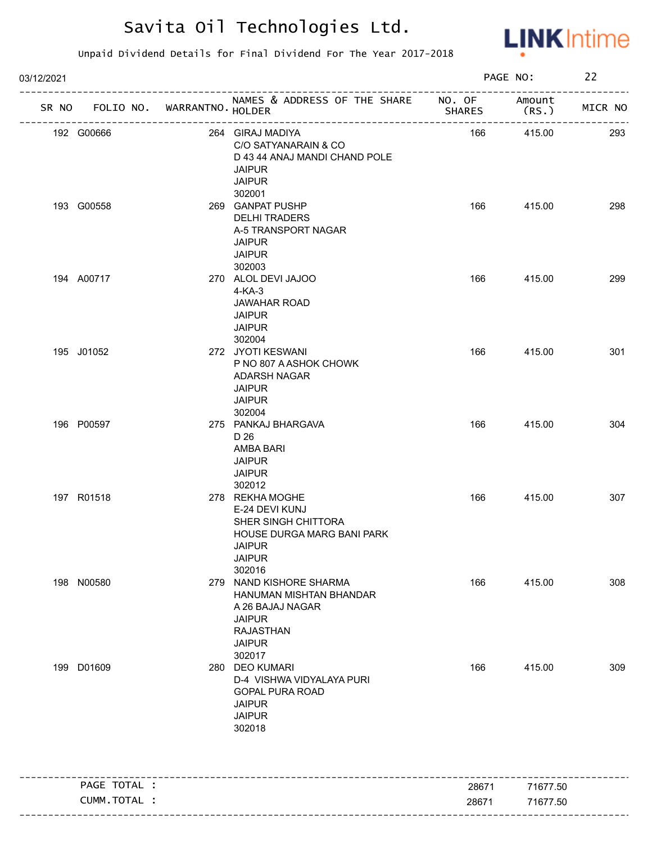

| 03/12/2021                        |                                                                                                                                        | PAGE NO:      |                  | 22      |  |
|-----------------------------------|----------------------------------------------------------------------------------------------------------------------------------------|---------------|------------------|---------|--|
| SR NO FOLIO NO. WARRANTNO. HOLDER | NAMES & ADDRESS OF THE SHARE NO. OF<br>________________________                                                                        | <b>SHARES</b> | Amount<br>(RS. ) | MICR NO |  |
| 192 G00666                        | 264 GIRAJ MADIYA<br>C/O SATYANARAIN & CO<br>D 43 44 ANAJ MANDI CHAND POLE<br><b>JAIPUR</b><br><b>JAIPUR</b>                            | 166           | 415.00           | 293     |  |
| 193 G00558                        | 302001<br>269 GANPAT PUSHP<br><b>DELHI TRADERS</b><br>A-5 TRANSPORT NAGAR<br><b>JAIPUR</b><br><b>JAIPUR</b><br>302003                  | 166           | 415.00           | 298     |  |
| 194 A00717                        | 270 ALOL DEVI JAJOO<br>$4-KA-3$<br><b>JAWAHAR ROAD</b><br><b>JAIPUR</b><br><b>JAIPUR</b><br>302004                                     | 166           | 415.00           | 299     |  |
| 195 J01052                        | 272 JYOTI KESWANI<br>P NO 807 A ASHOK CHOWK<br>ADARSH NAGAR<br><b>JAIPUR</b><br><b>JAIPUR</b><br>302004                                | 166           | 415.00           | 301     |  |
| 196 P00597                        | 275 PANKAJ BHARGAVA<br>D 26<br>AMBA BARI<br><b>JAIPUR</b><br><b>JAIPUR</b><br>302012                                                   | 166           | 415.00           | 304     |  |
| 197 R01518                        | 278 REKHA MOGHE<br>E-24 DEVI KUNJ<br>SHER SINGH CHITTORA<br>HOUSE DURGA MARG BANI PARK<br>JAIPUR<br><b>JAIPUR</b><br>302016            | 166           | 415.00           | 307     |  |
| 198 N00580                        | 279 NAND KISHORE SHARMA<br>HANUMAN MISHTAN BHANDAR<br>A 26 BAJAJ NAGAR<br><b>JAIPUR</b><br><b>RAJASTHAN</b><br><b>JAIPUR</b><br>302017 | 166           | 415.00           | 308     |  |
| 199 D01609                        | 280 DEO KUMARI<br>D-4 VISHWA VIDYALAYA PURI<br><b>GOPAL PURA ROAD</b><br><b>JAIPUR</b><br><b>JAIPUR</b><br>302018                      | 166           | 415.00           | 309     |  |
| PAGE TOTAL :                      |                                                                                                                                        | 28671         | 71677.50         |         |  |
| CUMM.TOTAL :                      |                                                                                                                                        | 28671         | 71677.50         |         |  |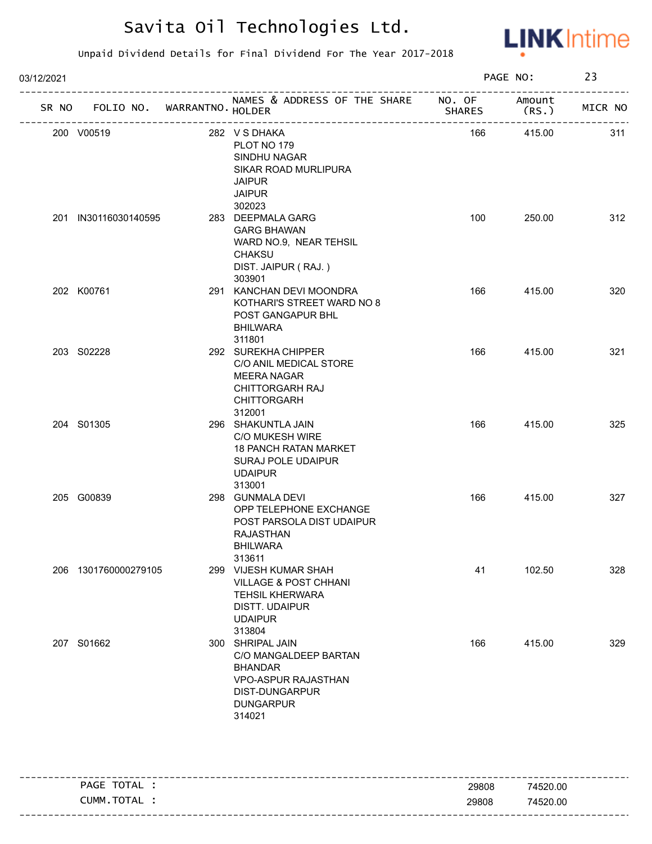

| 03/12/2021<br>SR NO FOLIO NO. WARRANTNO. HOLDER<br>200 V00519<br>282 VS DHAKA<br>PLOT NO 179<br>SINDHU NAGAR<br>SIKAR ROAD MURLIPURA<br><b>JAIPUR</b><br><b>JAIPUR</b><br>302023<br>201 IN30116030140595<br>283 DEEPMALA GARG<br><b>GARG BHAWAN</b><br>WARD NO.9, NEAR TEHSIL<br>CHAKSU<br>DIST. JAIPUR (RAJ.) |                      |  |                                                                                                                                           | PAGE NO:      |                  | 23      |
|----------------------------------------------------------------------------------------------------------------------------------------------------------------------------------------------------------------------------------------------------------------------------------------------------------------|----------------------|--|-------------------------------------------------------------------------------------------------------------------------------------------|---------------|------------------|---------|
|                                                                                                                                                                                                                                                                                                                |                      |  | NAMES & ADDRESS OF THE SHARE NO. OF                                                                                                       | <b>SHARES</b> | Amount<br>(RS. ) | MICR NO |
|                                                                                                                                                                                                                                                                                                                |                      |  |                                                                                                                                           | 166           | 415.00           | 311     |
|                                                                                                                                                                                                                                                                                                                |                      |  | 303901                                                                                                                                    | 100           | 250.00           | 312     |
|                                                                                                                                                                                                                                                                                                                | 202 K00761           |  | 291 KANCHAN DEVI MOONDRA<br>KOTHARI'S STREET WARD NO 8<br>POST GANGAPUR BHL<br><b>BHILWARA</b><br>311801                                  | 166           | 415.00           | 320     |
|                                                                                                                                                                                                                                                                                                                | 203 S02228           |  | 292 SUREKHA CHIPPER<br>C/O ANIL MEDICAL STORE<br><b>MEERA NAGAR</b><br><b>CHITTORGARH RAJ</b><br><b>CHITTORGARH</b><br>312001             | 166           | 415.00           | 321     |
|                                                                                                                                                                                                                                                                                                                | 204 S01305           |  | 296 SHAKUNTLA JAIN<br>C/O MUKESH WIRE<br><b>18 PANCH RATAN MARKET</b><br>SURAJ POLE UDAIPUR<br><b>UDAIPUR</b><br>313001                   | 166           | 415.00           | 325     |
|                                                                                                                                                                                                                                                                                                                | 205 G00839           |  | 298 GUNMALA DEVI<br>OPP TELEPHONE EXCHANGE<br>POST PARSOLA DIST UDAIPUR<br><b>RAJASTHAN</b><br><b>BHILWARA</b><br>313611                  | 166           | 415.00           | 327     |
|                                                                                                                                                                                                                                                                                                                | 206 1301760000279105 |  | 299 VIJESH KUMAR SHAH<br><b>VILLAGE &amp; POST CHHANI</b><br><b>TEHSIL KHERWARA</b><br><b>DISTT. UDAIPUR</b><br><b>UDAIPUR</b><br>313804  | 41            | 102.50           | 328     |
|                                                                                                                                                                                                                                                                                                                | 207 S01662           |  | 300 SHRIPAL JAIN<br>C/O MANGALDEEP BARTAN<br><b>BHANDAR</b><br><b>VPO-ASPUR RAJASTHAN</b><br>DIST-DUNGARPUR<br><b>DUNGARPUR</b><br>314021 | 166           | 415.00           | 329     |

| TOTAL<br>PAGE  | 29808 | 74520.00 |
|----------------|-------|----------|
| TOTAL<br>CUMM. | 29808 | 74520.00 |
|                |       |          |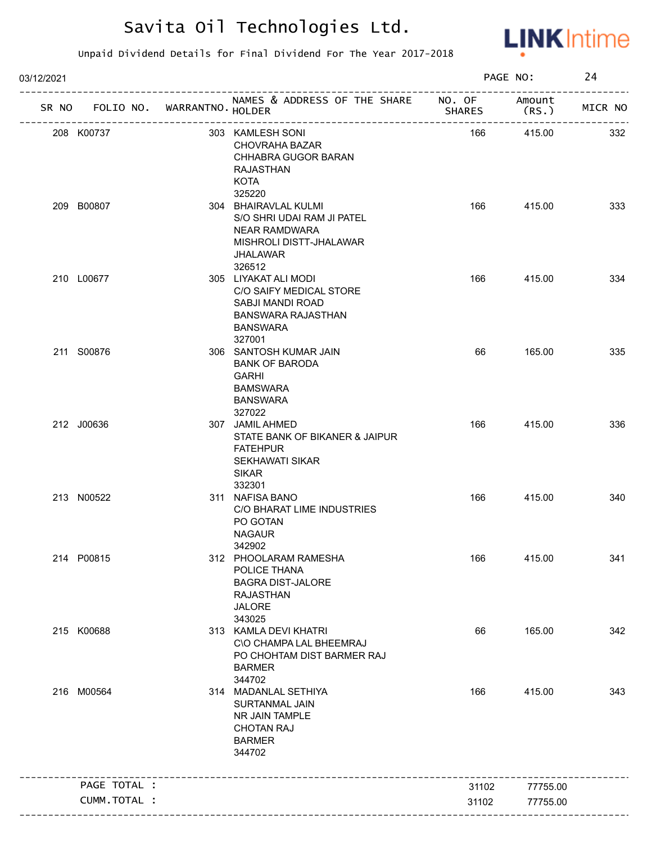

| 03/12/2021 |              |                                   |                                                                                                                                       |               | PAGE NO:        | 24      |
|------------|--------------|-----------------------------------|---------------------------------------------------------------------------------------------------------------------------------------|---------------|-----------------|---------|
|            |              | SR NO FOLIO NO. WARRANTNO. HOLDER | NAMES & ADDRESS OF THE SHARE NO. OF<br>______________________                                                                         | <b>SHARES</b> | Amount<br>(RS.) | MICR NO |
| 208 K00737 |              |                                   | 303 KAMLESH SONI<br><b>CHOVRAHA BAZAR</b><br>CHHABRA GUGOR BARAN<br>RAJASTHAN<br>KOTA                                                 | 166           | 415.00          | 332     |
| 209 B00807 |              |                                   | 325220<br>304 BHAIRAVLAL KULMI<br>S/O SHRI UDAI RAM JI PATEL<br><b>NEAR RAMDWARA</b><br>MISHROLI DISTT-JHALAWAR<br>JHALAWAR<br>326512 | 166           | 415.00          | 333     |
| 210 L00677 |              |                                   | 305 LIYAKAT ALI MODI<br>C/O SAIFY MEDICAL STORE<br>SABJI MANDI ROAD<br><b>BANSWARA RAJASTHAN</b><br>BANSWARA<br>327001                | 166           | 415.00          | 334     |
| 211 S00876 |              |                                   | 306 SANTOSH KUMAR JAIN<br><b>BANK OF BARODA</b><br><b>GARHI</b><br><b>BAMSWARA</b><br><b>BANSWARA</b><br>327022                       | 66            | 165.00          | 335     |
| 212 J00636 |              |                                   | 307 JAMIL AHMED<br>STATE BANK OF BIKANER & JAIPUR<br><b>FATEHPUR</b><br><b>SEKHAWATI SIKAR</b><br><b>SIKAR</b><br>332301              | 166           | 415.00          | 336     |
| 213 N00522 |              |                                   | 311 NAFISA BANO<br>C/O BHARAT LIME INDUSTRIES<br>PO GOTAN<br><b>NAGAUR</b><br>342902                                                  | 166           | 415.00          | 340     |
| 214 P00815 |              |                                   | 312 PHOOLARAM RAMESHA<br>POLICE THANA<br><b>BAGRA DIST-JALORE</b><br><b>RAJASTHAN</b><br><b>JALORE</b><br>343025                      | 166           | 415.00          | 341     |
| 215 K00688 |              |                                   | 313 KAMLA DEVI KHATRI<br>C\O CHAMPA LAL BHEEMRAJ<br>PO CHOHTAM DIST BARMER RAJ<br><b>BARMER</b><br>344702                             | 66            | 165.00          | 342     |
| 216 M00564 |              |                                   | 314 MADANLAL SETHIYA<br>SURTANMAL JAIN<br>NR JAIN TAMPLE<br><b>CHOTAN RAJ</b><br><b>BARMER</b><br>344702                              | 166           | 415.00          | 343     |
|            | PAGE TOTAL : |                                   | ---------------------------------                                                                                                     | 31102         | 77755.00        |         |
|            | CUMM.TOTAL : |                                   |                                                                                                                                       | 31102         | 77755.00        |         |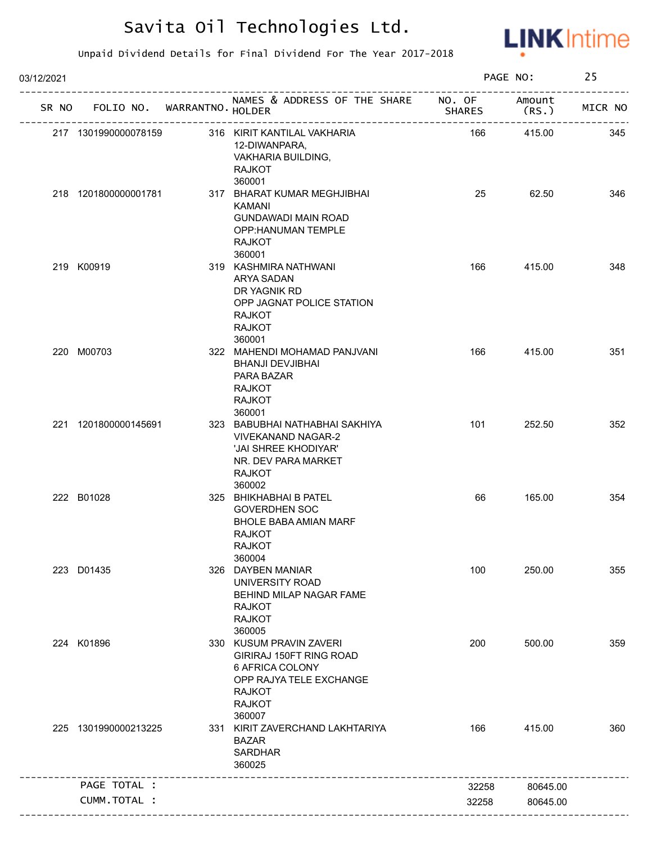

| 03/12/2021 |                             |                                                                                                                                              |               | PAGE NO:        | 25      |
|------------|-----------------------------|----------------------------------------------------------------------------------------------------------------------------------------------|---------------|-----------------|---------|
| SR NO      | FOLIO NO. WARRANTNO. HOLDER | NAMES & ADDRESS OF THE SHARE NO. OF                                                                                                          | <b>SHARES</b> | Amount<br>(RS.) | MICR NO |
|            | 217 1301990000078159        | 316 KIRIT KANTILAL VAKHARIA<br>12-DIWANPARA,<br>VAKHARIA BUILDING,<br><b>RAJKOT</b><br>360001                                                | 166           | 415.00          | 345     |
|            | 218 1201800000001781        | 317 BHARAT KUMAR MEGHJIBHAI<br>KAMANI<br><b>GUNDAWADI MAIN ROAD</b><br>OPP:HANUMAN TEMPLE<br><b>RAJKOT</b>                                   | 25            | 62.50           | 346     |
|            | 219 K00919                  | 360001<br>319 KASHMIRA NATHWANI<br>ARYA SADAN<br>DR YAGNIK RD<br>OPP JAGNAT POLICE STATION<br><b>RAJKOT</b><br><b>RAJKOT</b><br>360001       | 166           | 415.00          | 348     |
|            | 220 M00703                  | 322 MAHENDI MOHAMAD PANJVANI<br><b>BHANJI DEVJIBHAI</b><br>PARA BAZAR<br><b>RAJKOT</b><br><b>RAJKOT</b><br>360001                            | 166           | 415.00          | 351     |
|            | 221 1201800000145691        | 323 BABUBHAI NATHABHAI SAKHIYA<br><b>VIVEKANAND NAGAR-2</b><br>'JAI SHREE KHODIYAR'<br>NR. DEV PARA MARKET<br><b>RAJKOT</b><br>360002        | 101           | 252.50          | 352     |
|            | 222 B01028                  | 325 BHIKHABHAI B PATEL<br><b>GOVERDHEN SOC</b><br><b>BHOLE BABA AMIAN MARF</b><br><b>RAJKOT</b><br><b>RAJKOT</b><br>360004                   | 66            | 165.00          | 354     |
|            | 223 D01435                  | 326 DAYBEN MANIAR<br>UNIVERSITY ROAD<br>BEHIND MILAP NAGAR FAME<br><b>RAJKOT</b><br><b>RAJKOT</b><br>360005                                  | 100           | 250.00          | 355     |
|            | 224 K01896                  | 330 KUSUM PRAVIN ZAVERI<br>GIRIRAJ 150FT RING ROAD<br>6 AFRICA COLONY<br>OPP RAJYA TELE EXCHANGE<br><b>RAJKOT</b><br><b>RAJKOT</b><br>360007 | 200           | 500.00          | 359     |
|            | 225 1301990000213225        | 331 KIRIT ZAVERCHAND LAKHTARIYA<br><b>BAZAR</b><br><b>SARDHAR</b><br>360025                                                                  | 166           | 415.00          | 360     |
|            | PAGE TOTAL :                |                                                                                                                                              | 32258         | 80645.00        |         |
|            |                             |                                                                                                                                              |               |                 |         |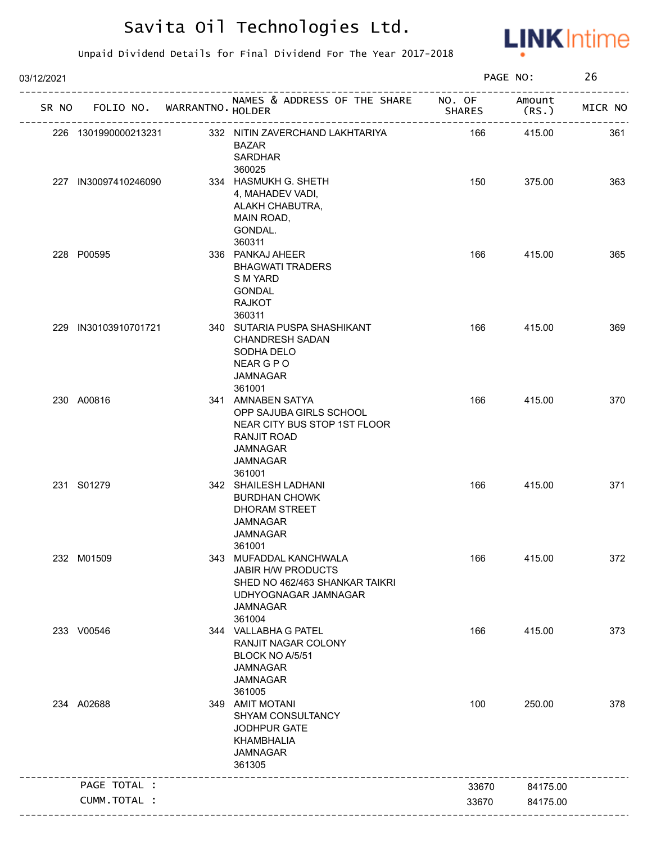

| 03/12/2021           |                             |                                                                                                                                      |               | PAGE NO:         | 26      |
|----------------------|-----------------------------|--------------------------------------------------------------------------------------------------------------------------------------|---------------|------------------|---------|
| SR NO                | FOLIO NO. WARRANTNO. HOLDER | NAMES & ADDRESS OF THE SHARE NO. OF                                                                                                  | <b>SHARES</b> | Amount<br>(RS. ) | MICR NO |
| 226 1301990000213231 |                             | 332 NITIN ZAVERCHAND LAKHTARIYA<br><b>BAZAR</b><br><b>SARDHAR</b><br>360025                                                          | 166           | 415.00           | 361     |
| 227 IN30097410246090 |                             | 334 HASMUKH G. SHETH<br>4, MAHADEV VADI,<br>ALAKH CHABUTRA,<br>MAIN ROAD,<br>GONDAL.<br>360311                                       | 150           | 375.00           | 363     |
| 228 P00595           |                             | 336 PANKAJ AHEER<br><b>BHAGWATI TRADERS</b><br>S M YARD<br><b>GONDAL</b><br><b>RAJKOT</b><br>360311                                  | 166           | 415.00           | 365     |
| 229 IN30103910701721 |                             | 340 SUTARIA PUSPA SHASHIKANT<br><b>CHANDRESH SADAN</b><br>SODHA DELO<br>NEAR G P O<br><b>JAMNAGAR</b><br>361001                      | 166           | 415.00           | 369     |
| 230 A00816           |                             | 341 AMNABEN SATYA<br>OPP SAJUBA GIRLS SCHOOL<br>NEAR CITY BUS STOP 1ST FLOOR<br>RANJIT ROAD<br><b>JAMNAGAR</b><br>JAMNAGAR<br>361001 | 166           | 415.00           | 370     |
| 231 S01279           |                             | 342 SHAILESH LADHANI<br><b>BURDHAN CHOWK</b><br><b>DHORAM STREET</b><br><b>JAMNAGAR</b><br><b>JAMNAGAR</b><br>361001                 | 166           | 415.00           | 371     |
| 232 M01509           |                             | 343 MUFADDAL KANCHWALA<br>JABIR H/W PRODUCTS<br>SHED NO 462/463 SHANKAR TAIKRI<br>UDHYOGNAGAR JAMNAGAR<br><b>JAMNAGAR</b><br>361004  | 166           | 415.00           | 372     |
| 233 V00546           |                             | 344 VALLABHA G PATEL<br>RANJIT NAGAR COLONY<br>BLOCK NO A/5/51<br><b>JAMNAGAR</b><br><b>JAMNAGAR</b><br>361005                       | 166           | 415.00           | 373     |
| 234 A02688           |                             | 349 AMIT MOTANI<br>SHYAM CONSULTANCY<br>JODHPUR GATE<br>KHAMBHALIA<br><b>JAMNAGAR</b><br>361305                                      | 100           | 250.00           | 378     |
| PAGE TOTAL :         |                             |                                                                                                                                      | 33670         | 84175.00         |         |
| CUMM.TOTAL :         |                             |                                                                                                                                      | 33670         | 84175.00         |         |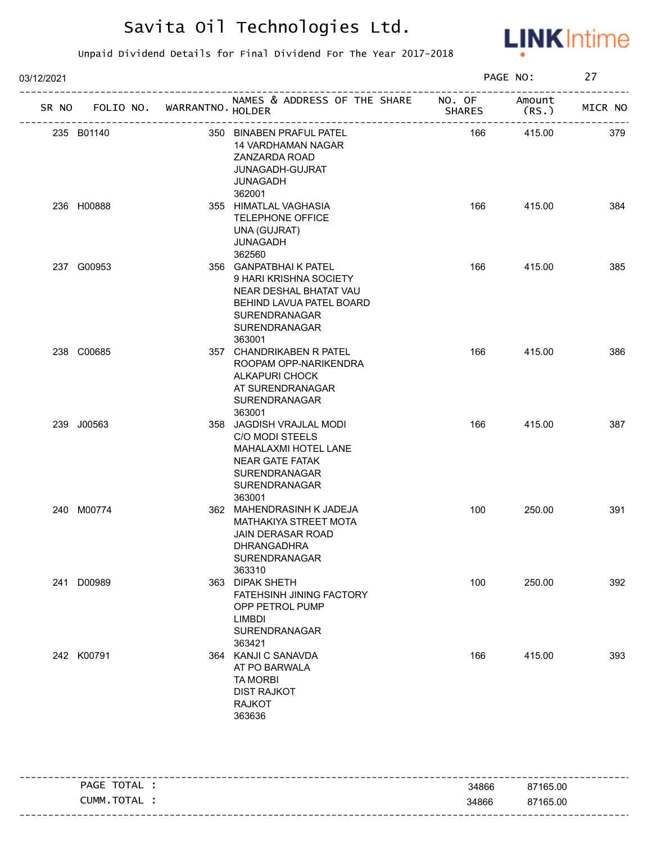

| 03/12/2021 |            |                                   |                                                                                                                                                   |               | PAGE NO:       | 27      |
|------------|------------|-----------------------------------|---------------------------------------------------------------------------------------------------------------------------------------------------|---------------|----------------|---------|
|            |            | SR NO FOLIO NO. WARRANTNO. HOLDER | NAMES & ADDRESS OF THE SHARE NO. OF                                                                                                               | <b>SHARES</b> | Amount<br>(RS. | MICR NO |
|            | 235 B01140 |                                   | 350 BINABEN PRAFUL PATEL<br>14 VARDHAMAN NAGAR<br>ZANZARDA ROAD<br>JUNAGADH-GUJRAT<br>JUNAGADH<br>362001                                          | 166           | 415.00         | 379     |
|            | 236 H00888 |                                   | 355 HIMATLAL VAGHASIA<br><b>TELEPHONE OFFICE</b><br>UNA (GUJRAT)<br>JUNAGADH<br>362560                                                            | 166           | 415.00         | 384     |
|            | 237 G00953 |                                   | 356 GANPATBHAIK PATEL<br>9 HARI KRISHNA SOCIETY<br>NEAR DESHAL BHATAT VAU<br>BEHIND LAVUA PATEL BOARD<br>SURENDRANAGAR<br>SURENDRANAGAR<br>363001 | 166           | 415.00         | 385     |
|            | 238 C00685 |                                   | 357 CHANDRIKABEN R PATEL<br>ROOPAM OPP-NARIKENDRA<br><b>ALKAPURI CHOCK</b><br>AT SURENDRANAGAR<br>SURENDRANAGAR<br>363001                         | 166           | 415.00         | 386     |
|            | 239 J00563 |                                   | 358 JAGDISH VRAJLAL MODI<br>C/O MODI STEELS<br>MAHALAXMI HOTEL LANE<br><b>NEAR GATE FATAK</b><br>SURENDRANAGAR<br>SURENDRANAGAR<br>363001         | 166           | 415.00         | 387     |
|            | 240 M00774 |                                   | 362 MAHENDRASINH K JADEJA<br>MATHAKIYA STREET MOTA<br>JAIN DERASAR ROAD<br><b>DHRANGADHRA</b><br>SURENDRANAGAR<br>363310                          | 100           | 250.00         | 391     |
|            | 241 D00989 |                                   | 363 DIPAK SHETH<br>FATEHSINH JINING FACTORY<br>OPP PETROL PUMP<br>LIMBDI<br>SURENDRANAGAR<br>363421                                               | 100           | 250.00         | 392     |
|            | 242 K00791 |                                   | 364 KANJI C SANAVDA<br>AT PO BARWALA<br><b>TA MORBI</b><br><b>DIST RAJKOT</b><br><b>RAJKOT</b><br>363636                                          | 166           | 415.00         | 393     |

| TOTAL<br>PAGE | 34866 | 87165.00 |
|---------------|-------|----------|
| CUMM.TOTAL    | 34866 | 87165.00 |
|               |       |          |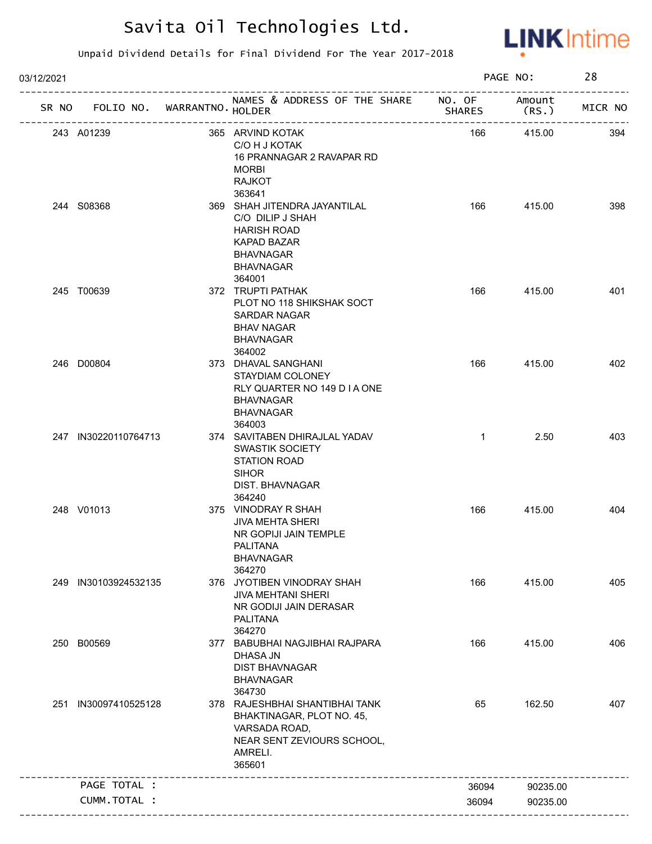

| 03/12/2021 |                                   |                                                                                                                                                          |               | PAGE NO:        | 28      |
|------------|-----------------------------------|----------------------------------------------------------------------------------------------------------------------------------------------------------|---------------|-----------------|---------|
|            | SR NO FOLIO NO. WARRANTNO. HOLDER | NAMES & ADDRESS OF THE SHARE NO. OF                                                                                                                      | <b>SHARES</b> | Amount<br>(RS.) | MICR NO |
|            | 243 A01239                        | 365 ARVIND KOTAK<br>C/O H J KOTAK<br>16 PRANNAGAR 2 RAVAPAR RD<br><b>MORBI</b><br><b>RAJKOT</b>                                                          | 166           | 415.00          | 394     |
|            | 244 S08368                        | 363641<br>369 SHAH JITENDRA JAYANTILAL<br>C/O DILIP J SHAH<br><b>HARISH ROAD</b><br><b>KAPAD BAZAR</b><br><b>BHAVNAGAR</b><br><b>BHAVNAGAR</b><br>364001 | 166           | 415.00          | 398     |
|            | 245 T00639                        | 372 TRUPTI PATHAK<br>PLOT NO 118 SHIKSHAK SOCT<br><b>SARDAR NAGAR</b><br><b>BHAV NAGAR</b><br><b>BHAVNAGAR</b><br>364002                                 | 166           | 415.00          | 401     |
|            | 246 D00804                        | 373 DHAVAL SANGHANI<br>STAYDIAM COLONEY<br>RLY QUARTER NO 149 D I A ONE<br><b>BHAVNAGAR</b><br><b>BHAVNAGAR</b><br>364003                                | 166           | 415.00          | 402     |
|            | 247 IN30220110764713              | 374 SAVITABEN DHIRAJLAL YADAV<br><b>SWASTIK SOCIETY</b><br>STATION ROAD<br><b>SIHOR</b><br>DIST. BHAVNAGAR<br>364240                                     | $\mathbf{1}$  | 2.50            | 403     |
|            | 248 V01013                        | 375 VINODRAY R SHAH<br><b>JIVA MEHTA SHERI</b><br>NR GOPIJI JAIN TEMPLE<br>PALITANA<br><b>BHAVNAGAR</b><br>364270                                        | 166           | 415.00          | 404     |
|            | 249 IN30103924532135              | 376 JYOTIBEN VINODRAY SHAH<br><b>JIVA MEHTANI SHERI</b><br>NR GODIJI JAIN DERASAR<br><b>PALITANA</b><br>364270                                           | 166           | 415.00          | 405     |
|            | 250 B00569                        | 377 BABUBHAI NAGJIBHAI RAJPARA<br>DHASA JN<br><b>DIST BHAVNAGAR</b><br><b>BHAVNAGAR</b><br>364730                                                        | 166           | 415.00          | 406     |
| 251        | IN30097410525128                  | 378 RAJESHBHAI SHANTIBHAI TANK<br>BHAKTINAGAR, PLOT NO. 45,<br>VARSADA ROAD,<br>NEAR SENT ZEVIOURS SCHOOL,<br>AMRELI.<br>365601                          | 65            | 162.50          | 407     |
|            | PAGE TOTAL :                      |                                                                                                                                                          | 36094         | 90235.00        |         |
|            | CUMM.TOTAL :                      |                                                                                                                                                          | 36094         | 90235.00        |         |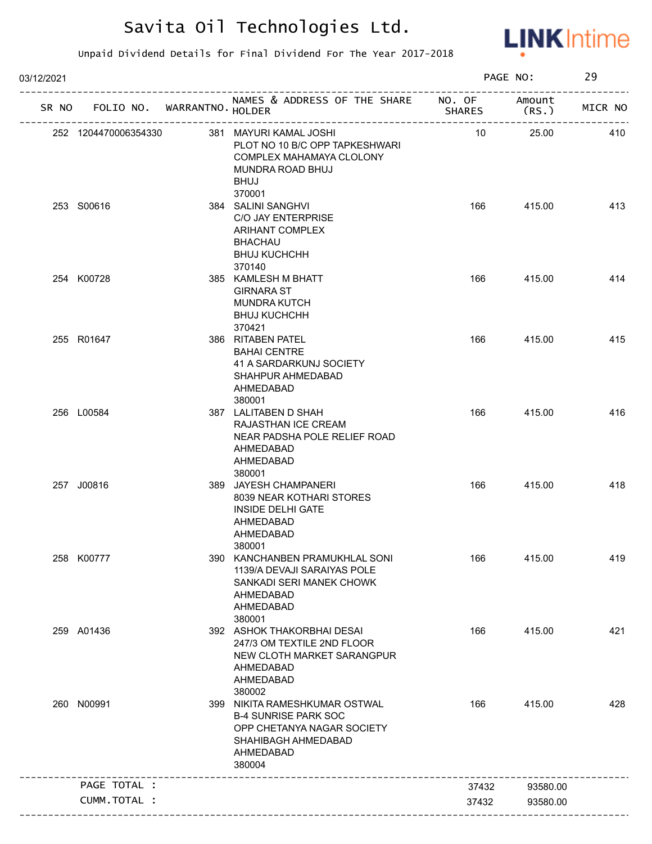

| 03/12/2021 |                            |                                                                                                                                          |                         | PAGE NO:        | 29      |
|------------|----------------------------|------------------------------------------------------------------------------------------------------------------------------------------|-------------------------|-----------------|---------|
| SR NO      | FOLIO NO. WARRANTNO HOLDER | NAMES & ADDRESS OF THE SHARE                                                                                                             | NO. OF<br><b>SHARES</b> | Amount<br>(RS.) | MICR NO |
|            | 252 1204470006354330       | 381 MAYURI KAMAL JOSHI<br>PLOT NO 10 B/C OPP TAPKESHWARI<br>COMPLEX MAHAMAYA CLOLONY<br>MUNDRA ROAD BHUJ<br><b>BHUJ</b>                  | 10                      | 25.00           | 410     |
|            | 253 S00616                 | 370001<br>384 SALINI SANGHVI<br>C/O JAY ENTERPRISE<br>ARIHANT COMPLEX<br><b>BHACHAU</b><br><b>BHUJ KUCHCHH</b><br>370140                 | 166                     | 415.00          | 413     |
|            | 254 K00728                 | 385 KAMLESH M BHATT<br><b>GIRNARA ST</b><br><b>MUNDRA KUTCH</b><br><b>BHUJ KUCHCHH</b><br>370421                                         | 166                     | 415.00          | 414     |
|            | 255 R01647                 | 386 RITABEN PATEL<br><b>BAHAI CENTRE</b><br>41 A SARDARKUNJ SOCIETY<br>SHAHPUR AHMEDABAD<br>AHMEDABAD<br>380001                          | 166                     | 415.00          | 415     |
|            | 256 L00584                 | 387 LALITABEN D SHAH<br>RAJASTHAN ICE CREAM<br>NEAR PADSHA POLE RELIEF ROAD<br>AHMEDABAD<br>AHMEDABAD<br>380001                          | 166                     | 415.00          | 416     |
|            | 257 J00816                 | 389 JAYESH CHAMPANERI<br>8039 NEAR KOTHARI STORES<br><b>INSIDE DELHI GATE</b><br>AHMEDABAD<br>AHMEDABAD<br>380001                        | 166                     | 415.00          | 418     |
|            | 258 K00777                 | 390 KANCHANBEN PRAMUKHLAL SONI<br>1139/A DEVAJI SARAIYAS POLE<br>SANKADI SERI MANEK CHOWK<br>AHMEDABAD<br>AHMEDABAD<br>380001            | 166                     | 415.00          | 419     |
|            | 259 A01436                 | 392 ASHOK THAKORBHAI DESAI<br>247/3 OM TEXTILE 2ND FLOOR<br>NEW CLOTH MARKET SARANGPUR<br>AHMEDABAD<br>AHMEDABAD<br>380002               | 166                     | 415.00          | 421     |
|            | 260 N00991                 | 399 NIKITA RAMESHKUMAR OSTWAL<br><b>B-4 SUNRISE PARK SOC</b><br>OPP CHETANYA NAGAR SOCIETY<br>SHAHIBAGH AHMEDABAD<br>AHMEDABAD<br>380004 | 166                     | 415.00          | 428     |
|            | PAGE TOTAL :               |                                                                                                                                          | 37432                   | 93580.00        |         |
|            | CUMM.TOTAL :               |                                                                                                                                          | 37432                   | 93580.00        |         |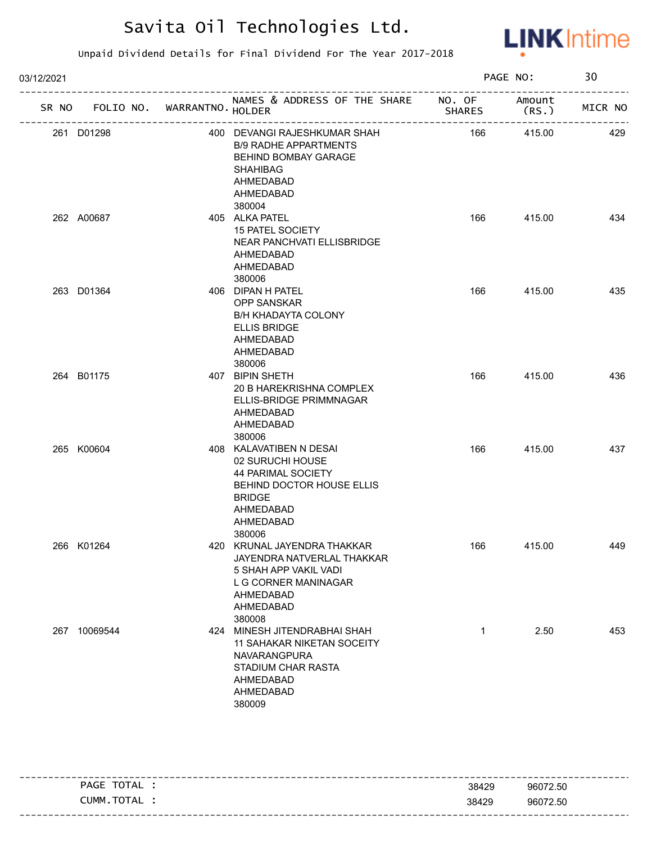

| 03/12/2021 |                                   |                                                                                                                                                     |               | PAGE NO:        | 30      |
|------------|-----------------------------------|-----------------------------------------------------------------------------------------------------------------------------------------------------|---------------|-----------------|---------|
|            | SR NO FOLIO NO. WARRANTNO. HOLDER | NAMES & ADDRESS OF THE SHARE NO. OF                                                                                                                 | <b>SHARES</b> | Amount<br>(RS.) | MICR NO |
|            | 261 D01298                        | 400 DEVANGI RAJESHKUMAR SHAH<br><b>B/9 RADHE APPARTMENTS</b><br>BEHIND BOMBAY GARAGE<br><b>SHAHIBAG</b><br>AHMEDABAD<br>AHMEDABAD<br>380004         | 166           | 415.00          | 429     |
|            | 262 A00687                        | 405 ALKA PATEL<br>15 PATEL SOCIETY<br>NEAR PANCHVATI ELLISBRIDGE<br>AHMEDABAD<br>AHMEDABAD<br>380006                                                | 166           | 415.00          | 434     |
|            | 263 D01364                        | 406 DIPAN H PATEL<br><b>OPP SANSKAR</b><br><b>B/H KHADAYTA COLONY</b><br><b>ELLIS BRIDGE</b><br>AHMEDABAD<br>AHMEDABAD<br>380006                    | 166           | 415.00          | 435     |
|            | 264 B01175                        | 407 BIPIN SHETH<br>20 B HAREKRISHNA COMPLEX<br>ELLIS-BRIDGE PRIMMNAGAR<br>AHMEDABAD<br>AHMEDABAD<br>380006                                          | 166           | 415.00          | 436     |
|            | 265 K00604                        | 408 KALAVATIBEN N DESAI<br>02 SURUCHI HOUSE<br>44 PARIMAL SOCIETY<br>BEHIND DOCTOR HOUSE ELLIS<br><b>BRIDGE</b><br>AHMEDABAD<br>AHMEDABAD<br>380006 | 166           | 415.00          | 437     |
|            | 266 K01264                        | 420 KRUNAL JAYENDRA THAKKAR<br>JAYENDRA NATVERLAL THAKKAR<br>5 SHAH APP VAKIL VADI<br>L G CORNER MANINAGAR<br>AHMEDABAD<br>AHMEDABAD<br>380008      | 166           | 415.00          | 449     |
|            | 267 10069544                      | 424 MINESH JITENDRABHAI SHAH<br>11 SAHAKAR NIKETAN SOCEITY<br>NAVARANGPURA<br>STADIUM CHAR RASTA<br>AHMEDABAD<br>AHMEDABAD<br>380009                | $\mathbf{1}$  | 2.50            | 453     |

| PAGE  | TOTAL | 38429 | 96072.50                                  |
|-------|-------|-------|-------------------------------------------|
| CUMM. | TOTAL | 38429 | 96072.50                                  |
|       |       |       | ------------------------------<br>- - - - |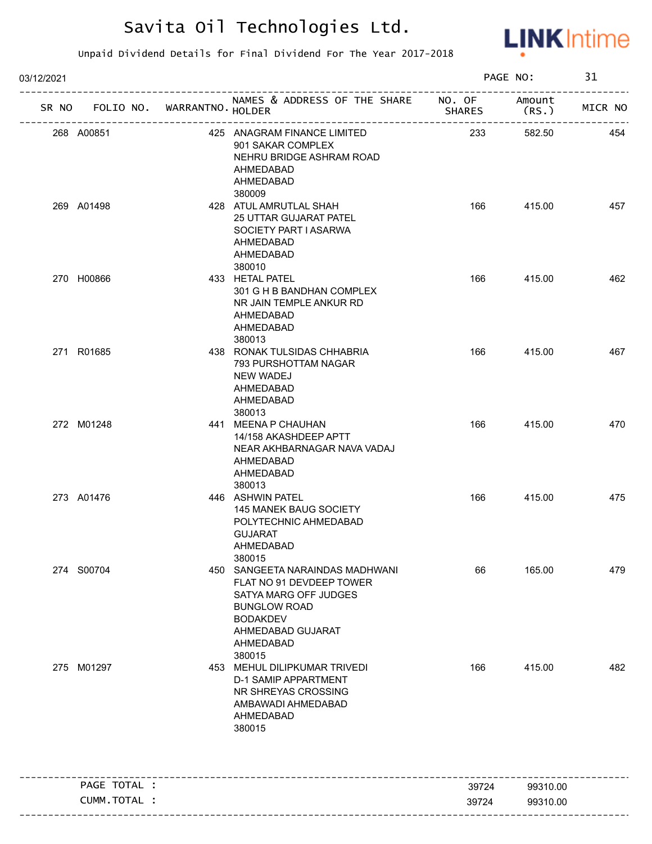

| 03/12/2021 |              |                             |                                                                                                                                                                            |                | PAGE NO:             | 31      |
|------------|--------------|-----------------------------|----------------------------------------------------------------------------------------------------------------------------------------------------------------------------|----------------|----------------------|---------|
| SR NO      |              | FOLIO NO. WARRANTNO. HOLDER | NAMES & ADDRESS OF THE SHARE NO. OF                                                                                                                                        | <b>SHARES</b>  | Amount<br>(RS.)      | MICR NO |
| 268 A00851 |              |                             | 425 ANAGRAM FINANCE LIMITED<br>901 SAKAR COMPLEX<br>NEHRU BRIDGE ASHRAM ROAD<br>AHMEDABAD<br>AHMEDABAD<br>380009                                                           | 233            | 582.50               | 454     |
| 269 A01498 |              |                             | 428 ATUL AMRUTLAL SHAH<br><b>25 UTTAR GUJARAT PATEL</b><br>SOCIETY PART I ASARWA<br>AHMEDABAD<br>AHMEDABAD<br>380010                                                       | 166            | 415.00               | 457     |
| 270 H00866 |              |                             | 433 HETAL PATEL<br>301 G H B BANDHAN COMPLEX<br>NR JAIN TEMPLE ANKUR RD<br>AHMEDABAD<br>AHMEDABAD<br>380013                                                                | 166            | 415.00               | 462     |
| 271 R01685 |              |                             | 438 RONAK TULSIDAS CHHABRIA<br>793 PURSHOTTAM NAGAR<br><b>NEW WADEJ</b><br>AHMEDABAD<br>AHMEDABAD<br>380013                                                                | 166            | 415.00               | 467     |
| 272 M01248 |              |                             | 441 MEENA P CHAUHAN<br>14/158 AKASHDEEP APTT<br>NEAR AKHBARNAGAR NAVA VADAJ<br>AHMEDABAD<br>AHMEDABAD<br>380013                                                            | 166            | 415.00               | 470     |
| 273 A01476 |              |                             | 446 ASHWIN PATEL<br>145 MANEK BAUG SOCIETY<br>POLYTECHNIC AHMEDABAD<br><b>GUJARAT</b><br>AHMEDABAD<br>380015                                                               | 166            | 415.00               | 475     |
| 274 S00704 |              |                             | 450 SANGEETA NARAINDAS MADHWANI<br>FLAT NO 91 DEVDEEP TOWER<br>SATYA MARG OFF JUDGES<br><b>BUNGLOW ROAD</b><br><b>BODAKDEV</b><br>AHMEDABAD GUJARAT<br>AHMEDABAD<br>380015 | 66             | 165.00               | 479     |
| 275 M01297 |              |                             | 453 MEHUL DILIPKUMAR TRIVEDI<br><b>D-1 SAMIP APPARTMENT</b><br>NR SHREYAS CROSSING<br>AMBAWADI AHMEDABAD<br>AHMEDABAD<br>380015                                            | 166            | 415.00               | 482     |
|            | PAGE TOTAL : |                             |                                                                                                                                                                            |                |                      |         |
|            | CUMM.TOTAL : |                             |                                                                                                                                                                            | 39724<br>39724 | 99310.00<br>99310.00 |         |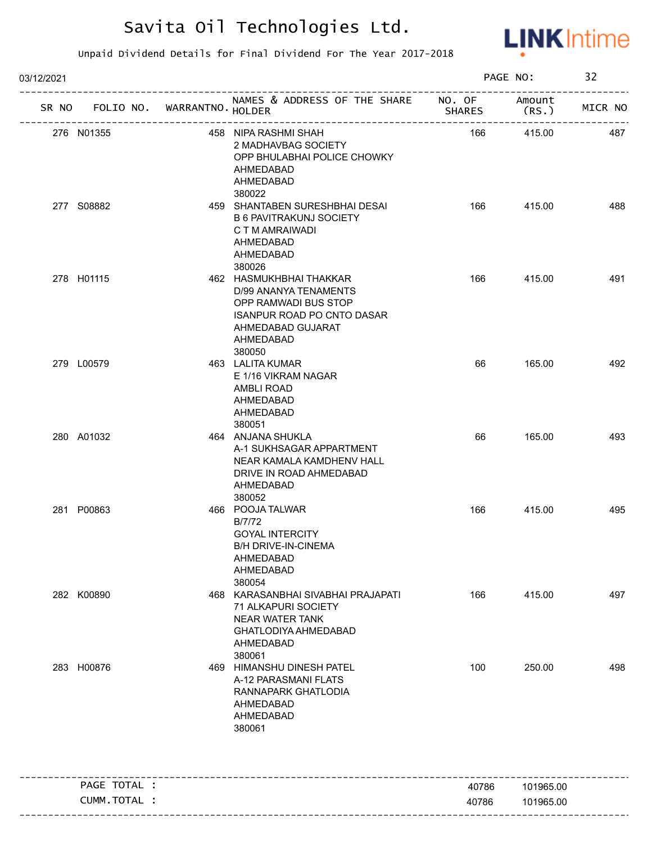

| 03/12/2021                        |                                                                                                                                                           |               | PAGE NO:         | 32      |
|-----------------------------------|-----------------------------------------------------------------------------------------------------------------------------------------------------------|---------------|------------------|---------|
| SR NO FOLIO NO. WARRANTNO. HOLDER | NAMES & ADDRESS OF THE SHARE NO. OF                                                                                                                       | <b>SHARES</b> | Amount<br>(RS. ) | MICR NO |
| 276 N01355                        | 458 NIPA RASHMI SHAH<br>2 MADHAVBAG SOCIETY<br>OPP BHULABHAI POLICE CHOWKY<br>AHMEDABAD<br>AHMEDABAD                                                      | 166           | 415.00           | 487     |
| 277 S08882                        | 380022<br>459 SHANTABEN SURESHBHAI DESAI<br><b>B 6 PAVITRAKUNJ SOCIETY</b><br>C T M AMRAIWADI<br>AHMEDABAD<br>AHMEDABAD<br>380026                         | 166           | 415.00           | 488     |
| 278 H01115                        | 462 HASMUKHBHAI THAKKAR<br>D/99 ANANYA TENAMENTS<br>OPP RAMWADI BUS STOP<br><b>ISANPUR ROAD PO CNTO DASAR</b><br>AHMEDABAD GUJARAT<br>AHMEDABAD<br>380050 | 166           | 415.00           | 491     |
| 279 L00579                        | 463 LALITA KUMAR<br>E 1/16 VIKRAM NAGAR<br>AMBLI ROAD<br>AHMEDABAD<br>AHMEDABAD<br>380051                                                                 | 66            | 165.00           | 492     |
| 280 A01032                        | 464 ANJANA SHUKLA<br>A-1 SUKHSAGAR APPARTMENT<br>NEAR KAMALA KAMDHENV HALL<br>DRIVE IN ROAD AHMEDABAD<br>AHMEDABAD<br>380052                              | 66            | 165.00           | 493     |
| 281 P00863                        | 466 POOJA TALWAR<br>B/7/72<br><b>GOYAL INTERCITY</b><br><b>B/H DRIVE-IN-CINEMA</b><br>AHMEDABAD<br>AHMEDABAD<br>380054                                    | 166           | 415.00           | 495     |
| 282 K00890                        | 468 KARASANBHAI SIVABHAI PRAJAPATI<br>71 ALKAPURI SOCIETY<br><b>NEAR WATER TANK</b><br>GHATLODIYA AHMEDABAD<br>AHMEDABAD<br>380061                        | 166           | 415.00           | 497     |
| 283 H00876                        | 469 HIMANSHU DINESH PATEL<br>A-12 PARASMANI FLATS<br>RANNAPARK GHATLODIA<br>AHMEDABAD<br>AHMEDABAD<br>380061                                              | 100           | 250.00           | 498     |
| PAGE TOTAL :                      |                                                                                                                                                           | 40786         | 101965.00        |         |
| CUMM.TOTAL :                      |                                                                                                                                                           | 40786         | 101965.00        |         |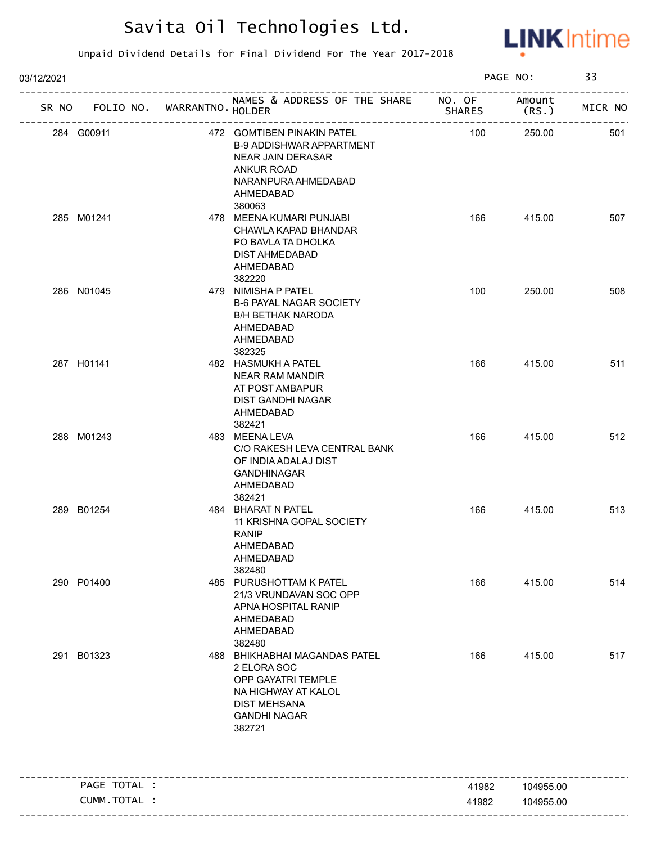

| 03/12/2021 |              |                             |                                                                                                                                                       |               | PAGE NO:        | 33      |
|------------|--------------|-----------------------------|-------------------------------------------------------------------------------------------------------------------------------------------------------|---------------|-----------------|---------|
| SR NO      |              | FOLIO NO. WARRANTNO. HOLDER | NAMES & ADDRESS OF THE SHARE NO. OF                                                                                                                   | <b>SHARES</b> | Amount<br>(RS.) | MICR NO |
|            | 284 G00911   |                             | 472 GOMTIBEN PINAKIN PATEL<br><b>B-9 ADDISHWAR APPARTMENT</b><br>NEAR JAIN DERASAR<br><b>ANKUR ROAD</b><br>NARANPURA AHMEDABAD<br>AHMEDABAD<br>380063 | 100           | 250.00          | 501     |
|            | 285 M01241   |                             | 478 MEENA KUMARI PUNJABI<br>CHAWLA KAPAD BHANDAR<br>PO BAVLA TA DHOLKA<br>DIST AHMEDABAD<br>AHMEDABAD<br>382220                                       | 166           | 415.00          | 507     |
|            | 286 N01045   |                             | 479 NIMISHA P PATEL<br><b>B-6 PAYAL NAGAR SOCIETY</b><br><b>B/H BETHAK NARODA</b><br>AHMEDABAD<br>AHMEDABAD<br>382325                                 | 100           | 250.00          | 508     |
|            | 287 H01141   |                             | 482 HASMUKH A PATEL<br><b>NEAR RAM MANDIR</b><br>AT POST AMBAPUR<br>DIST GANDHI NAGAR<br>AHMEDABAD<br>382421                                          | 166           | 415.00          | 511     |
|            | 288 M01243   |                             | 483 MEENA LEVA<br>C/O RAKESH LEVA CENTRAL BANK<br>OF INDIA ADALAJ DIST<br><b>GANDHINAGAR</b><br>AHMEDABAD<br>382421                                   | 166           | 415.00          | 512     |
|            | 289 B01254   |                             | 484 BHARAT N PATEL<br>11 KRISHNA GOPAL SOCIETY<br><b>RANIP</b><br>AHMEDABAD<br>AHMEDABAD<br>382480                                                    | 166           | 415.00          | 513     |
|            | 290 P01400   |                             | 485 PURUSHOTTAM K PATEL<br>21/3 VRUNDAVAN SOC OPP<br>APNA HOSPITAL RANIP<br>AHMEDABAD<br>AHMEDABAD<br>382480                                          | 166           | 415.00          | 514     |
|            | 291 B01323   |                             | 488 BHIKHABHAI MAGANDAS PATEL<br>2 ELORA SOC<br>OPP GAYATRI TEMPLE<br>NA HIGHWAY AT KALOL<br><b>DIST MEHSANA</b><br><b>GANDHI NAGAR</b><br>382721     | 166           | 415.00          | 517     |
|            | PAGE TOTAL : |                             |                                                                                                                                                       | 41982         | 104955.00       |         |
|            | CUMM.TOTAL : |                             |                                                                                                                                                       | 41982         | 104955.00       |         |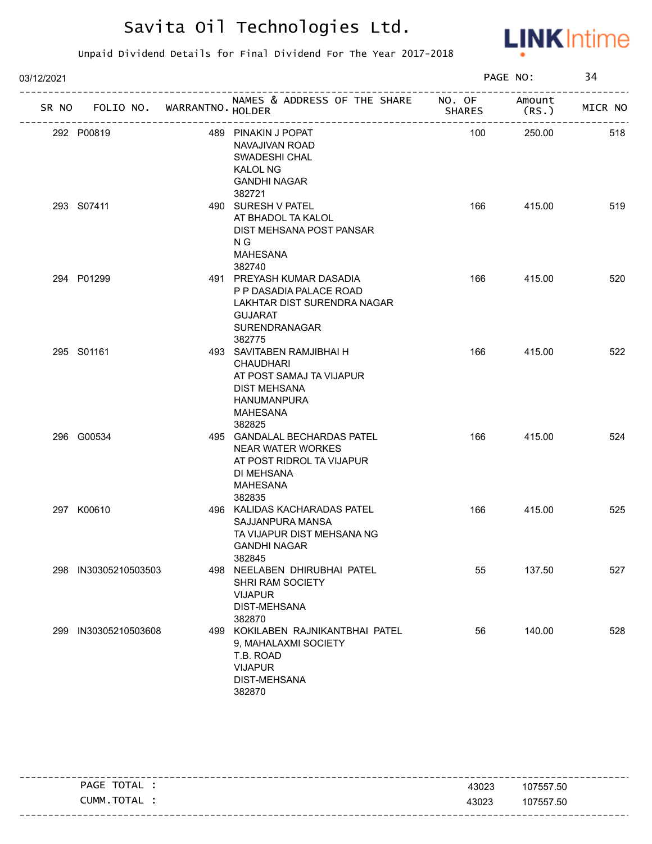

| 03/12/2021 |                                   |                                                                                                                                              |               | PAGE NO:        | 34      |
|------------|-----------------------------------|----------------------------------------------------------------------------------------------------------------------------------------------|---------------|-----------------|---------|
|            | SR NO FOLIO NO. WARRANTNO. HOLDER | NAMES & ADDRESS OF THE SHARE NO. OF<br>-------------------------                                                                             | <b>SHARES</b> | Amount<br>(RS.) | MICR NO |
|            | 292 P00819                        | 489 PINAKIN J POPAT<br>NAVAJIVAN ROAD<br>SWADESHI CHAL<br>KALOL NG<br><b>GANDHI NAGAR</b><br>382721                                          | 100           | 250.00          | 518     |
|            | 293 S07411                        | 490 SURESH V PATEL<br>AT BHADOL TA KALOL<br>DIST MEHSANA POST PANSAR<br>N G<br><b>MAHESANA</b><br>382740                                     | 166           | 415.00          | 519     |
|            | 294 P01299                        | 491 PREYASH KUMAR DASADIA<br>P P DASADIA PALACE ROAD<br>LAKHTAR DIST SURENDRA NAGAR<br><b>GUJARAT</b><br><b>SURENDRANAGAR</b><br>382775      | 166           | 415.00          | 520     |
|            | 295 S01161                        | 493 SAVITABEN RAMJIBHAI H<br><b>CHAUDHARI</b><br>AT POST SAMAJ TA VIJAPUR<br>DIST MEHSANA<br><b>HANUMANPURA</b><br><b>MAHESANA</b><br>382825 | 166           | 415.00          | 522     |
|            | 296 G00534                        | 495 GANDALAL BECHARDAS PATEL<br><b>NEAR WATER WORKES</b><br>AT POST RIDROL TA VIJAPUR<br>DI MEHSANA<br><b>MAHESANA</b><br>382835             | 166           | 415.00          | 524     |
|            | 297 K00610                        | 496 KALIDAS KACHARADAS PATEL<br>SAJJANPURA MANSA<br>TA VIJAPUR DIST MEHSANA NG<br><b>GANDHI NAGAR</b><br>382845                              | 166           | 415.00          | 525     |
| 298        | IN30305210503503                  | 498 NEELABEN DHIRUBHAI PATEL<br><b>SHRI RAM SOCIETY</b><br><b>VIJAPUR</b><br>DIST-MEHSANA<br>382870                                          | 55            | 137.50          | 527     |
| 299        | IN30305210503608                  | 499 KOKILABEN RAJNIKANTBHAI PATEL<br>9, MAHALAXMI SOCIETY<br>T.B. ROAD<br><b>VIJAPUR</b><br><b>DIST-MEHSANA</b><br>382870                    | 56            | 140.00          | 528     |

| TOTAL<br>PAGE  | 43023 | 107557.50                           |
|----------------|-------|-------------------------------------|
| TOTAL<br>CUMM. | 43023 | 107557.50                           |
|                |       | ------------------------------<br>. |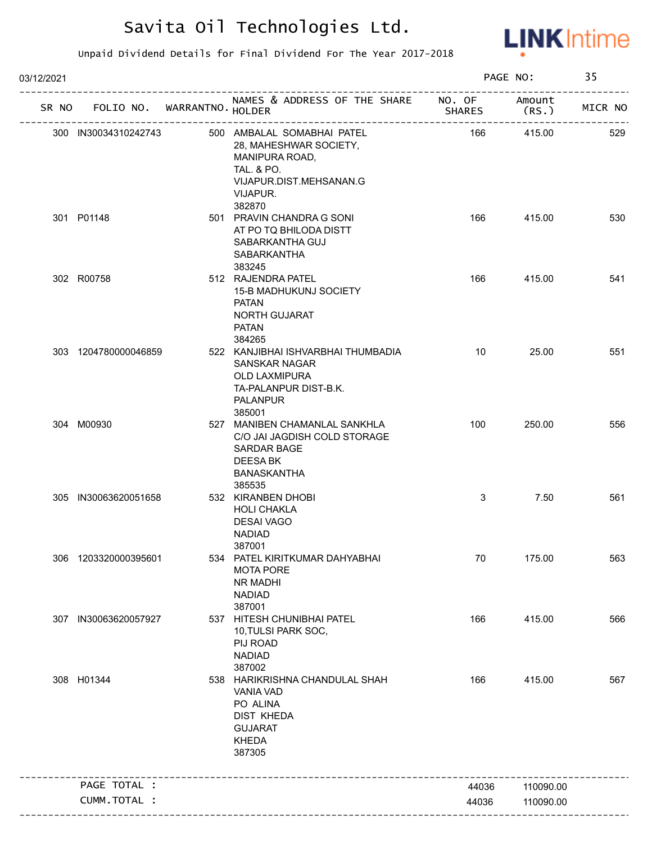

| 03/12/2021 |                             |                                                                                                                                                  |               | PAGE NO:        | 35      |
|------------|-----------------------------|--------------------------------------------------------------------------------------------------------------------------------------------------|---------------|-----------------|---------|
| SR NO      | FOLIO NO. WARRANTNO. HOLDER | NAMES & ADDRESS OF THE SHARE NO. OF                                                                                                              | <b>SHARES</b> | Amount<br>(RS.) | MICR NO |
|            | 300 IN30034310242743        | 500 AMBALAL SOMABHAI PATEL<br>28, MAHESHWAR SOCIETY,<br>MANIPURA ROAD,<br><b>TAL. &amp; PO.</b><br>VIJAPUR.DIST.MEHSANAN.G<br>VIJAPUR.<br>382870 | 166           | 415.00          | 529     |
|            | 301 P01148                  | 501 PRAVIN CHANDRA G SONI<br>AT PO TQ BHILODA DISTT<br>SABARKANTHA GUJ<br>SABARKANTHA<br>383245                                                  | 166           | 415.00          | 530     |
|            | 302 R00758                  | 512 RAJENDRA PATEL<br><b>15-B MADHUKUNJ SOCIETY</b><br>PATAN<br><b>NORTH GUJARAT</b><br><b>PATAN</b><br>384265                                   | 166           | 415.00          | 541     |
|            | 303 1204780000046859        | 522 KANJIBHAI ISHVARBHAI THUMBADIA<br><b>SANSKAR NAGAR</b><br>OLD LAXMIPURA<br>TA-PALANPUR DIST-B.K.<br><b>PALANPUR</b><br>385001                | 10            | 25.00           | 551     |
|            | 304 M00930                  | 527 MANIBEN CHAMANLAL SANKHLA<br>C/O JAI JAGDISH COLD STORAGE<br>SARDAR BAGE<br>DEESA BK<br>BANASKANTHA<br>385535                                | 100           | 250.00          | 556     |
|            | 305 IN30063620051658        | 532 KIRANBEN DHOBI<br><b>HOLI CHAKLA</b><br><b>DESAI VAGO</b><br><b>NADIAD</b><br>387001                                                         | 3             | 7.50            | 561     |
|            | 306 1203320000395601        | 534 PATEL KIRITKUMAR DAHYABHAI<br><b>MOTA PORE</b><br>NR MADHI<br><b>NADIAD</b><br>387001                                                        | 70            | 175.00          | 563     |
|            | 307 IN30063620057927        | 537 HITESH CHUNIBHAI PATEL<br>10, TULSI PARK SOC,<br>PIJ ROAD<br><b>NADIAD</b><br>387002                                                         | 166           | 415.00          | 566     |
|            | 308 H01344                  | 538 HARIKRISHNA CHANDULAL SHAH<br><b>VANIA VAD</b><br>PO ALINA<br><b>DIST KHEDA</b><br><b>GUJARAT</b><br><b>KHEDA</b><br>387305                  | 166           | 415.00          | 567     |
|            | PAGE TOTAL :                |                                                                                                                                                  | 44036         | 110090.00       |         |
|            | CUMM.TOTAL :                |                                                                                                                                                  | 44036         | 110090.00       |         |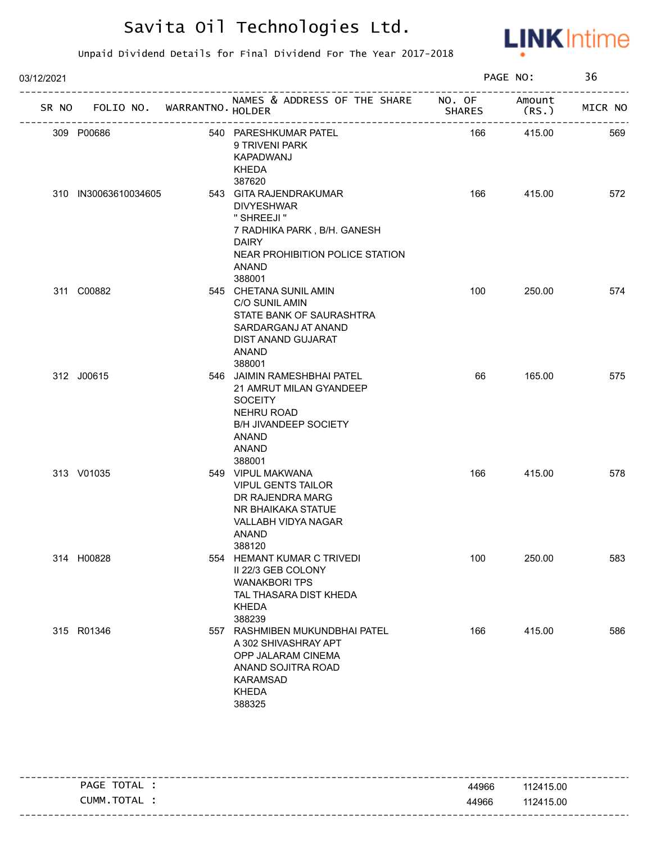

| 03/12/2021 |                             |                                                                                                                                                                         |               | PAGE NO:        | 36      |
|------------|-----------------------------|-------------------------------------------------------------------------------------------------------------------------------------------------------------------------|---------------|-----------------|---------|
| SR NO      | FOLIO NO. WARRANTNO. HOLDER | NAMES & ADDRESS OF THE SHARE NO. OF                                                                                                                                     | <b>SHARES</b> | Amount<br>(RS.) | MICR NO |
|            | 309 P00686                  | 540 PARESHKUMAR PATEL<br>9 TRIVENI PARK<br>KAPADWANJ<br>KHEDA<br>387620                                                                                                 | 166           | 415.00          | 569     |
|            | 310 IN30063610034605        | 543 GITA RAJENDRAKUMAR<br><b>DIVYESHWAR</b><br>" SHREEJI "<br>7 RADHIKA PARK, B/H. GANESH<br><b>DAIRY</b><br>NEAR PROHIBITION POLICE STATION<br><b>ANAND</b><br>388001  | 166           | 415.00          | 572     |
|            | 311 C00882                  | 545 CHETANA SUNIL AMIN<br>C/O SUNIL AMIN<br>STATE BANK OF SAURASHTRA<br>SARDARGANJ AT ANAND<br>DIST ANAND GUJARAT<br><b>ANAND</b><br>388001                             | 100           | 250.00          | 574     |
|            | 312 J00615                  | 546 JAIMIN RAMESHBHAI PATEL<br>21 AMRUT MILAN GYANDEEP<br><b>SOCEITY</b><br><b>NEHRU ROAD</b><br><b>B/H JIVANDEEP SOCIETY</b><br><b>ANAND</b><br><b>ANAND</b><br>388001 | 66            | 165.00          | 575     |
|            | 313 V01035                  | 549 VIPUL MAKWANA<br><b>VIPUL GENTS TAILOR</b><br>DR RAJENDRA MARG<br>NR BHAIKAKA STATUE<br>VALLABH VIDYA NAGAR<br><b>ANAND</b><br>388120                               | 166           | 415.00          | 578     |
|            | 314 H00828                  | 554 HEMANT KUMAR C TRIVEDI<br>II 22/3 GEB COLONY<br><b>WANAKBORI TPS</b><br>TAL THASARA DIST KHEDA<br><b>KHEDA</b><br>388239                                            | 100           | 250.00          | 583     |
|            | 315 R01346                  | 557 RASHMIBEN MUKUNDBHAI PATEL<br>A 302 SHIVASHRAY APT<br>OPP JALARAM CINEMA<br>ANAND SOJITRA ROAD<br><b>KARAMSAD</b><br><b>KHEDA</b><br>388325                         | 166           | 415.00          | 586     |

| TOTAL<br>PAGE  | 44966 | 112415.00                                 |
|----------------|-------|-------------------------------------------|
| TOTAL<br>CUMM. | 44966 | 112415.00                                 |
|                |       | ------------------------------<br>- - - - |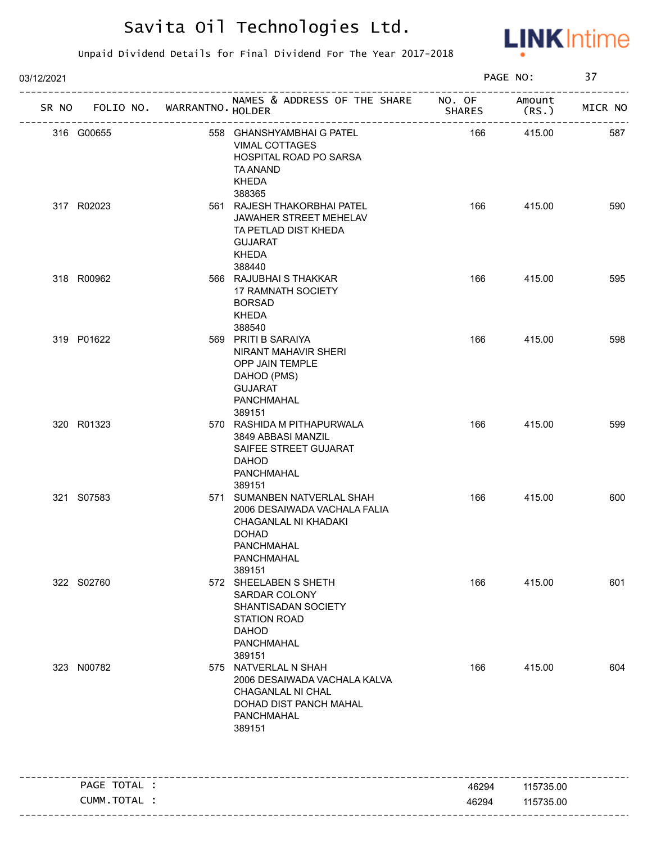

| 03/12/2021   |                             |                                                                                                                                                  |               | PAGE NO:         | 37      |
|--------------|-----------------------------|--------------------------------------------------------------------------------------------------------------------------------------------------|---------------|------------------|---------|
| SR NO        | FOLIO NO. WARRANTNO. HOLDER | NAMES & ADDRESS OF THE SHARE NO. OF                                                                                                              | <b>SHARES</b> | Amount<br>(RS. ) | MICR NO |
| 316 G00655   |                             | 558 GHANSHYAMBHAI G PATEL<br>VIMAL COTTAGES<br>HOSPITAL ROAD PO SARSA<br>TA ANAND<br><b>KHEDA</b><br>388365                                      | 166           | 415.00           | 587     |
| 317 R02023   |                             | 561 RAJESH THAKORBHAI PATEL<br>JAWAHER STREET MEHELAV<br>TA PETLAD DIST KHEDA<br><b>GUJARAT</b><br>KHEDA<br>388440                               | 166           | 415.00           | 590     |
| 318 R00962   |                             | 566 RAJUBHAI S THAKKAR<br>17 RAMNATH SOCIETY<br><b>BORSAD</b><br>KHEDA<br>388540                                                                 | 166           | 415.00           | 595     |
| 319 P01622   |                             | 569 PRITI B SARAIYA<br>NIRANT MAHAVIR SHERI<br>OPP JAIN TEMPLE<br>DAHOD (PMS)<br><b>GUJARAT</b><br>PANCHMAHAL<br>389151                          | 166           | 415.00           | 598     |
| 320 R01323   |                             | 570 RASHIDA M PITHAPURWALA<br>3849 ABBASI MANZIL<br>SAIFEE STREET GUJARAT<br><b>DAHOD</b><br>PANCHMAHAL<br>389151                                | 166           | 415.00           | 599     |
| 321 S07583   |                             | 571 SUMANBEN NATVERLAL SHAH<br>2006 DESAIWADA VACHALA FALIA<br>CHAGANLAL NI KHADAKI<br><b>DOHAD</b><br><b>PANCHMAHAL</b><br>PANCHMAHAL<br>389151 | 166           | 415.00           | 600     |
| 322 S02760   |                             | 572 SHEELABEN S SHETH<br>SARDAR COLONY<br>SHANTISADAN SOCIETY<br><b>STATION ROAD</b><br><b>DAHOD</b><br>PANCHMAHAL<br>389151                     | 166           | 415.00           | 601     |
| 323 N00782   |                             | 575 NATVERLAL N SHAH<br>2006 DESAIWADA VACHALA KALVA<br>CHAGANLAL NI CHAL<br>DOHAD DIST PANCH MAHAL<br>PANCHMAHAL<br>389151                      | 166           | 415.00           | 604     |
| PAGE TOTAL : |                             |                                                                                                                                                  | 46294         | 115735.00        |         |
| CUMM.TOTAL : |                             |                                                                                                                                                  | 46294         | 115735.00        |         |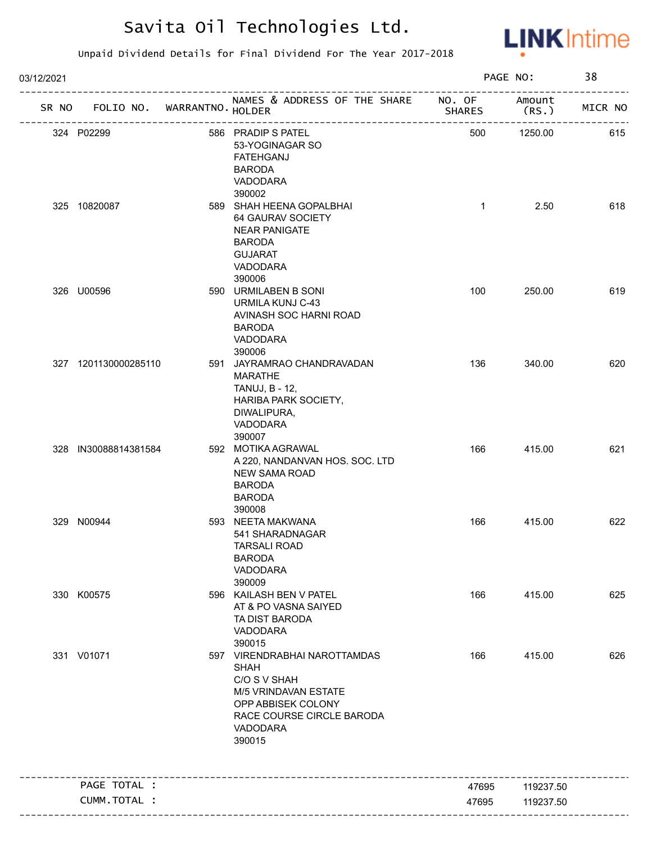

| 03/12/2021 |                      |                             |                                                                                                                                                                     |               | PAGE NO:       | 38      |
|------------|----------------------|-----------------------------|---------------------------------------------------------------------------------------------------------------------------------------------------------------------|---------------|----------------|---------|
| SR NO      |                      | FOLIO NO. WARRANTNO. HOLDER | NAMES & ADDRESS OF THE SHARE NO. OF<br>-----------------------                                                                                                      | <b>SHARES</b> | Amount<br>(RS. | MICR NO |
|            | 324 P02299           |                             | 586 PRADIP S PATEL<br>53-YOGINAGAR SO<br><b>FATEHGANJ</b><br><b>BARODA</b><br>VADODARA                                                                              | 500           | 1250.00        | 615     |
|            | 325 10820087         |                             | 390002<br>589 SHAH HEENA GOPALBHAI<br>64 GAURAV SOCIETY<br><b>NEAR PANIGATE</b><br><b>BARODA</b><br><b>GUJARAT</b><br>VADODARA<br>390006                            | $\mathbf{1}$  | 2.50           | 618     |
|            | 326 U00596           |                             | 590 URMILABEN B SONI<br>URMILA KUNJ C-43<br>AVINASH SOC HARNI ROAD<br><b>BARODA</b><br>VADODARA<br>390006                                                           | 100           | 250.00         | 619     |
|            | 327 1201130000285110 |                             | 591 JAYRAMRAO CHANDRAVADAN<br><b>MARATHE</b><br>TANUJ, B - 12,<br>HARIBA PARK SOCIETY,<br>DIWALIPURA,<br>VADODARA<br>390007                                         | 136           | 340.00         | 620     |
|            | 328 IN30088814381584 |                             | 592 MOTIKA AGRAWAL<br>A 220, NANDANVAN HOS. SOC. LTD<br><b>NEW SAMA ROAD</b><br><b>BARODA</b><br><b>BARODA</b><br>390008                                            | 166           | 415.00         | 621     |
|            | 329 N00944           |                             | 593 NEETA MAKWANA<br>541 SHARADNAGAR<br>TARSALI ROAD<br><b>BARODA</b><br>VADODARA<br>390009                                                                         | 166           | 415.00         | 622     |
|            | 330 K00575           |                             | 596 KAILASH BEN V PATEL<br>AT & PO VASNA SAIYED<br>TA DIST BARODA<br>VADODARA<br>390015                                                                             | 166           | 415.00         | 625     |
|            | 331 V01071           |                             | 597 VIRENDRABHAI NAROTTAMDAS<br><b>SHAH</b><br>C/O S V SHAH<br><b>M/5 VRINDAVAN ESTATE</b><br>OPP ABBISEK COLONY<br>RACE COURSE CIRCLE BARODA<br>VADODARA<br>390015 | 166           | 415.00         | 626     |
|            | PAGE TOTAL :         |                             |                                                                                                                                                                     | 47695         | 119237.50      |         |
|            | CUMM. TOTAL :        |                             |                                                                                                                                                                     | 47695         | 119237.50      |         |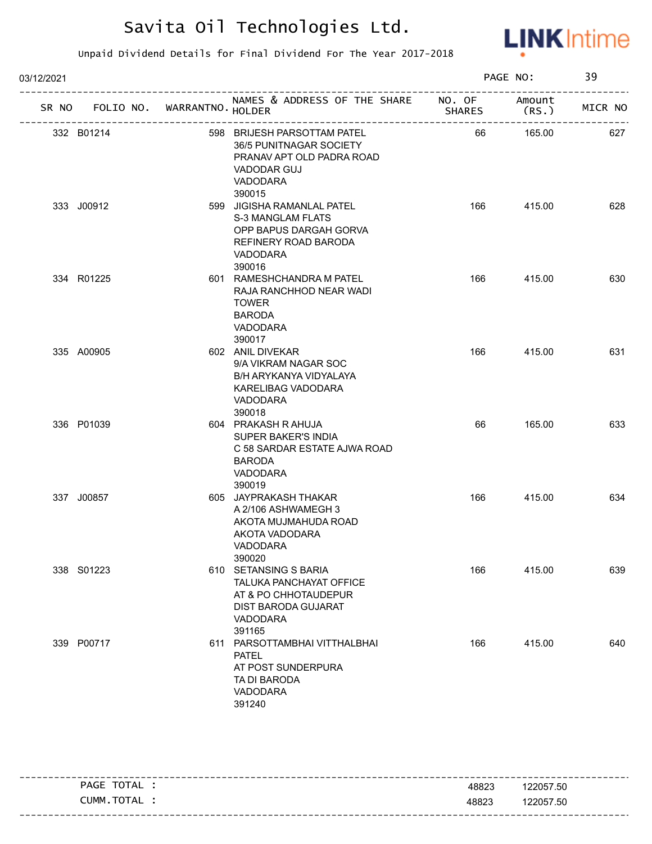

| 03/12/2021 |                                   |  |                                                                                                                                        |                                            | PAGE NO:        |         |
|------------|-----------------------------------|--|----------------------------------------------------------------------------------------------------------------------------------------|--------------------------------------------|-----------------|---------|
|            | SR NO FOLIO NO. WARRANTNO. HOLDER |  | NAMES & ADDRESS OF THE SHARE NO. OF                                                                                                    | <b>SHARES</b><br>------------------------- | Amount<br>(RS.) | MICR NO |
|            | 332 B01214                        |  | 598 BRIJESH PARSOTTAM PATEL<br>36/5 PUNITNAGAR SOCIETY<br>PRANAV APT OLD PADRA ROAD<br><b>VADODAR GUJ</b><br><b>VADODARA</b><br>390015 | 66                                         | 165.00          | 627     |
|            | 333 J00912                        |  | 599 JIGISHA RAMANLAL PATEL<br><b>S-3 MANGLAM FLATS</b><br>OPP BAPUS DARGAH GORVA<br>REFINERY ROAD BARODA<br>VADODARA<br>390016         | 166                                        | 415.00          | 628     |
|            | 334 R01225                        |  | 601 RAMESHCHANDRA M PATEL<br>RAJA RANCHHOD NEAR WADI<br><b>TOWER</b><br><b>BARODA</b><br>VADODARA<br>390017                            | 166                                        | 415.00          | 630     |
|            | 335 A00905                        |  | 602 ANIL DIVEKAR<br>9/A VIKRAM NAGAR SOC<br>B/H ARYKANYA VIDYALAYA<br>KARELIBAG VADODARA<br><b>VADODARA</b><br>390018                  | 166                                        | 415.00          | 631     |
|            | 336 P01039                        |  | 604 PRAKASH R AHUJA<br>SUPER BAKER'S INDIA<br>C 58 SARDAR ESTATE AJWA ROAD<br><b>BARODA</b><br>VADODARA<br>390019                      | 66                                         | 165.00          | 633     |
|            | 337 J00857                        |  | 605 JAYPRAKASH THAKAR<br>A 2/106 ASHWAMEGH 3<br>AKOTA MUJMAHUDA ROAD<br>AKOTA VADODARA<br>VADODARA<br>390020                           | 166                                        | 415.00          | 634     |
|            | 338 S01223                        |  | 610 SETANSING S BARIA<br>TALUKA PANCHAYAT OFFICE<br>AT & PO CHHOTAUDEPUR<br><b>DIST BARODA GUJARAT</b><br>VADODARA<br>391165           | 166                                        | 415.00          | 639     |
|            | 339 P00717                        |  | 611 PARSOTTAMBHAI VITTHALBHAI<br><b>PATEL</b><br>AT POST SUNDERPURA<br>TA DI BARODA<br>VADODARA<br>391240                              | 166                                        | 415.00          | 640     |

| TOTAL<br>PAGE | 48823 | 122057.50 |
|---------------|-------|-----------|
| CUMM.TOTAL    | 48823 | 122057.50 |
|               |       |           |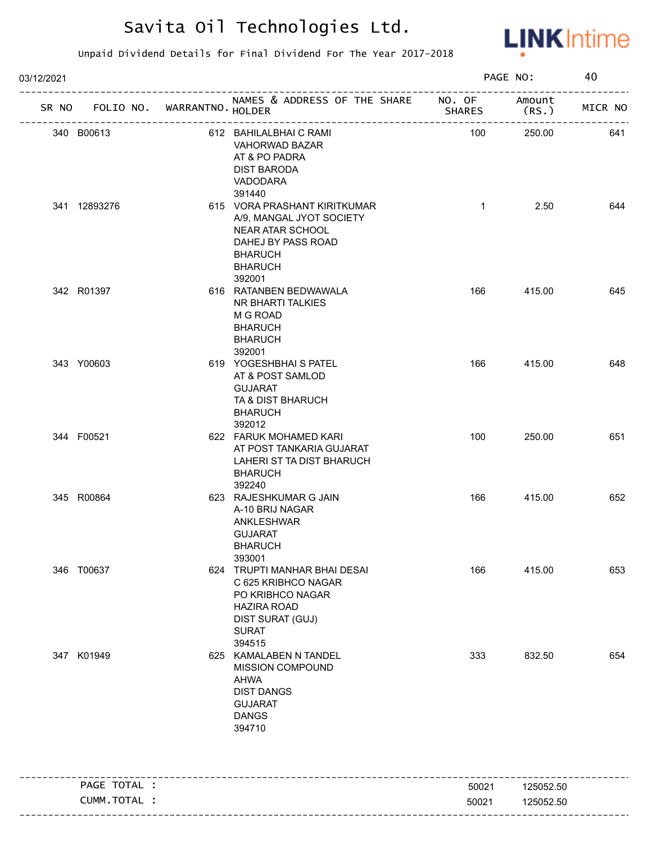

| 03/12/2021 |              |                             |                                                                                                                                                            |                | PAGE NO:        | 40      |
|------------|--------------|-----------------------------|------------------------------------------------------------------------------------------------------------------------------------------------------------|----------------|-----------------|---------|
| SR NO      |              | FOLIO NO. WARRANTNO. HOLDER | NAMES & ADDRESS OF THE SHARE NO. OF<br>____________________                                                                                                | <b>SHARES</b>  | Amount<br>(RS.) | MICR NO |
| 340 B00613 |              |                             | 612 BAHILALBHAI C RAMI<br>VAHORWAD BAZAR<br>AT & PO PADRA<br><b>DIST BARODA</b><br>VADODARA                                                                | 100            | 250.00          | 641     |
|            | 341 12893276 |                             | 391440<br>615 VORA PRASHANT KIRITKUMAR<br>A/9, MANGAL JYOT SOCIETY<br>NEAR ATAR SCHOOL<br>DAHEJ BY PASS ROAD<br><b>BHARUCH</b><br><b>BHARUCH</b><br>392001 | $\mathbf{1}$   | 2.50            | 644     |
| 342 R01397 |              |                             | 616 RATANBEN BEDWAWALA<br>NR BHARTI TALKIES<br>M G ROAD<br><b>BHARUCH</b><br><b>BHARUCH</b><br>392001                                                      | 166            | 415.00          | 645     |
| 343 Y00603 |              |                             | 619 YOGESHBHAI S PATEL<br>AT & POST SAMLOD<br><b>GUJARAT</b><br>TA & DIST BHARUCH<br><b>BHARUCH</b><br>392012                                              | 166            | 415.00          | 648     |
| 344 F00521 |              |                             | 622 FARUK MOHAMED KARI<br>AT POST TANKARIA GUJARAT<br>LAHERI ST TA DIST BHARUCH<br><b>BHARUCH</b><br>392240                                                | 100            | 250.00          | 651     |
| 345 R00864 |              |                             | 623 RAJESHKUMAR G JAIN<br>A-10 BRIJ NAGAR<br>ANKLESHWAR<br><b>GUJARAT</b><br><b>BHARUCH</b><br>393001                                                      | 166            | 415.00          | 652     |
| 346 T00637 |              |                             | 624 TRUPTI MANHAR BHAI DESAI<br>C 625 KRIBHCO NAGAR<br>PO KRIBHCO NAGAR<br><b>HAZIRA ROAD</b><br><b>DIST SURAT (GUJ)</b><br><b>SURAT</b><br>394515         | 166            | 415.00          | 653     |
| 347 K01949 |              |                             | 625 KAMALABEN N TANDEL<br><b>MISSION COMPOUND</b><br>AHWA<br><b>DIST DANGS</b><br><b>GUJARAT</b><br><b>DANGS</b><br>394710                                 | 333            | 832.50          | 654     |
|            | PAGE TOTAL : |                             |                                                                                                                                                            |                | 125052.50       |         |
|            | CUMM.TOTAL : |                             |                                                                                                                                                            | 50021<br>50021 | 125052.50       |         |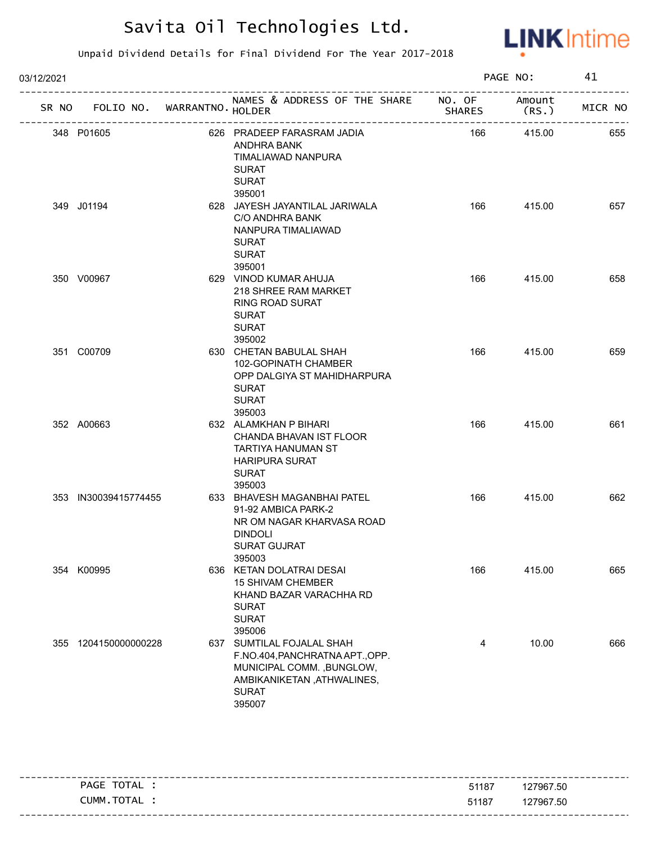

| 03/12/2021 |                                   |                                                                                                                                                   |               | PAGE NO: | 41      |
|------------|-----------------------------------|---------------------------------------------------------------------------------------------------------------------------------------------------|---------------|----------|---------|
|            | SR NO FOLIO NO. WARRANTNO. HOLDER | NAMES & ADDRESS OF THE SHARE NO. OF Amount                                                                                                        | <b>SHARES</b> | (RS. )   | MICR NO |
|            | 348 P01605                        | 626 PRADEEP FARASRAM JADIA<br>ANDHRA BANK<br>TIMALIAWAD NANPURA<br><b>SURAT</b><br><b>SURAT</b><br>395001                                         | 166           | 415.00   | 655     |
|            | 349 J01194                        | 628 JAYESH JAYANTILAL JARIWALA<br>C/O ANDHRA BANK<br>NANPURA TIMALIAWAD<br><b>SURAT</b><br><b>SURAT</b><br>395001                                 | 166           | 415.00   | 657     |
|            | 350 V00967                        | 629 VINOD KUMAR AHUJA<br>218 SHREE RAM MARKET<br><b>RING ROAD SURAT</b><br>SURAT<br><b>SURAT</b><br>395002                                        | 166           | 415.00   | 658     |
|            | 351 C00709                        | 630 CHETAN BABULAL SHAH<br>102-GOPINATH CHAMBER<br>OPP DALGIYA ST MAHIDHARPURA<br><b>SURAT</b><br><b>SURAT</b><br>395003                          | 166           | 415.00   | 659     |
|            | 352 A00663                        | 632 ALAMKHAN P BIHARI<br>CHANDA BHAVAN IST FLOOR<br>TARTIYA HANUMAN ST<br><b>HARIPURA SURAT</b><br><b>SURAT</b><br>395003                         | 166           | 415.00   | 661     |
|            | 353 IN30039415774455              | 633 BHAVESH MAGANBHAI PATEL<br>91-92 AMBICA PARK-2<br>NR OM NAGAR KHARVASA ROAD<br><b>DINDOLI</b><br><b>SURAT GUJRAT</b><br>395003                | 166           | 415.00   | 662     |
|            | 354 K00995                        | 636 KETAN DOLATRAI DESAI<br><b>15 SHIVAM CHEMBER</b><br>KHAND BAZAR VARACHHA RD<br><b>SURAT</b><br><b>SURAT</b><br>395006                         | 166           | 415.00   | 665     |
|            | 355 1204150000000228              | 637 SUMTILAL FOJALAL SHAH<br>F.NO.404, PANCHRATNA APT., OPP.<br>MUNICIPAL COMM., BUNGLOW,<br>AMBIKANIKETAN, ATHWALINES,<br><b>SURAT</b><br>395007 | 4             | 10.00    | 666     |

| TOTAL<br><b>PAGE</b>         | 51187 | 127967.50                |
|------------------------------|-------|--------------------------|
| <b>TOTAI</b><br>_UMM<br>I AL | 51187 | 127967.50                |
|                              |       | ------------------------ |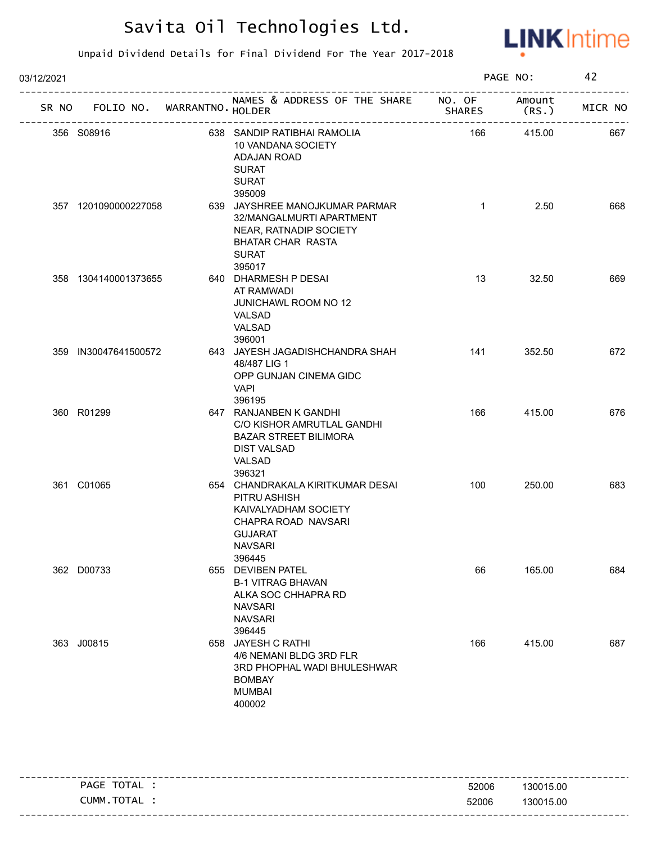

| 03/12/2021 |                                   |                                                                                                                                               |               | PAGE NO:        | 42      |
|------------|-----------------------------------|-----------------------------------------------------------------------------------------------------------------------------------------------|---------------|-----------------|---------|
|            | SR NO FOLIO NO. WARRANTNO. HOLDER | NAMES & ADDRESS OF THE SHARE NO. OF                                                                                                           | <b>SHARES</b> | Amount<br>(RS.) | MICR NO |
|            | 356 S08916                        | 638 SANDIP RATIBHAI RAMOLIA<br>10 VANDANA SOCIETY<br><b>ADAJAN ROAD</b><br><b>SURAT</b><br><b>SURAT</b><br>395009                             | 166           | 415.00          | 667     |
|            | 357 1201090000227058              | 639 JAYSHREE MANOJKUMAR PARMAR<br>32/MANGALMURTI APARTMENT<br>NEAR, RATNADIP SOCIETY<br><b>BHATAR CHAR RASTA</b><br><b>SURAT</b><br>395017    | $\mathbf{1}$  | 2.50            | 668     |
|            | 358 1304140001373655              | 640 DHARMESH P DESAI<br>AT RAMWADI<br><b>JUNICHAWL ROOM NO 12</b><br>VALSAD<br>VALSAD<br>396001                                               | 13            | 32.50           | 669     |
|            | 359 IN30047641500572              | 643 JAYESH JAGADISHCHANDRA SHAH<br>48/487 LIG 1<br>OPP GUNJAN CINEMA GIDC<br>VAPI<br>396195                                                   | 141           | 352.50          | 672     |
|            | 360 R01299                        | 647 RANJANBEN K GANDHI<br>C/O KISHOR AMRUTLAL GANDHI<br><b>BAZAR STREET BILIMORA</b><br><b>DIST VALSAD</b><br>VALSAD<br>396321                | 166           | 415.00          | 676     |
|            | 361 C01065                        | 654 CHANDRAKALA KIRITKUMAR DESAI<br>PITRU ASHISH<br>KAIVALYADHAM SOCIETY<br>CHAPRA ROAD NAVSARI<br><b>GUJARAT</b><br><b>NAVSARI</b><br>396445 | 100           | 250.00          | 683     |
|            | 362 D00733                        | 655 DEVIBEN PATEL<br><b>B-1 VITRAG BHAVAN</b><br>ALKA SOC CHHAPRA RD<br><b>NAVSARI</b><br><b>NAVSARI</b><br>396445                            | 66            | 165.00          | 684     |
|            | 363 J00815                        | 658 JAYESH C RATHI<br>4/6 NEMANI BLDG 3RD FLR<br>3RD PHOPHAL WADI BHULESHWAR<br><b>BOMBAY</b><br><b>MUMBAI</b><br>400002                      | 166           | 415.00          | 687     |

| TOTAL<br>PAGE | 52006 | 130015.00 |
|---------------|-------|-----------|
| CUMM.TOTAL    | 52006 | 130015.00 |
|               |       |           |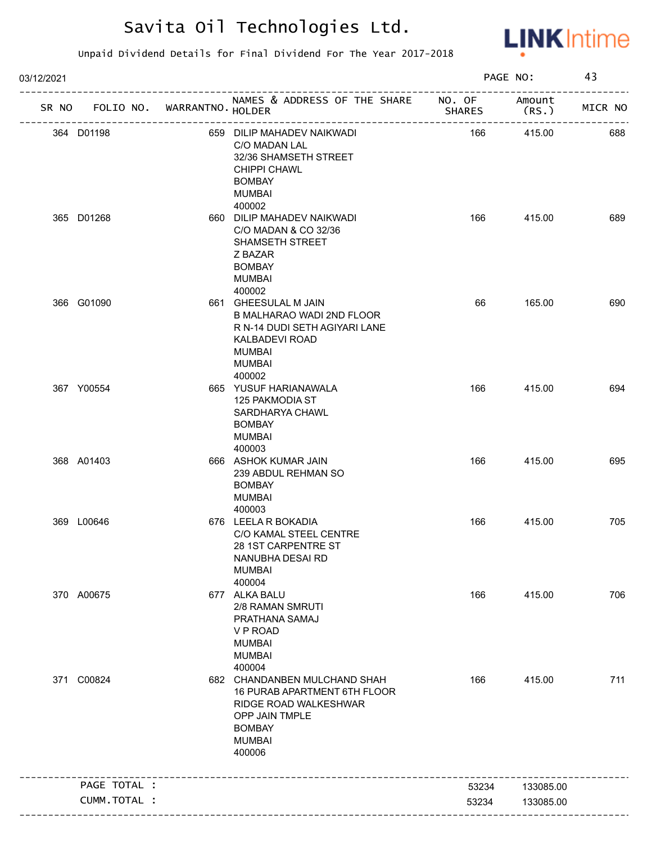

| 03/12/2021 |                                   |                                                                                                                                                     |        | PAGE NO:         | 43      |
|------------|-----------------------------------|-----------------------------------------------------------------------------------------------------------------------------------------------------|--------|------------------|---------|
|            | SR NO FOLIO NO. WARRANTNO. HOLDER | NAMES & ADDRESS OF THE SHARE NO. OF                                                                                                                 | SHARES | Amount<br>(RS. ) | MICR NO |
|            | 364 D01198                        | 659 DILIP MAHADEV NAIKWADI<br>C/O MADAN LAL<br>32/36 SHAMSETH STREET<br><b>CHIPPI CHAWL</b><br><b>BOMBAY</b><br><b>MUMBAI</b><br>400002             | 166    | 415.00           | 688     |
|            | 365 D01268                        | 660 DILIP MAHADEV NAIKWADI<br>C/O MADAN & CO 32/36<br>SHAMSETH STREET<br>Z BAZAR<br><b>BOMBAY</b><br>MUMBAI<br>400002                               | 166    | 415.00           | 689     |
|            | 366 G01090                        | 661 GHEESULAL M JAIN<br>B MALHARAO WADI 2ND FLOOR<br>R N-14 DUDI SETH AGIYARI LANE<br>KALBADEVI ROAD<br><b>MUMBAI</b><br><b>MUMBAI</b><br>400002    | 66     | 165.00           | 690     |
|            | 367 Y00554                        | 665 YUSUF HARIANAWALA<br>125 PAKMODIA ST<br>SARDHARYA CHAWL<br><b>BOMBAY</b><br><b>MUMBAI</b><br>400003                                             | 166    | 415.00           | 694     |
|            | 368 A01403                        | 666 ASHOK KUMAR JAIN<br>239 ABDUL REHMAN SO<br><b>BOMBAY</b><br><b>MUMBAI</b><br>400003                                                             | 166    | 415.00           | 695     |
|            | 369 L00646                        | 676 LEELA R BOKADIA<br>C/O KAMAL STEEL CENTRE<br>28 1ST CARPENTRE ST<br>NANUBHA DESAI RD<br><b>MUMBAI</b><br>400004                                 | 166    | 415.00           | 705     |
|            | 370 A00675                        | 677 ALKA BALU<br>2/8 RAMAN SMRUTI<br>PRATHANA SAMAJ<br>V P ROAD<br><b>MUMBAI</b><br><b>MUMBAI</b><br>400004                                         | 166    | 415.00           | 706     |
|            | 371 C00824                        | 682 CHANDANBEN MULCHAND SHAH<br>16 PURAB APARTMENT 6TH FLOOR<br>RIDGE ROAD WALKESHWAR<br>OPP JAIN TMPLE<br><b>BOMBAY</b><br><b>MUMBAI</b><br>400006 | 166    | 415.00           | 711     |
|            | PAGE TOTAL :                      |                                                                                                                                                     | 53234  | 133085.00        |         |
|            | CUMM.TOTAL :                      |                                                                                                                                                     | 53234  | 133085.00        |         |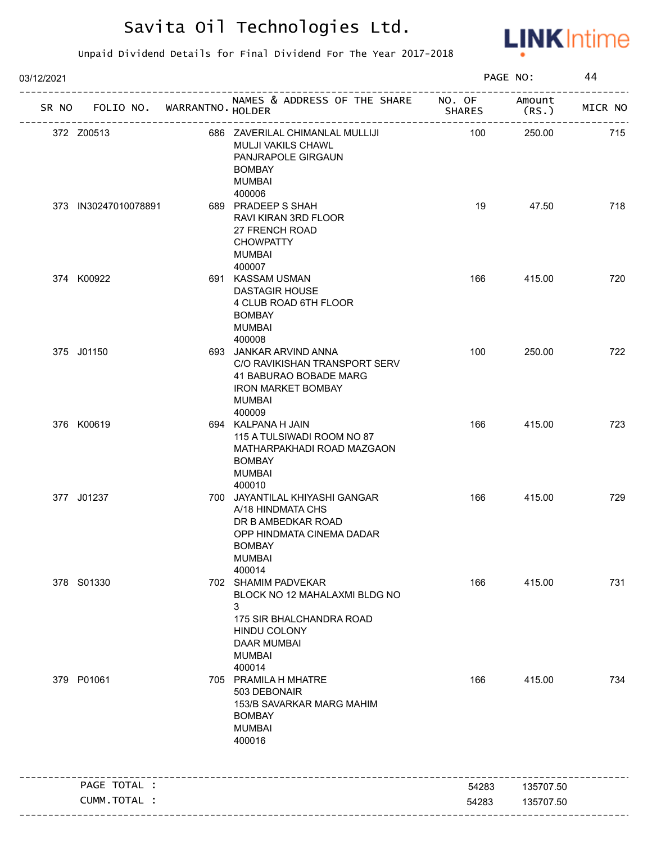

| 03/12/2021 |                                   |                                                                                                                                                               |               | PAGE NO:        | 44      |
|------------|-----------------------------------|---------------------------------------------------------------------------------------------------------------------------------------------------------------|---------------|-----------------|---------|
|            | SR NO FOLIO NO. WARRANTNO. HOLDER | NAMES & ADDRESS OF THE SHARE NO. OF                                                                                                                           | <b>SHARES</b> | Amount<br>(RS.) | MICR NO |
| 372 Z00513 |                                   | 686 ZAVERILAL CHIMANLAL MULLIJI<br>MULJI VAKILS CHAWL<br>PANJRAPOLE GIRGAUN<br><b>BOMBAY</b><br><b>MUMBAI</b>                                                 | 100           | 250.00          | 715     |
|            | 373 IN30247010078891              | 400006<br>689 PRADEEP S SHAH<br><b>RAVI KIRAN 3RD FLOOR</b><br>27 FRENCH ROAD<br><b>CHOWPATTY</b><br><b>MUMBAI</b>                                            | 19            | 47.50           | 718     |
| 374 K00922 |                                   | 400007<br>691 KASSAM USMAN<br><b>DASTAGIR HOUSE</b><br>4 CLUB ROAD 6TH FLOOR<br><b>BOMBAY</b><br><b>MUMBAI</b><br>400008                                      | 166           | 415.00          | 720     |
| 375 J01150 |                                   | 693 JANKAR ARVIND ANNA<br>C/O RAVIKISHAN TRANSPORT SERV<br>41 BABURAO BOBADE MARG<br><b>IRON MARKET BOMBAY</b><br><b>MUMBAI</b><br>400009                     | 100           | 250.00          | 722     |
| 376 K00619 |                                   | 694 KALPANA H JAIN<br>115 A TULSIWADI ROOM NO 87<br>MATHARPAKHADI ROAD MAZGAON<br><b>BOMBAY</b><br><b>MUMBAI</b><br>400010                                    | 166           | 415.00          | 723     |
| 377 J01237 |                                   | 700 JAYANTILAL KHIYASHI GANGAR<br>A/18 HINDMATA CHS<br>DR B AMBEDKAR ROAD<br>OPP HINDMATA CINEMA DADAR<br><b>BOMBAY</b><br><b>MUMBAI</b><br>400014            | 166           | 415.00          | 729     |
| 378 S01330 |                                   | 702 SHAMIM PADVEKAR<br>BLOCK NO 12 MAHALAXMI BLDG NO<br>3<br>175 SIR BHALCHANDRA ROAD<br><b>HINDU COLONY</b><br><b>DAAR MUMBAI</b><br><b>MUMBAI</b><br>400014 | 166           | 415.00          | 731     |
| 379 P01061 |                                   | 705 PRAMILA H MHATRE<br>503 DEBONAIR<br>153/B SAVARKAR MARG MAHIM<br><b>BOMBAY</b><br><b>MUMBAI</b><br>400016                                                 | 166           | 415.00          | 734     |
|            | PAGE TOTAL :                      |                                                                                                                                                               | 54283         | 135707.50       |         |
|            | CUMM.TOTAL :                      |                                                                                                                                                               | 54283         | 135707.50       |         |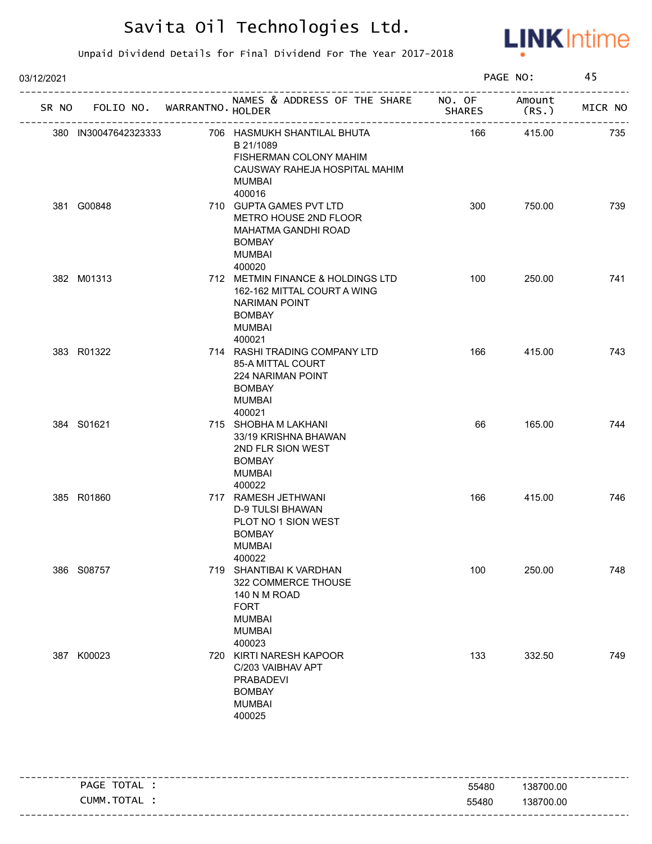

| 03/12/2021           |                             |                                                                                                                                |               | PAGE NO:        | 45      |
|----------------------|-----------------------------|--------------------------------------------------------------------------------------------------------------------------------|---------------|-----------------|---------|
| SR NO                | FOLIO NO. WARRANTNO. HOLDER | NAMES & ADDRESS OF THE SHARE NO. OF                                                                                            | <b>SHARES</b> | Amount<br>(RS.) | MICR NO |
| 380 IN30047642323333 |                             | 706 HASMUKH SHANTILAL BHUTA<br>B 21/1089<br>FISHERMAN COLONY MAHIM<br>CAUSWAY RAHEJA HOSPITAL MAHIM<br><b>MUMBAI</b><br>400016 | 166           | 415.00          | 735     |
| 381 G00848           |                             | 710 GUPTA GAMES PVT LTD<br>METRO HOUSE 2ND FLOOR<br>MAHATMA GANDHI ROAD<br><b>BOMBAY</b><br><b>MUMBAI</b><br>400020            | 300           | 750.00          | 739     |
| 382 M01313           |                             | 712 METMIN FINANCE & HOLDINGS LTD<br>162-162 MITTAL COURT A WING<br>NARIMAN POINT<br><b>BOMBAY</b><br><b>MUMBAI</b><br>400021  | 100           | 250.00          | 741     |
| 383 R01322           |                             | 714 RASHI TRADING COMPANY LTD<br>85-A MITTAL COURT<br>224 NARIMAN POINT<br><b>BOMBAY</b><br><b>MUMBAI</b><br>400021            | 166           | 415.00          | 743     |
| 384 S01621           |                             | 715 SHOBHA M LAKHANI<br>33/19 KRISHNA BHAWAN<br>2ND FLR SION WEST<br><b>BOMBAY</b><br><b>MUMBAI</b><br>400022                  | 66            | 165.00          | 744     |
| 385 R01860           |                             | 717 RAMESH JETHWANI<br><b>D-9 TULSI BHAWAN</b><br>PLOT NO 1 SION WEST<br><b>BOMBAY</b><br>MUMBAI<br>400022                     | 166           | 415.00          | 746     |
| 386 S08757           |                             | 719 SHANTIBAI K VARDHAN<br>322 COMMERCE THOUSE<br>140 N M ROAD<br><b>FORT</b><br><b>MUMBAI</b><br><b>MUMBAI</b><br>400023      | 100           | 250.00          | 748     |
| 387 K00023           |                             | 720 KIRTI NARESH KAPOOR<br>C/203 VAIBHAV APT<br><b>PRABADEVI</b><br><b>BOMBAY</b><br><b>MUMBAI</b><br>400025                   | 133           | 332.50          | 749     |

| -------- |                      |       |           |
|----------|----------------------|-------|-----------|
|          | TOTAL<br><b>PAGE</b> | 55480 | 138700.00 |
|          | ` TOTAL<br>UMM.      | 55480 | 138700.00 |
|          |                      |       |           |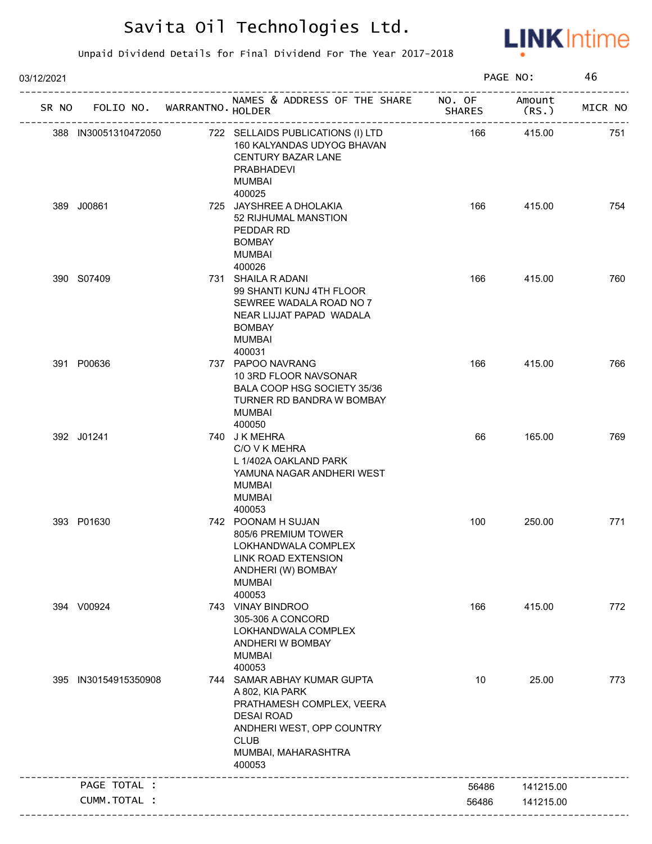

| 03/12/2021 |                             |                                                                                                                                                                               |               | PAGE NO:        | 46      |
|------------|-----------------------------|-------------------------------------------------------------------------------------------------------------------------------------------------------------------------------|---------------|-----------------|---------|
| SR NO      | FOLIO NO. WARRANTNO. HOLDER | NAMES & ADDRESS OF THE SHARE NO. OF                                                                                                                                           | <b>SHARES</b> | Amount<br>(RS.) | MICR NO |
|            | 388 IN30051310472050        | 722 SELLAIDS PUBLICATIONS (I) LTD<br>160 KALYANDAS UDYOG BHAVAN<br><b>CENTURY BAZAR LANE</b><br><b>PRABHADEVI</b><br><b>MUMBAI</b>                                            | 166           | 415.00          | 751     |
|            | 389 J00861                  | 400025<br>725 JAYSHREE A DHOLAKIA<br>52 RIJHUMAL MANSTION<br>PEDDAR RD<br><b>BOMBAY</b><br><b>MUMBAI</b><br>400026                                                            | 166           | 415.00          | 754     |
|            | 390 S07409                  | 731 SHAILA R ADANI<br>99 SHANTI KUNJ 4TH FLOOR<br>SEWREE WADALA ROAD NO 7<br>NEAR LIJJAT PAPAD WADALA<br><b>BOMBAY</b><br><b>MUMBAI</b><br>400031                             | 166           | 415.00          | 760     |
|            | 391 P00636                  | 737 PAPOO NAVRANG<br>10 3RD FLOOR NAVSONAR<br>BALA COOP HSG SOCIETY 35/36<br>TURNER RD BANDRA W BOMBAY<br><b>MUMBAI</b><br>400050                                             | 166           | 415.00          | 766     |
|            | 392 J01241                  | 740 JK MEHRA<br>C/O V K MEHRA<br>L 1/402A OAKLAND PARK<br>YAMUNA NAGAR ANDHERI WEST<br><b>MUMBAI</b><br><b>MUMBAI</b><br>400053                                               | 66            | 165.00          | 769     |
|            | 393 P01630                  | 742 POONAM H SUJAN<br>805/6 PREMIUM TOWER<br>LOKHANDWALA COMPLEX<br>LINK ROAD EXTENSION<br>ANDHERI (W) BOMBAY<br><b>MUMBAI</b><br>400053                                      | 100           | 250.00          | 771     |
|            | 394 V00924                  | 743 VINAY BINDROO<br>305-306 A CONCORD<br>LOKHANDWALA COMPLEX<br>ANDHERI W BOMBAY<br><b>MUMBAI</b><br>400053                                                                  | 166           | 415.00          | 772     |
|            | 395 IN30154915350908        | 744 SAMAR ABHAY KUMAR GUPTA<br>A 802, KIA PARK<br>PRATHAMESH COMPLEX, VEERA<br><b>DESAI ROAD</b><br>ANDHERI WEST, OPP COUNTRY<br><b>CLUB</b><br>MUMBAI, MAHARASHTRA<br>400053 | 10            | 25.00           | 773     |
|            | PAGE TOTAL :                |                                                                                                                                                                               | 56486         | 141215.00       |         |
|            | CUMM.TOTAL :                |                                                                                                                                                                               | 56486         | 141215.00       |         |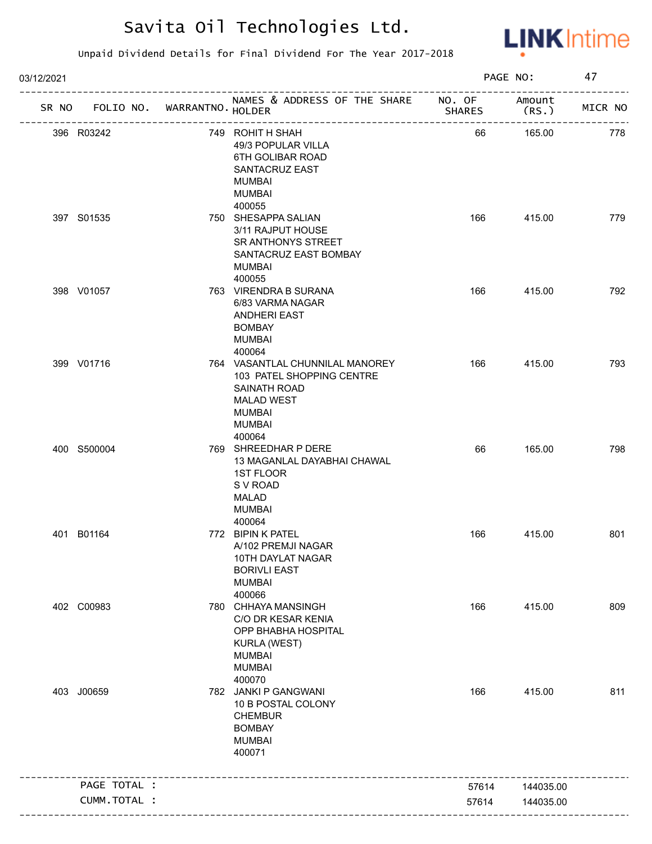

| 03/12/2021 |              |                             |                                                                                                                                               |               | PAGE NO:        | 47      |
|------------|--------------|-----------------------------|-----------------------------------------------------------------------------------------------------------------------------------------------|---------------|-----------------|---------|
| SR NO      |              | FOLIO NO. WARRANTNO. HOLDER | NAMES & ADDRESS OF THE SHARE NO. OF<br>_______________________                                                                                | <b>SHARES</b> | Amount<br>(RS.) | MICR NO |
|            | 396 R03242   |                             | 749 ROHIT H SHAH<br>49/3 POPULAR VILLA<br>6TH GOLIBAR ROAD<br>SANTACRUZ EAST<br>MUMBAI<br><b>MUMBAI</b><br>400055                             | 66            | 165.00          | 778     |
|            | 397 S01535   |                             | 750 SHESAPPA SALIAN<br>3/11 RAJPUT HOUSE<br>SR ANTHONYS STREET<br>SANTACRUZ EAST BOMBAY<br><b>MUMBAI</b><br>400055                            | 166           | 415.00          | 779     |
|            | 398 V01057   |                             | 763 VIRENDRA B SURANA<br>6/83 VARMA NAGAR<br><b>ANDHERI EAST</b><br><b>BOMBAY</b><br><b>MUMBAI</b><br>400064                                  | 166           | 415.00          | 792     |
|            | 399 V01716   |                             | 764 VASANTLAL CHUNNILAL MANOREY<br>103 PATEL SHOPPING CENTRE<br>SAINATH ROAD<br><b>MALAD WEST</b><br><b>MUMBAI</b><br><b>MUMBAI</b><br>400064 | 166           | 415.00          | 793     |
|            | 400 S500004  |                             | 769 SHREEDHAR P DERE<br>13 MAGANLAL DAYABHAI CHAWAL<br>1ST FLOOR<br>S V ROAD<br><b>MALAD</b><br><b>MUMBAI</b><br>400064                       | 66            | 165.00          | 798     |
|            | 401 B01164   |                             | 772 BIPIN K PATEL<br>A/102 PREMJI NAGAR<br>10TH DAYLAT NAGAR<br><b>BORIVLI EAST</b><br><b>MUMBAI</b><br>400066                                | 166           | 415.00          | 801     |
|            | 402 C00983   |                             | 780 CHHAYA MANSINGH<br>C/O DR KESAR KENIA<br>OPP BHABHA HOSPITAL<br><b>KURLA (WEST)</b><br><b>MUMBAI</b><br><b>MUMBAI</b><br>400070           | 166           | 415.00          | 809     |
|            | 403 J00659   |                             | 782 JANKI P GANGWANI<br>10 B POSTAL COLONY<br><b>CHEMBUR</b><br><b>BOMBAY</b><br><b>MUMBAI</b><br>400071                                      | 166           | 415.00          | 811     |
|            | PAGE TOTAL : |                             |                                                                                                                                               | 57614         | 144035.00       |         |
|            | CUMM.TOTAL : |                             |                                                                                                                                               | 57614         | 144035.00       |         |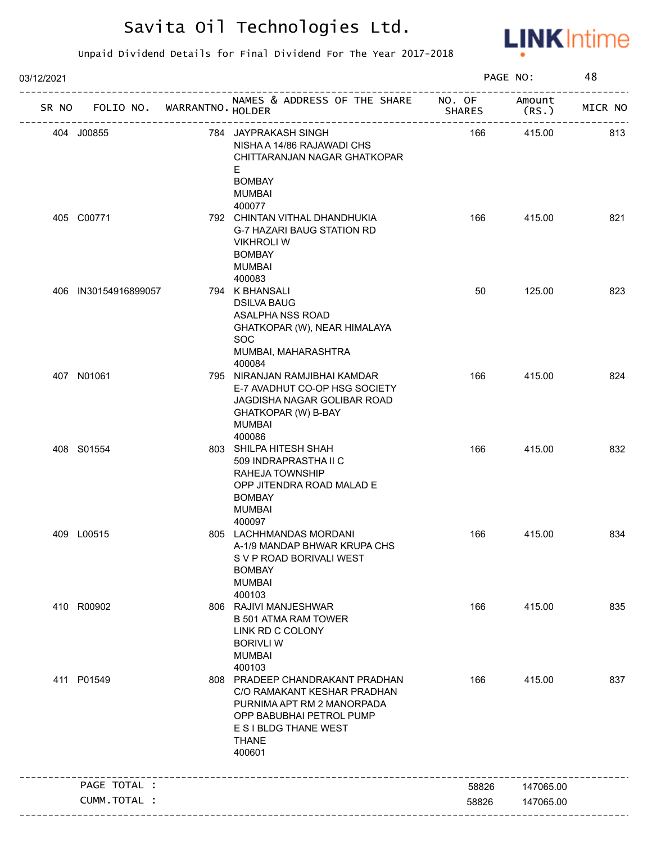

| 03/12/2021 |                                   |                                                                                                                                                                             |               | PAGE NO:        | 48      |
|------------|-----------------------------------|-----------------------------------------------------------------------------------------------------------------------------------------------------------------------------|---------------|-----------------|---------|
|            | SR NO FOLIO NO. WARRANTNO. HOLDER | NAMES & ADDRESS OF THE SHARE NO. OF<br>--------------------                                                                                                                 | <b>SHARES</b> | Amount<br>(RS.) | MICR NO |
|            | 404 J00855                        | 784 JAYPRAKASH SINGH<br>NISHA A 14/86 RAJAWADI CHS<br>CHITTARANJAN NAGAR GHATKOPAR<br>E.<br><b>BOMBAY</b><br><b>MUMBAI</b><br>400077                                        | 166           | 415.00          | 813     |
|            | 405 C00771                        | 792 CHINTAN VITHAL DHANDHUKIA<br>G-7 HAZARI BAUG STATION RD<br><b>VIKHROLI W</b><br><b>BOMBAY</b><br><b>MUMBAI</b><br>400083                                                | 166           | 415.00          | 821     |
|            | 406 IN30154916899057              | 794 K BHANSALI<br><b>DSILVA BAUG</b><br>ASALPHA NSS ROAD<br>GHATKOPAR (W), NEAR HIMALAYA<br><b>SOC</b><br>MUMBAI, MAHARASHTRA<br>400084                                     | 50            | 125.00          | 823     |
|            | 407 N01061                        | 795 NIRANJAN RAMJIBHAI KAMDAR<br>E-7 AVADHUT CO-OP HSG SOCIETY<br>JAGDISHA NAGAR GOLIBAR ROAD<br>GHATKOPAR (W) B-BAY<br>MUMBAI<br>400086                                    | 166           | 415.00          | 824     |
|            | 408 S01554                        | 803 SHILPA HITESH SHAH<br>509 INDRAPRASTHA II C<br>RAHEJA TOWNSHIP<br>OPP JITENDRA ROAD MALAD E<br><b>BOMBAY</b><br><b>MUMBAI</b><br>400097                                 | 166           | 415.00          | 832     |
|            | 409 L00515                        | 805 LACHHMANDAS MORDANI<br>A-1/9 MANDAP BHWAR KRUPA CHS<br>S V P ROAD BORIVALI WEST<br><b>BOMBAY</b><br><b>MUMBAI</b><br>400103                                             | 166           | 415.00          | 834     |
|            | 410 R00902                        | 806 RAJIVI MANJESHWAR<br><b>B 501 ATMA RAM TOWER</b><br>LINK RD C COLONY<br><b>BORIVLI W</b><br><b>MUMBAI</b><br>400103                                                     | 166           | 415.00          | 835     |
|            | 411 P01549                        | 808 PRADEEP CHANDRAKANT PRADHAN<br>C/O RAMAKANT KESHAR PRADHAN<br>PURNIMA APT RM 2 MANORPADA<br>OPP BABUBHAI PETROL PUMP<br>E S I BLDG THANE WEST<br><b>THANE</b><br>400601 | 166           | 415.00          | 837     |
|            | PAGE TOTAL :                      |                                                                                                                                                                             | 58826         | 147065.00       |         |
|            | <b>CUMM. TOTAL :</b>              |                                                                                                                                                                             | 58826         | 147065.00       |         |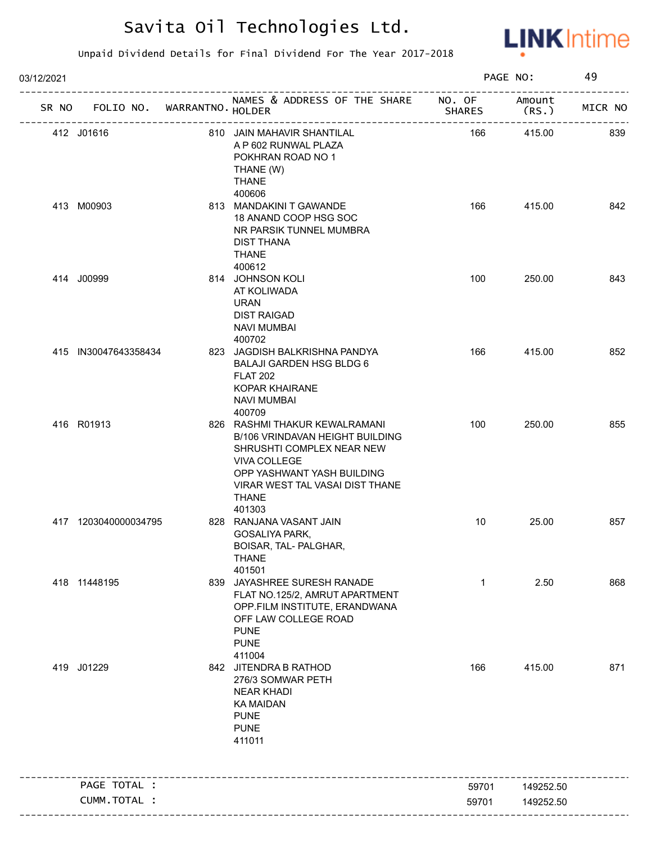

| 03/12/2021 |                                   |                                                                                                                                                                                                          |               | PAGE NO:        | 49      |
|------------|-----------------------------------|----------------------------------------------------------------------------------------------------------------------------------------------------------------------------------------------------------|---------------|-----------------|---------|
|            | SR NO FOLIO NO. WARRANTNO. HOLDER | NAMES & ADDRESS OF THE SHARE NO. OF<br>___________________                                                                                                                                               | <b>SHARES</b> | Amount<br>(RS.) | MICR NO |
|            | 412 J01616                        | 810 JAIN MAHAVIR SHANTILAL<br>A P 602 RUNWAL PLAZA<br>POKHRAN ROAD NO 1<br>THANE (W)<br><b>THANE</b>                                                                                                     | 166           | 415.00          | 839     |
|            | 413 M00903                        | 400606<br>813 MANDAKINI T GAWANDE<br>18 ANAND COOP HSG SOC<br>NR PARSIK TUNNEL MUMBRA<br><b>DIST THANA</b><br><b>THANE</b><br>400612                                                                     | 166           | 415.00          | 842     |
|            | 414 J00999                        | 814 JOHNSON KOLI<br>AT KOLIWADA<br><b>URAN</b><br><b>DIST RAIGAD</b><br><b>NAVI MUMBAI</b><br>400702                                                                                                     | 100           | 250.00          | 843     |
|            | 415 IN30047643358434              | 823 JAGDISH BALKRISHNA PANDYA<br><b>BALAJI GARDEN HSG BLDG 6</b><br><b>FLAT 202</b><br><b>KOPAR KHAIRANE</b><br><b>NAVI MUMBAI</b><br>400709                                                             | 166           | 415.00          | 852     |
|            | 416 R01913                        | 826 RASHMI THAKUR KEWALRAMANI<br>B/106 VRINDAVAN HEIGHT BUILDING<br>SHRUSHTI COMPLEX NEAR NEW<br>VIVA COLLEGE<br>OPP YASHWANT YASH BUILDING<br>VIRAR WEST TAL VASAI DIST THANE<br><b>THANE</b><br>401303 | 100           | 250.00          | 855     |
|            | 417 1203040000034795              | 828 RANJANA VASANT JAIN<br><b>GOSALIYA PARK,</b><br>BOISAR, TAL- PALGHAR,<br><b>THANE</b><br>401501                                                                                                      | 10            | 25.00           | 857     |
|            | 418 11448195                      | 839 JAYASHREE SURESH RANADE<br>FLAT NO.125/2, AMRUT APARTMENT<br>OPP.FILM INSTITUTE, ERANDWANA<br>OFF LAW COLLEGE ROAD<br><b>PUNE</b><br><b>PUNE</b><br>411004                                           | $\mathbf{1}$  | 2.50            | 868     |
|            | 419 J01229                        | 842 JITENDRA B RATHOD<br>276/3 SOMWAR PETH<br><b>NEAR KHADI</b><br><b>KA MAIDAN</b><br><b>PUNE</b><br><b>PUNE</b><br>411011                                                                              | 166           | 415.00          | 871     |
|            | PAGE TOTAL :                      |                                                                                                                                                                                                          | 59701         | 149252.50       |         |
|            | CUMM.TOTAL :                      |                                                                                                                                                                                                          | 59701         | 149252.50       |         |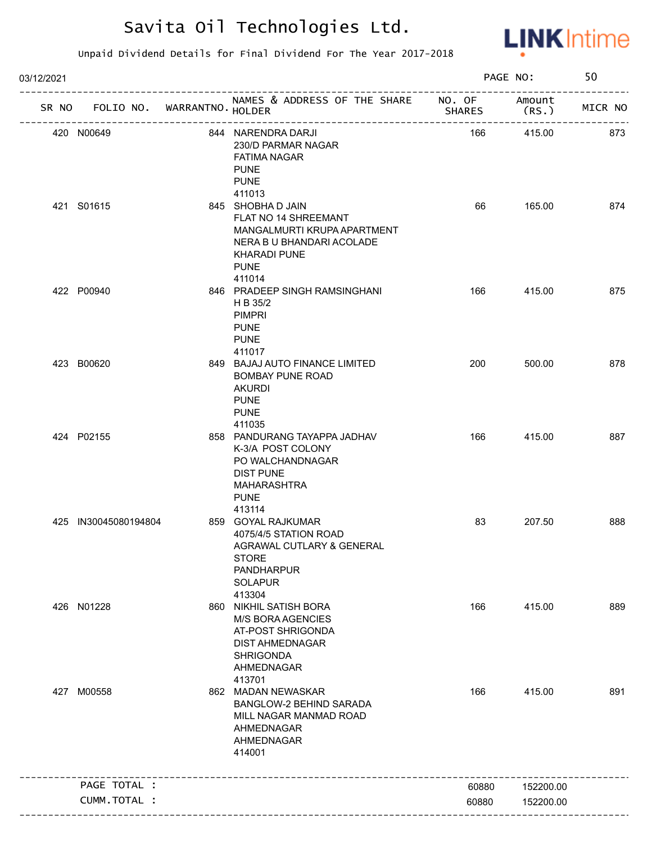

| 03/12/2021 |                                   |                                                                                                                                                       |               | PAGE NO:        | 50      |
|------------|-----------------------------------|-------------------------------------------------------------------------------------------------------------------------------------------------------|---------------|-----------------|---------|
|            | SR NO FOLIO NO. WARRANTNO. HOLDER | NAMES & ADDRESS OF THE SHARE NO. OF<br>_____________________________________                                                                          | <b>SHARES</b> | Amount<br>(RS.) | MICR NO |
|            | 420 N00649                        | 844 NARENDRA DARJI<br>230/D PARMAR NAGAR<br><b>FATIMA NAGAR</b><br><b>PUNE</b><br><b>PUNE</b>                                                         | 166           | 415.00          | 873     |
|            | 421 S01615                        | 411013<br>845 SHOBHA D JAIN<br>FLAT NO 14 SHREEMANT<br>MANGALMURTI KRUPA APARTMENT<br>NERA B U BHANDARI ACOLADE<br><b>KHARADI PUNE</b><br><b>PUNE</b> | 66            | 165.00          | 874     |
|            | 422 P00940                        | 411014<br>846 PRADEEP SINGH RAMSINGHANI<br>H B 35/2<br><b>PIMPRI</b><br><b>PUNE</b><br><b>PUNE</b><br>411017                                          | 166           | 415.00          | 875     |
|            | 423 B00620                        | 849 BAJAJ AUTO FINANCE LIMITED<br><b>BOMBAY PUNE ROAD</b><br><b>AKURDI</b><br><b>PUNE</b><br><b>PUNE</b><br>411035                                    | 200           | 500.00          | 878     |
|            | 424 P02155                        | 858 PANDURANG TAYAPPA JADHAV<br>K-3/A POST COLONY<br>PO WALCHANDNAGAR<br><b>DIST PUNE</b><br>MAHARASHTRA<br><b>PUNE</b><br>413114                     | 166           | 415.00          | 887     |
|            | 425 IN30045080194804              | 859 GOYAL RAJKUMAR<br>4075/4/5 STATION ROAD<br>AGRAWAL CUTLARY & GENERAL<br><b>STORE</b><br><b>PANDHARPUR</b><br><b>SOLAPUR</b><br>413304             | 83            | 207.50          | 888     |
|            | 426 N01228                        | 860 NIKHIL SATISH BORA<br><b>M/S BORA AGENCIES</b><br>AT-POST SHRIGONDA<br><b>DIST AHMEDNAGAR</b><br><b>SHRIGONDA</b><br>AHMEDNAGAR<br>413701         | 166           | 415.00          | 889     |
|            | 427 M00558                        | 862 MADAN NEWASKAR<br>BANGLOW-2 BEHIND SARADA<br>MILL NAGAR MANMAD ROAD<br>AHMEDNAGAR<br>AHMEDNAGAR<br>414001                                         | 166           | 415.00          | 891     |
|            | PAGE TOTAL :                      |                                                                                                                                                       | 60880         | 152200.00       |         |
|            | CUMM. TOTAL :                     |                                                                                                                                                       | 60880         | 152200.00       |         |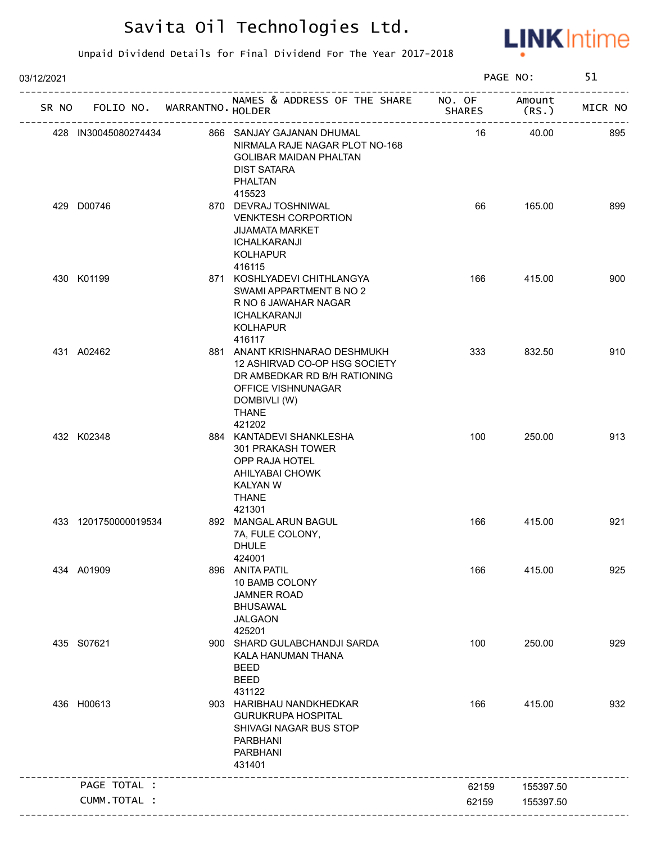

| 03/12/2021 |                             |                                                                                                                                                                |                         | PAGE NO:        | 51      |
|------------|-----------------------------|----------------------------------------------------------------------------------------------------------------------------------------------------------------|-------------------------|-----------------|---------|
| SR NO      | FOLIO NO. WARRANTNO. HOLDER | NAMES & ADDRESS OF THE SHARE<br>---------------------------------                                                                                              | NO. OF<br><b>SHARES</b> | Amount<br>(RS.) | MICR NO |
|            | 428 IN30045080274434        | 866 SANJAY GAJANAN DHUMAL<br>NIRMALA RAJE NAGAR PLOT NO-168<br><b>GOLIBAR MAIDAN PHALTAN</b><br><b>DIST SATARA</b><br><b>PHALTAN</b>                           | 16                      | 40.00           | 895     |
|            | 429 D00746                  | 415523<br>870 DEVRAJ TOSHNIWAL<br><b>VENKTESH CORPORTION</b><br><b>JIJAMATA MARKET</b><br><b>ICHALKARANJI</b><br><b>KOLHAPUR</b><br>416115                     | 66                      | 165.00          | 899     |
|            | 430 K01199                  | 871 KOSHLYADEVI CHITHLANGYA<br>SWAMI APPARTMENT B NO 2<br>R NO 6 JAWAHAR NAGAR<br><b>ICHALKARANJI</b><br><b>KOLHAPUR</b><br>416117                             | 166                     | 415.00          | 900     |
|            | 431 A02462                  | 881 ANANT KRISHNARAO DESHMUKH<br>12 ASHIRVAD CO-OP HSG SOCIETY<br>DR AMBEDKAR RD B/H RATIONING<br>OFFICE VISHNUNAGAR<br>DOMBIVLI (W)<br><b>THANE</b><br>421202 | 333                     | 832.50          | 910     |
|            | 432 K02348                  | 884 KANTADEVI SHANKLESHA<br>301 PRAKASH TOWER<br>OPP RAJA HOTEL<br>AHILYABAI CHOWK<br><b>KALYAN W</b><br><b>THANE</b>                                          | 100                     | 250.00          | 913     |
|            | 433 1201750000019534        | 421301<br>892 MANGAL ARUN BAGUL<br>7A, FULE COLONY,<br><b>DHULE</b><br>424001                                                                                  | 166                     | 415.00          | 921     |
|            | 434 A01909                  | 896 ANITA PATIL<br>10 BAMB COLONY<br><b>JAMNER ROAD</b><br><b>BHUSAWAL</b><br><b>JALGAON</b><br>425201                                                         | 166                     | 415.00          | 925     |
|            | 435 S07621                  | 900 SHARD GULABCHANDJI SARDA<br>KALA HANUMAN THANA<br><b>BEED</b><br><b>BEED</b><br>431122                                                                     | 100                     | 250.00          | 929     |
|            | 436 H00613                  | 903 HARIBHAU NANDKHEDKAR<br><b>GURUKRUPA HOSPITAL</b><br>SHIVAGI NAGAR BUS STOP<br><b>PARBHANI</b><br><b>PARBHANI</b><br>431401                                | 166                     | 415.00          | 932     |
|            | PAGE TOTAL :                |                                                                                                                                                                | 62159                   | 155397.50       |         |
|            | CUMM.TOTAL :                |                                                                                                                                                                | 62159                   | 155397.50       |         |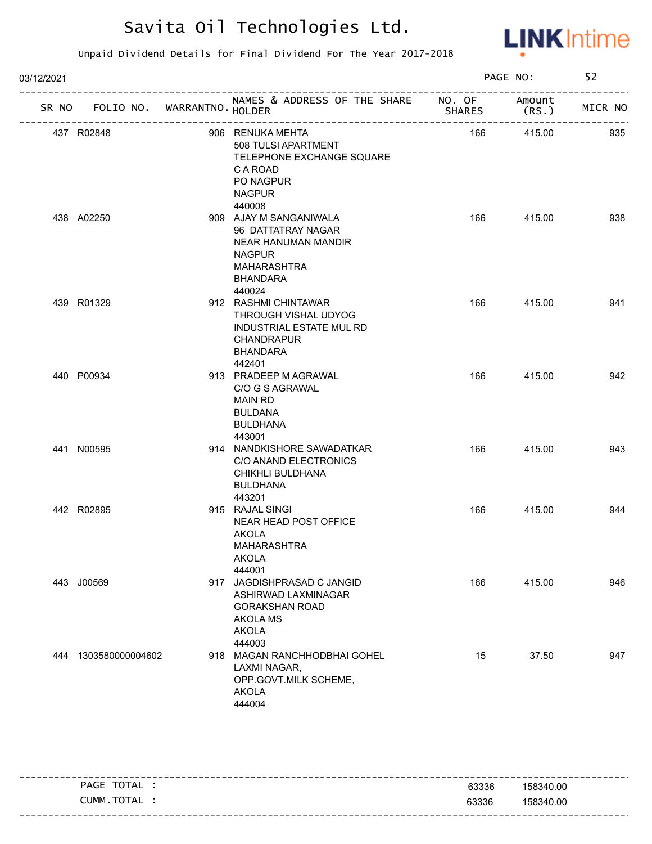

| 03/12/2021 |                                   |                                                                                                                                         |               | PAGE NO:         | 52      |
|------------|-----------------------------------|-----------------------------------------------------------------------------------------------------------------------------------------|---------------|------------------|---------|
|            | SR NO FOLIO NO. WARRANTNO. HOLDER | NAMES & ADDRESS OF THE SHARE NO. OF<br>_________________________                                                                        | <b>SHARES</b> | Amount<br>(RS. ) | MICR NO |
|            | 437 R02848                        | 906 RENUKA MEHTA<br>508 TULSI APARTMENT<br>TELEPHONE EXCHANGE SQUARE<br>C A ROAD<br>PO NAGPUR<br><b>NAGPUR</b><br>440008                | 166           | 415.00           | 935     |
|            | 438 A02250                        | 909 AJAY M SANGANIWALA<br>96 DATTATRAY NAGAR<br>NEAR HANUMAN MANDIR<br><b>NAGPUR</b><br><b>MAHARASHTRA</b><br><b>BHANDARA</b><br>440024 | 166           | 415.00           | 938     |
|            | 439 R01329                        | 912 RASHMI CHINTAWAR<br>THROUGH VISHAL UDYOG<br><b>INDUSTRIAL ESTATE MUL RD</b><br><b>CHANDRAPUR</b><br><b>BHANDARA</b><br>442401       | 166           | 415.00           | 941     |
|            | 440 P00934                        | 913 PRADEEP M AGRAWAL<br>C/O G S AGRAWAL<br><b>MAIN RD</b><br><b>BULDANA</b><br><b>BULDHANA</b><br>443001                               | 166           | 415.00           | 942     |
|            | 441 N00595                        | 914 NANDKISHORE SAWADATKAR<br>C/O ANAND ELECTRONICS<br>CHIKHLI BULDHANA<br><b>BULDHANA</b><br>443201                                    | 166           | 415.00           | 943     |
|            | 442 R02895                        | 915 RAJAL SINGI<br>NEAR HEAD POST OFFICE<br><b>AKOLA</b><br>MAHARASHTRA<br><b>AKOLA</b><br>444001                                       | 166           | 415.00           | 944     |
|            | 443 J00569                        | 917 JAGDISHPRASAD C JANGID<br>ASHIRWAD LAXMINAGAR<br><b>GORAKSHAN ROAD</b><br><b>AKOLA MS</b><br><b>AKOLA</b><br>444003                 | 166           | 415.00           | 946     |
|            | 444 1303580000004602              | 918 MAGAN RANCHHODBHAI GOHEL<br>LAXMI NAGAR,<br>OPP.GOVT.MILK SCHEME,<br><b>AKOLA</b><br>444004                                         | 15            | 37.50            | 947     |

| PAGE TOTAL | 63336 | 158340.00 |
|------------|-------|-----------|
| CUMM.TOTAL | 63336 | 158340.00 |
|            |       |           |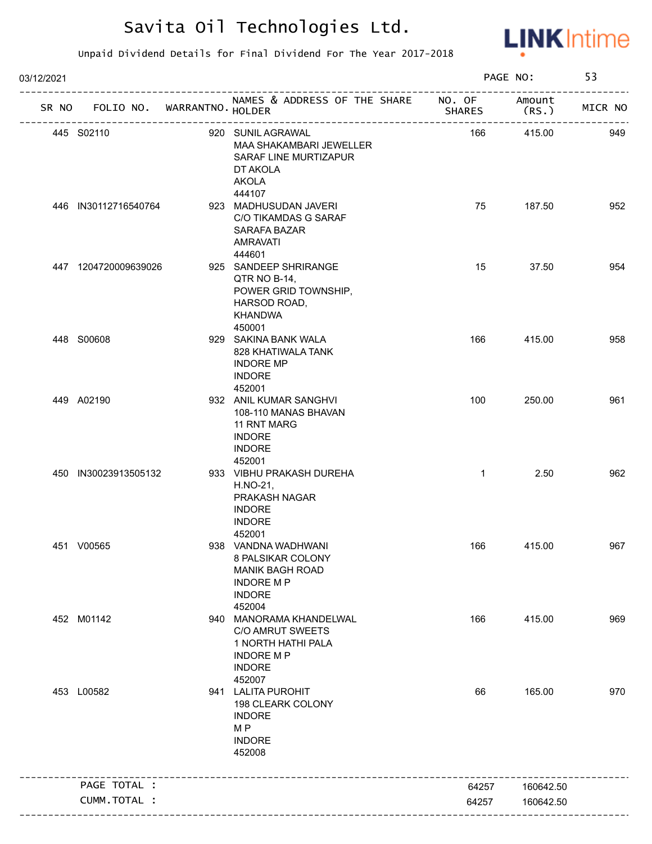

| 03/12/2021 |                                   |                                                                                                                         |               | PAGE NO:        | 53      |
|------------|-----------------------------------|-------------------------------------------------------------------------------------------------------------------------|---------------|-----------------|---------|
|            | SR NO FOLIO NO. WARRANTNO. HOLDER | NAMES & ADDRESS OF THE SHARE NO. OF                                                                                     | <b>SHARES</b> | Amount<br>(RS.) | MICR NO |
|            | 445 S02110                        | 920 SUNIL AGRAWAL<br>MAA SHAKAMBARI JEWELLER<br>SARAF LINE MURTIZAPUR<br>DT AKOLA<br><b>AKOLA</b>                       | 166           | 415.00          | 949     |
|            | 446 IN30112716540764              | 444107<br>923 MADHUSUDAN JAVERI<br>C/O TIKAMDAS G SARAF<br>SARAFA BAZAR<br><b>AMRAVATI</b><br>444601                    | 75            | 187.50          | 952     |
|            | 447 1204720009639026              | 925 SANDEEP SHRIRANGE<br>QTR NO B-14,<br>POWER GRID TOWNSHIP,<br>HARSOD ROAD,<br><b>KHANDWA</b><br>450001               | 15            | 37.50           | 954     |
|            | 448 S00608                        | 929 SAKINA BANK WALA<br>828 KHATIWALA TANK<br><b>INDORE MP</b><br><b>INDORE</b><br>452001                               | 166           | 415.00          | 958     |
|            | 449 A02190                        | 932 ANIL KUMAR SANGHVI<br>108-110 MANAS BHAVAN<br>11 RNT MARG<br><b>INDORE</b><br><b>INDORE</b><br>452001               | 100           | 250.00          | 961     |
|            | 450 IN30023913505132              | 933 VIBHU PRAKASH DUREHA<br>H.NO-21,<br>PRAKASH NAGAR<br><b>INDORE</b><br><b>INDORE</b><br>452001                       | $\mathbf{1}$  | 2.50            | 962     |
|            | 451 V00565                        | 938 VANDNA WADHWANI<br>8 PALSIKAR COLONY<br><b>MANIK BAGH ROAD</b><br><b>INDORE MP</b><br><b>INDORE</b><br>452004       | 166           | 415.00          | 967     |
|            | 452 M01142                        | 940 MANORAMA KHANDELWAL<br><b>C/O AMRUT SWEETS</b><br>1 NORTH HATHI PALA<br><b>INDORE MP</b><br><b>INDORE</b><br>452007 | 166           | 415.00          | 969     |
|            | 453 L00582                        | 941 LALITA PUROHIT<br>198 CLEARK COLONY<br><b>INDORE</b><br>M <sub>P</sub><br><b>INDORE</b><br>452008                   | 66            | 165.00          | 970     |
|            | PAGE TOTAL :                      |                                                                                                                         | 64257         | 160642.50       |         |
|            | CUMM.TOTAL :                      |                                                                                                                         | 64257         | 160642.50       |         |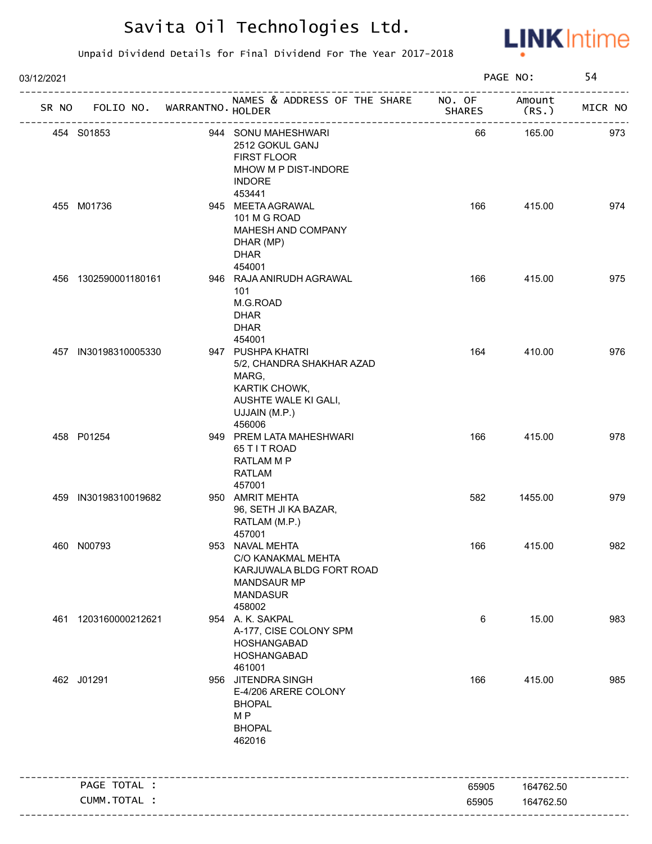

| 03/12/2021 |                             |                                                                                                                             |               | PAGE NO:       | 54      |
|------------|-----------------------------|-----------------------------------------------------------------------------------------------------------------------------|---------------|----------------|---------|
| SR NO      | FOLIO NO. WARRANTNO. HOLDER | NAMES & ADDRESS OF THE SHARE NO. OF                                                                                         | <b>SHARES</b> | Amount<br>(RS. | MICR NO |
|            | 454 S01853                  | 944 SONU MAHESHWARI<br>2512 GOKUL GANJ<br><b>FIRST FLOOR</b><br>MHOW M P DIST-INDORE<br><b>INDORE</b><br>453441             | 66            | 165.00         | 973     |
|            | 455 M01736                  | 945 MEETA AGRAWAL<br>101 M G ROAD<br>MAHESH AND COMPANY<br>DHAR (MP)<br><b>DHAR</b><br>454001                               | 166           | 415.00         | 974     |
|            | 456 1302590001180161        | 946 RAJA ANIRUDH AGRAWAL<br>101<br>M.G.ROAD<br><b>DHAR</b><br><b>DHAR</b><br>454001                                         | 166           | 415.00         | 975     |
|            | 457 IN30198310005330        | 947 PUSHPA KHATRI<br>5/2, CHANDRA SHAKHAR AZAD<br>MARG,<br>KARTIK CHOWK,<br>AUSHTE WALE KI GALI,<br>UJJAIN (M.P.)<br>456006 | 164           | 410.00         | 976     |
|            | 458 P01254                  | 949 PREM LATA MAHESHWARI<br>65 T I T ROAD<br>RATLAM M P<br><b>RATLAM</b><br>457001                                          | 166           | 415.00         | 978     |
|            | 459 IN30198310019682        | 950 AMRIT MEHTA<br>96, SETH JI KA BAZAR,<br>RATLAM (M.P.)<br>457001                                                         | 582           | 1455.00        | 979     |
|            | 460 N00793                  | 953 NAVAL MEHTA<br>C/O KANAKMAL MEHTA<br>KARJUWALA BLDG FORT ROAD<br><b>MANDSAUR MP</b><br><b>MANDASUR</b><br>458002        | 166           | 415.00         | 982     |
|            | 461 1203160000212621        | 954 A. K. SAKPAL<br>A-177, CISE COLONY SPM<br>HOSHANGABAD<br>HOSHANGABAD<br>461001                                          | 6             | 15.00          | 983     |
|            | 462 J01291                  | 956 JITENDRA SINGH<br>E-4/206 ARERE COLONY<br><b>BHOPAL</b><br>M <sub>P</sub><br><b>BHOPAL</b><br>462016                    | 166           | 415.00         | 985     |
|            | PAGE TOTAL :                |                                                                                                                             |               |                |         |
|            |                             |                                                                                                                             | 65905         | 164762.50      |         |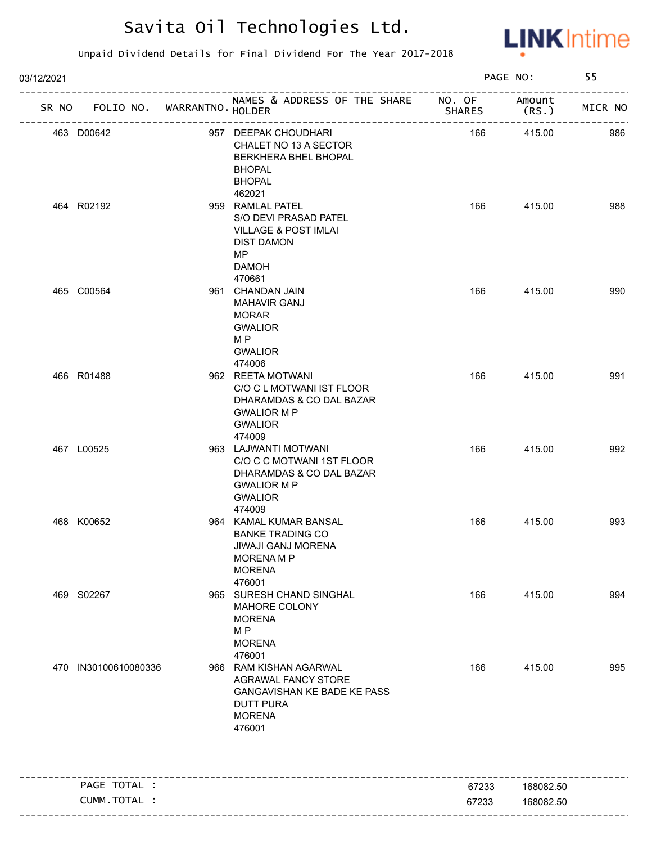

| 03/12/2021 |                                   |                                                                                                                                             |               | PAGE NO:         | 55      |
|------------|-----------------------------------|---------------------------------------------------------------------------------------------------------------------------------------------|---------------|------------------|---------|
|            | SR NO FOLIO NO. WARRANTNO. HOLDER | NAMES & ADDRESS OF THE SHARE NO. OF<br>-----------------                                                                                    | <b>SHARES</b> | Amount<br>(RS. ) | MICR NO |
|            | 463 D00642                        | 957 DEEPAK CHOUDHARI<br>CHALET NO 13 A SECTOR<br>BERKHERA BHEL BHOPAL<br><b>BHOPAL</b><br><b>BHOPAL</b>                                     | 166           | 415.00           | 986     |
|            | 464 R02192                        | 462021<br>959 RAMLAL PATEL<br>S/O DEVI PRASAD PATEL<br><b>VILLAGE &amp; POST IMLAI</b><br><b>DIST DAMON</b><br>MP<br><b>DAMOH</b><br>470661 | 166           | 415.00           | 988     |
|            | 465 C00564                        | 961 CHANDAN JAIN<br><b>MAHAVIR GANJ</b><br>MORAR<br><b>GWALIOR</b><br>M P<br><b>GWALIOR</b><br>474006                                       | 166           | 415.00           | 990     |
|            | 466 R01488                        | 962 REETA MOTWANI<br>C/O C L MOTWANI IST FLOOR<br>DHARAMDAS & CO DAL BAZAR<br><b>GWALIOR M P</b><br><b>GWALIOR</b><br>474009                | 166           | 415.00           | 991     |
|            | 467 L00525                        | 963 LAJWANTI MOTWANI<br>C/O C C MOTWANI 1ST FLOOR<br>DHARAMDAS & CO DAL BAZAR<br><b>GWALIOR M P</b><br><b>GWALIOR</b><br>474009             | 166           | 415.00           | 992     |
|            | 468 K00652                        | 964 KAMAL KUMAR BANSAL<br><b>BANKE TRADING CO</b><br>JIWAJI GANJ MORENA<br><b>MORENAMP</b><br><b>MORENA</b><br>476001                       | 166           | 415.00           | 993     |
|            | 469 S02267                        | 965 SURESH CHAND SINGHAL<br>MAHORE COLONY<br><b>MORENA</b><br>M <sub>P</sub><br><b>MORENA</b><br>476001                                     | 166           | 415.00           | 994     |
|            | 470 IN30100610080336              | 966 RAM KISHAN AGARWAL<br><b>AGRAWAL FANCY STORE</b><br>GANGAVISHAN KE BADE KE PASS<br><b>DUTT PURA</b><br><b>MORENA</b><br>476001          | 166           | 415.00           | 995     |
|            | PAGE TOTAL :                      |                                                                                                                                             | 67233         | 168082.50        |         |
|            | CUMM. TOTAL :                     |                                                                                                                                             | 67233         | 168082.50        |         |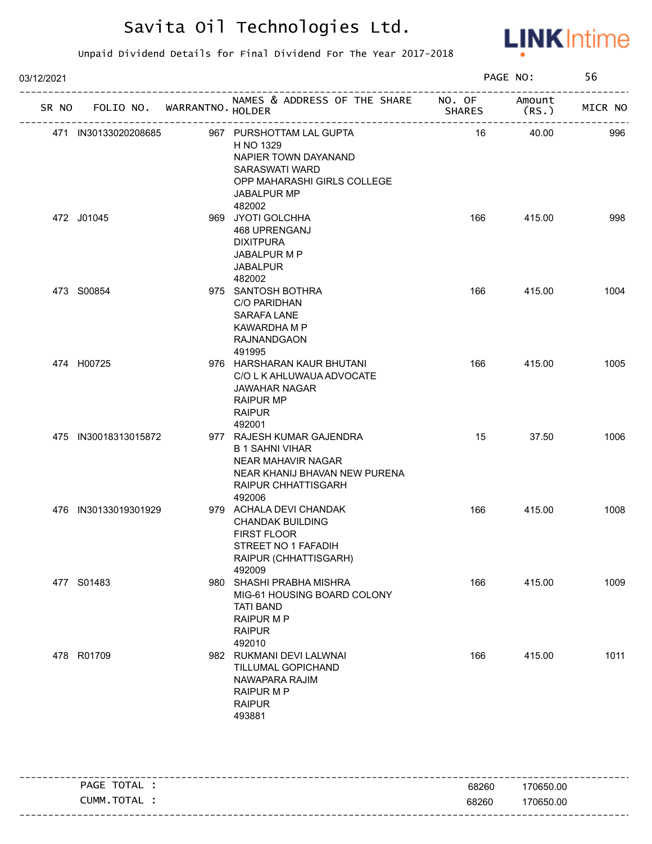

| 03/12/2021 |                      |                                   |                                                                                                                                                |                                                       | PAGE NO:        | 56      |
|------------|----------------------|-----------------------------------|------------------------------------------------------------------------------------------------------------------------------------------------|-------------------------------------------------------|-----------------|---------|
|            |                      | SR NO FOLIO NO. WARRANTNO. HOLDER | NAMES & ADDRESS OF THE SHARE NO. OF                                                                                                            | <b>SHARES</b><br>------------------------------------ | Amount<br>(RS.) | MICR NO |
|            | 471 IN30133020208685 |                                   | 967 PURSHOTTAM LAL GUPTA<br>H NO 1329<br>NAPIER TOWN DAYANAND<br>SARASWATI WARD<br>OPP MAHARASHI GIRLS COLLEGE<br><b>JABALPUR MP</b><br>482002 | 16                                                    | 40.00           | 996     |
|            | 472 J01045           |                                   | 969 JYOTI GOLCHHA<br>468 UPRENGANJ<br><b>DIXITPURA</b><br>JABALPUR M P<br><b>JABALPUR</b><br>482002                                            | 166                                                   | 415.00          | 998     |
|            | 473 S00854           |                                   | 975 SANTOSH BOTHRA<br>C/O PARIDHAN<br><b>SARAFA LANE</b><br>KAWARDHA M P<br><b>RAJNANDGAON</b><br>491995                                       | 166                                                   | 415.00          | 1004    |
|            | 474 H00725           |                                   | 976 HARSHARAN KAUR BHUTANI<br>C/O L K AHLUWAUA ADVOCATE<br><b>JAWAHAR NAGAR</b><br><b>RAIPUR MP</b><br><b>RAIPUR</b><br>492001                 | 166                                                   | 415.00          | 1005    |
|            | 475 IN30018313015872 |                                   | 977 RAJESH KUMAR GAJENDRA<br><b>B 1 SAHNI VIHAR</b><br>NEAR MAHAVIR NAGAR<br>NEAR KHANIJ BHAVAN NEW PURENA<br>RAIPUR CHHATTISGARH<br>492006    | 15                                                    | 37.50           | 1006    |
|            | 476 IN30133019301929 |                                   | 979 ACHALA DEVI CHANDAK<br><b>CHANDAK BUILDING</b><br><b>FIRST FLOOR</b><br>STREET NO 1 FAFADIH<br>RAIPUR (CHHATTISGARH)<br>492009             | 166                                                   | 415.00          | 1008    |
|            | 477 S01483           |                                   | 980 SHASHI PRABHA MISHRA<br>MIG-61 HOUSING BOARD COLONY<br><b>TATI BAND</b><br><b>RAIPUR M P</b><br><b>RAIPUR</b><br>492010                    | 166                                                   | 415.00          | 1009    |
|            | 478 R01709           |                                   | 982 RUKMANI DEVI LALWNAI<br>TILLUMAL GOPICHAND<br>NAWAPARA RAJIM<br>RAIPUR M P<br><b>RAIPUR</b><br>493881                                      | 166                                                   | 415.00          | 1011    |

|                                     |       | ---------------------        |
|-------------------------------------|-------|------------------------------|
| TOTAL<br><b>PAGE</b>                | 68260 | 170650.00                    |
| <b>TOTA</b><br><b>JUMM</b><br>I AL. | 68260 | 170650.00                    |
|                                     |       | ---------------------------- |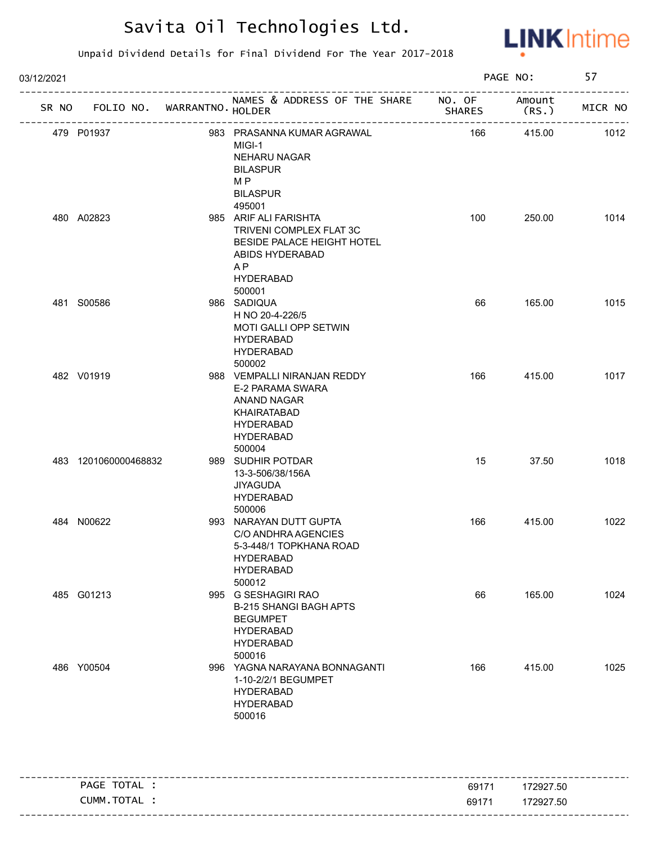

| 03/12/2021           |                                   |                                                                                                                                                   |                          | PAGE NO: | 57                        |
|----------------------|-----------------------------------|---------------------------------------------------------------------------------------------------------------------------------------------------|--------------------------|----------|---------------------------|
|                      | SR NO FOLIO NO. WARRANTNO. HOLDER | NAMES & ADDRESS OF THE SHARE NO. OF Amount<br>____________________________________                                                                | <b>Example 25 SHARES</b> | (RS.)    | --------------<br>MICR NO |
| 479 P01937           |                                   | 983 PRASANNA KUMAR AGRAWAL<br>MIGI-1<br><b>NEHARU NAGAR</b><br><b>BILASPUR</b><br>M <sub>P</sub><br><b>BILASPUR</b><br>495001                     | 166                      | 415.00   | 1012                      |
| 480 A02823           |                                   | 985 ARIF ALI FARISHTA<br>TRIVENI COMPLEX FLAT 3C<br>BESIDE PALACE HEIGHT HOTEL<br>ABIDS HYDERABAD<br>A <sub>P</sub><br><b>HYDERABAD</b><br>500001 | 100                      | 250.00   | 1014                      |
| 481 S00586           |                                   | 986 SADIQUA<br>H NO 20-4-226/5<br>MOTI GALLI OPP SETWIN<br><b>HYDERABAD</b><br><b>HYDERABAD</b><br>500002                                         | 66                       | 165.00   | 1015                      |
| 482 V01919           |                                   | 988 VEMPALLI NIRANJAN REDDY<br>E-2 PARAMA SWARA<br>ANAND NAGAR<br>KHAIRATABAD<br><b>HYDERABAD</b><br><b>HYDERABAD</b><br>500004                   | 166                      | 415.00   | 1017                      |
| 483 1201060000468832 |                                   | 989 SUDHIR POTDAR<br>13-3-506/38/156A<br><b>JIYAGUDA</b><br><b>HYDERABAD</b><br>500006                                                            | 15                       | 37.50    | 1018                      |
| 484 N00622           |                                   | 993 NARAYAN DUTT GUPTA<br>C/O ANDHRA AGENCIES<br>5-3-448/1 TOPKHANA ROAD<br><b>HYDERABAD</b><br><b>HYDERABAD</b><br>500012                        | 166                      | 415.00   | 1022                      |
| 485 G01213           |                                   | 995 G SESHAGIRI RAO<br><b>B-215 SHANGI BAGH APTS</b><br><b>BEGUMPET</b><br><b>HYDERABAD</b><br><b>HYDERABAD</b><br>500016                         | 66                       | 165.00   | 1024                      |
| 486 Y00504           |                                   | 996 YAGNA NARAYANA BONNAGANTI<br>1-10-2/2/1 BEGUMPET<br><b>HYDERABAD</b><br><b>HYDERABAD</b><br>500016                                            | 166                      | 415.00   | 1025                      |

|               |       | -----------------------           |
|---------------|-------|-----------------------------------|
| TOTAL<br>PAGE | 69171 | 172927.50                         |
| CUMM.TOTAL    | 69171 | 172927.50                         |
|               |       | --------------------------------- |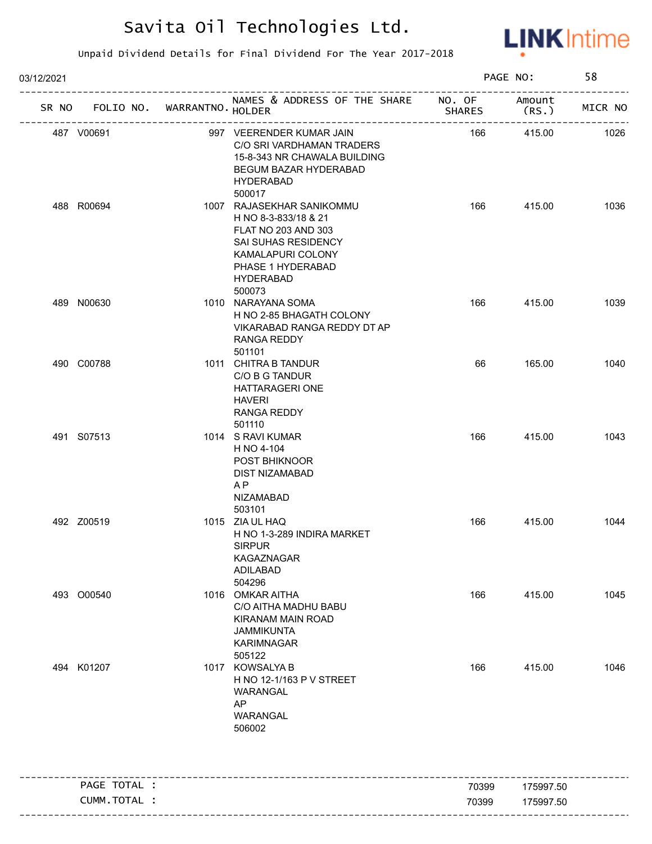

| 03/12/2021 |                      |                             |                                                                                                                                                                                   |               | PAGE NO:        | 58      |
|------------|----------------------|-----------------------------|-----------------------------------------------------------------------------------------------------------------------------------------------------------------------------------|---------------|-----------------|---------|
| SR NO      |                      | FOLIO NO. WARRANTNO. HOLDER | NAMES & ADDRESS OF THE SHARE NO. OF                                                                                                                                               | <b>SHARES</b> | Amount<br>(RS.) | MICR NO |
| 487 V00691 |                      |                             | 997 VEERENDER KUMAR JAIN<br>C/O SRI VARDHAMAN TRADERS<br>15-8-343 NR CHAWALA BUILDING<br>BEGUM BAZAR HYDERABAD<br><b>HYDERABAD</b>                                                | 166           | 415.00          | 1026    |
| 488 R00694 |                      |                             | 500017<br>1007 RAJASEKHAR SANIKOMMU<br>H NO 8-3-833/18 & 21<br>FLAT NO 203 AND 303<br>SAI SUHAS RESIDENCY<br>KAMALAPURI COLONY<br>PHASE 1 HYDERABAD<br><b>HYDERABAD</b><br>500073 | 166           | 415.00          | 1036    |
| 489 N00630 |                      |                             | 1010 NARAYANA SOMA<br>H NO 2-85 BHAGATH COLONY<br>VIKARABAD RANGA REDDY DT AP<br>RANGA REDDY                                                                                      | 166           | 415.00          | 1039    |
| 490 C00788 |                      |                             | 501101<br>1011 CHITRA B TANDUR<br>C/O B G TANDUR<br><b>HATTARAGERI ONE</b><br>HAVERI<br>RANGA REDDY<br>501110                                                                     | 66            | 165.00          | 1040    |
| 491 S07513 |                      |                             | 1014 S RAVI KUMAR<br>H NO 4-104<br><b>POST BHIKNOOR</b><br><b>DIST NIZAMABAD</b><br>AP<br>NIZAMABAD<br>503101                                                                     | 166           | 415.00          | 1043    |
| 492 Z00519 |                      |                             | 1015 ZIA UL HAQ<br>H NO 1-3-289 INDIRA MARKET<br><b>SIRPUR</b><br>KAGAZNAGAR<br>ADILABAD<br>504296                                                                                | 166           | 415.00          | 1044    |
| 493 O00540 |                      |                             | 1016 OMKAR AITHA<br>C/O AITHA MADHU BABU<br><b>KIRANAM MAIN ROAD</b><br><b>JAMMIKUNTA</b><br><b>KARIMNAGAR</b><br>505122                                                          | 166           | 415.00          | 1045    |
| 494 K01207 |                      |                             | 1017 KOWSALYA B<br>H NO 12-1/163 P V STREET<br>WARANGAL<br>AP<br>WARANGAL<br>506002                                                                                               | 166           | 415.00          | 1046    |
|            | PAGE TOTAL :         |                             |                                                                                                                                                                                   | 70399         | 175997.50       |         |
|            | <b>CUMM. TOTAL :</b> |                             |                                                                                                                                                                                   | 70399         | 175997.50       |         |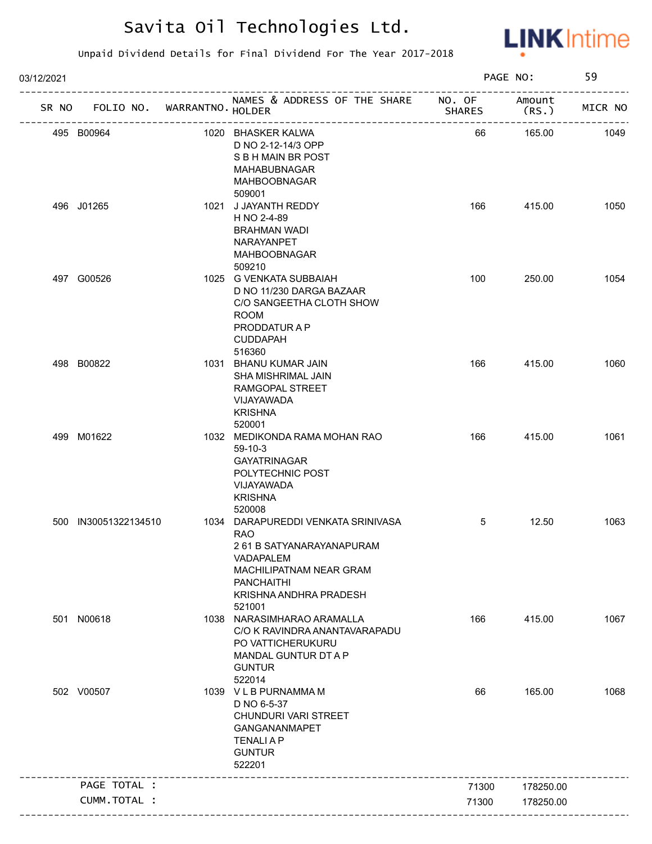

| 03/12/2021 |                             |                                                                                                                                                                               |                         | PAGE NO:         | 59      |
|------------|-----------------------------|-------------------------------------------------------------------------------------------------------------------------------------------------------------------------------|-------------------------|------------------|---------|
| SR NO      | FOLIO NO. WARRANTNO. HOLDER | NAMES & ADDRESS OF THE SHARE<br>_______________                                                                                                                               | NO. OF<br><b>SHARES</b> | Amount<br>(RS. ) | MICR NO |
|            | 495 B00964                  | 1020 BHASKER KALWA<br>D NO 2-12-14/3 OPP<br>S B H MAIN BR POST<br><b>MAHABUBNAGAR</b><br><b>MAHBOOBNAGAR</b><br>509001                                                        | 66                      | 165.00           | 1049    |
|            | 496 J01265                  | 1021 J JAYANTH REDDY<br>H NO 2-4-89<br><b>BRAHMAN WADI</b><br>NARAYANPET<br>MAHBOOBNAGAR<br>509210                                                                            | 166                     | 415.00           | 1050    |
|            | 497 G00526                  | 1025 G VENKATA SUBBAIAH<br>D NO 11/230 DARGA BAZAAR<br>C/O SANGEETHA CLOTH SHOW<br><b>ROOM</b><br>PRODDATUR A P<br>CUDDAPAH                                                   | 100                     | 250.00           | 1054    |
|            | 498 B00822                  | 516360<br>1031 BHANU KUMAR JAIN<br>SHA MISHRIMAL JAIN<br>RAMGOPAL STREET<br>VIJAYAWADA<br><b>KRISHNA</b><br>520001                                                            | 166                     | 415.00           | 1060    |
|            | 499 M01622                  | 1032 MEDIKONDA RAMA MOHAN RAO<br>$59-10-3$<br><b>GAYATRINAGAR</b><br>POLYTECHNIC POST<br>VIJAYAWADA<br><b>KRISHNA</b><br>520008                                               | 166                     | 415.00           | 1061    |
|            | 500 IN30051322134510        | 1034 DARAPUREDDI VENKATA SRINIVASA<br><b>RAO</b><br>261 B SATYANARAYANAPURAM<br>VADAPALEM<br>MACHILIPATNAM NEAR GRAM<br><b>PANCHAITHI</b><br>KRISHNA ANDHRA PRADESH<br>521001 | 5                       | 12.50            | 1063    |
|            | 501 N00618                  | 1038 NARASIMHARAO ARAMALLA<br>C/O K RAVINDRA ANANTAVARAPADU<br>PO VATTICHERUKURU<br>MANDAL GUNTUR DT A P<br><b>GUNTUR</b><br>522014                                           | 166                     | 415.00           | 1067    |
|            | 502 V00507                  | 1039 V L B PURNAMMA M<br>D NO 6-5-37<br>CHUNDURI VARI STREET<br>GANGANANMAPET<br><b>TENALIAP</b><br><b>GUNTUR</b><br>522201                                                   | 66                      | 165.00           | 1068    |
|            | PAGE TOTAL :                |                                                                                                                                                                               | 71300                   | 178250.00        |         |
|            |                             |                                                                                                                                                                               |                         |                  |         |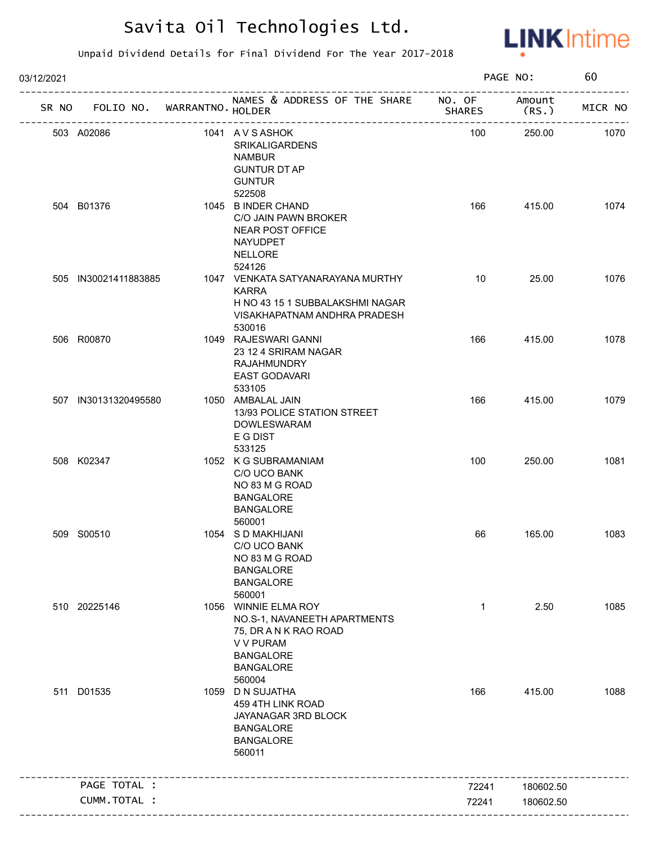

| 03/12/2021 |                                   |                                                                                                                                                     |               | PAGE NO:        | 60      |
|------------|-----------------------------------|-----------------------------------------------------------------------------------------------------------------------------------------------------|---------------|-----------------|---------|
|            | SR NO FOLIO NO. WARRANTNO. HOLDER | NAMES & ADDRESS OF THE SHARE NO. OF                                                                                                                 | <b>SHARES</b> | Amount<br>(RS.) | MICR NO |
|            | 503 A02086                        | 1041 AVSASHOK<br><b>SRIKALIGARDENS</b><br><b>NAMBUR</b><br><b>GUNTUR DT AP</b><br><b>GUNTUR</b>                                                     | 100           | 250.00          | 1070    |
|            | 504 B01376                        | 522508<br>1045 B INDER CHAND<br>C/O JAIN PAWN BROKER<br><b>NEAR POST OFFICE</b><br>NAYUDPET<br><b>NELLORE</b><br>524126                             | 166           | 415.00          | 1074    |
|            | 505 IN30021411883885              | 1047 VENKATA SATYANARAYANA MURTHY<br><b>KARRA</b><br>H NO 43 15 1 SUBBALAKSHMI NAGAR<br>VISAKHAPATNAM ANDHRA PRADESH                                | 10            | 25.00           | 1076    |
|            | 506 R00870                        | 530016<br>1049 RAJESWARI GANNI<br>23 12 4 SRIRAM NAGAR<br><b>RAJAHMUNDRY</b><br><b>EAST GODAVARI</b>                                                | 166           | 415.00          | 1078    |
|            | 507 IN30131320495580              | 533105<br>1050 AMBALAL JAIN<br>13/93 POLICE STATION STREET<br><b>DOWLESWARAM</b><br>E G DIST                                                        | 166           | 415.00          | 1079    |
|            | 508 K02347                        | 533125<br>1052 K G SUBRAMANIAM<br>C/O UCO BANK<br>NO 83 M G ROAD<br><b>BANGALORE</b><br><b>BANGALORE</b><br>560001                                  | 100           | 250.00          | 1081    |
|            | 509 S00510                        | 1054 S D MAKHIJANI<br>C/O UCO BANK<br>NO 83 M G ROAD<br><b>BANGALORE</b><br><b>BANGALORE</b><br>560001                                              | 66            | 165.00          | 1083    |
|            | 510 20225146                      | 1056 WINNIE ELMA ROY<br>NO.S-1, NAVANEETH APARTMENTS<br>75, DR A N K RAO ROAD<br><b>V V PURAM</b><br><b>BANGALORE</b><br><b>BANGALORE</b><br>560004 | $\mathbf{1}$  | 2.50            | 1085    |
|            | 511 D01535                        | 1059 D N SUJATHA<br>459 4TH LINK ROAD<br>JAYANAGAR 3RD BLOCK<br><b>BANGALORE</b><br><b>BANGALORE</b><br>560011                                      | 166           | 415.00          | 1088    |
|            | PAGE TOTAL :                      |                                                                                                                                                     | 72241         | 180602.50       |         |
|            | CUMM.TOTAL :                      |                                                                                                                                                     | 72241         | 180602.50       |         |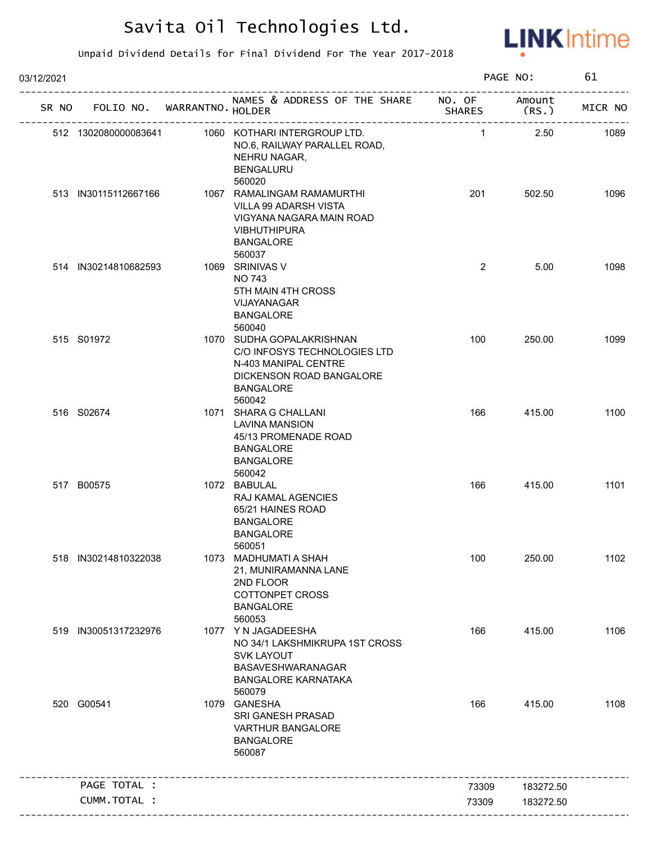

| 03/12/2021 |                             |                                                                                                                                                |                         | PAGE NO:        | 61      |
|------------|-----------------------------|------------------------------------------------------------------------------------------------------------------------------------------------|-------------------------|-----------------|---------|
| SR NO      | FOLIO NO. WARRANTNO. HOLDER | NAMES & ADDRESS OF THE SHARE                                                                                                                   | NO. OF<br><b>SHARES</b> | Amount<br>(RS.) | MICR NO |
|            | 512 1302080000083641        | 1060 KOTHARI INTERGROUP LTD.<br>NO.6, RAILWAY PARALLEL ROAD,<br>NEHRU NAGAR,<br><b>BENGALURU</b>                                               | $\mathbf{1}$            | 2.50            | 1089    |
|            | 513 IN30115112667166        | 560020<br>1067 RAMALINGAM RAMAMURTHI<br>VILLA 99 ADARSH VISTA<br>VIGYANA NAGARA MAIN ROAD<br><b>VIBHUTHIPURA</b><br><b>BANGALORE</b><br>560037 | 201                     | 502.50          | 1096    |
|            | 514 IN30214810682593        | 1069 SRINIVAS V<br><b>NO 743</b><br>5TH MAIN 4TH CROSS<br>VIJAYANAGAR<br><b>BANGALORE</b><br>560040                                            | $\overline{2}$          | 5.00            | 1098    |
|            | 515 S01972                  | 1070 SUDHA GOPALAKRISHNAN<br>C/O INFOSYS TECHNOLOGIES LTD<br>N-403 MANIPAL CENTRE<br>DICKENSON ROAD BANGALORE<br><b>BANGALORE</b><br>560042    | 100                     | 250.00          | 1099    |
|            | 516 S02674                  | 1071 SHARA G CHALLANI<br><b>LAVINA MANSION</b><br>45/13 PROMENADE ROAD<br><b>BANGALORE</b><br><b>BANGALORE</b><br>560042                       | 166                     | 415.00          | 1100    |
|            | 517 B00575                  | 1072 BABULAL<br>RAJ KAMAL AGENCIES<br>65/21 HAINES ROAD<br><b>BANGALORE</b><br><b>BANGALORE</b><br>560051                                      | 166                     | 415.00          | 1101    |
|            | 518 IN30214810322038        | 1073 MADHUMATI A SHAH<br>21, MUNIRAMANNA LANE<br>2ND FLOOR<br><b>COTTONPET CROSS</b><br><b>BANGALORE</b><br>560053                             | 100                     | 250.00          | 1102    |
|            | 519 IN30051317232976        | 1077 YN JAGADEESHA<br>NO 34/1 LAKSHMIKRUPA 1ST CROSS<br><b>SVK LAYOUT</b><br>BASAVESHWARANAGAR<br><b>BANGALORE KARNATAKA</b><br>560079         | 166                     | 415.00          | 1106    |
|            | 520 G00541                  | 1079 GANESHA<br>SRI GANESH PRASAD<br>VARTHUR BANGALORE<br><b>BANGALORE</b><br>560087                                                           | 166                     | 415.00          | 1108    |
|            | PAGE TOTAL :                |                                                                                                                                                | 73309                   | 183272.50       |         |
|            | CUMM.TOTAL :                |                                                                                                                                                | 73309                   | 183272.50       |         |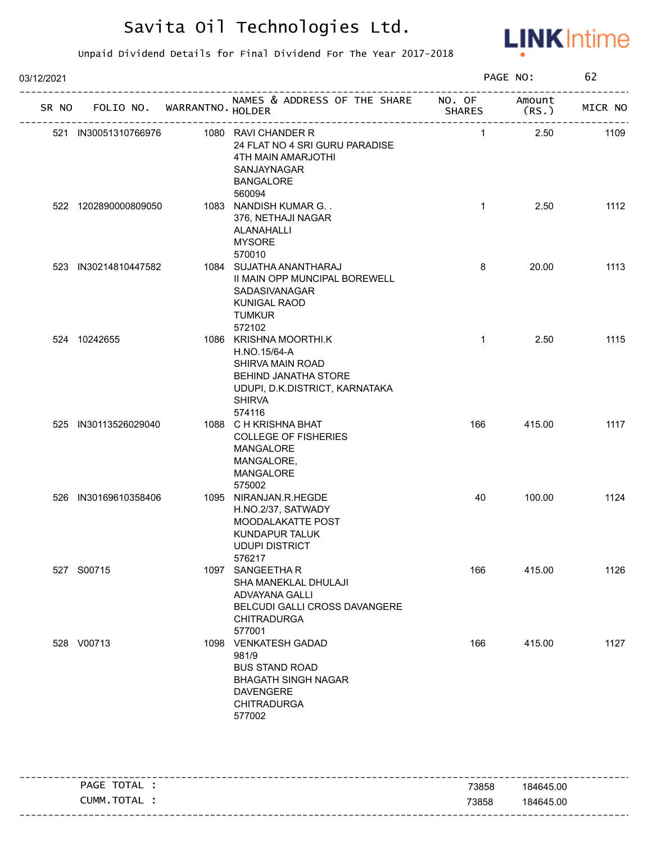

| 03/12/2021 |       |                      |                             |                                                                                                                                                 |               | PAGE NO: | 62      |
|------------|-------|----------------------|-----------------------------|-------------------------------------------------------------------------------------------------------------------------------------------------|---------------|----------|---------|
|            | SR NO |                      | FOLIO NO. WARRANTNO. HOLDER | NAMES & ADDRESS OF THE SHARE NO. OF Amount                                                                                                      | <b>SHARES</b> | (RS.     | MICR NO |
|            |       | 521 IN30051310766976 |                             | 1080 RAVI CHANDER R<br>24 FLAT NO 4 SRI GURU PARADISE<br>4TH MAIN AMARJOTHI<br>SANJAYNAGAR<br><b>BANGALORE</b><br>560094                        | $\mathbf{1}$  | 2.50     | 1109    |
|            |       | 522 1202890000809050 |                             | 1083 NANDISH KUMAR G. .<br>376, NETHAJI NAGAR<br>ALANAHALLI<br><b>MYSORE</b><br>570010                                                          | $\mathbf{1}$  | 2.50     | 1112    |
|            |       | 523 IN30214810447582 |                             | 1084 SUJATHA ANANTHARAJ<br>II MAIN OPP MUNCIPAL BOREWELL<br>SADASIVANAGAR<br><b>KUNIGAL RAOD</b><br><b>TUMKUR</b><br>572102                     | 8             | 20.00    | 1113    |
|            |       | 524 10242655         |                             | 1086 KRISHNA MOORTHI.K<br>H.NO.15/64-A<br>SHIRVA MAIN ROAD<br>BEHIND JANATHA STORE<br>UDUPI, D.K.DISTRICT, KARNATAKA<br><b>SHIRVA</b><br>574116 | $\mathbf{1}$  | 2.50     | 1115    |
|            |       | 525 IN30113526029040 |                             | 1088 C H KRISHNA BHAT<br><b>COLLEGE OF FISHERIES</b><br>MANGALORE<br>MANGALORE,<br>MANGALORE<br>575002                                          | 166           | 415.00   | 1117    |
|            |       | 526 IN30169610358406 |                             | 1095 NIRANJAN.R.HEGDE<br>H.NO.2/37, SATWADY<br>MOODALAKATTE POST<br>KUNDAPUR TALUK<br><b>UDUPI DISTRICT</b><br>576217                           | 40            | 100.00   | 1124    |
|            |       | 527 S00715           |                             | 1097 SANGEETHAR<br>SHA MANEKLAL DHULAJI<br>ADVAYANA GALLI<br>BELCUDI GALLI CROSS DAVANGERE<br><b>CHITRADURGA</b><br>577001                      | 166           | 415.00   | 1126    |
|            |       | 528 V00713           |                             | 1098 VENKATESH GADAD<br>981/9<br><b>BUS STAND ROAD</b><br><b>BHAGATH SINGH NAGAR</b><br><b>DAVENGERE</b><br><b>CHITRADURGA</b><br>577002        | 166           | 415.00   | 1127    |

|                |       | -----------------                 |
|----------------|-------|-----------------------------------|
| TOTAL<br>PAGE  | 73858 | 184645.00                         |
| TOTAL<br>CUMM. | 73858 | 184645.00                         |
|                |       | --------------------------------- |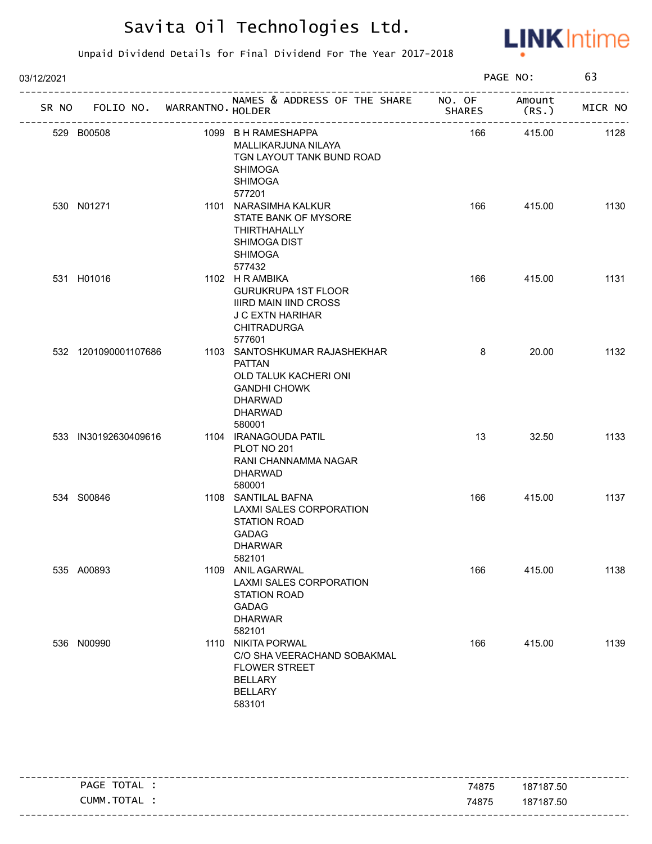

| 03/12/2021 |                                   |                                                                                                                                              |               | PAGE NO:        | 63      |
|------------|-----------------------------------|----------------------------------------------------------------------------------------------------------------------------------------------|---------------|-----------------|---------|
|            | SR NO FOLIO NO. WARRANTNO. HOLDER | NAMES & ADDRESS OF THE SHARE NO. OF                                                                                                          | <b>SHARES</b> | Amount<br>(RS.) | MICR NO |
|            | 529 B00508                        | 1099 B H RAMESHAPPA<br>MALLIKARJUNA NILAYA<br>TGN LAYOUT TANK BUND ROAD<br><b>SHIMOGA</b><br><b>SHIMOGA</b><br>577201                        | 166           | 415.00          | 1128    |
|            | 530 N01271                        | 1101 NARASIMHA KALKUR<br>STATE BANK OF MYSORE<br>THIRTHAHALLY<br>SHIMOGA DIST<br><b>SHIMOGA</b><br>577432                                    | 166           | 415.00          | 1130    |
|            | 531 H01016                        | 1102 H R AMBIKA<br><b>GURUKRUPA 1ST FLOOR</b><br><b>IIIRD MAIN IIND CROSS</b><br><b>J C EXTN HARIHAR</b><br><b>CHITRADURGA</b><br>577601     | 166           | 415.00          | 1131    |
|            | 532 1201090001107686              | 1103 SANTOSHKUMAR RAJASHEKHAR<br><b>PATTAN</b><br>OLD TALUK KACHERI ONI<br><b>GANDHI CHOWK</b><br><b>DHARWAD</b><br><b>DHARWAD</b><br>580001 | 8             | 20.00           | 1132    |
|            | 533 IN30192630409616              | 1104 IRANAGOUDA PATIL<br>PLOT NO 201<br>RANI CHANNAMMA NAGAR<br><b>DHARWAD</b><br>580001                                                     | 13            | 32.50           | 1133    |
|            | 534 S00846                        | 1108 SANTILAL BAFNA<br>LAXMI SALES CORPORATION<br>STATION ROAD<br><b>GADAG</b><br><b>DHARWAR</b><br>582101                                   | 166           | 415.00          | 1137    |
|            | 535 A00893                        | 1109 ANIL AGARWAL<br>LAXMI SALES CORPORATION<br>STATION ROAD<br><b>GADAG</b><br><b>DHARWAR</b><br>582101                                     | 166           | 415.00          | 1138    |
|            | 536 N00990                        | 1110 NIKITA PORWAL<br>C/O SHA VEERACHAND SOBAKMAL<br><b>FLOWER STREET</b><br><b>BELLARY</b><br><b>BELLARY</b><br>583101                      | 166           | 415.00          | 1139    |

|                                     |       | ---------------------             |
|-------------------------------------|-------|-----------------------------------|
| TOTAL<br>PAGE                       | 74875 | 187187.50                         |
| <b>TOTA</b><br><b>_UMM</b><br>I AL. | 74875 | 187187.50                         |
|                                     |       | --------------------------------- |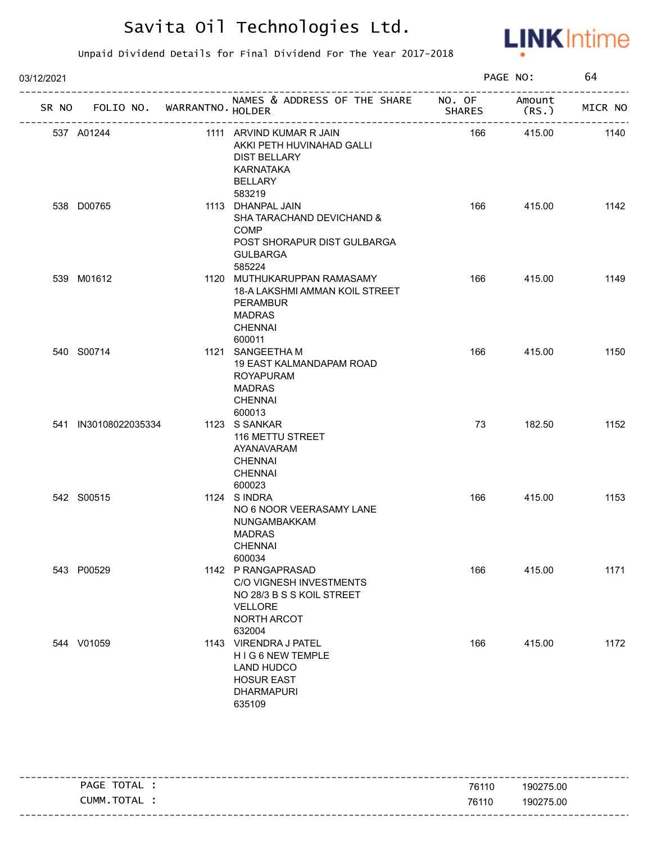

| 03/12/2021 |                                   |  | PAGE NO:                                                                                                                      |               | 64              |         |
|------------|-----------------------------------|--|-------------------------------------------------------------------------------------------------------------------------------|---------------|-----------------|---------|
|            | SR NO FOLIO NO. WARRANTNO. HOLDER |  | NAMES & ADDRESS OF THE SHARE NO. OF                                                                                           | <b>SHARES</b> | Amount<br>(RS.) | MICR NO |
|            | 537 A01244                        |  | 1111 ARVIND KUMAR R JAIN<br>AKKI PETH HUVINAHAD GALLI<br><b>DIST BELLARY</b><br><b>KARNATAKA</b><br><b>BELLARY</b><br>583219  | 166           | 415.00          | 1140    |
|            | 538 D00765                        |  | 1113 DHANPAL JAIN<br>SHA TARACHAND DEVICHAND &<br><b>COMP</b><br>POST SHORAPUR DIST GULBARGA<br><b>GULBARGA</b><br>585224     | 166           | 415.00          | 1142    |
|            | 539 M01612                        |  | 1120 MUTHUKARUPPAN RAMASAMY<br>18-A LAKSHMI AMMAN KOIL STREET<br><b>PERAMBUR</b><br><b>MADRAS</b><br><b>CHENNAI</b><br>600011 | 166           | 415.00          | 1149    |
|            | 540 S00714                        |  | 1121 SANGEETHA M<br>19 EAST KALMANDAPAM ROAD<br><b>ROYAPURAM</b><br><b>MADRAS</b><br><b>CHENNAI</b><br>600013                 | 166           | 415.00          | 1150    |
|            | 541 IN30108022035334              |  | 1123 S SANKAR<br>116 METTU STREET<br>AYANAVARAM<br><b>CHENNAI</b><br><b>CHENNAI</b><br>600023                                 | 73            | 182.50          | 1152    |
|            | 542 S00515                        |  | 1124 SINDRA<br>NO 6 NOOR VEERASAMY LANE<br>NUNGAMBAKKAM<br><b>MADRAS</b><br><b>CHENNAI</b><br>600034                          | 166           | 415.00          | 1153    |
|            | 543 P00529                        |  | 1142 P RANGAPRASAD<br>C/O VIGNESH INVESTMENTS<br>NO 28/3 B S S KOIL STREET<br><b>VELLORE</b><br>NORTH ARCOT<br>632004         | 166           | 415.00          | 1171    |
|            | 544 V01059                        |  | 1143 VIRENDRA J PATEL<br>HIG 6 NEW TEMPLE<br><b>LAND HUDCO</b><br><b>HOSUR EAST</b><br><b>DHARMAPURI</b><br>635109            | 166           | 415.00          | 1172    |

| TOTAL<br><b>PAGE</b>                 | 76110 | 190275.00                        |
|--------------------------------------|-------|----------------------------------|
| <b>TOTAI</b><br><b>_UMM</b><br>I AL. | 76110 | 190275.00                        |
|                                      |       | - - - -<br>--------------------- |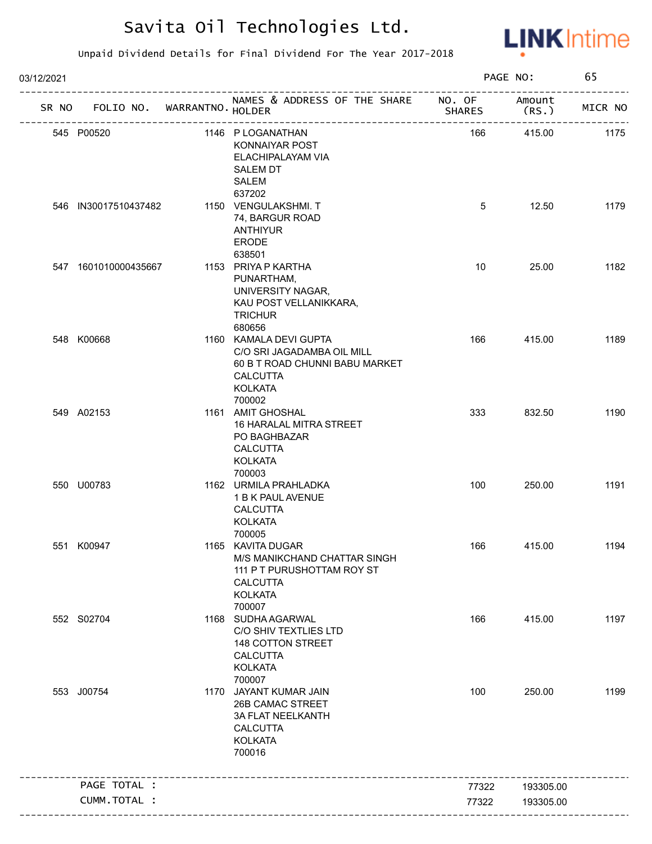

| 03/12/2021 |                             |                                                                                                                                       |               | PAGE NO:       | 65      |
|------------|-----------------------------|---------------------------------------------------------------------------------------------------------------------------------------|---------------|----------------|---------|
| SR NO      | FOLIO NO. WARRANTNO. HOLDER | NAMES & ADDRESS OF THE SHARE NO. OF                                                                                                   | <b>SHARES</b> | Amount<br>(RS. | MICR NO |
|            | 545 P00520                  | 1146 P LOGANATHAN<br>KONNAIYAR POST<br>ELACHIPALAYAM VIA<br><b>SALEM DT</b><br>SALEM                                                  | 166           | 415.00         | 1175    |
|            | 546 IN30017510437482        | 637202<br>1150 VENGULAKSHMI. T<br>74, BARGUR ROAD<br><b>ANTHIYUR</b><br><b>ERODE</b><br>638501                                        | 5             | 12.50          | 1179    |
|            | 547 1601010000435667        | 1153 PRIYA P KARTHA<br>PUNARTHAM,<br>UNIVERSITY NAGAR,<br>KAU POST VELLANIKKARA,<br><b>TRICHUR</b><br>680656                          | 10            | 25.00          | 1182    |
|            | 548 K00668                  | 1160 KAMALA DEVI GUPTA<br>C/O SRI JAGADAMBA OIL MILL<br>60 B T ROAD CHUNNI BABU MARKET<br><b>CALCUTTA</b><br><b>KOLKATA</b><br>700002 | 166           | 415.00         | 1189    |
|            | 549 A02153                  | 1161 AMIT GHOSHAL<br>16 HARALAL MITRA STREET<br>PO BAGHBAZAR<br><b>CALCUTTA</b><br><b>KOLKATA</b><br>700003                           | 333           | 832.50         | 1190    |
|            | 550 U00783                  | 1162 URMILA PRAHLADKA<br>1 B K PAUL AVENUE<br><b>CALCUTTA</b><br><b>KOLKATA</b><br>700005                                             | 100           | 250.00         | 1191    |
|            | 551 K00947                  | 1165 KAVITA DUGAR<br>M/S MANIKCHAND CHATTAR SINGH<br>111 P T PURUSHOTTAM ROY ST<br><b>CALCUTTA</b><br><b>KOLKATA</b><br>700007        | 166           | 415.00         | 1194    |
|            | 552 S02704                  | 1168 SUDHA AGARWAL<br>C/O SHIV TEXTLIES LTD<br>148 COTTON STREET<br><b>CALCUTTA</b><br><b>KOLKATA</b><br>700007                       | 166           | 415.00         | 1197    |
|            | 553 J00754                  | 1170 JAYANT KUMAR JAIN<br>26B CAMAC STREET<br>3A FLAT NEELKANTH<br><b>CALCUTTA</b><br><b>KOLKATA</b><br>700016                        | 100           | 250.00         | 1199    |
|            | PAGE TOTAL :                |                                                                                                                                       | 77322         | 193305.00      |         |
|            | CUMM.TOTAL :                |                                                                                                                                       | 77322         | 193305.00      |         |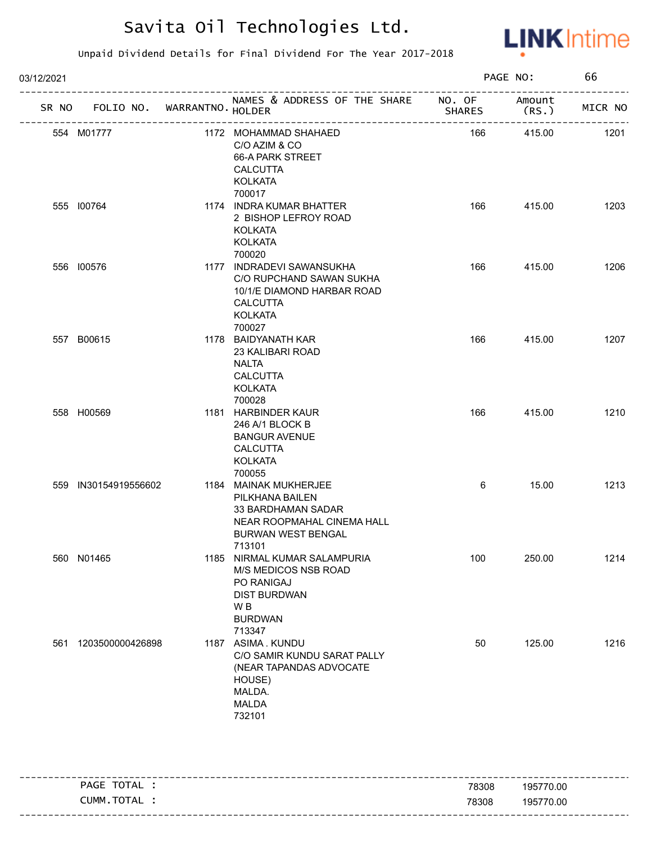

| 03/12/2021 |                      |                             | PAGE NO:                                                                                                                                   |               | 66             |         |
|------------|----------------------|-----------------------------|--------------------------------------------------------------------------------------------------------------------------------------------|---------------|----------------|---------|
| SR NO      |                      | FOLIO NO. WARRANTNO. HOLDER | NAMES & ADDRESS OF THE SHARE NO. OF                                                                                                        | <b>SHARES</b> | Amount<br>(RS. | MICR NO |
|            | 554 M01777           |                             | 1172 MOHAMMAD SHAHAED<br>C/O AZIM & CO<br>66-A PARK STREET<br><b>CALCUTTA</b><br><b>KOLKATA</b><br>700017                                  | 166           | 415.00         | 1201    |
|            | 555 100764           |                             | 1174 INDRA KUMAR BHATTER<br>2 BISHOP LEFROY ROAD<br>KOLKATA<br><b>KOLKATA</b><br>700020                                                    | 166           | 415.00         | 1203    |
|            | 556 100576           |                             | 1177 INDRADEVI SAWANSUKHA<br>C/O RUPCHAND SAWAN SUKHA<br>10/1/E DIAMOND HARBAR ROAD<br><b>CALCUTTA</b><br><b>KOLKATA</b><br>700027         | 166           | 415.00         | 1206    |
|            | 557 B00615           |                             | 1178 BAIDYANATH KAR<br>23 KALIBARI ROAD<br>NALTA<br><b>CALCUTTA</b><br><b>KOLKATA</b><br>700028                                            | 166           | 415.00         | 1207    |
|            | 558 H00569           |                             | 1181 HARBINDER KAUR<br>246 A/1 BLOCK B<br><b>BANGUR AVENUE</b><br><b>CALCUTTA</b><br>KOLKATA<br>700055                                     | 166           | 415.00         | 1210    |
|            | 559 IN30154919556602 |                             | 1184 MAINAK MUKHERJEE<br>PILKHANA BAILEN<br><b>33 BARDHAMAN SADAR</b><br>NEAR ROOPMAHAL CINEMA HALL<br><b>BURWAN WEST BENGAL</b><br>713101 | 6             | 15.00          | 1213    |
|            | 560 N01465           |                             | 1185 NIRMAL KUMAR SALAMPURIA<br>M/S MEDICOS NSB ROAD<br>PO RANIGAJ<br><b>DIST BURDWAN</b><br>W <sub>B</sub><br><b>BURDWAN</b><br>713347    | 100           | 250.00         | 1214    |
|            | 561 1203500000426898 |                             | 1187 ASIMA. KUNDU<br>C/O SAMIR KUNDU SARAT PALLY<br>(NEAR TAPANDAS ADVOCATE<br>HOUSE)<br>MALDA.<br><b>MALDA</b><br>732101                  | 50            | 125.00         | 1216    |

| PAGE TOTAL | 78308 | 195770.00 |
|------------|-------|-----------|
| CUMM.TOTAL | 78308 | 195770.00 |
|            |       |           |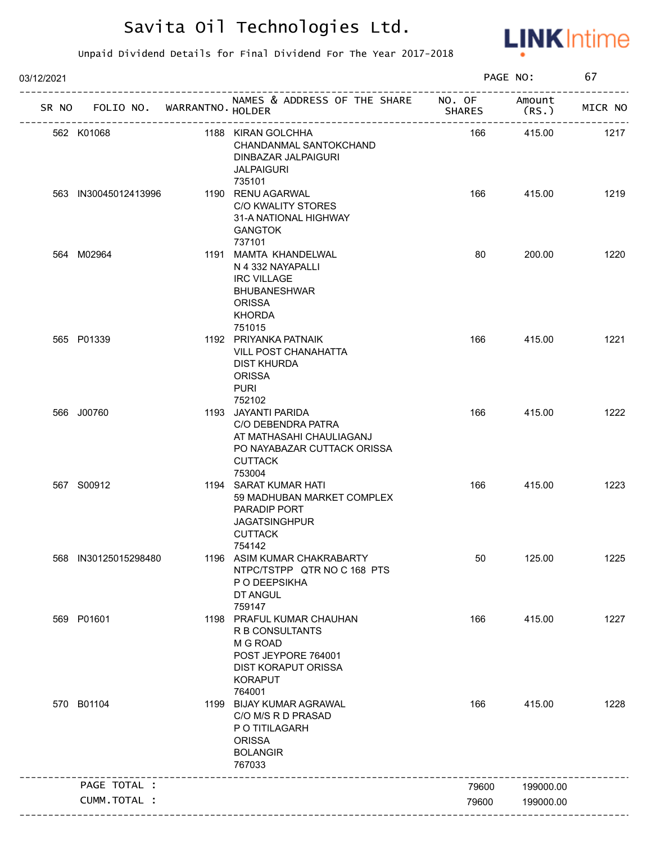

| 03/12/2021 |                                   |                                                                                                                                           |               | PAGE NO:         | 67      |
|------------|-----------------------------------|-------------------------------------------------------------------------------------------------------------------------------------------|---------------|------------------|---------|
|            | SR NO FOLIO NO. WARRANTNO. HOLDER | NAMES & ADDRESS OF THE SHARE NO. OF<br>_________________________                                                                          | <b>SHARES</b> | Amount<br>(RS. ) | MICR NO |
|            | 562 K01068                        | 1188 KIRAN GOLCHHA<br>CHANDANMAL SANTOKCHAND<br>DINBAZAR JALPAIGURI<br><b>JALPAIGURI</b><br>735101                                        | 166           | 415.00           | 1217    |
|            | 563 IN30045012413996              | 1190 RENU AGARWAL<br>C/O KWALITY STORES<br>31-A NATIONAL HIGHWAY<br><b>GANGTOK</b><br>737101                                              | 166           | 415.00           | 1219    |
|            | 564 M02964                        | 1191 MAMTA KHANDELWAL<br>N 4 332 NAYAPALLI<br><b>IRC VILLAGE</b><br><b>BHUBANESHWAR</b><br><b>ORISSA</b><br><b>KHORDA</b><br>751015       | 80            | 200.00           | 1220    |
|            | 565 P01339                        | 1192 PRIYANKA PATNAIK<br><b>VILL POST CHANAHATTA</b><br><b>DIST KHURDA</b><br><b>ORISSA</b><br><b>PURI</b><br>752102                      | 166           | 415.00           | 1221    |
|            | 566 J00760                        | 1193 JAYANTI PARIDA<br>C/O DEBENDRA PATRA<br>AT MATHASAHI CHAULIAGANJ<br>PO NAYABAZAR CUTTACK ORISSA<br><b>CUTTACK</b><br>753004          | 166           | 415.00           | 1222    |
|            | 567 S00912                        | 1194 SARAT KUMAR HATI<br>59 MADHUBAN MARKET COMPLEX<br>PARADIP PORT<br><b>JAGATSINGHPUR</b><br><b>CUTTACK</b><br>754142                   | 166           | 415.00           | 1223    |
|            | 568 IN30125015298480              | 1196 ASIM KUMAR CHAKRABARTY<br>NTPC/TSTPP QTR NO C 168 PTS<br>P O DEEPSIKHA<br>DT ANGUL<br>759147                                         | 50            | 125.00           | 1225    |
|            | 569 P01601                        | 1198 PRAFUL KUMAR CHAUHAN<br>R B CONSULTANTS<br>M G ROAD<br>POST JEYPORE 764001<br><b>DIST KORAPUT ORISSA</b><br><b>KORAPUT</b><br>764001 | 166           | 415.00           | 1227    |
|            | 570 B01104                        | 1199 BIJAY KUMAR AGRAWAL<br>C/O M/S R D PRASAD<br>P O TITILAGARH<br><b>ORISSA</b><br><b>BOLANGIR</b><br>767033                            | 166           | 415.00           | 1228    |
|            | PAGE TOTAL :                      |                                                                                                                                           | 79600         | 199000.00        |         |
|            | CUMM.TOTAL :                      |                                                                                                                                           | 79600         | 199000.00        |         |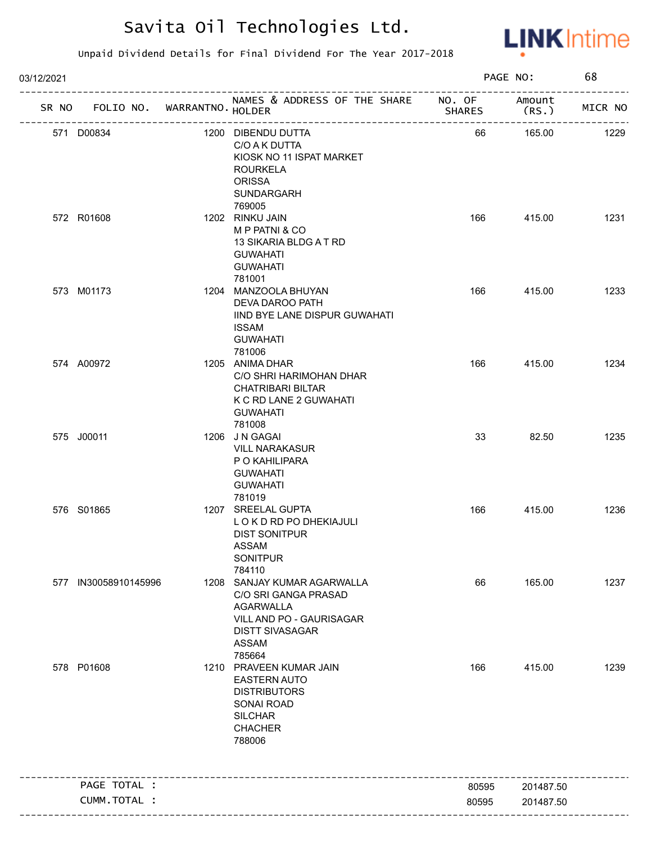

| 03/12/2021 |                      |                             |                                                                                                                                                         |               | PAGE NO:       | 68      |
|------------|----------------------|-----------------------------|---------------------------------------------------------------------------------------------------------------------------------------------------------|---------------|----------------|---------|
| SR NO      |                      | FOLIO NO. WARRANTNO. HOLDER | NAMES & ADDRESS OF THE SHARE NO. OF                                                                                                                     | <b>SHARES</b> | Amount<br>(RS. | MICR NO |
|            | 571 D00834           |                             | 1200 DIBENDU DUTTA<br>C/O A K DUTTA<br>KIOSK NO 11 ISPAT MARKET<br><b>ROURKELA</b><br><b>ORISSA</b><br>SUNDARGARH<br>769005                             | 66            | 165.00         | 1229    |
|            | 572 R01608           |                             | 1202 RINKU JAIN<br>M P PATNI & CO<br>13 SIKARIA BLDG A T RD<br><b>GUWAHATI</b><br><b>GUWAHATI</b><br>781001                                             | 166           | 415.00         | 1231    |
|            | 573 M01173           |                             | 1204 MANZOOLA BHUYAN<br>DEVA DAROO PATH<br>IIND BYE LANE DISPUR GUWAHATI<br><b>ISSAM</b><br><b>GUWAHATI</b><br>781006                                   | 166           | 415.00         | 1233    |
|            | 574 A00972           |                             | 1205 ANIMA DHAR<br>C/O SHRI HARIMOHAN DHAR<br><b>CHATRIBARI BILTAR</b><br>K C RD LANE 2 GUWAHATI<br><b>GUWAHATI</b><br>781008                           | 166           | 415.00         | 1234    |
|            | 575 J00011           |                             | 1206 JN GAGAI<br><b>VILL NARAKASUR</b><br>P O KAHILIPARA<br><b>GUWAHATI</b><br><b>GUWAHATI</b><br>781019                                                | 33            | 82.50          | 1235    |
|            | 576 S01865           |                             | 1207 SREELAL GUPTA<br>LOKD RD PO DHEKIAJULI<br><b>DIST SONITPUR</b><br>ASSAM<br><b>SONITPUR</b><br>784110                                               | 166           | 415.00         | 1236    |
|            | 577 IN30058910145996 |                             | 1208 SANJAY KUMAR AGARWALLA<br>C/O SRI GANGA PRASAD<br><b>AGARWALLA</b><br>VILL AND PO - GAURISAGAR<br><b>DISTT SIVASAGAR</b><br><b>ASSAM</b><br>785664 | 66            | 165.00         | 1237    |
|            | 578 P01608           |                             | 1210 PRAVEEN KUMAR JAIN<br><b>EASTERN AUTO</b><br><b>DISTRIBUTORS</b><br>SONAI ROAD<br><b>SILCHAR</b><br><b>CHACHER</b><br>788006                       | 166           | 415.00         | 1239    |
|            | PAGE TOTAL :         |                             |                                                                                                                                                         | 80595         | 201487.50      |         |
|            | CUMM.TOTAL :         |                             |                                                                                                                                                         |               |                |         |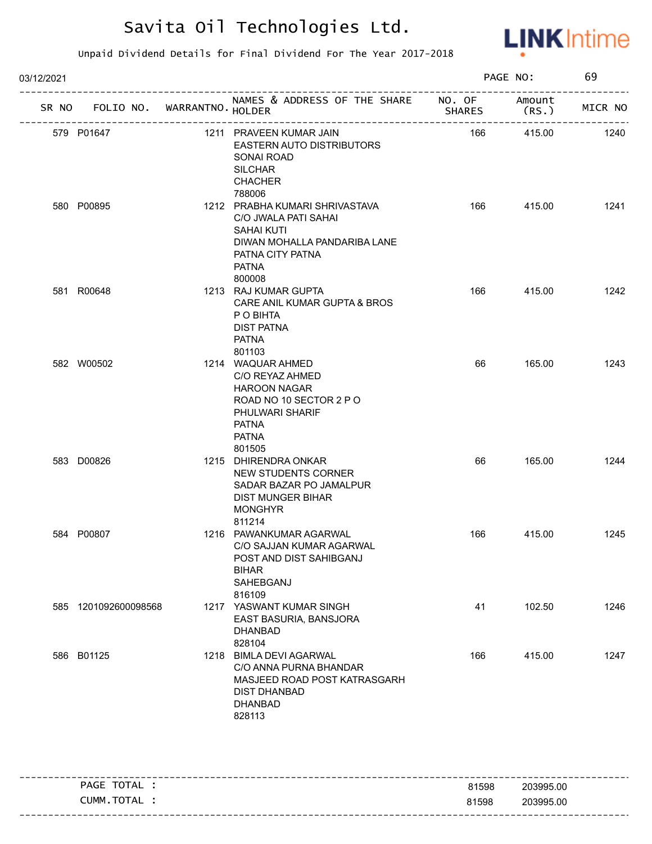

| 03/12/2021 |                                   |  | PAGE NO:                                                                                                                                                  |               | 69              |         |
|------------|-----------------------------------|--|-----------------------------------------------------------------------------------------------------------------------------------------------------------|---------------|-----------------|---------|
|            | SR NO FOLIO NO. WARRANTNO. HOLDER |  | NAMES & ADDRESS OF THE SHARE NO. OF                                                                                                                       | <b>SHARES</b> | Amount<br>(RS.) | MICR NO |
|            | 579 P01647                        |  | 1211 PRAVEEN KUMAR JAIN<br>EASTERN AUTO DISTRIBUTORS<br>SONAI ROAD<br><b>SILCHAR</b><br><b>CHACHER</b><br>788006                                          | 166           | 415.00          | 1240    |
|            | 580 P00895                        |  | 1212 PRABHA KUMARI SHRIVASTAVA<br>C/O JWALA PATI SAHAI<br><b>SAHAI KUTI</b><br>DIWAN MOHALLA PANDARIBA LANE<br>PATNA CITY PATNA<br><b>PATNA</b><br>800008 | 166           | 415.00          | 1241    |
|            | 581 R00648                        |  | 1213 RAJ KUMAR GUPTA<br>CARE ANIL KUMAR GUPTA & BROS<br>P O BIHTA<br><b>DIST PATNA</b><br><b>PATNA</b><br>801103                                          | 166           | 415.00          | 1242    |
|            | 582 W00502                        |  | 1214 WAQUAR AHMED<br>C/O REYAZ AHMED<br><b>HAROON NAGAR</b><br>ROAD NO 10 SECTOR 2 P O<br>PHULWARI SHARIF<br><b>PATNA</b><br><b>PATNA</b><br>801505       | 66            | 165.00          | 1243    |
|            | 583 D00826                        |  | 1215 DHIRENDRA ONKAR<br>NEW STUDENTS CORNER<br>SADAR BAZAR PO JAMALPUR<br><b>DIST MUNGER BIHAR</b><br><b>MONGHYR</b><br>811214                            | 66            | 165.00          | 1244    |
|            | 584 P00807                        |  | 1216 PAWANKUMAR AGARWAL<br>C/O SAJJAN KUMAR AGARWAL<br>POST AND DIST SAHIBGANJ<br><b>BIHAR</b><br>SAHEBGANJ<br>816109                                     | 166           | 415.00          | 1245    |
|            | 585 1201092600098568              |  | 1217 YASWANT KUMAR SINGH<br>EAST BASURIA, BANSJORA<br><b>DHANBAD</b><br>828104                                                                            | 41            | 102.50          | 1246    |
|            | 586 B01125                        |  | 1218 BIMLA DEVI AGARWAL<br>C/O ANNA PURNA BHANDAR<br>MASJEED ROAD POST KATRASGARH<br><b>DIST DHANBAD</b><br><b>DHANBAD</b><br>828113                      | 166           | 415.00          | 1247    |

| - - |                 |       | --------------------------------- |
|-----|-----------------|-------|-----------------------------------|
|     | TOTAL<br>PAGE   | 81598 | 203995.00                         |
|     | ∵ TOTA∟<br>CUMM | 81598 | 203995.00                         |
|     |                 |       |                                   |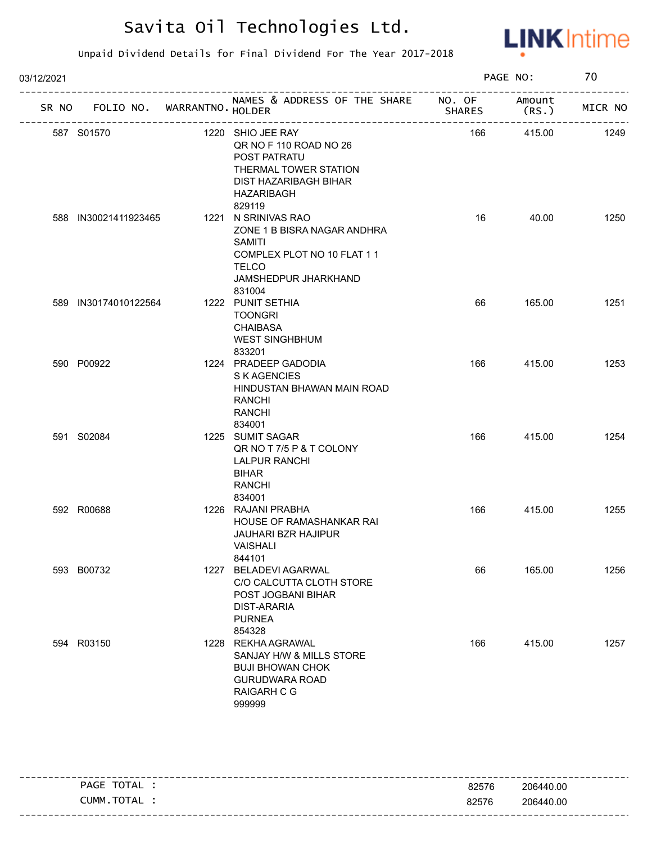

Unpaid Dividend Details for Final Dividend For The Year 2017-2018

| 03/12/2021 |                             |  |                                                                                                                                                     |               | PAGE NO:       |         |
|------------|-----------------------------|--|-----------------------------------------------------------------------------------------------------------------------------------------------------|---------------|----------------|---------|
| SR NO      | FOLIO NO. WARRANTNO. HOLDER |  | NAMES & ADDRESS OF THE SHARE NO. OF<br>---------------------                                                                                        | <b>SHARES</b> | Amount<br>(RS. | MICR NO |
|            | 587 S01570                  |  | 1220 SHIO JEE RAY<br>QR NO F 110 ROAD NO 26<br>POST PATRATU<br>THERMAL TOWER STATION<br>DIST HAZARIBAGH BIHAR<br>HAZARIBAGH<br>829119               | 166           | 415.00         | 1249    |
|            | 588 IN30021411923465        |  | 1221 N SRINIVAS RAO<br>ZONE 1 B BISRA NAGAR ANDHRA<br><b>SAMITI</b><br>COMPLEX PLOT NO 10 FLAT 11<br><b>TELCO</b><br>JAMSHEDPUR JHARKHAND<br>831004 | 16            | 40.00          | 1250    |
|            | 589 IN30174010122564        |  | 1222 PUNIT SETHIA<br><b>TOONGRI</b><br><b>CHAIBASA</b><br><b>WEST SINGHBHUM</b><br>833201                                                           | 66            | 165.00         | 1251    |
|            | 590 P00922                  |  | 1224 PRADEEP GADODIA<br>S K AGENCIES<br>HINDUSTAN BHAWAN MAIN ROAD<br>RANCHI<br><b>RANCHI</b><br>834001                                             | 166           | 415.00         | 1253    |
|            | 591 S02084                  |  | 1225 SUMIT SAGAR<br>QR NO T 7/5 P & T COLONY<br><b>LALPUR RANCHI</b><br><b>BIHAR</b><br><b>RANCHI</b><br>834001                                     | 166           | 415.00         | 1254    |
|            | 592 R00688                  |  | 1226 RAJANI PRABHA<br>HOUSE OF RAMASHANKAR RAI<br><b>JAUHARI BZR HAJIPUR</b><br>VAISHALI<br>844101                                                  | 166           | 415.00         | 1255    |
|            | 593 B00732                  |  | 1227 BELADEVI AGARWAL<br>C/O CALCUTTA CLOTH STORE<br>POST JOGBANI BIHAR<br><b>DIST-ARARIA</b><br><b>PURNEA</b><br>854328                            | 66            | 165.00         | 1256    |
|            | 594 R03150                  |  | 1228 REKHA AGRAWAL<br>SANJAY H/W & MILLS STORE<br><b>BUJI BHOWAN CHOK</b><br><b>GURUDWARA ROAD</b><br><b>RAIGARH C G</b><br>999999                  | 166           | 415.00         | 1257    |

---------------------------------------------------------------------------------------------------------- ---------------------------------------------------------------------------------------------------------- PAGE TOTAL : CUMM.TOTAL : 82576 82576 206440.00 206440.00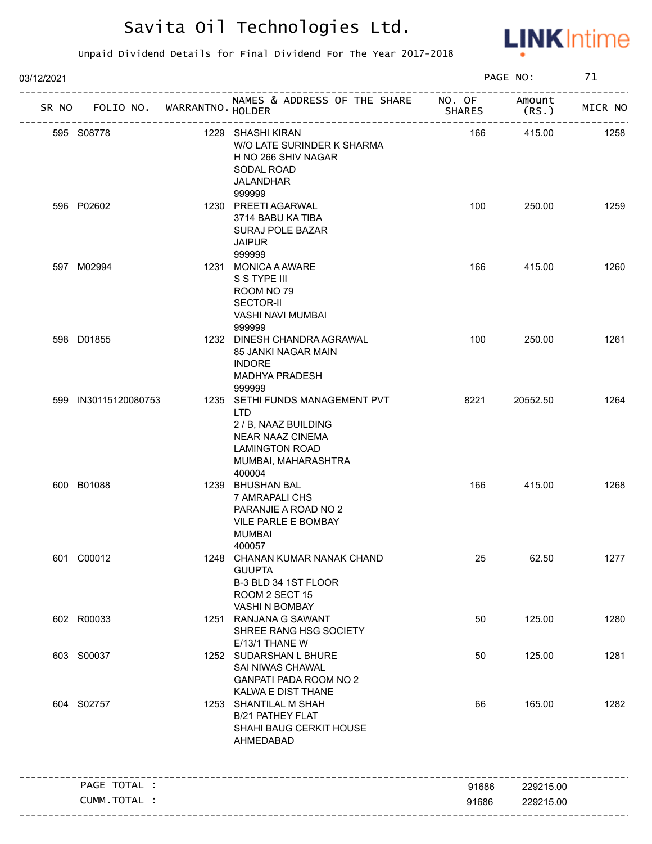

| 03/12/2021 |                             |                                                                                                                                                      |               | PAGE NO:       | 71      |
|------------|-----------------------------|------------------------------------------------------------------------------------------------------------------------------------------------------|---------------|----------------|---------|
| SR NO      | FOLIO NO. WARRANTNO. HOLDER | NAMES & ADDRESS OF THE SHARE NO. OF                                                                                                                  | <b>SHARES</b> | Amount<br>(RS. | MICR NO |
|            | 595 S08778                  | 1229 SHASHI KIRAN<br>W/O LATE SURINDER K SHARMA<br>H NO 266 SHIV NAGAR<br>SODAL ROAD<br><b>JALANDHAR</b>                                             | 166           | 415.00         | 1258    |
|            | 596 P02602                  | 999999<br>1230 PREETI AGARWAL<br>3714 BABU KA TIBA<br>SURAJ POLE BAZAR<br><b>JAIPUR</b><br>999999                                                    | 100           | 250.00         | 1259    |
|            | 597 M02994                  | 1231 MONICA A AWARE<br>S S TYPE III<br>ROOM NO 79<br><b>SECTOR-II</b><br>VASHI NAVI MUMBAI<br>999999                                                 | 166           | 415.00         | 1260    |
|            | 598 D01855                  | 1232 DINESH CHANDRA AGRAWAL<br>85 JANKI NAGAR MAIN<br><b>INDORE</b><br><b>MADHYA PRADESH</b><br>999999                                               | 100           | 250.00         | 1261    |
|            | 599 IN30115120080753        | 1235 SETHI FUNDS MANAGEMENT PVT<br>LTD.<br>2 / B, NAAZ BUILDING<br><b>NEAR NAAZ CINEMA</b><br><b>LAMINGTON ROAD</b><br>MUMBAI, MAHARASHTRA<br>400004 | 8221          | 20552.50       | 1264    |
|            | 600 B01088                  | 1239 BHUSHAN BAL<br>7 AMRAPALI CHS<br>PARANJIE A ROAD NO 2<br>VILE PARLE E BOMBAY<br>MUMBAI<br>400057                                                | 166           | 415.00         | 1268    |
|            | 601 C00012                  | 1248 CHANAN KUMAR NANAK CHAND<br><b>GUUPTA</b><br>B-3 BLD 34 1ST FLOOR<br>ROOM 2 SECT 15<br>VASHI N BOMBAY                                           | 25            | 62.50          | 1277    |
|            | 602 R00033                  | 1251 RANJANA G SAWANT<br>SHREE RANG HSG SOCIETY<br>E/13/1 THANE W                                                                                    | 50            | 125.00         | 1280    |
|            | 603 S00037                  | 1252 SUDARSHAN L BHURE<br>SAI NIWAS CHAWAL<br><b>GANPATI PADA ROOM NO 2</b><br>KALWA E DIST THANE                                                    | 50            | 125.00         | 1281    |
|            | 604 S02757                  | 1253 SHANTILAL M SHAH<br>B/21 PATHEY FLAT<br>SHAHI BAUG CERKIT HOUSE<br>AHMEDABAD                                                                    | 66            | 165.00         | 1282    |
|            | PAGE TOTAL :                |                                                                                                                                                      | 91686         | 229215.00      |         |
|            | CUMM.TOTAL :                |                                                                                                                                                      | 91686         | 229215.00      |         |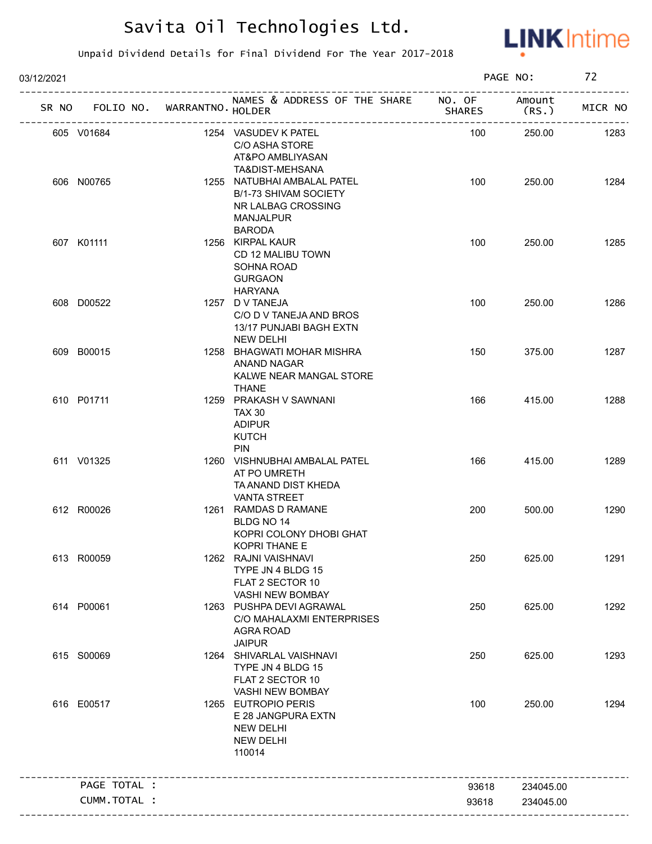

| 03/12/2021 |                                   |                                                                                                                          |               | PAGE NO:        | 72      |
|------------|-----------------------------------|--------------------------------------------------------------------------------------------------------------------------|---------------|-----------------|---------|
|            | SR NO FOLIO NO. WARRANTNO. HOLDER | NAMES & ADDRESS OF THE SHARE NO. OF                                                                                      | <b>SHARES</b> | Amount<br>(RS.) | MICR NO |
|            | 605 V01684                        | 1254 VASUDEV K PATEL<br>C/O ASHA STORE<br>AT&PO AMBLIYASAN                                                               | 100           | 250.00          | 1283    |
|            | 606 N00765                        | TA&DIST-MEHSANA<br>1255 NATUBHAI AMBALAL PATEL<br><b>B/1-73 SHIVAM SOCIETY</b><br>NR LALBAG CROSSING<br><b>MANJALPUR</b> | 100           | 250.00          | 1284    |
|            | 607 K01111                        | <b>BARODA</b><br>1256 KIRPAL KAUR<br>CD 12 MALIBU TOWN<br>SOHNA ROAD<br><b>GURGAON</b><br><b>HARYANA</b>                 | 100           | 250.00          | 1285    |
|            | 608 D00522                        | 1257 D V TANEJA<br>C/O D V TANEJA AND BROS<br>13/17 PUNJABI BAGH EXTN<br><b>NEW DELHI</b>                                | 100           | 250.00          | 1286    |
|            | 609 B00015                        | 1258 BHAGWATI MOHAR MISHRA<br>ANAND NAGAR<br>KALWE NEAR MANGAL STORE<br><b>THANE</b>                                     | 150           | 375.00          | 1287    |
|            | 610 P01711                        | 1259 PRAKASH V SAWNANI<br><b>TAX 30</b><br><b>ADIPUR</b><br><b>KUTCH</b><br><b>PIN</b>                                   | 166           | 415.00          | 1288    |
|            | 611 V01325                        | 1260 VISHNUBHAI AMBALAL PATEL<br>AT PO UMRETH<br>TA ANAND DIST KHEDA<br><b>VANTA STREET</b>                              | 166           | 415.00          | 1289    |
|            | 612 R00026                        | 1261 RAMDAS D RAMANE<br>BLDG NO 14<br>KOPRI COLONY DHOBI GHAT<br>KOPRI THANE E                                           | 200           | 500.00          | 1290    |
|            | 613 R00059                        | 1262 RAJNI VAISHNAVI<br>TYPE JN 4 BLDG 15<br>FLAT 2 SECTOR 10<br>VASHI NEW BOMBAY                                        | 250           | 625.00          | 1291    |
|            | 614 P00061                        | 1263 PUSHPA DEVI AGRAWAL<br>C/O MAHALAXMI ENTERPRISES<br><b>AGRA ROAD</b><br><b>JAIPUR</b>                               | 250           | 625.00          | 1292    |
|            | 615 S00069                        | 1264 SHIVARLAL VAISHNAVI<br>TYPE JN 4 BLDG 15<br>FLAT 2 SECTOR 10<br>VASHI NEW BOMBAY                                    | 250           | 625.00          | 1293    |
|            | 616 E00517                        | 1265 EUTROPIO PERIS<br>E 28 JANGPURA EXTN<br><b>NEW DELHI</b><br><b>NEW DELHI</b><br>110014                              | 100           | 250.00          | 1294    |
|            | PAGE TOTAL :                      |                                                                                                                          | 93618         | 234045.00       |         |
|            | <b>CUMM. TOTAL :</b>              |                                                                                                                          | 93618         | 234045.00       |         |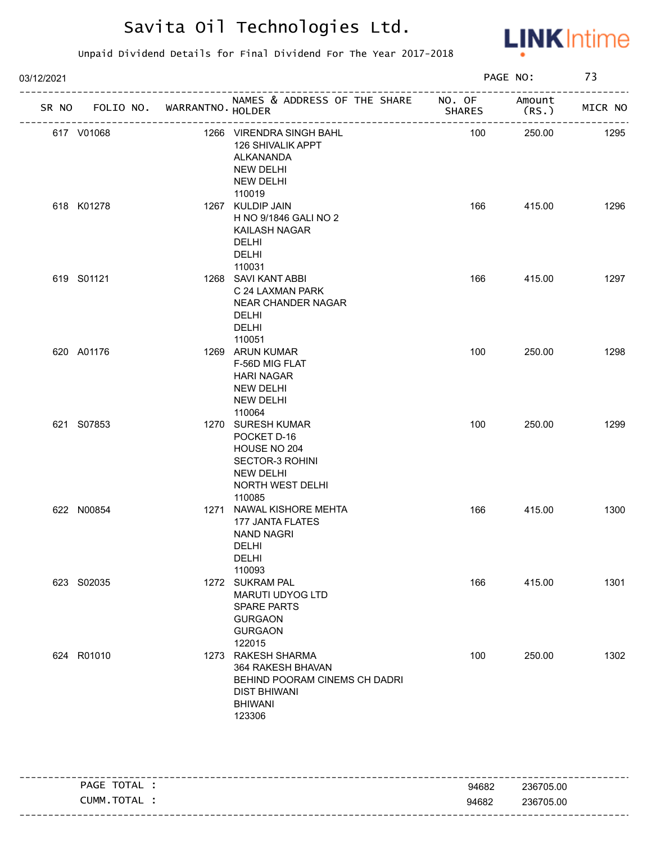

| 03/12/2021 |                                   |                                                                                                                             |               | PAGE NO:        | 73      |
|------------|-----------------------------------|-----------------------------------------------------------------------------------------------------------------------------|---------------|-----------------|---------|
|            | SR NO FOLIO NO. WARRANTNO. HOLDER | NAMES & ADDRESS OF THE SHARE NO. OF                                                                                         | <b>SHARES</b> | Amount<br>(RS.) | MICR NO |
| 617 V01068 |                                   | 1266 VIRENDRA SINGH BAHL<br>126 SHIVALIK APPT<br>ALKANANDA<br><b>NEW DELHI</b><br><b>NEW DELHI</b><br>110019                | 100           | 250.00          | 1295    |
| 618 K01278 |                                   | 1267 KULDIP JAIN<br>H NO 9/1846 GALI NO 2<br>KAILASH NAGAR<br>DELHI<br><b>DELHI</b><br>110031                               | 166           | 415.00          | 1296    |
| 619 S01121 |                                   | 1268 SAVI KANT ABBI<br>C 24 LAXMAN PARK<br><b>NEAR CHANDER NAGAR</b><br><b>DELHI</b><br><b>DELHI</b><br>110051              | 166           | 415.00          | 1297    |
| 620 A01176 |                                   | 1269 ARUN KUMAR<br>F-56D MIG FLAT<br><b>HARI NAGAR</b><br><b>NEW DELHI</b><br><b>NEW DELHI</b><br>110064                    | 100           | 250.00          | 1298    |
| 621 S07853 |                                   | 1270 SURESH KUMAR<br>POCKET D-16<br>HOUSE NO 204<br>SECTOR-3 ROHINI<br><b>NEW DELHI</b><br>NORTH WEST DELHI<br>110085       | 100           | 250.00          | 1299    |
| 622 N00854 |                                   | 1271 NAWAL KISHORE MEHTA<br>177 JANTA FLATES<br><b>NAND NAGRI</b><br>DELHI<br><b>DELHI</b><br>110093                        | 166           | 415.00          | 1300    |
| 623 S02035 |                                   | 1272 SUKRAM PAL<br><b>MARUTI UDYOG LTD</b><br><b>SPARE PARTS</b><br><b>GURGAON</b><br><b>GURGAON</b><br>122015              | 166           | 415.00          | 1301    |
| 624 R01010 |                                   | 1273 RAKESH SHARMA<br>364 RAKESH BHAVAN<br>BEHIND POORAM CINEMS CH DADRI<br><b>DIST BHIWANI</b><br><b>BHIWANI</b><br>123306 | 100           | 250.00          | 1302    |

| TOTAL<br>PAGE               | 94682 | 236705.00 |
|-----------------------------|-------|-----------|
| <b>TOTA</b><br>_UMM<br>' AL | 94682 | 236705.00 |
|                             |       |           |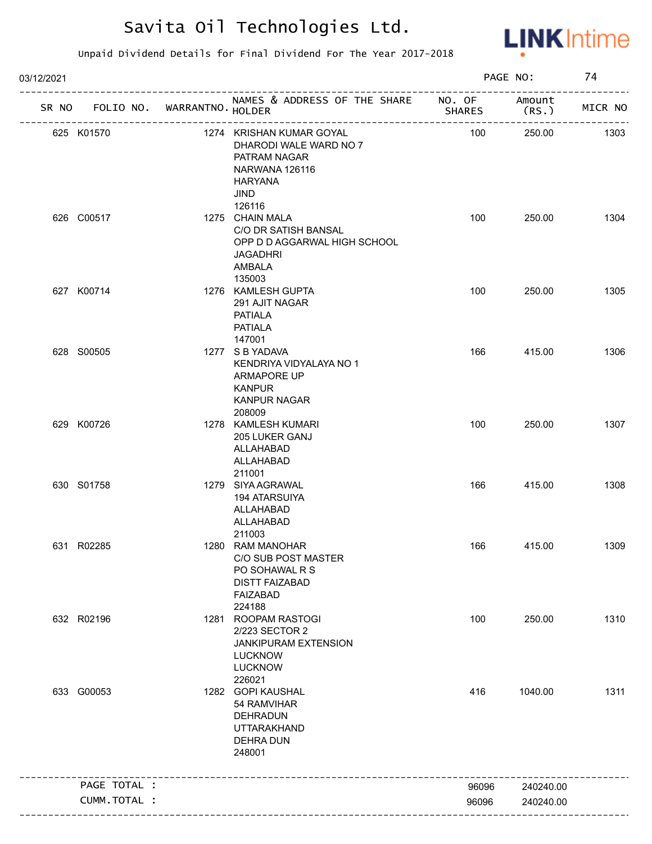

| 03/12/2021 |                 |                   |                                                                                                                        |               | PAGE NO:       | 74      |
|------------|-----------------|-------------------|------------------------------------------------------------------------------------------------------------------------|---------------|----------------|---------|
|            | SR NO FOLIO NO. | WARRANTNO. HOLDER | NAMES & ADDRESS OF THE SHARE NO. OF                                                                                    | <b>SHARES</b> | Amount<br>(RS. | MICR NO |
|            | 625 K01570      |                   | 1274 KRISHAN KUMAR GOYAL<br>DHARODI WALE WARD NO 7<br>PATRAM NAGAR<br>NARWANA 126116<br>HARYANA<br>JIND<br>126116      | 100           | 250.00         | 1303    |
|            | 626 C00517      |                   | 1275 CHAIN MALA<br>C/O DR SATISH BANSAL<br>OPP D D AGGARWAL HIGH SCHOOL<br><b>JAGADHRI</b><br>AMBALA<br>135003         | 100           | 250.00         | 1304    |
|            | 627 K00714      |                   | 1276 KAMLESH GUPTA<br>291 AJIT NAGAR<br>PATIALA<br><b>PATIALA</b><br>147001                                            | 100           | 250.00         | 1305    |
|            | 628 S00505      |                   | 1277 S B YADAVA<br>KENDRIYA VIDYALAYA NO 1<br>ARMAPORE UP<br><b>KANPUR</b><br><b>KANPUR NAGAR</b><br>208009            | 166           | 415.00         | 1306    |
|            | 629 K00726      |                   | 1278 KAMLESH KUMARI<br>205 LUKER GANJ<br>ALLAHABAD<br>ALLAHABAD<br>211001                                              | 100           | 250.00         | 1307    |
|            | 630 S01758      |                   | 1279 SIYA AGRAWAL<br><b>194 ATARSUIYA</b><br>ALLAHABAD<br>ALLAHABAD<br>211003                                          | 166           | 415.00         | 1308    |
|            | 631 R02285      |                   | 1280 RAM MANOHAR<br><b>C/O SUB POST MASTER</b><br>PO SOHAWAL R S<br><b>DISTT FAIZABAD</b><br><b>FAIZABAD</b><br>224188 | 166           | 415.00         | 1309    |
|            | 632 R02196      |                   | 1281 ROOPAM RASTOGI<br>2/223 SECTOR 2<br>JANKIPURAM EXTENSION<br><b>LUCKNOW</b><br><b>LUCKNOW</b><br>226021            | 100           | 250.00         | 1310    |
|            | 633 G00053      |                   | 1282 GOPI KAUSHAL<br>54 RAMVIHAR<br>DEHRADUN<br><b>UTTARAKHAND</b><br><b>DEHRA DUN</b><br>248001                       | 416           | 1040.00        | 1311    |
|            | PAGE TOTAL :    |                   |                                                                                                                        | 96096         | 240240.00      |         |
|            | CUMM.TOTAL :    |                   |                                                                                                                        | 96096         | 240240.00      |         |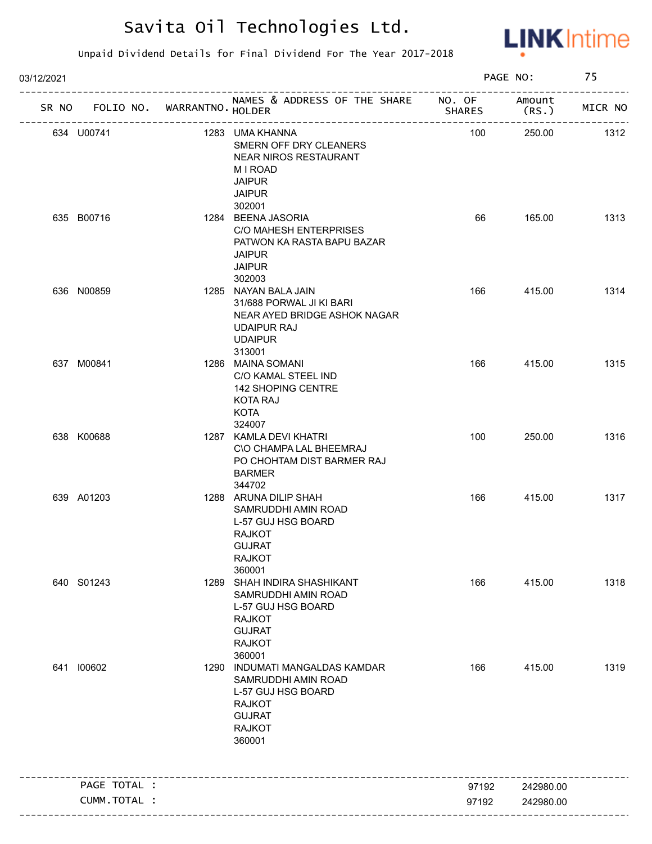

| 03/12/2021                        |                                                                                                                                          |               | PAGE NO:       | 75      |
|-----------------------------------|------------------------------------------------------------------------------------------------------------------------------------------|---------------|----------------|---------|
| SR NO FOLIO NO. WARRANTNO. HOLDER | NAMES & ADDRESS OF THE SHARE NO. OF<br>-----------------------                                                                           | <b>SHARES</b> | Amount<br>(RS. | MICR NO |
| 634 U00741                        | 1283 UMA KHANNA<br>SMERN OFF DRY CLEANERS<br><b>NEAR NIROS RESTAURANT</b><br><b>MIROAD</b><br><b>JAIPUR</b><br><b>JAIPUR</b><br>302001   | 100           | 250.00         | 1312    |
| 635 B00716                        | 1284 BEENA JASORIA<br>C/O MAHESH ENTERPRISES<br>PATWON KA RASTA BAPU BAZAR<br><b>JAIPUR</b><br><b>JAIPUR</b><br>302003                   | 66            | 165.00         | 1313    |
| 636 N00859                        | 1285 NAYAN BALA JAIN<br>31/688 PORWAL JI KI BARI<br>NEAR AYED BRIDGE ASHOK NAGAR<br><b>UDAIPUR RAJ</b><br><b>UDAIPUR</b><br>313001       | 166           | 415.00         | 1314    |
| 637 M00841                        | 1286 MAINA SOMANI<br>C/O KAMAL STEEL IND<br>142 SHOPING CENTRE<br>KOTA RAJ<br><b>KOTA</b><br>324007                                      | 166           | 415.00         | 1315    |
| 638 K00688                        | 1287 KAMLA DEVI KHATRI<br>C\O CHAMPA LAL BHEEMRAJ<br>PO CHOHTAM DIST BARMER RAJ<br><b>BARMER</b><br>344702                               | 100           | 250.00         | 1316    |
| 639 A01203                        | 1288 ARUNA DILIP SHAH<br>SAMRUDDHI AMIN ROAD<br>L-57 GUJ HSG BOARD<br><b>RAJKOT</b><br><b>GUJRAT</b><br><b>RAJKOT</b><br>360001          | 166           | 415.00         | 1317    |
| 640 S01243                        | 1289 SHAH INDIRA SHASHIKANT<br>SAMRUDDHI AMIN ROAD<br>L-57 GUJ HSG BOARD<br><b>RAJKOT</b><br><b>GUJRAT</b><br><b>RAJKOT</b><br>360001    | 166           | 415.00         | 1318    |
| 641 100602                        | 1290 INDUMATI MANGALDAS KAMDAR<br>SAMRUDDHI AMIN ROAD<br>L-57 GUJ HSG BOARD<br><b>RAJKOT</b><br><b>GUJRAT</b><br><b>RAJKOT</b><br>360001 | 166           | 415.00         | 1319    |
| PAGE TOTAL :                      |                                                                                                                                          | 97192         | 242980.00      |         |
|                                   |                                                                                                                                          |               |                |         |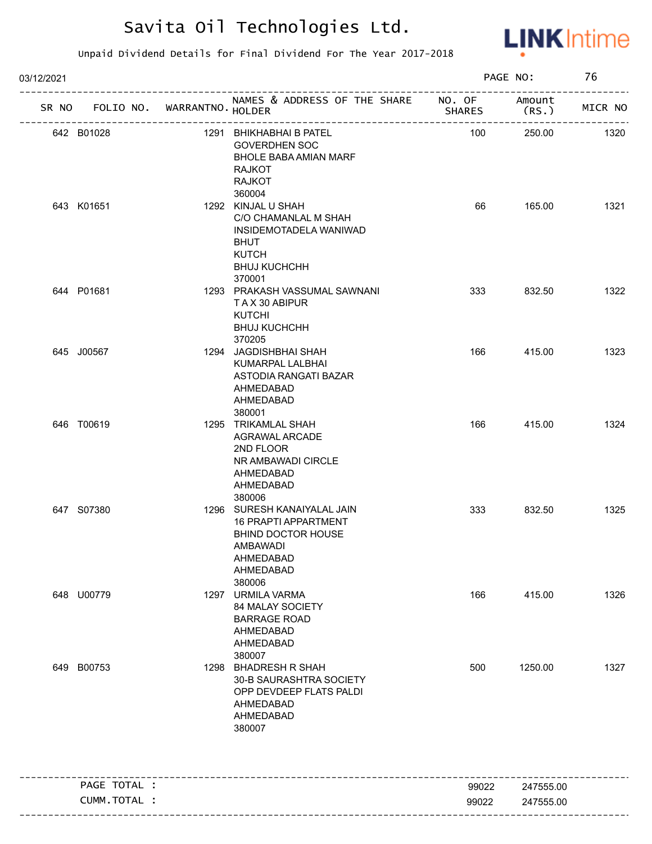

| 03/12/2021 |              |                             |                                                                                                                                                |               | PAGE NO:         | 76      |
|------------|--------------|-----------------------------|------------------------------------------------------------------------------------------------------------------------------------------------|---------------|------------------|---------|
| SR NO      |              | FOLIO NO. WARRANTNO. HOLDER | NAMES & ADDRESS OF THE SHARE NO. OF                                                                                                            | <b>SHARES</b> | Amount<br>(RS. ) | MICR NO |
| 642 B01028 |              |                             | 1291 BHIKHABHAI B PATEL<br><b>GOVERDHEN SOC</b><br><b>BHOLE BABA AMIAN MARF</b><br>RAJKOT<br><b>RAJKOT</b>                                     | 100           | 250.00           | 1320    |
| 643 K01651 |              |                             | 360004<br>1292 KINJAL U SHAH<br>C/O CHAMANLAL M SHAH<br>INSIDEMOTADELA WANIWAD<br><b>BHUT</b><br><b>KUTCH</b><br><b>BHUJ KUCHCHH</b><br>370001 | 66            | 165.00           | 1321    |
| 644 P01681 |              |                             | 1293 PRAKASH VASSUMAL SAWNANI<br>TAX 30 ABIPUR<br><b>KUTCHI</b><br><b>BHUJ KUCHCHH</b><br>370205                                               | 333           | 832.50           | 1322    |
| 645 J00567 |              |                             | 1294 JAGDISHBHAI SHAH<br>KUMARPAL LALBHAI<br>ASTODIA RANGATI BAZAR<br>AHMEDABAD<br>AHMEDABAD<br>380001                                         | 166           | 415.00           | 1323    |
| 646 T00619 |              |                             | 1295 TRIKAMLAL SHAH<br>AGRAWAL ARCADE<br>2ND FLOOR<br>NR AMBAWADI CIRCLE<br>AHMEDABAD<br>AHMEDABAD<br>380006                                   | 166           | 415.00           | 1324    |
| 647 S07380 |              |                             | 1296 SURESH KANAIYALAL JAIN<br><b>16 PRAPTI APPARTMENT</b><br>BHIND DOCTOR HOUSE<br>AMBAWADI<br>AHMEDABAD<br>AHMEDABAD<br>380006               | 333           | 832.50           | 1325    |
| 648 U00779 |              |                             | 1297 URMILA VARMA<br>84 MALAY SOCIETY<br><b>BARRAGE ROAD</b><br>AHMEDABAD<br>AHMEDABAD<br>380007                                               | 166           | 415.00           | 1326    |
| 649 B00753 |              |                             | 1298 BHADRESH R SHAH<br>30-B SAURASHTRA SOCIETY<br>OPP DEVDEEP FLATS PALDI<br>AHMEDABAD<br>AHMEDABAD<br>380007                                 | 500           | 1250.00          | 1327    |
|            | PAGE TOTAL : |                             |                                                                                                                                                | 99022         | 247555.00        |         |
|            | CUMM.TOTAL : |                             |                                                                                                                                                | 99022         | 247555.00        |         |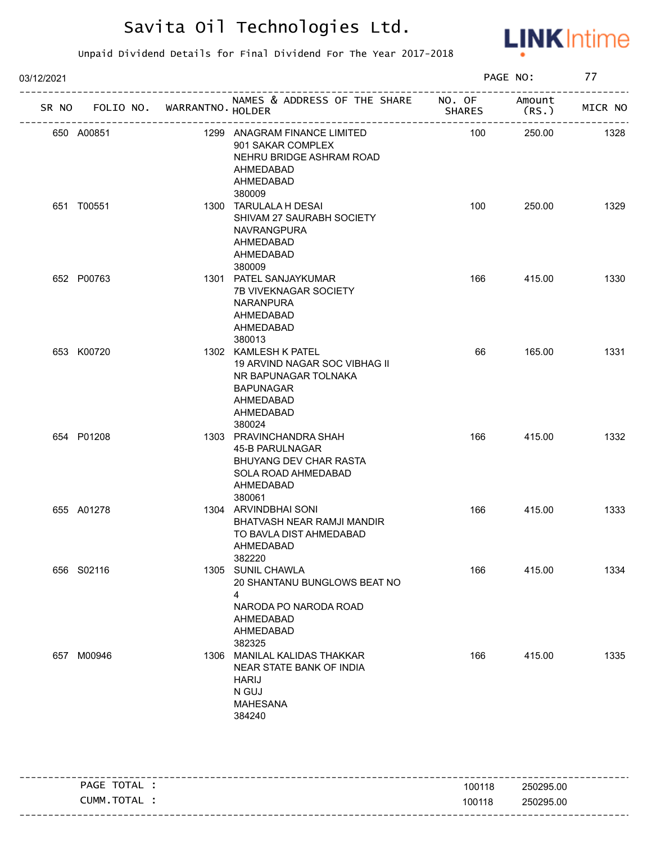

| 03/12/2021 |                                   |  |                                                                                                                                       | PAGE NO:      |                 | 77      |  |
|------------|-----------------------------------|--|---------------------------------------------------------------------------------------------------------------------------------------|---------------|-----------------|---------|--|
|            | SR NO FOLIO NO. WARRANTNO. HOLDER |  | NAMES & ADDRESS OF THE SHARE NO. OF                                                                                                   | <b>SHARES</b> | Amount<br>(RS.) | MICR NO |  |
|            | 650 A00851                        |  | 1299 ANAGRAM FINANCE LIMITED<br>901 SAKAR COMPLEX<br>NEHRU BRIDGE ASHRAM ROAD<br>AHMEDABAD<br>AHMEDABAD<br>380009                     | 100           | 250.00          | 1328    |  |
|            | 651 T00551                        |  | 1300 TARULALA H DESAI<br>SHIVAM 27 SAURABH SOCIETY<br><b>NAVRANGPURA</b><br>AHMEDABAD<br>AHMEDABAD<br>380009                          | 100           | 250.00          | 1329    |  |
|            | 652 P00763                        |  | 1301 PATEL SANJAYKUMAR<br><b>7B VIVEKNAGAR SOCIETY</b><br><b>NARANPURA</b><br>AHMEDABAD<br>AHMEDABAD<br>380013                        | 166           | 415.00          | 1330    |  |
|            | 653 K00720                        |  | 1302 KAMLESH K PATEL<br>19 ARVIND NAGAR SOC VIBHAG II<br>NR BAPUNAGAR TOLNAKA<br><b>BAPUNAGAR</b><br>AHMEDABAD<br>AHMEDABAD<br>380024 | 66            | 165.00          | 1331    |  |
|            | 654 P01208                        |  | 1303 PRAVINCHANDRA SHAH<br>45-B PARULNAGAR<br>BHUYANG DEV CHAR RASTA<br>SOLA ROAD AHMEDABAD<br>AHMEDABAD<br>380061                    | 166           | 415.00          | 1332    |  |
|            | 655 A01278                        |  | 1304 ARVINDBHAI SONI<br>BHATVASH NEAR RAMJI MANDIR<br>TO BAVLA DIST AHMEDABAD<br>AHMEDABAD<br>382220                                  | 166           | 415.00          | 1333    |  |
|            | 656 S02116                        |  | 1305 SUNIL CHAWLA<br>20 SHANTANU BUNGLOWS BEAT NO<br>4<br>NARODA PO NARODA ROAD<br>AHMEDABAD<br>AHMEDABAD<br>382325                   | 166           | 415.00          | 1334    |  |
|            | 657 M00946                        |  | 1306 MANILAL KALIDAS THAKKAR<br>NEAR STATE BANK OF INDIA<br><b>HARIJ</b><br>N GUJ<br><b>MAHESANA</b><br>384240                        | 166           | 415.00          | 1335    |  |

|            |        | ------------------ |
|------------|--------|--------------------|
| PAGE TOTAL | 100118 | 250295.00          |
| CUMM.TOTAL | 100118 | 250295.00          |
|            |        |                    |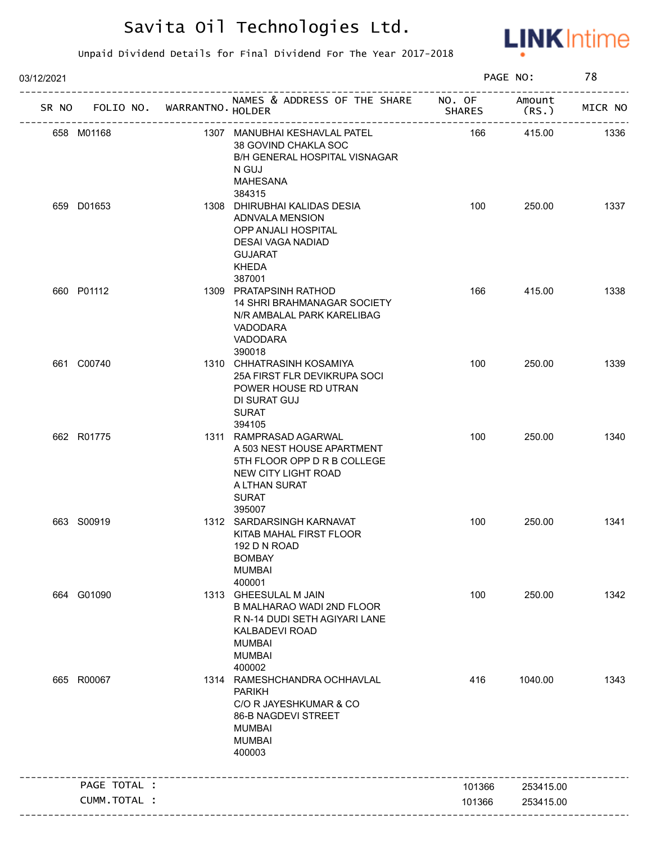

| 03/12/2021                        |               |                                                                                                                                                          |               | PAGE NO:        | 78      |
|-----------------------------------|---------------|----------------------------------------------------------------------------------------------------------------------------------------------------------|---------------|-----------------|---------|
| SR NO FOLIO NO. WARRANTNO. HOLDER |               | NAMES & ADDRESS OF THE SHARE NO. OF<br>_______________                                                                                                   | <b>SHARES</b> | Amount<br>(RS.) | MICR NO |
| 658 M01168                        |               | 1307 MANUBHAI KESHAVLAL PATEL<br>38 GOVIND CHAKLA SOC<br>B/H GENERAL HOSPITAL VISNAGAR<br>N GUJ<br>MAHESANA                                              | 166           | 415.00          | 1336    |
| 659 D01653                        |               | 384315<br>1308 DHIRUBHAI KALIDAS DESIA<br>ADNVALA MENSION<br>OPP ANJALI HOSPITAL<br>DESAI VAGA NADIAD<br><b>GUJARAT</b><br><b>KHEDA</b><br>387001        | 100           | 250.00          | 1337    |
| 660 P01112                        |               | 1309 PRATAPSINH RATHOD<br><b>14 SHRI BRAHMANAGAR SOCIETY</b><br>N/R AMBALAL PARK KARELIBAG<br>VADODARA<br>VADODARA<br>390018                             | 166           | 415.00          | 1338    |
| 661 C00740                        |               | 1310 CHHATRASINH KOSAMIYA<br>25A FIRST FLR DEVIKRUPA SOCI<br>POWER HOUSE RD UTRAN<br>DI SURAT GUJ<br><b>SURAT</b><br>394105                              | 100           | 250.00          | 1339    |
| 662 R01775                        |               | 1311 RAMPRASAD AGARWAL<br>A 503 NEST HOUSE APARTMENT<br>5TH FLOOR OPP D R B COLLEGE<br>NEW CITY LIGHT ROAD<br>A LTHAN SURAT<br><b>SURAT</b><br>395007    | 100           | 250.00          | 1340    |
| 663 S00919                        |               | 1312 SARDARSINGH KARNAVAT<br>KITAB MAHAL FIRST FLOOR<br>192 D N ROAD<br><b>BOMBAY</b><br><b>MUMBAI</b><br>400001                                         | 100           | 250.00          | 1341    |
| 664 G01090                        |               | 1313 GHEESULAL M JAIN<br><b>B MALHARAO WADI 2ND FLOOR</b><br>R N-14 DUDI SETH AGIYARI LANE<br>KALBADEVI ROAD<br><b>MUMBAI</b><br><b>MUMBAI</b><br>400002 | 100           | 250.00          | 1342    |
| 665 R00067                        |               | 1314 RAMESHCHANDRA OCHHAVLAL<br><b>PARIKH</b><br>C/O R JAYESHKUMAR & CO<br>86-B NAGDEVI STREET<br><b>MUMBAI</b><br><b>MUMBAI</b><br>400003               | 416           | 1040.00         | 1343    |
| PAGE TOTAL :                      |               |                                                                                                                                                          | 101366        | 253415.00       |         |
|                                   | CUMM. TOTAL : |                                                                                                                                                          | 101366        | 253415.00       |         |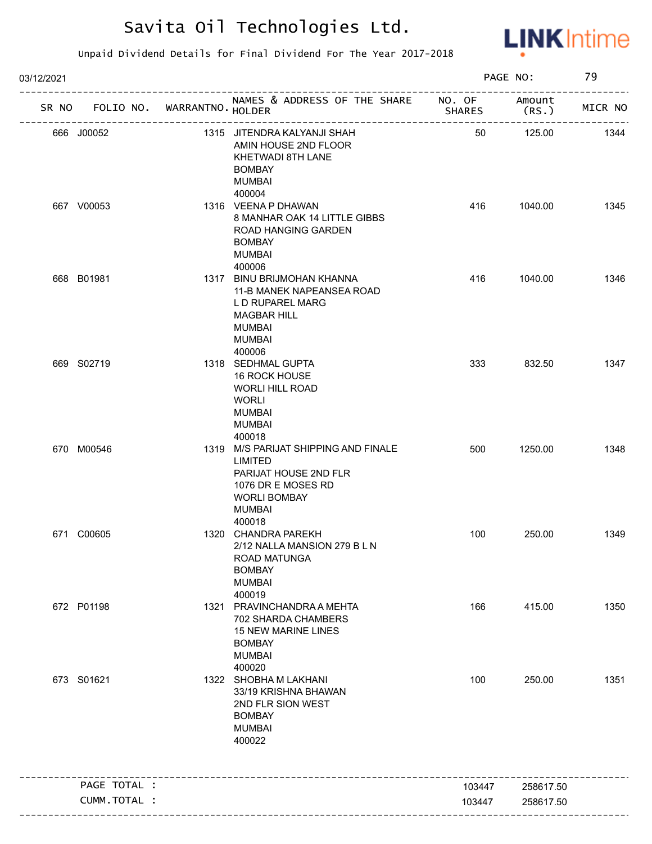

| 03/12/2021                        |                                                                                                                                                  |               | PAGE NO:       | 79      |
|-----------------------------------|--------------------------------------------------------------------------------------------------------------------------------------------------|---------------|----------------|---------|
| SR NO FOLIO NO. WARRANTNO. HOLDER | NAMES & ADDRESS OF THE SHARE NO. OF                                                                                                              | <b>SHARES</b> | Amount<br>(RS. | MICR NO |
| 666 J00052                        | -----------------<br>1315 JITENDRA KALYANJI SHAH<br>AMIN HOUSE 2ND FLOOR<br>KHETWADI 8TH LANE<br><b>BOMBAY</b><br>MUMBAI                         | 50            | 125.00         | 1344    |
| 667 V00053                        | 400004<br>1316 VEENA P DHAWAN<br>8 MANHAR OAK 14 LITTLE GIBBS<br>ROAD HANGING GARDEN<br><b>BOMBAY</b><br><b>MUMBAI</b><br>400006                 | 416           | 1040.00        | 1345    |
| 668 B01981                        | 1317 BINU BRIJMOHAN KHANNA<br>11-B MANEK NAPEANSEA ROAD<br>L D RUPAREL MARG<br><b>MAGBAR HILL</b><br>MUMBAI<br><b>MUMBAI</b><br>400006           | 416           | 1040.00        | 1346    |
| 669 S02719                        | 1318 SEDHMAL GUPTA<br>16 ROCK HOUSE<br><b>WORLI HILL ROAD</b><br><b>WORLI</b><br>MUMBAI<br>MUMBAI<br>400018                                      | 333           | 832.50         | 1347    |
| 670 M00546                        | 1319 M/S PARIJAT SHIPPING AND FINALE<br>LIMITED<br>PARIJAT HOUSE 2ND FLR<br>1076 DR E MOSES RD<br><b>WORLI BOMBAY</b><br><b>MUMBAI</b><br>400018 | 500           | 1250.00        | 1348    |
| 671 C00605                        | 1320 CHANDRA PAREKH<br>2/12 NALLA MANSION 279 B L N<br>ROAD MATUNGA<br><b>BOMBAY</b><br><b>MUMBAI</b><br>400019                                  | 100           | 250.00         | 1349    |
| 672 P01198                        | 1321 PRAVINCHANDRA A MEHTA<br>702 SHARDA CHAMBERS<br><b>15 NEW MARINE LINES</b><br><b>BOMBAY</b><br><b>MUMBAI</b><br>400020                      | 166           | 415.00         | 1350    |
| 673 S01621                        | 1322 SHOBHA M LAKHANI<br>33/19 KRISHNA BHAWAN<br>2ND FLR SION WEST<br><b>BOMBAY</b><br><b>MUMBAI</b><br>400022                                   | 100           | 250.00         | 1351    |
| PAGE TOTAL :                      |                                                                                                                                                  | 103447        | 258617.50      |         |
|                                   |                                                                                                                                                  |               |                |         |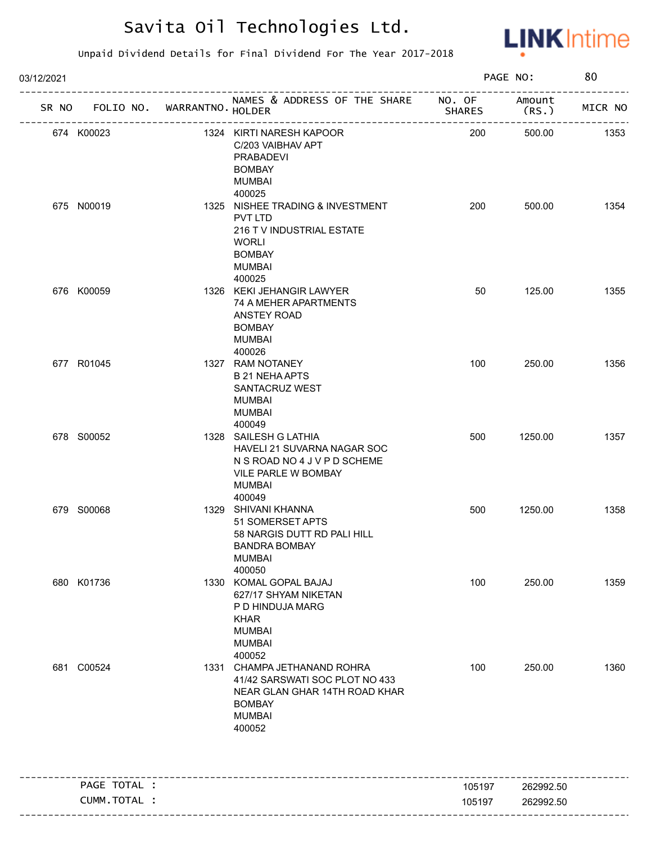

| 03/12/2021                        |                                                                                                                                            |               | PAGE NO:        | 80      |
|-----------------------------------|--------------------------------------------------------------------------------------------------------------------------------------------|---------------|-----------------|---------|
| SR NO FOLIO NO. WARRANTNO. HOLDER | NAMES & ADDRESS OF THE SHARE NO. OF                                                                                                        | <b>SHARES</b> | Amount<br>(RS.) | MICR NO |
| 674 K00023                        | 1324 KIRTI NARESH KAPOOR<br>C/203 VAIBHAV APT<br>PRABADEVI<br><b>BOMBAY</b><br>MUMBAI                                                      | 200           | 500.00          | 1353    |
| 675 N00019                        | 400025<br>1325 NISHEE TRADING & INVESTMENT<br>PVT LTD<br>216 T V INDUSTRIAL ESTATE<br>WORLI<br><b>BOMBAY</b><br><b>MUMBAI</b><br>400025    | 200           | 500.00          | 1354    |
| 676 K00059                        | 1326 KEKI JEHANGIR LAWYER<br>74 A MEHER APARTMENTS<br>ANSTEY ROAD<br><b>BOMBAY</b><br>MUMBAI<br>400026                                     | 50            | 125.00          | 1355    |
| 677 R01045                        | 1327 RAM NOTANEY<br><b>B 21 NEHA APTS</b><br>SANTACRUZ WEST<br>MUMBAI<br><b>MUMBAI</b><br>400049                                           | 100           | 250.00          | 1356    |
| 678 S00052                        | 1328 SAILESH G LATHIA<br>HAVELI 21 SUVARNA NAGAR SOC<br>N S ROAD NO 4 J V P D SCHEME<br>VILE PARLE W BOMBAY<br>MUMBAI<br>400049            | 500           | 1250.00         | 1357    |
| 679 S00068                        | 1329 SHIVANI KHANNA<br>51 SOMERSET APTS<br>58 NARGIS DUTT RD PALI HILL<br>BANDRA BOMBAY<br><b>MUMBAI</b><br>400050                         | 500           | 1250.00         | 1358    |
| 680 K01736                        | 1330 KOMAL GOPAL BAJAJ<br>627/17 SHYAM NIKETAN<br>P D HINDUJA MARG<br><b>KHAR</b><br><b>MUMBAI</b><br><b>MUMBAI</b><br>400052              | 100           | 250.00          | 1359    |
| 681 C00524                        | 1331 CHAMPA JETHANAND ROHRA<br>41/42 SARSWATI SOC PLOT NO 433<br>NEAR GLAN GHAR 14TH ROAD KHAR<br><b>BOMBAY</b><br><b>MUMBAI</b><br>400052 | 100           | 250.00          | 1360    |
| PAGE TOTAL :                      |                                                                                                                                            | 105197        | 262992.50       |         |
| CUMM.TOTAL :                      |                                                                                                                                            | 105197        | 262992.50       |         |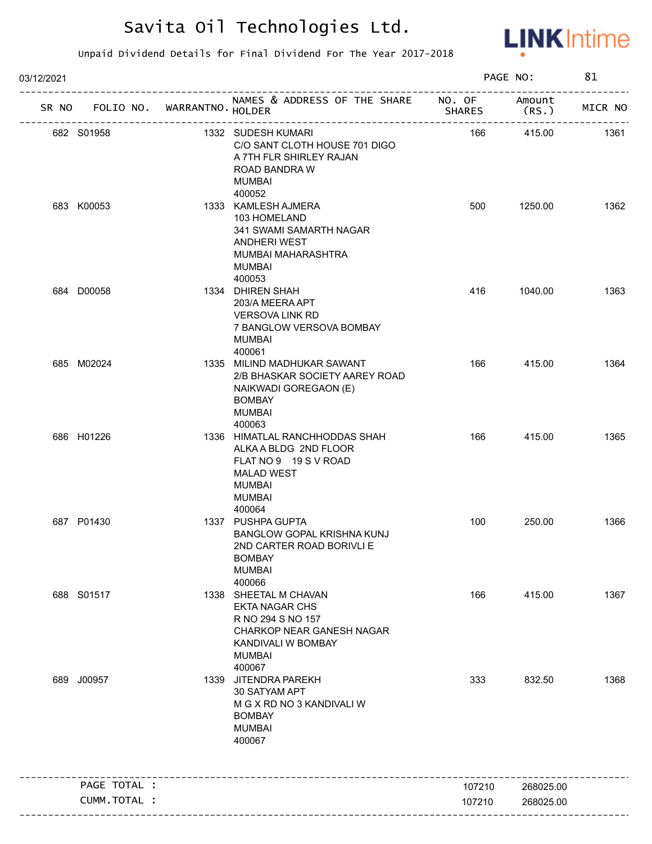

| 03/12/2021 |                                   |                                                                                                                                                   |               | PAGE NO:  | 81      |
|------------|-----------------------------------|---------------------------------------------------------------------------------------------------------------------------------------------------|---------------|-----------|---------|
|            | SR NO FOLIO NO. WARRANTNO. HOLDER | NAMES & ADDRESS OF THE SHARE NO. OF Amount<br>--------------------                                                                                | <b>SHARES</b> | (RS.)     | MICR NO |
|            | 682 S01958                        | 1332 SUDESH KUMARI<br>C/O SANT CLOTH HOUSE 701 DIGO<br>A 7TH FLR SHIRLEY RAJAN<br>ROAD BANDRA W<br><b>MUMBAI</b>                                  | 166           | 415.00    | 1361    |
|            | 683 K00053                        | 400052<br>1333 KAMLESH AJMERA<br>103 HOMELAND<br>341 SWAMI SAMARTH NAGAR<br><b>ANDHERI WEST</b><br>MUMBAI MAHARASHTRA<br><b>MUMBAI</b><br>400053  | 500           | 1250.00   | 1362    |
|            | 684 D00058                        | 1334 DHIREN SHAH<br>203/A MEERA APT<br><b>VERSOVA LINK RD</b><br>7 BANGLOW VERSOVA BOMBAY<br><b>MUMBAI</b><br>400061                              | 416           | 1040.00   | 1363    |
|            | 685 M02024                        | 1335 MILIND MADHUKAR SAWANT<br>2/B BHASKAR SOCIETY AAREY ROAD<br>NAIKWADI GOREGAON (E)<br><b>BOMBAY</b><br><b>MUMBAI</b><br>400063                | 166           | 415.00    | 1364    |
|            | 686 H01226                        | 1336 HIMATLAL RANCHHODDAS SHAH<br>ALKA A BLDG 2ND FLOOR<br>FLAT NO 9 19 S V ROAD<br><b>MALAD WEST</b><br><b>MUMBAI</b><br><b>MUMBAI</b><br>400064 | 166           | 415.00    | 1365    |
|            | 687 P01430                        | 1337 PUSHPA GUPTA<br>BANGLOW GOPAL KRISHNA KUNJ<br>2ND CARTER ROAD BORIVLI E<br><b>BOMBAY</b><br><b>MUMBAI</b><br>400066                          | 100           | 250.00    | 1366    |
|            | 688 S01517                        | 1338 SHEETAL M CHAVAN<br><b>EKTA NAGAR CHS</b><br>R NO 294 S NO 157<br>CHARKOP NEAR GANESH NAGAR<br>KANDIVALI W BOMBAY<br><b>MUMBAI</b><br>400067 | 166           | 415.00    | 1367    |
|            | 689 J00957                        | 1339 JITENDRA PAREKH<br>30 SATYAM APT<br>M G X RD NO 3 KANDIVALI W<br><b>BOMBAY</b><br><b>MUMBAI</b><br>400067                                    | 333           | 832.50    | 1368    |
|            | PAGE TOTAL :                      |                                                                                                                                                   | 107210        | 268025.00 |         |
|            | CUMM.TOTAL :                      |                                                                                                                                                   | 107210        | 268025.00 |         |
|            |                                   |                                                                                                                                                   |               |           |         |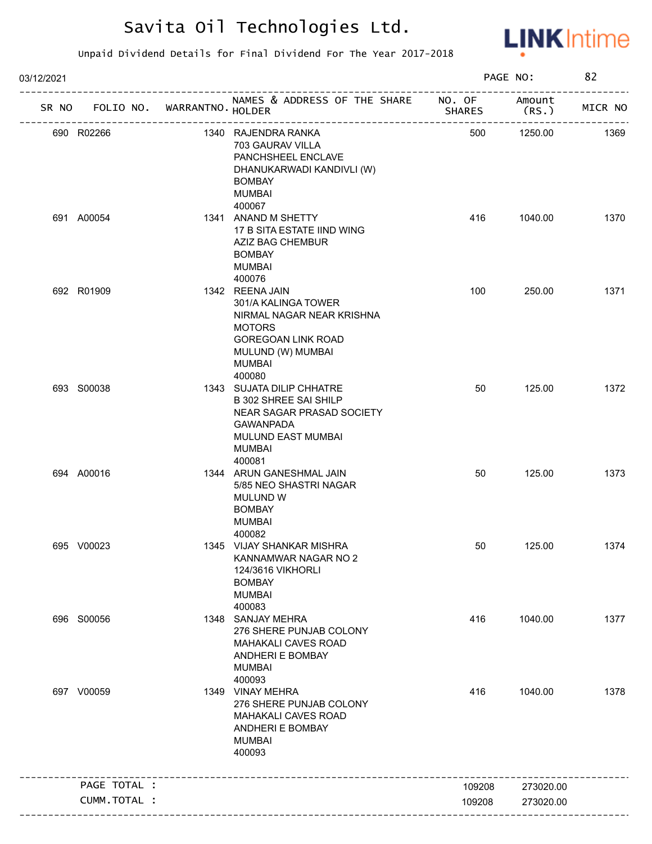

| 03/12/2021 |              |                   |                                                                                                                                                             |               | PAGE NO:       | 82      |
|------------|--------------|-------------------|-------------------------------------------------------------------------------------------------------------------------------------------------------------|---------------|----------------|---------|
| SR NO      | FOLIO NO.    | WARRANTNO. HOLDER | NAMES & ADDRESS OF THE SHARE NO. OF                                                                                                                         | <b>SHARES</b> | Amount<br>(RS. | MICR NO |
|            | 690 R02266   |                   | 1340 RAJENDRA RANKA<br>703 GAURAV VILLA<br>PANCHSHEEL ENCLAVE<br>DHANUKARWADI KANDIVLI (W)<br><b>BOMBAY</b><br><b>MUMBAI</b><br>400067                      | 500           | 1250.00        | 1369    |
|            | 691 A00054   |                   | 1341 ANAND M SHETTY<br>17 B SITA ESTATE IIND WING<br>AZIZ BAG CHEMBUR<br><b>BOMBAY</b><br><b>MUMBAI</b><br>400076                                           | 416           | 1040.00        | 1370    |
|            | 692 R01909   |                   | 1342 REENA JAIN<br>301/A KALINGA TOWER<br>NIRMAL NAGAR NEAR KRISHNA<br><b>MOTORS</b><br>GOREGOAN LINK ROAD<br>MULUND (W) MUMBAI<br>MUMBAI<br>400080         | 100           | 250.00         | 1371    |
|            | 693 S00038   |                   | 1343 SUJATA DILIP CHHATRE<br><b>B 302 SHREE SAI SHILP</b><br>NEAR SAGAR PRASAD SOCIETY<br><b>GAWANPADA</b><br>MULUND EAST MUMBAI<br><b>MUMBAI</b><br>400081 | 50            | 125.00         | 1372    |
|            | 694 A00016   |                   | 1344 ARUN GANESHMAL JAIN<br>5/85 NEO SHASTRI NAGAR<br>MULUND W<br><b>BOMBAY</b><br><b>MUMBAI</b><br>400082                                                  | 50            | 125.00         | 1373    |
|            | 695 V00023   |                   | 1345 VIJAY SHANKAR MISHRA<br>KANNAMWAR NAGAR NO 2<br>124/3616 VIKHORLI<br><b>BOMBAY</b><br><b>MUMBAI</b><br>400083                                          | 50            | 125.00         | 1374    |
|            | 696 S00056   |                   | 1348 SANJAY MEHRA<br>276 SHERE PUNJAB COLONY<br><b>MAHAKALI CAVES ROAD</b><br>ANDHERI E BOMBAY<br><b>MUMBAI</b><br>400093                                   | 416           | 1040.00        | 1377    |
|            | 697 V00059   |                   | 1349 VINAY MEHRA<br>276 SHERE PUNJAB COLONY<br><b>MAHAKALI CAVES ROAD</b><br>ANDHERI E BOMBAY<br><b>MUMBAI</b><br>400093                                    | 416           | 1040.00        | 1378    |
|            | PAGE TOTAL : |                   | ________________________                                                                                                                                    | 109208        | 273020.00      |         |
|            | CUMM.TOTAL : |                   |                                                                                                                                                             | 109208        | 273020.00      |         |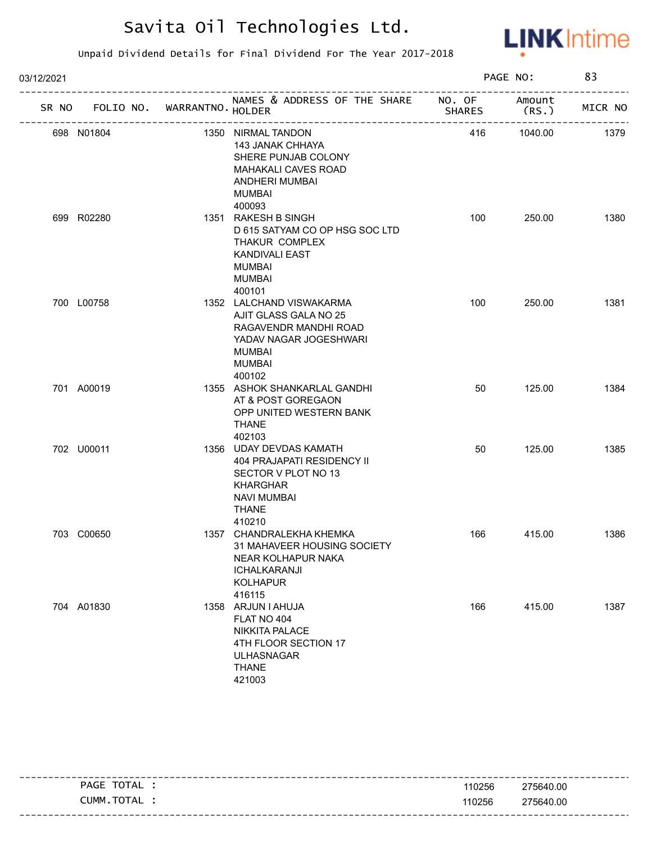

| 03/12/2021 |                                   |                                                                                                                                                  |               | PAGE NO:        | 83      |
|------------|-----------------------------------|--------------------------------------------------------------------------------------------------------------------------------------------------|---------------|-----------------|---------|
|            | SR NO FOLIO NO. WARRANTNO. HOLDER | NAMES & ADDRESS OF THE SHARE NO. OF<br>----------------------------------                                                                        | <b>SHARES</b> | Amount<br>(RS.) | MICR NO |
|            | 698 N01804                        | 1350 NIRMAL TANDON<br><b>143 JANAK CHHAYA</b><br>SHERE PUNJAB COLONY<br>MAHAKALI CAVES ROAD<br>ANDHERI MUMBAI<br><b>MUMBAI</b><br>400093         | 416           | 1040.00         | 1379    |
|            | 699 R02280                        | 1351 RAKESH B SINGH<br>D 615 SATYAM CO OP HSG SOC LTD<br>THAKUR COMPLEX<br><b>KANDIVALI EAST</b><br><b>MUMBAI</b><br><b>MUMBAI</b><br>400101     | 100           | 250.00          | 1380    |
|            | 700 L00758                        | 1352 LALCHAND VISWAKARMA<br>AJIT GLASS GALA NO 25<br>RAGAVENDR MANDHI ROAD<br>YADAV NAGAR JOGESHWARI<br><b>MUMBAI</b><br><b>MUMBAI</b><br>400102 | 100           | 250.00          | 1381    |
|            | 701 A00019                        | 1355 ASHOK SHANKARLAL GANDHI<br>AT & POST GOREGAON<br>OPP UNITED WESTERN BANK<br><b>THANE</b><br>402103                                          | 50            | 125.00          | 1384    |
|            | 702 U00011                        | 1356 UDAY DEVDAS KAMATH<br>404 PRAJAPATI RESIDENCY II<br>SECTOR V PLOT NO 13<br><b>KHARGHAR</b><br><b>NAVI MUMBAI</b><br><b>THANE</b><br>410210  | 50            | 125.00          | 1385    |
|            | 703 C00650                        | 1357 CHANDRALEKHA KHEMKA<br>31 MAHAVEER HOUSING SOCIETY<br>NEAR KOLHAPUR NAKA<br><b>ICHALKARANJI</b><br><b>KOLHAPUR</b><br>416115                | 166           | 415.00          | 1386    |
|            | 704 A01830                        | 1358 ARJUN I AHUJA<br>FLAT NO 404<br><b>NIKKITA PALACE</b><br>4TH FLOOR SECTION 17<br><b>ULHASNAGAR</b><br><b>THANE</b><br>421003                | 166           | 415.00          | 1387    |

| TOTAL<br><b>PAGE</b> | 110256 | 275640.00 |
|----------------------|--------|-----------|
| . TOTAL<br>CUMM      | 110256 | 275640.00 |
|                      |        |           |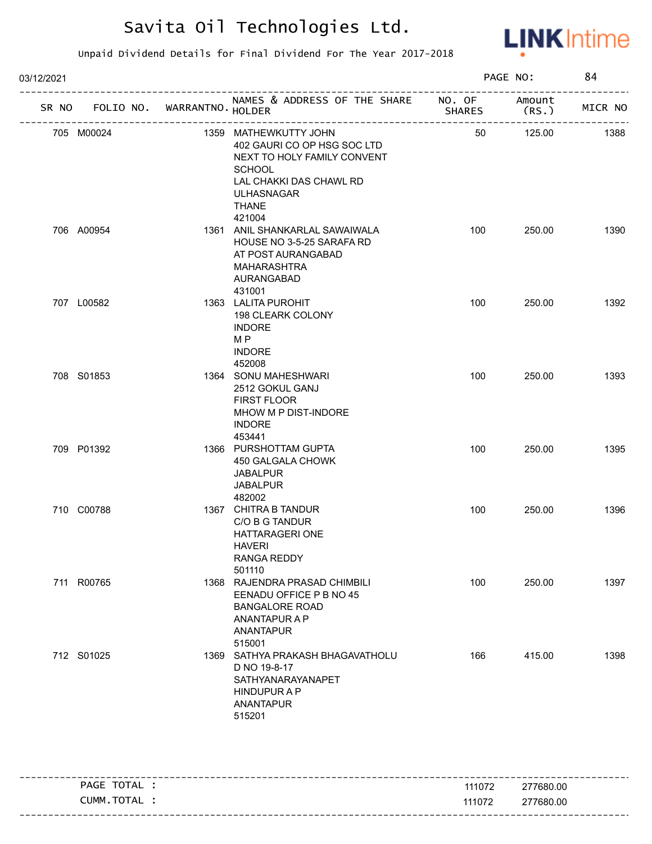

| 03/12/2021 |                             |                                                                                                                                                                                |               | PAGE NO:        | 84      |
|------------|-----------------------------|--------------------------------------------------------------------------------------------------------------------------------------------------------------------------------|---------------|-----------------|---------|
| SR NO      | FOLIO NO. WARRANTNO. HOLDER | NAMES & ADDRESS OF THE SHARE NO. OF                                                                                                                                            | <b>SHARES</b> | Amount<br>(RS.) | MICR NO |
| 705 M00024 |                             | 1359 MATHEWKUTTY JOHN<br>402 GAURI CO OP HSG SOC LTD<br>NEXT TO HOLY FAMILY CONVENT<br><b>SCHOOL</b><br>LAL CHAKKI DAS CHAWL RD<br><b>ULHASNAGAR</b><br><b>THANE</b><br>421004 | 50            | 125.00          | 1388    |
| 706 A00954 |                             | 1361 ANIL SHANKARLAL SAWAIWALA<br>HOUSE NO 3-5-25 SARAFA RD<br>AT POST AURANGABAD<br><b>MAHARASHTRA</b><br>AURANGABAD<br>431001                                                | 100           | 250.00          | 1390    |
| 707 L00582 |                             | 1363 LALITA PUROHIT<br>198 CLEARK COLONY<br><b>INDORE</b><br>M P<br><b>INDORE</b><br>452008                                                                                    | 100           | 250.00          | 1392    |
| 708 S01853 |                             | 1364 SONU MAHESHWARI<br>2512 GOKUL GANJ<br>FIRST FLOOR<br>MHOW M P DIST-INDORE<br><b>INDORE</b><br>453441                                                                      | 100           | 250.00          | 1393    |
| 709 P01392 |                             | 1366 PURSHOTTAM GUPTA<br>450 GALGALA CHOWK<br><b>JABALPUR</b><br><b>JABALPUR</b><br>482002                                                                                     | 100           | 250.00          | 1395    |
| 710 C00788 |                             | 1367 CHITRA B TANDUR<br>C/O B G TANDUR<br>HATTARAGERI ONE<br>HAVERI<br>RANGA REDDY<br>501110                                                                                   | 100           | 250.00          | 1396    |
| 711 R00765 |                             | 1368 RAJENDRA PRASAD CHIMBILI<br>EENADU OFFICE P B NO 45<br><b>BANGALORE ROAD</b><br>ANANTAPUR A P<br><b>ANANTAPUR</b><br>515001                                               | 100           | 250.00          | 1397    |
| 712 S01025 |                             | 1369 SATHYA PRAKASH BHAGAVATHOLU<br>D NO 19-8-17<br>SATHYANARAYANAPET<br><b>HINDUPURAP</b><br><b>ANANTAPUR</b><br>515201                                                       | 166           | 415.00          | 1398    |

| TOTAL<br>PAGE | 111072 | ---------------------------------<br>277680.00 |
|---------------|--------|------------------------------------------------|
| TOTAL<br>NMM. | 111072 | 277680.00                                      |
|               |        |                                                |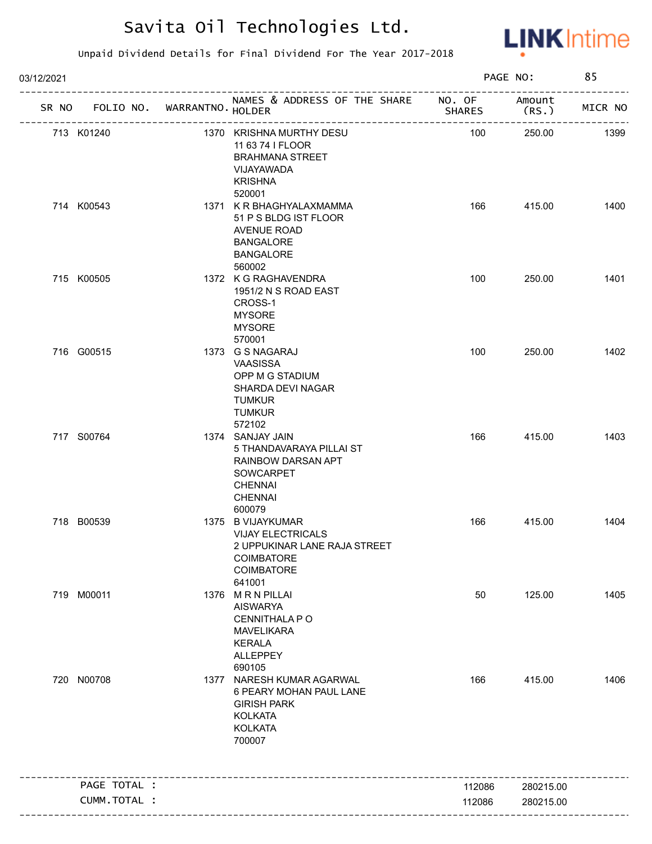

| 03/12/2021                        | PAGE NO:                                                                                                                      | 85            |                 |         |
|-----------------------------------|-------------------------------------------------------------------------------------------------------------------------------|---------------|-----------------|---------|
| SR NO FOLIO NO. WARRANTNO. HOLDER | NAMES & ADDRESS OF THE SHARE NO. OF<br>-------------------                                                                    | <b>SHARES</b> | Amount<br>(RS.) | MICR NO |
| 713 K01240                        | 1370 KRISHNA MURTHY DESU<br>11 63 74 I FLOOR<br><b>BRAHMANA STREET</b><br>VIJAYAWADA<br><b>KRISHNA</b><br>520001              | 100           | 250.00          | 1399    |
| 714 K00543                        | 1371 K R BHAGHYALAXMAMMA<br>51 P S BLDG IST FLOOR<br>AVENUE ROAD<br><b>BANGALORE</b><br><b>BANGALORE</b><br>560002            | 166           | 415.00          | 1400    |
| 715 K00505                        | 1372 K G RAGHAVENDRA<br>1951/2 N S ROAD EAST<br>CROSS-1<br><b>MYSORE</b><br><b>MYSORE</b><br>570001                           | 100           | 250.00          | 1401    |
| 716 G00515                        | 1373 G S NAGARAJ<br>VAASISSA<br>OPP M G STADIUM<br>SHARDA DEVI NAGAR<br><b>TUMKUR</b><br><b>TUMKUR</b><br>572102              | 100           | 250.00          | 1402    |
| 717 S00764                        | 1374 SANJAY JAIN<br>5 THANDAVARAYA PILLAI ST<br>RAINBOW DARSAN APT<br>SOWCARPET<br><b>CHENNAI</b><br><b>CHENNAI</b><br>600079 | 166           | 415.00          | 1403    |
| 718 B00539                        | 1375 B VIJAYKUMAR<br><b>VIJAY ELECTRICALS</b><br>2 UPPUKINAR LANE RAJA STREET<br>COIMBATORE<br>COIMBATORE<br>641001           | 166           | 415.00          | 1404    |
| 719 M00011                        | 1376 MRN PILLAI<br><b>AISWARYA</b><br>CENNITHALA P O<br><b>MAVELIKARA</b><br><b>KERALA</b><br>ALLEPPEY<br>690105              | 50            | 125.00          | 1405    |
| 720 N00708                        | 1377 NARESH KUMAR AGARWAL<br>6 PEARY MOHAN PAUL LANE<br><b>GIRISH PARK</b><br><b>KOLKATA</b><br><b>KOLKATA</b><br>700007      | 166           | 415.00          | 1406    |
| PAGE TOTAL :                      |                                                                                                                               | 112086        | 280215.00       |         |
| CUMM.TOTAL :                      |                                                                                                                               | 112086        | 280215.00       |         |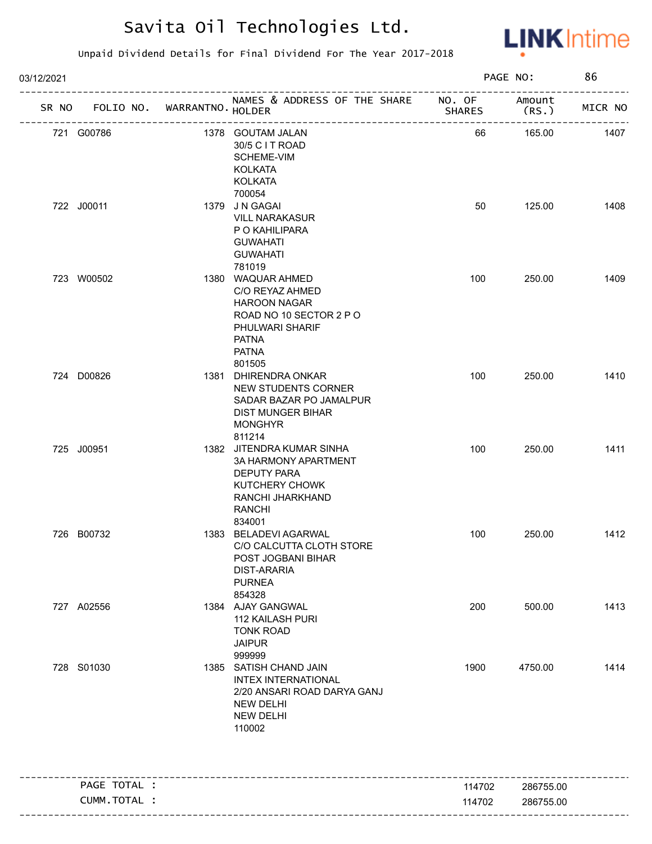

| 03/12/2021                        |                                                                                                                                                     |               | PAGE NO:        | 86      |
|-----------------------------------|-----------------------------------------------------------------------------------------------------------------------------------------------------|---------------|-----------------|---------|
| SR NO FOLIO NO. WARRANTNO. HOLDER | NAMES & ADDRESS OF THE SHARE NO. OF                                                                                                                 | <b>SHARES</b> | Amount<br>(RS.) | MICR NO |
| 721 G00786                        | 1378 GOUTAM JALAN<br>30/5 C I T ROAD<br><b>SCHEME-VIM</b><br><b>KOLKATA</b><br><b>KOLKATA</b>                                                       | 66            | 165.00          | 1407    |
| 722 J00011                        | 700054<br>1379 JN GAGAI<br><b>VILL NARAKASUR</b><br>P O KAHILIPARA<br><b>GUWAHATI</b><br><b>GUWAHATI</b><br>781019                                  | 50            | 125.00          | 1408    |
| 723 W00502                        | 1380 WAQUAR AHMED<br>C/O REYAZ AHMED<br><b>HAROON NAGAR</b><br>ROAD NO 10 SECTOR 2 P O<br>PHULWARI SHARIF<br><b>PATNA</b><br><b>PATNA</b><br>801505 | 100           | 250.00          | 1409    |
| 724 D00826                        | 1381 DHIRENDRA ONKAR<br>NEW STUDENTS CORNER<br>SADAR BAZAR PO JAMALPUR<br><b>DIST MUNGER BIHAR</b><br><b>MONGHYR</b><br>811214                      | 100           | 250.00          | 1410    |
| 725 J00951                        | 1382 JITENDRA KUMAR SINHA<br>3A HARMONY APARTMENT<br><b>DEPUTY PARA</b><br>KUTCHERY CHOWK<br>RANCHI JHARKHAND<br><b>RANCHI</b><br>834001            | 100           | 250.00          | 1411    |
| 726 B00732                        | 1383 BELADEVI AGARWAL<br>C/O CALCUTTA CLOTH STORE<br>POST JOGBANI BIHAR<br><b>DIST-ARARIA</b><br><b>PURNEA</b><br>854328                            | 100           | 250.00          | 1412    |
| 727 A02556                        | 1384 AJAY GANGWAL<br><b>112 KAILASH PURI</b><br><b>TONK ROAD</b><br><b>JAIPUR</b><br>999999                                                         | 200           | 500.00          | 1413    |
| 728 S01030                        | 1385 SATISH CHAND JAIN<br><b>INTEX INTERNATIONAL</b><br>2/20 ANSARI ROAD DARYA GANJ<br><b>NEW DELHI</b><br><b>NEW DELHI</b><br>110002               | 1900          | 4750.00         | 1414    |
| PAGE TOTAL :                      |                                                                                                                                                     | 114702        | 286755.00       |         |
| CUMM.TOTAL :                      |                                                                                                                                                     | 114702        | 286755.00       |         |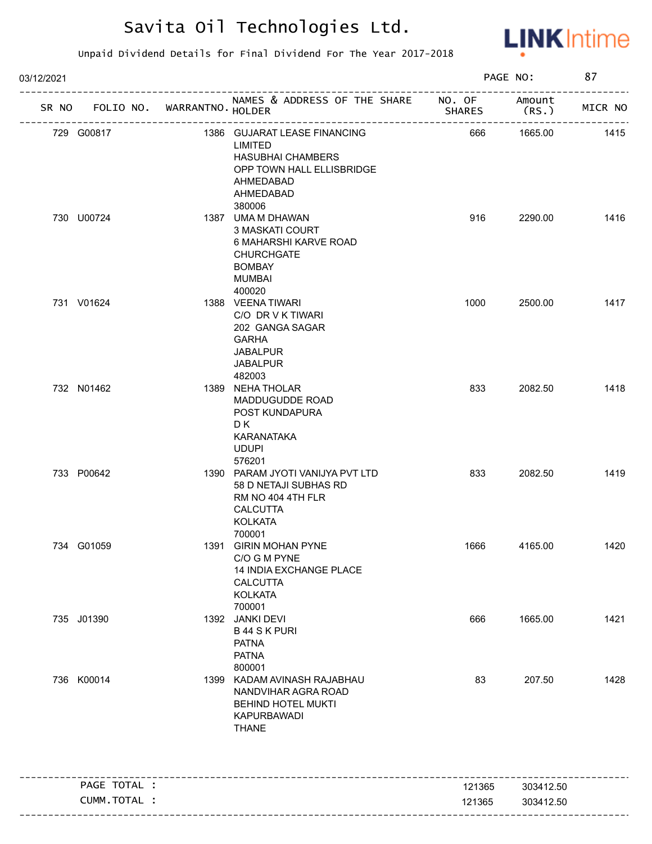

| 03/12/2021 |              |                             |                                                                                                                                      |                  | PAGE NO:               | 87      |
|------------|--------------|-----------------------------|--------------------------------------------------------------------------------------------------------------------------------------|------------------|------------------------|---------|
| SR NO      |              | FOLIO NO. WARRANTNO. HOLDER | NAMES & ADDRESS OF THE SHARE NO. OF                                                                                                  | <b>SHARES</b>    | Amount<br>(RS.         | MICR NO |
|            | 729 G00817   |                             | 1386 GUJARAT LEASE FINANCING<br>LIMITED<br><b>HASUBHAI CHAMBERS</b><br>OPP TOWN HALL ELLISBRIDGE<br>AHMEDABAD<br>AHMEDABAD<br>380006 | 666              | 1665.00                | 1415    |
|            | 730 U00724   |                             | 1387 UMA M DHAWAN<br>3 MASKATI COURT<br>6 MAHARSHI KARVE ROAD<br><b>CHURCHGATE</b><br><b>BOMBAY</b><br><b>MUMBAI</b><br>400020       | 916              | 2290.00                | 1416    |
|            | 731 V01624   |                             | 1388 VEENA TIWARI<br>C/O DR V K TIWARI<br>202 GANGA SAGAR<br><b>GARHA</b><br><b>JABALPUR</b><br><b>JABALPUR</b><br>482003            | 1000             | 2500.00                | 1417    |
|            | 732 N01462   |                             | 1389 NEHA THOLAR<br><b>MADDUGUDDE ROAD</b><br>POST KUNDAPURA<br>D K<br>KARANATAKA<br><b>UDUPI</b><br>576201                          | 833              | 2082.50                | 1418    |
|            | 733 P00642   |                             | 1390 PARAM JYOTI VANIJYA PVT LTD<br>58 D NETAJI SUBHAS RD<br>RM NO 404 4TH FLR<br>CALCUTTA<br><b>KOLKATA</b><br>700001               | 833              | 2082.50                | 1419    |
|            | 734 G01059   |                             | 1391 GIRIN MOHAN PYNE<br>C/O G M PYNE<br>14 INDIA EXCHANGE PLACE<br><b>CALCUTTA</b><br><b>KOLKATA</b><br>700001                      | 1666             | 4165.00                | 1420    |
|            | 735 J01390   |                             | 1392 JANKI DEVI<br><b>B44 SK PURI</b><br><b>PATNA</b><br><b>PATNA</b><br>800001                                                      | 666              | 1665.00                | 1421    |
|            | 736 K00014   |                             | 1399 KADAM AVINASH RAJABHAU<br>NANDVIHAR AGRA ROAD<br><b>BEHIND HOTEL MUKTI</b><br>KAPURBAWADI<br><b>THANE</b>                       | 83               | 207.50                 | 1428    |
|            | PAGE TOTAL : |                             |                                                                                                                                      |                  |                        |         |
|            | CUMM.TOTAL : |                             |                                                                                                                                      | 121365<br>121365 | 303412.50<br>303412.50 |         |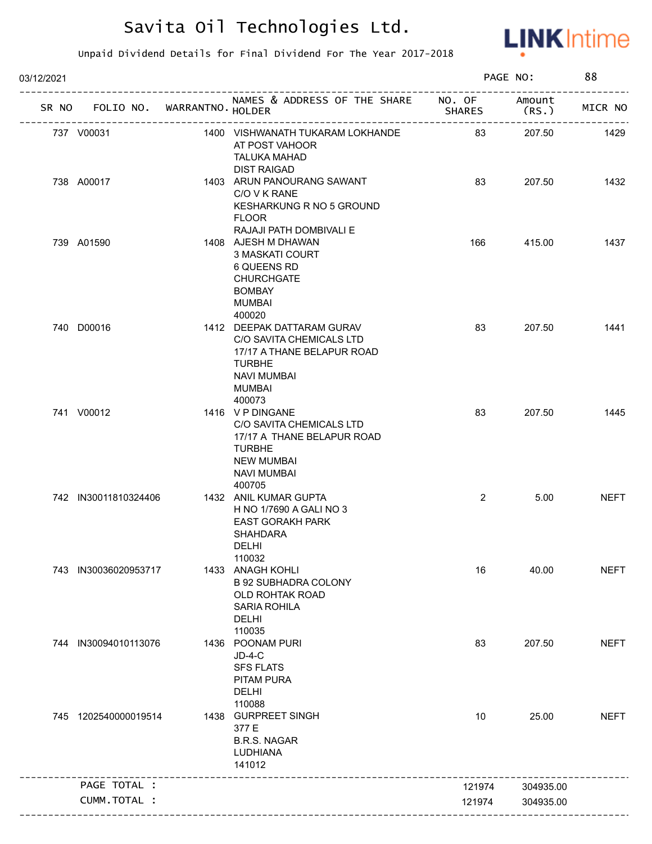

| 03/12/2021 |                      |                             |                                                                                                                                                   |                                               | PAGE NO:        | 88          |
|------------|----------------------|-----------------------------|---------------------------------------------------------------------------------------------------------------------------------------------------|-----------------------------------------------|-----------------|-------------|
| SR NO      |                      | FOLIO NO. WARRANTNO. HOLDER | NAMES & ADDRESS OF THE SHARE NO. OF                                                                                                               | <b>SHARES</b><br>---------------------------- | Amount<br>(RS.) | MICR NO     |
|            | 737 V00031           |                             | 1400 VISHWANATH TUKARAM LOKHANDE<br>AT POST VAHOOR<br><b>TALUKA MAHAD</b><br><b>DIST RAIGAD</b>                                                   | 83                                            | 207.50          | 1429        |
|            | 738 A00017           |                             | 1403 ARUN PANOURANG SAWANT<br>C/O V K RANE<br>KESHARKUNG R NO 5 GROUND<br><b>FLOOR</b>                                                            | 83                                            | 207.50          | 1432        |
|            | 739 A01590           |                             | RAJAJI PATH DOMBIVALI E<br>1408 AJESH M DHAWAN<br>3 MASKATI COURT<br>6 QUEENS RD<br><b>CHURCHGATE</b><br><b>BOMBAY</b><br><b>MUMBAI</b><br>400020 | 166                                           | 415.00          | 1437        |
|            | 740 D00016           |                             | 1412 DEEPAK DATTARAM GURAV<br>C/O SAVITA CHEMICALS LTD<br>17/17 A THANE BELAPUR ROAD<br><b>TURBHE</b><br><b>NAVI MUMBAI</b><br>MUMBAI<br>400073   | 83                                            | 207.50          | 1441        |
|            | 741 V00012           |                             | 1416 V P DINGANE<br>C/O SAVITA CHEMICALS LTD<br>17/17 A THANE BELAPUR ROAD<br><b>TURBHE</b><br><b>NEW MUMBAI</b><br><b>NAVI MUMBAI</b><br>400705  | 83                                            | 207.50          | 1445        |
|            | 742 IN30011810324406 |                             | 1432 ANIL KUMAR GUPTA<br>H NO 1/7690 A GALI NO 3<br><b>EAST GORAKH PARK</b><br><b>SHAHDARA</b><br>DELHI<br>110032                                 | 2                                             | 5.00            | <b>NEFT</b> |
|            | 743 IN30036020953717 |                             | 1433 ANAGH KOHLI<br><b>B 92 SUBHADRA COLONY</b><br>OLD ROHTAK ROAD<br><b>SARIA ROHILA</b><br><b>DELHI</b><br>110035                               | 16                                            | 40.00           | <b>NEFT</b> |
|            | 744 IN30094010113076 |                             | 1436 POONAM PURI<br>$JD-4-C$<br><b>SFS FLATS</b><br>PITAM PURA<br>DELHI<br>110088                                                                 | 83                                            | 207.50          | <b>NEFT</b> |
|            | 745 1202540000019514 |                             | 1438 GURPREET SINGH<br>377 E<br><b>B.R.S. NAGAR</b><br>LUDHIANA<br>141012                                                                         | 10                                            | 25.00           | <b>NEFT</b> |
|            | PAGE TOTAL :         |                             |                                                                                                                                                   | 121974                                        | 304935.00       |             |
|            | CUMM.TOTAL :         |                             |                                                                                                                                                   | 121974                                        | 304935.00       |             |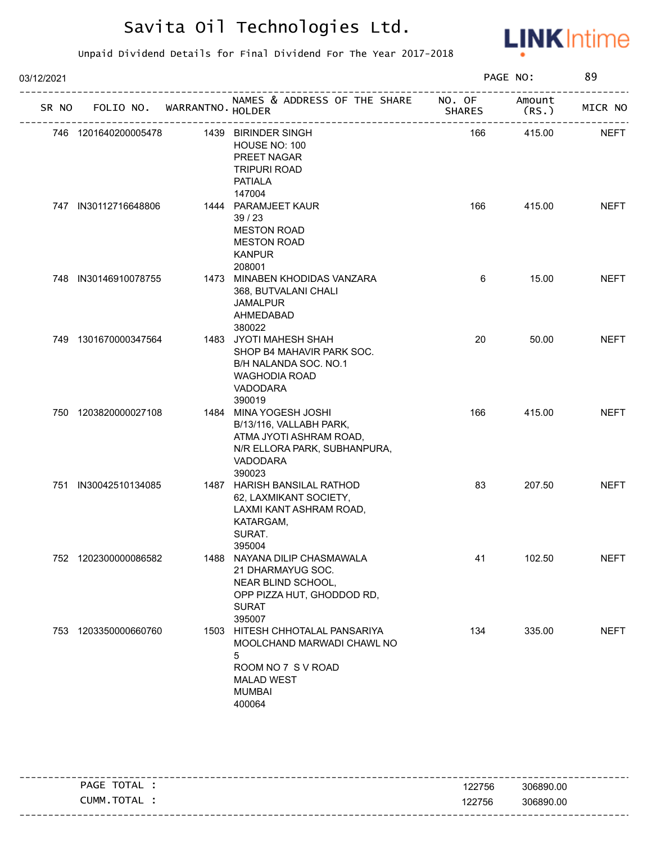

| 03/12/2021 |       |                      |                             |                                                                                                                                          |               | PAGE NO:        | 89          |
|------------|-------|----------------------|-----------------------------|------------------------------------------------------------------------------------------------------------------------------------------|---------------|-----------------|-------------|
|            | SR NO |                      | FOLIO NO. WARRANTNO. HOLDER | NAMES & ADDRESS OF THE SHARE NO. OF<br>---------------------------                                                                       | <b>SHARES</b> | Amount<br>(RS.) | MICR NO     |
|            |       | 746 1201640200005478 |                             | 1439 BIRINDER SINGH<br>HOUSE NO: 100<br>PREET NAGAR<br><b>TRIPURI ROAD</b><br><b>PATIALA</b><br>147004                                   | 166           | 415.00          | <b>NEFT</b> |
|            |       | 747 IN30112716648806 |                             | 1444 PARAMJEET KAUR<br>39/23<br><b>MESTON ROAD</b><br><b>MESTON ROAD</b><br><b>KANPUR</b><br>208001                                      | 166           | 415.00          | <b>NEFT</b> |
|            |       | 748 IN30146910078755 |                             | 1473 MINABEN KHODIDAS VANZARA<br>368, BUTVALANI CHALI<br>JAMALPUR<br>AHMEDABAD<br>380022                                                 | 6             | 15.00           | <b>NEFT</b> |
|            |       | 749 1301670000347564 |                             | 1483 JYOTI MAHESH SHAH<br>SHOP B4 MAHAVIR PARK SOC.<br>B/H NALANDA SOC. NO.1<br><b>WAGHODIA ROAD</b><br>VADODARA<br>390019               | 20            | 50.00           | <b>NEFT</b> |
|            |       | 750 1203820000027108 |                             | 1484 MINA YOGESH JOSHI<br>B/13/116, VALLABH PARK,<br>ATMA JYOTI ASHRAM ROAD,<br>N/R ELLORA PARK, SUBHANPURA,<br>VADODARA<br>390023       | 166           | 415.00          | <b>NEFT</b> |
|            |       | 751 IN30042510134085 |                             | 1487 HARISH BANSILAL RATHOD<br>62, LAXMIKANT SOCIETY,<br>LAXMI KANT ASHRAM ROAD,<br>KATARGAM,<br>SURAT.<br>395004                        | 83            | 207.50          | <b>NEFT</b> |
|            |       | 752 1202300000086582 |                             | 1488 NAYANA DILIP CHASMAWALA<br>21 DHARMAYUG SOC.<br>NEAR BLIND SCHOOL,<br>OPP PIZZA HUT, GHODDOD RD,<br><b>SURAT</b><br>395007          | 41            | 102.50          | <b>NEFT</b> |
|            |       | 753 1203350000660760 |                             | 1503 HITESH CHHOTALAL PANSARIYA<br>MOOLCHAND MARWADI CHAWL NO<br>5<br>ROOM NO 7 S V ROAD<br><b>MALAD WEST</b><br><b>MUMBAI</b><br>400064 | 134           | 335.00          | <b>NEFT</b> |

|                |        | ----------------------- |
|----------------|--------|-------------------------|
| TOTAL<br>PAGE  | 122756 | 306890.00               |
| TOTAL<br>CUMM. | 122756 | 306890.00               |
|                |        |                         |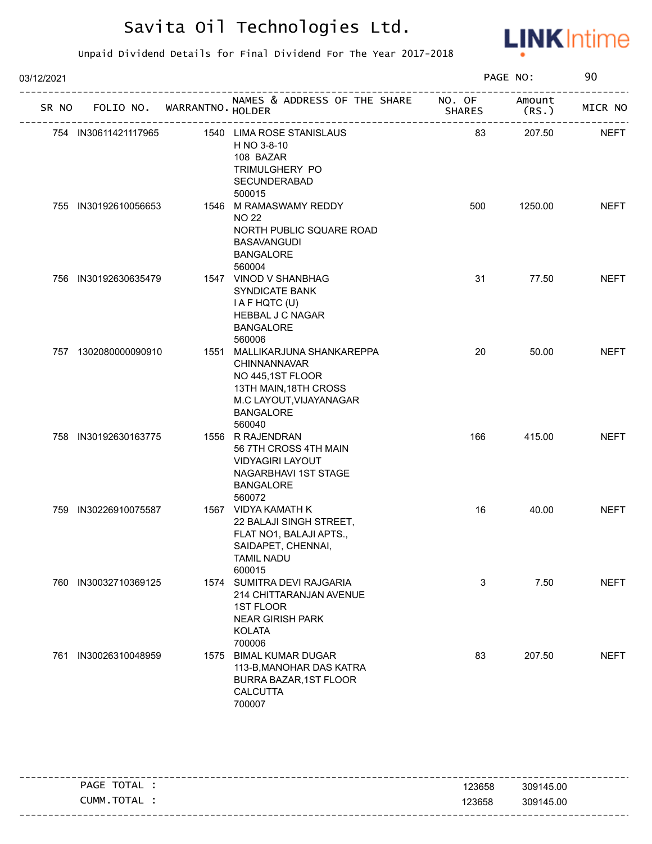

| 03/12/2021 |                      |                             |                                                                                                                                                            |               | PAGE NO:        | 90          |
|------------|----------------------|-----------------------------|------------------------------------------------------------------------------------------------------------------------------------------------------------|---------------|-----------------|-------------|
|            | SR NO                | FOLIO NO. WARRANTNO. HOLDER | NAMES & ADDRESS OF THE SHARE NO. OF                                                                                                                        | <b>SHARES</b> | Amount<br>(RS.) | MICR NO     |
|            | 754 IN30611421117965 |                             | 1540 LIMA ROSE STANISLAUS<br>H NO 3-8-10<br>108 BAZAR<br>TRIMULGHERY PO<br>SECUNDERABAD<br>500015                                                          | 83            | 207.50          | <b>NEFT</b> |
|            | 755 IN30192610056653 |                             | 1546 M RAMASWAMY REDDY<br><b>NO 22</b><br>NORTH PUBLIC SQUARE ROAD<br><b>BASAVANGUDI</b><br><b>BANGALORE</b><br>560004                                     | 500           | 1250.00         | <b>NEFT</b> |
|            | 756 IN30192630635479 |                             | 1547 VINOD V SHANBHAG<br>SYNDICATE BANK<br>I A F HQTC (U)<br>HEBBAL J C NAGAR<br><b>BANGALORE</b><br>560006                                                | 31            | 77.50           | <b>NEFT</b> |
|            | 757 1302080000090910 |                             | 1551 MALLIKARJUNA SHANKAREPPA<br><b>CHINNANNAVAR</b><br>NO 445,1ST FLOOR<br>13TH MAIN, 18TH CROSS<br>M.C LAYOUT, VIJAYANAGAR<br><b>BANGALORE</b><br>560040 | 20            | 50.00           | <b>NEFT</b> |
|            | 758 IN30192630163775 |                             | 1556 R RAJENDRAN<br>56 7TH CROSS 4TH MAIN<br><b>VIDYAGIRI LAYOUT</b><br>NAGARBHAVI 1ST STAGE<br><b>BANGALORE</b><br>560072                                 | 166           | 415.00          | <b>NEFT</b> |
|            | 759 IN30226910075587 |                             | 1567 VIDYA KAMATH K<br>22 BALAJI SINGH STREET,<br>FLAT NO1, BALAJI APTS.,<br>SAIDAPET, CHENNAI,<br><b>TAMIL NADU</b><br>600015                             | 16            | 40.00           | <b>NEFT</b> |
|            | 760 IN30032710369125 |                             | 1574 SUMITRA DEVI RAJGARIA<br>214 CHITTARANJAN AVENUE<br><b>1ST FLOOR</b><br><b>NEAR GIRISH PARK</b><br><b>KOLATA</b><br>700006                            | 3             | 7.50            | <b>NEFT</b> |
|            | 761 IN30026310048959 | 1575                        | <b>BIMAL KUMAR DUGAR</b><br>113-B, MANOHAR DAS KATRA<br>BURRA BAZAR, 1ST FLOOR<br><b>CALCUTTA</b><br>700007                                                | 83            | 207.50          | <b>NEFT</b> |

|                |        | -----------------------           |
|----------------|--------|-----------------------------------|
| TOTAL<br>PAGE  | 123658 | 309145.00                         |
| CUMM.<br>TOTAL | 123658 | 309145.00                         |
|                |        | --------------------------------- |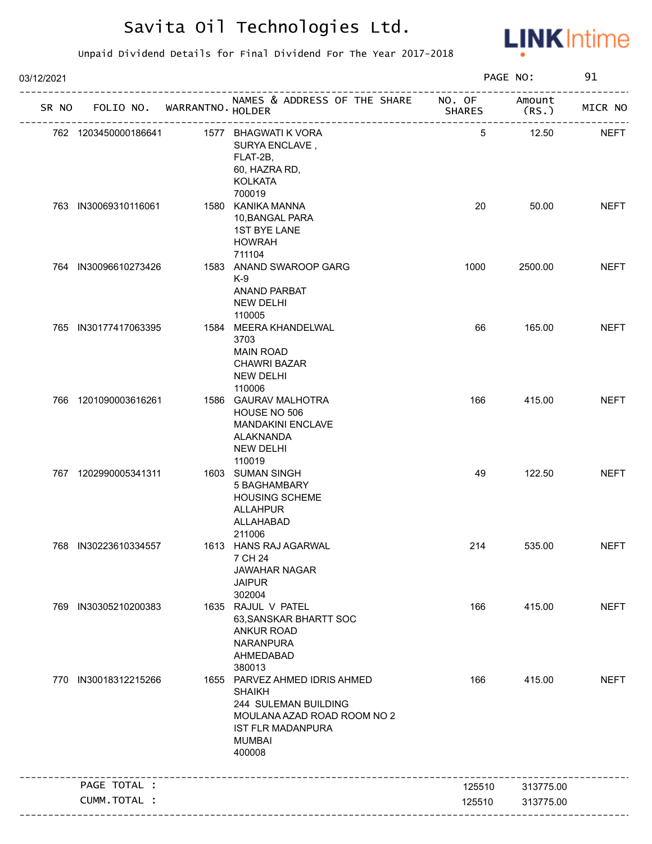

| 03/12/2021 |                      |                            |                                                                                                                                                              |                         | PAGE NO:        | 91          |
|------------|----------------------|----------------------------|--------------------------------------------------------------------------------------------------------------------------------------------------------------|-------------------------|-----------------|-------------|
| SR NO      |                      | FOLIO NO. WARRANTNO HOLDER | NAMES & ADDRESS OF THE SHARE                                                                                                                                 | NO. OF<br><b>SHARES</b> | Amount<br>(RS.) | MICR NO     |
|            | 762 1203450000186641 |                            | 1577 BHAGWATI K VORA<br>SURYA ENCLAVE,<br>FLAT-2B,<br>60, HAZRA RD,<br><b>KOLKATA</b><br>700019                                                              | 5                       | 12.50           | <b>NEFT</b> |
|            | 763 IN30069310116061 |                            | 1580 KANIKA MANNA<br>10, BANGAL PARA<br><b>1ST BYE LANE</b><br><b>HOWRAH</b><br>711104                                                                       | 20                      | 50.00           | <b>NEFT</b> |
|            | 764 IN30096610273426 |                            | 1583 ANAND SWAROOP GARG<br>$K-9$<br><b>ANAND PARBAT</b><br><b>NEW DELHI</b><br>110005                                                                        | 1000                    | 2500.00         | <b>NEFT</b> |
|            | 765 IN30177417063395 |                            | 1584 MEERA KHANDELWAL<br>3703<br><b>MAIN ROAD</b><br><b>CHAWRI BAZAR</b><br><b>NEW DELHI</b><br>110006                                                       | 66                      | 165.00          | <b>NEFT</b> |
|            | 766 1201090003616261 |                            | 1586 GAURAV MALHOTRA<br>HOUSE NO 506<br>MANDAKINI ENCLAVE<br>ALAKNANDA<br>NEW DELHI<br>110019                                                                | 166                     | 415.00          | <b>NEFT</b> |
|            | 767 1202990005341311 |                            | 1603 SUMAN SINGH<br>5 BAGHAMBARY<br><b>HOUSING SCHEME</b><br><b>ALLAHPUR</b><br>ALLAHABAD<br>211006                                                          | 49                      | 122.50          | <b>NEFT</b> |
|            | 768 IN30223610334557 |                            | 1613 HANS RAJ AGARWAL<br>7 CH 24<br><b>JAWAHAR NAGAR</b><br><b>JAIPUR</b><br>302004                                                                          | 214                     | 535.00          | <b>NEFT</b> |
|            | 769 IN30305210200383 |                            | 1635 RAJUL V PATEL<br>63, SANSKAR BHARTT SOC<br><b>ANKUR ROAD</b><br><b>NARANPURA</b><br>AHMEDABAD<br>380013                                                 | 166                     | 415.00          | <b>NEFT</b> |
|            | 770 IN30018312215266 |                            | 1655 PARVEZ AHMED IDRIS AHMED<br><b>SHAIKH</b><br>244 SULEMAN BUILDING<br>MOULANA AZAD ROAD ROOM NO 2<br><b>IST FLR MADANPURA</b><br><b>MUMBAI</b><br>400008 | 166                     | 415.00          | <b>NEFT</b> |
|            | PAGE TOTAL :         |                            |                                                                                                                                                              | 125510                  | 313775.00       |             |
|            | CUMM.TOTAL :         |                            |                                                                                                                                                              | 125510                  | 313775.00       |             |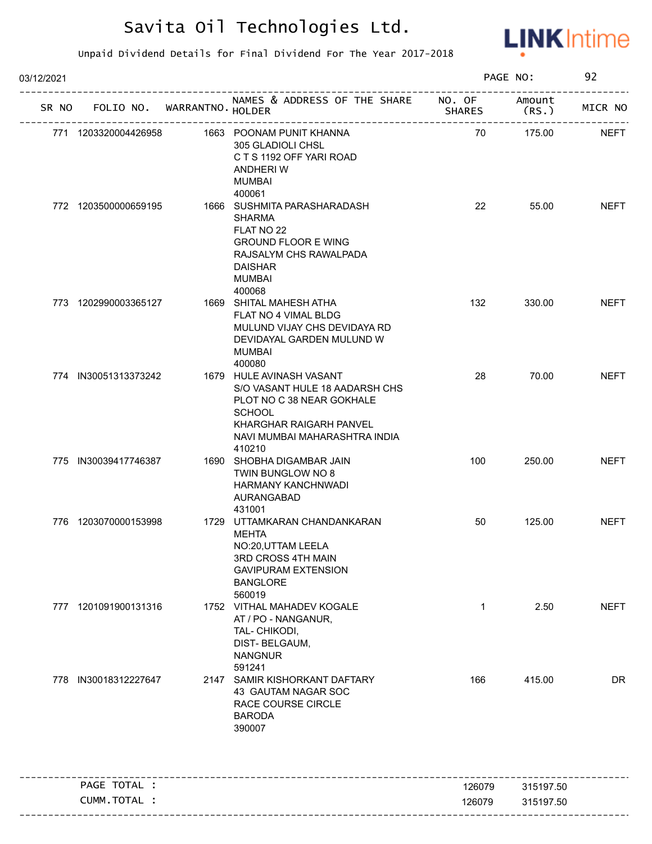

| 03/12/2021 |       |                             | PAGE NO:                                                                                                                                                                       | 92            |                |             |
|------------|-------|-----------------------------|--------------------------------------------------------------------------------------------------------------------------------------------------------------------------------|---------------|----------------|-------------|
|            | SR NO | FOLIO NO. WARRANTNO. HOLDER | NAMES & ADDRESS OF THE SHARE NO. OF                                                                                                                                            | <b>SHARES</b> | Amount<br>(RS. | MICR NO     |
|            |       | 771 1203320004426958        | 1663 POONAM PUNIT KHANNA<br>305 GLADIOLI CHSL<br>CTS 1192 OFF YARI ROAD<br>ANDHERI W<br><b>MUMBAI</b>                                                                          | 70            | 175.00         | <b>NEFT</b> |
|            |       | 772 1203500000659195        | 400061<br>1666 SUSHMITA PARASHARADASH<br><b>SHARMA</b><br>FLAT NO 22<br><b>GROUND FLOOR E WING</b><br>RAJSALYM CHS RAWALPADA<br><b>DAISHAR</b><br>MUMBAI<br>400068             | 22            | 55.00          | <b>NEFT</b> |
|            |       | 773 1202990003365127        | 1669 SHITAL MAHESH ATHA<br>FLAT NO 4 VIMAL BLDG<br>MULUND VIJAY CHS DEVIDAYA RD<br>DEVIDAYAL GARDEN MULUND W<br><b>MUMBAI</b><br>400080                                        | 132           | 330.00         | <b>NEFT</b> |
|            |       | 774 IN30051313373242        | 1679 HULE AVINASH VASANT<br>S/O VASANT HULE 18 AADARSH CHS<br>PLOT NO C 38 NEAR GOKHALE<br><b>SCHOOL</b><br>KHARGHAR RAIGARH PANVEL<br>NAVI MUMBAI MAHARASHTRA INDIA<br>410210 | 28            | 70.00          | <b>NEFT</b> |
|            |       | 775 IN30039417746387        | 1690 SHOBHA DIGAMBAR JAIN<br>TWIN BUNGLOW NO 8<br><b>HARMANY KANCHNWADI</b><br>AURANGABAD<br>431001                                                                            | 100           | 250.00         | <b>NEFT</b> |
|            |       | 776 1203070000153998        | 1729 UTTAMKARAN CHANDANKARAN<br><b>MEHTA</b><br>NO:20, UTTAM LEELA<br>3RD CROSS 4TH MAIN<br><b>GAVIPURAM EXTENSION</b><br><b>BANGLORE</b><br>560019                            | 50            | 125.00         | <b>NEFT</b> |
|            | 777   | 1201091900131316            | 1752 VITHAL MAHADEV KOGALE<br>AT / PO - NANGANUR,<br>TAL- CHIKODI,<br>DIST-BELGAUM,<br><b>NANGNUR</b><br>591241                                                                | $\mathbf{1}$  | 2.50           | <b>NEFT</b> |
|            | 778   | IN30018312227647            | 2147 SAMIR KISHORKANT DAFTARY<br>43 GAUTAM NAGAR SOC<br>RACE COURSE CIRCLE<br><b>BARODA</b><br>390007                                                                          | 166           | 415.00         | <b>DR</b>   |
|            |       | PAGE TOTAL :                |                                                                                                                                                                                | 126079        | 315197.50      |             |
|            |       | CUMM.TOTAL :                |                                                                                                                                                                                | 126079        | 315197.50      |             |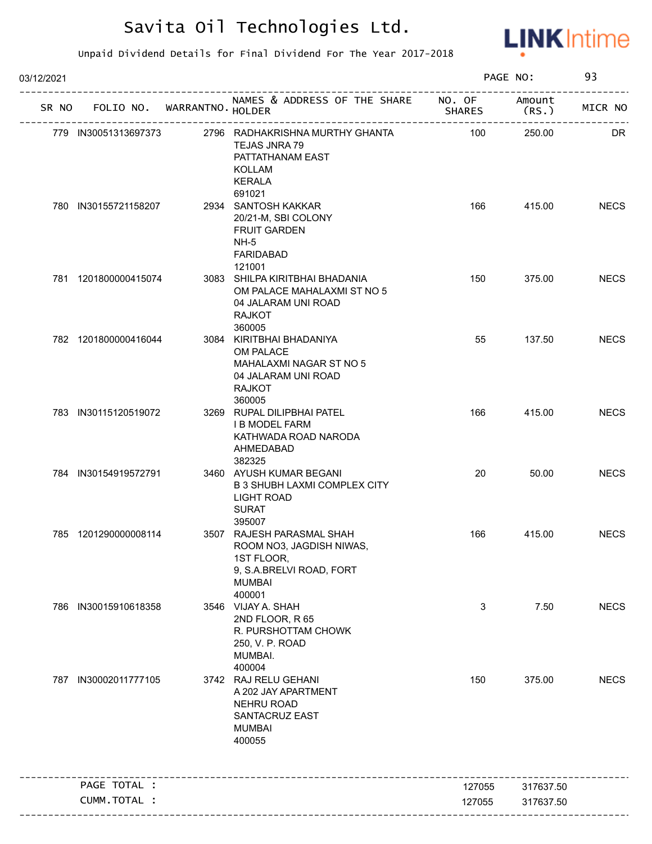

| 03/12/2021 |                                   | PAGE NO:                                                                                                                   |               | 93               |             |
|------------|-----------------------------------|----------------------------------------------------------------------------------------------------------------------------|---------------|------------------|-------------|
|            | SR NO FOLIO NO. WARRANTNO. HOLDER | NAMES & ADDRESS OF THE SHARE NO. OF                                                                                        | <b>SHARES</b> | Amount<br>(RS. ) | MICR NO     |
|            | 779 IN30051313697373              | 2796 RADHAKRISHNA MURTHY GHANTA<br><b>TEJAS JNRA 79</b><br>PATTATHANAM EAST<br><b>KOLLAM</b><br><b>KERALA</b>              | 100           | 250.00           | DR          |
|            | 780 IN30155721158207              | 691021<br>2934 SANTOSH KAKKAR<br>20/21-M, SBI COLONY<br><b>FRUIT GARDEN</b><br>$NH-5$<br><b>FARIDABAD</b><br>121001        | 166           | 415.00           | <b>NECS</b> |
|            | 781 1201800000415074              | 3083 SHILPA KIRITBHAI BHADANIA<br>OM PALACE MAHALAXMI ST NO 5<br>04 JALARAM UNI ROAD<br><b>RAJKOT</b><br>360005            | 150           | 375.00           | <b>NECS</b> |
|            | 782 1201800000416044              | 3084 KIRITBHAI BHADANIYA<br>OM PALACE<br>MAHALAXMI NAGAR ST NO 5<br>04 JALARAM UNI ROAD<br><b>RAJKOT</b><br>360005         | 55            | 137.50           | <b>NECS</b> |
|            | 783 IN30115120519072              | 3269 RUPAL DILIPBHAI PATEL<br><b>I B MODEL FARM</b><br>KATHWADA ROAD NARODA<br>AHMEDABAD<br>382325                         | 166           | 415.00           | <b>NECS</b> |
|            | 784 IN30154919572791              | 3460 AYUSH KUMAR BEGANI<br><b>B 3 SHUBH LAXMI COMPLEX CITY</b><br><b>LIGHT ROAD</b><br><b>SURAT</b><br>395007              | 20            | 50.00            | <b>NECS</b> |
|            | 785 1201290000008114              | 3507 RAJESH PARASMAL SHAH<br>ROOM NO3, JAGDISH NIWAS,<br>1ST FLOOR,<br>9, S.A.BRELVI ROAD, FORT<br><b>MUMBAI</b><br>400001 | 166           | 415.00           | <b>NECS</b> |
| 786        | IN30015910618358                  | 3546 VIJAY A. SHAH<br>2ND FLOOR, R 65<br>R. PURSHOTTAM CHOWK<br>250, V. P. ROAD<br>MUMBAI.<br>400004                       | 3             | 7.50             | <b>NECS</b> |
| 787        | IN30002011777105                  | 3742 RAJ RELU GEHANI<br>A 202 JAY APARTMENT<br>NEHRU ROAD<br>SANTACRUZ EAST<br><b>MUMBAI</b><br>400055                     | 150           | 375.00           | <b>NECS</b> |
|            | PAGE TOTAL :                      |                                                                                                                            | 127055        | 317637.50        |             |
|            | CUMM.TOTAL :                      |                                                                                                                            | 127055        | 317637.50        |             |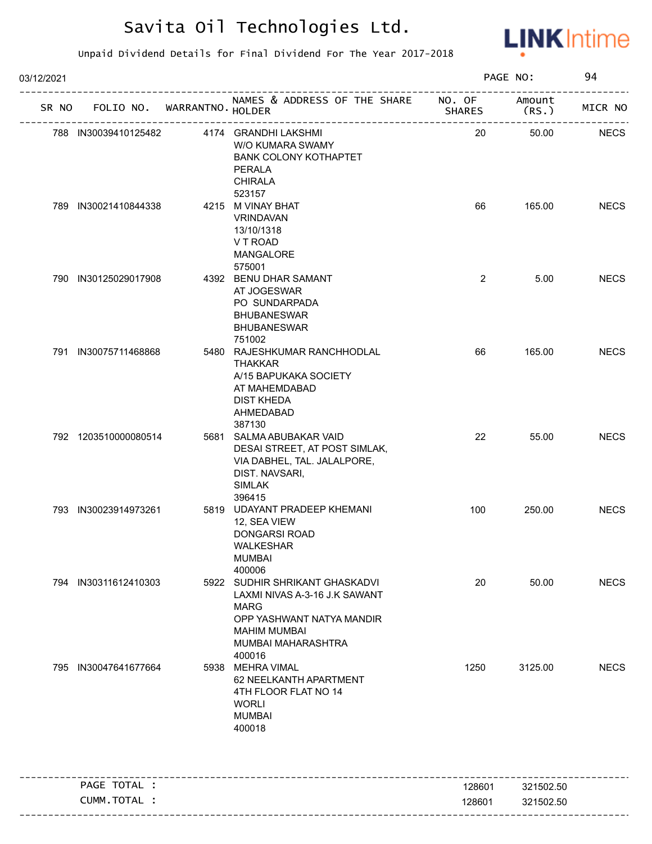

| 03/12/2021 |                      |  | PAGE NO:                    |                                                                                                                                                                    | 94                      |                 |             |
|------------|----------------------|--|-----------------------------|--------------------------------------------------------------------------------------------------------------------------------------------------------------------|-------------------------|-----------------|-------------|
| SR NO      |                      |  | FOLIO NO. WARRANTNO. HOLDER | NAMES & ADDRESS OF THE SHARE                                                                                                                                       | NO. OF<br><b>SHARES</b> | Amount<br>(RS.) | MICR NO     |
|            | 788 IN30039410125482 |  |                             | 4174 GRANDHI LAKSHMI<br>W/O KUMARA SWAMY<br><b>BANK COLONY KOTHAPTET</b><br>PERALA<br><b>CHIRALA</b>                                                               | 20                      | 50.00           | <b>NECS</b> |
|            | 789 IN30021410844338 |  |                             | 523157<br>4215 M VINAY BHAT<br><b>VRINDAVAN</b><br>13/10/1318<br>V T ROAD<br>MANGALORE                                                                             | 66                      | 165.00          | <b>NECS</b> |
|            | 790 IN30125029017908 |  |                             | 575001<br>4392 BENU DHAR SAMANT<br>AT JOGESWAR<br>PO SUNDARPADA<br><b>BHUBANESWAR</b><br><b>BHUBANESWAR</b><br>751002                                              | $\overline{2}$          | 5.00            | <b>NECS</b> |
|            | 791 IN30075711468868 |  |                             | 5480 RAJESHKUMAR RANCHHODLAL<br><b>THAKKAR</b><br>A/15 BAPUKAKA SOCIETY<br>AT MAHEMDABAD<br><b>DIST KHEDA</b><br>AHMEDABAD<br>387130                               | 66                      | 165.00          | <b>NECS</b> |
|            | 792 1203510000080514 |  |                             | 5681 SALMA ABUBAKAR VAID<br>DESAI STREET, AT POST SIMLAK,<br>VIA DABHEL, TAL. JALALPORE,<br>DIST. NAVSARI,<br><b>SIMLAK</b><br>396415                              | 22                      | 55.00           | <b>NECS</b> |
|            | 793 IN30023914973261 |  |                             | 5819 UDAYANT PRADEEP KHEMANI<br>12, SEA VIEW<br><b>DONGARSI ROAD</b><br>WALKESHAR<br><b>MUMBAI</b><br>400006                                                       | 100                     | 250.00          | <b>NECS</b> |
|            | 794 IN30311612410303 |  |                             | 5922 SUDHIR SHRIKANT GHASKADVI<br>LAXMI NIVAS A-3-16 J.K SAWANT<br><b>MARG</b><br>OPP YASHWANT NATYA MANDIR<br><b>MAHIM MUMBAI</b><br>MUMBAI MAHARASHTRA<br>400016 | 20                      | 50.00           | <b>NECS</b> |
|            | 795 IN30047641677664 |  |                             | 5938 MEHRA VIMAL<br>62 NEELKANTH APARTMENT<br>4TH FLOOR FLAT NO 14<br><b>WORLI</b><br><b>MUMBAI</b><br>400018                                                      | 1250                    | 3125.00         | <b>NECS</b> |
|            | PAGE TOTAL :         |  |                             |                                                                                                                                                                    | 128601                  | 321502.50       |             |
|            | CUMM.TOTAL :         |  |                             |                                                                                                                                                                    | 128601                  | 321502.50       |             |